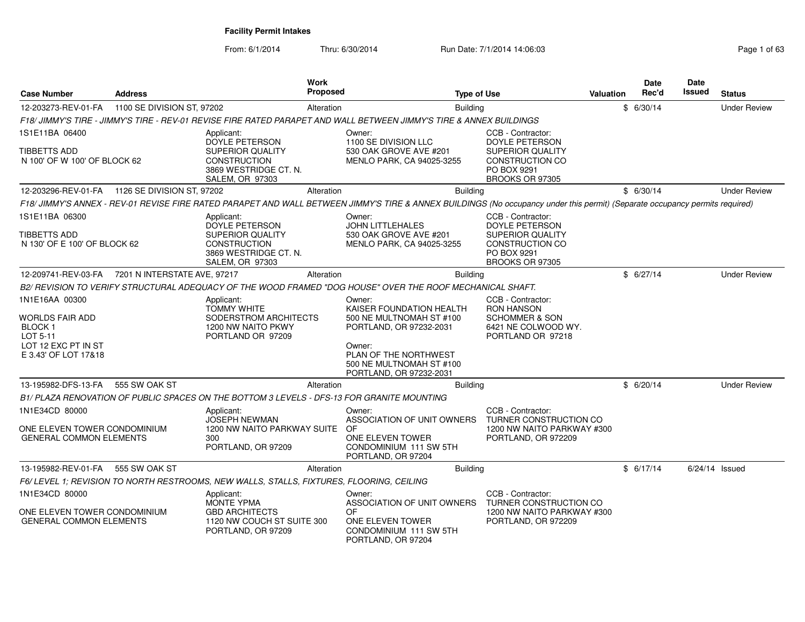From: 6/1/2014Thru: 6/30/2014 **Run Date: 7/1/2014 14:06:03** Page 1 of 630/2014 14:06:03

| Page 1 of 63 |  |
|--------------|--|
|--------------|--|

| <b>Case Number</b><br><b>Address</b>                                                                               |                              |                                                                                                                                          | Work<br><b>Proposed</b> |                                                                                                                                                                                     |                 | <b>Type of Use</b>                                                                                                                | Valuation | Date<br>Rec'd | Date<br>Issued | <b>Status</b>       |
|--------------------------------------------------------------------------------------------------------------------|------------------------------|------------------------------------------------------------------------------------------------------------------------------------------|-------------------------|-------------------------------------------------------------------------------------------------------------------------------------------------------------------------------------|-----------------|-----------------------------------------------------------------------------------------------------------------------------------|-----------|---------------|----------------|---------------------|
| 12-203273-REV-01-FA                                                                                                | 1100 SE DIVISION ST, 97202   |                                                                                                                                          | Alteration              |                                                                                                                                                                                     | <b>Building</b> |                                                                                                                                   |           | \$6/30/14     |                | <b>Under Review</b> |
|                                                                                                                    |                              |                                                                                                                                          |                         | F18/ JIMMY'S TIRE - JIMMY'S TIRE - REV-01 REVISE FIRE RATED PARAPET AND WALL BETWEEN JIMMY'S TIRE & ANNEX BUILDINGS                                                                 |                 |                                                                                                                                   |           |               |                |                     |
| 1S1E11BA 06400                                                                                                     |                              | Applicant:<br><b>DOYLE PETERSON</b>                                                                                                      |                         | Owner:<br>1100 SE DIVISION LLC                                                                                                                                                      |                 | CCB - Contractor:<br><b>DOYLE PETERSON</b>                                                                                        |           |               |                |                     |
| TIBBETTS ADD<br>N 100' OF W 100' OF BLOCK 62                                                                       |                              | SUPERIOR QUALITY<br><b>CONSTRUCTION</b><br>3869 WESTRIDGE CT. N.<br><b>SALEM, OR 97303</b>                                               |                         | 530 OAK GROVE AVE #201<br>MENLO PARK, CA 94025-3255                                                                                                                                 |                 | SUPERIOR QUALITY<br><b>CONSTRUCTION CO</b><br>PO BOX 9291<br>BROOKS OR 97305                                                      |           |               |                |                     |
| 12-203296-REV-01-FA   1126 SE DIVISION ST, 97202                                                                   |                              |                                                                                                                                          | Alteration              |                                                                                                                                                                                     | Building        |                                                                                                                                   |           | \$6/30/14     |                | <b>Under Review</b> |
|                                                                                                                    |                              |                                                                                                                                          |                         | F18/ JIMMY'S ANNEX - REV-01 REVISE FIRE RATED PARAPET AND WALL BETWEEN JIMMY'S TIRE & ANNEX BUILDINGS (No occupancy under this permit) (Separate occupancy permits required)        |                 |                                                                                                                                   |           |               |                |                     |
| 1S1E11BA 06300<br>TIBBETTS ADD<br>N 130' OF E 100' OF BLOCK 62                                                     |                              | Applicant:<br><b>DOYLE PETERSON</b><br><b>SUPERIOR QUALITY</b><br><b>CONSTRUCTION</b><br>3869 WESTRIDGE CT. N.<br><b>SALEM, OR 97303</b> |                         | Owner:<br><b>JOHN LITTLEHALES</b><br>530 OAK GROVE AVE #201<br><b>MENLO PARK, CA 94025-3255</b>                                                                                     |                 | CCB - Contractor:<br><b>DOYLE PETERSON</b><br><b>SUPERIOR QUALITY</b><br><b>CONSTRUCTION CO</b><br>PO BOX 9291<br>BROOKS OR 97305 |           |               |                |                     |
| 12-209741-REV-03-FA                                                                                                | 7201 N INTERSTATE AVE, 97217 |                                                                                                                                          | Alteration              |                                                                                                                                                                                     | <b>Building</b> |                                                                                                                                   |           | \$6/27/14     |                | <b>Under Review</b> |
|                                                                                                                    |                              |                                                                                                                                          |                         | B2/ REVISION TO VERIFY STRUCTURAL ADEQUACY OF THE WOOD FRAMED "DOG HOUSE" OVER THE ROOF MECHANICAL SHAFT.                                                                           |                 |                                                                                                                                   |           |               |                |                     |
| 1N1E16AA 00300<br>WORLDS FAIR ADD<br>BLOCK <sub>1</sub><br>LOT 5-11<br>LOT 12 EXC PT IN ST<br>E 3.43' OF LOT 17&18 |                              | Applicant:<br><b>TOMMY WHITE</b><br>SODERSTROM ARCHITECTS<br>1200 NW NAITO PKWY<br>PORTLAND OR 97209                                     |                         | Owner:<br>KAISER FOUNDATION HEALTH<br>500 NE MULTNOMAH ST #100<br>PORTLAND, OR 97232-2031<br>Owner:<br>PLAN OF THE NORTHWEST<br>500 NE MULTNOMAH ST #100<br>PORTLAND, OR 97232-2031 |                 | CCB - Contractor:<br><b>RON HANSON</b><br><b>SCHOMMER &amp; SON</b><br>6421 NE COLWOOD WY.<br>PORTLAND OR 97218                   |           |               |                |                     |
| 13-195982-DFS-13-FA                                                                                                | 555 SW OAK ST                |                                                                                                                                          | Alteration              |                                                                                                                                                                                     | <b>Building</b> |                                                                                                                                   |           | \$6/20/14     |                | <b>Under Review</b> |
|                                                                                                                    |                              | B1/ PLAZA RENOVATION OF PUBLIC SPACES ON THE BOTTOM 3 LEVELS - DFS-13 FOR GRANITE MOUNTING                                               |                         |                                                                                                                                                                                     |                 |                                                                                                                                   |           |               |                |                     |
| 1N1E34CD 80000<br>ONE ELEVEN TOWER CONDOMINIUM<br><b>GENERAL COMMON ELEMENTS</b>                                   |                              | Applicant:<br><b>JOSEPH NEWMAN</b><br>1200 NW NAITO PARKWAY SUITE<br>300<br>PORTLAND, OR 97209                                           |                         | Owner:<br>ASSOCIATION OF UNIT OWNERS<br>OF<br>ONE ELEVEN TOWER<br>CONDOMINIUM 111 SW 5TH<br>PORTLAND, OR 97204                                                                      |                 | CCB - Contractor:<br>TURNER CONSTRUCTION CO<br>1200 NW NAITO PARKWAY #300<br>PORTLAND, OR 972209                                  |           |               |                |                     |
| 13-195982-REV-01-FA                                                                                                | 555 SW OAK ST                |                                                                                                                                          | Alteration              |                                                                                                                                                                                     | Building        |                                                                                                                                   |           | \$6/17/14     |                | $6/24/14$ Issued    |
|                                                                                                                    |                              | F6/LEVEL 1: REVISION TO NORTH RESTROOMS, NEW WALLS, STALLS, FIXTURES, FLOORING, CEILING                                                  |                         |                                                                                                                                                                                     |                 |                                                                                                                                   |           |               |                |                     |
| 1N1E34CD 80000<br>ONE ELEVEN TOWER CONDOMINIUM<br><b>GENERAL COMMON ELEMENTS</b>                                   |                              | Applicant:<br><b>MONTE YPMA</b><br><b>GBD ARCHITECTS</b><br>1120 NW COUCH ST SUITE 300<br>PORTLAND, OR 97209                             |                         | Owner:<br>ASSOCIATION OF UNIT OWNERS<br><b>OF</b><br>ONE ELEVEN TOWER<br>CONDOMINIUM 111 SW 5TH<br>PORTLAND, OR 97204                                                               |                 | CCB - Contractor:<br>TURNER CONSTRUCTION CO<br>1200 NW NAITO PARKWAY #300<br>PORTLAND, OR 972209                                  |           |               |                |                     |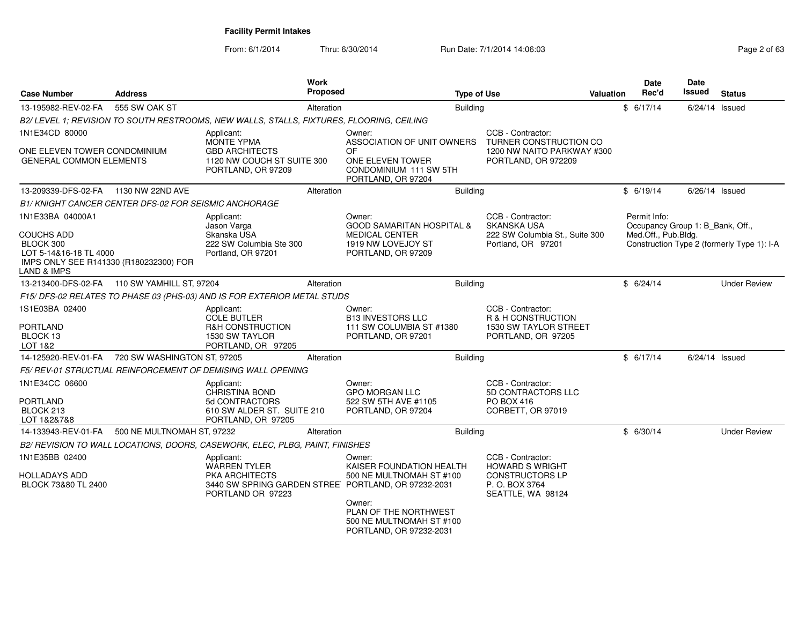| <b>Case Number</b>                                                                                                             | <b>Address</b>                                        |                                                                                                           | <b>Work</b><br>Proposed | <b>Type of Use</b>                                                                                                    |                                                                                                 | <b>Valuation</b> | Date<br>Rec'd                                                           | Date<br><b>Issued</b> | <b>Status</b>                              |
|--------------------------------------------------------------------------------------------------------------------------------|-------------------------------------------------------|-----------------------------------------------------------------------------------------------------------|-------------------------|-----------------------------------------------------------------------------------------------------------------------|-------------------------------------------------------------------------------------------------|------------------|-------------------------------------------------------------------------|-----------------------|--------------------------------------------|
| 13-195982-REV-02-FA                                                                                                            | 555 SW OAK ST                                         |                                                                                                           | Alteration              | <b>Building</b>                                                                                                       |                                                                                                 |                  | \$6/17/14                                                               | 6/24/14 Issued        |                                            |
|                                                                                                                                |                                                       | B2/LEVEL 1; REVISION TO SOUTH RESTROOMS, NEW WALLS, STALLS, FIXTURES, FLOORING, CEILING                   |                         |                                                                                                                       |                                                                                                 |                  |                                                                         |                       |                                            |
| 1N1E34CD 80000                                                                                                                 |                                                       | Applicant:<br><b>MONTE YPMA</b>                                                                           |                         | Owner:<br>ASSOCIATION OF UNIT OWNERS                                                                                  | CCB - Contractor:<br>TURNER CONSTRUCTION CO                                                     |                  |                                                                         |                       |                                            |
| ONE ELEVEN TOWER CONDOMINIUM<br><b>GENERAL COMMON ELEMENTS</b>                                                                 |                                                       | <b>GBD ARCHITECTS</b><br>1120 NW COUCH ST SUITE 300<br>PORTLAND, OR 97209                                 |                         | 0F<br>ONE ELEVEN TOWER<br>CONDOMINIUM 111 SW 5TH<br>PORTLAND, OR 97204                                                | 1200 NW NAITO PARKWAY #300<br>PORTLAND, OR 972209                                               |                  |                                                                         |                       |                                            |
| 13-209339-DFS-02-FA                                                                                                            | 1130 NW 22ND AVE                                      |                                                                                                           | Alteration              | Building                                                                                                              |                                                                                                 |                  | \$6/19/14                                                               | $6/26/14$ Issued      |                                            |
|                                                                                                                                | B1/ KNIGHT CANCER CENTER DFS-02 FOR SEISMIC ANCHORAGE |                                                                                                           |                         |                                                                                                                       |                                                                                                 |                  |                                                                         |                       |                                            |
| 1N1E33BA 04000A1<br>COUCHS ADD<br>BLOCK 300<br>LOT 5-14&16-18 TL 4000<br>IMPS ONLY SEE R141330 (R180232300) FOR<br>LAND & IMPS |                                                       | Applicant:<br>Jason Varga<br>Skanska USA<br>222 SW Columbia Ste 300<br>Portland, OR 97201                 |                         | Owner:<br><b>GOOD SAMARITAN HOSPITAL &amp;</b><br><b>MEDICAL CENTER</b><br>1919 NW LOVEJOY ST<br>PORTLAND, OR 97209   | CCB - Contractor:<br><b>SKANSKA USA</b><br>222 SW Columbia St., Suite 300<br>Portland, OR 97201 |                  | Permit Info:<br>Occupancy Group 1: B Bank, Off.,<br>Med.Off., Pub.Bldg. |                       | Construction Type 2 (formerly Type 1): I-A |
| 13-213400-DFS-02-FA                                                                                                            | 110 SW YAMHILL ST, 97204                              |                                                                                                           | Alteration              | Building                                                                                                              |                                                                                                 |                  | \$6/24/14                                                               |                       | <b>Under Review</b>                        |
|                                                                                                                                |                                                       | F15/ DFS-02 RELATES TO PHASE 03 (PHS-03) AND IS FOR EXTERIOR METAL STUDS                                  |                         |                                                                                                                       |                                                                                                 |                  |                                                                         |                       |                                            |
| 1S1E03BA 02400<br>PORTLAND<br>BLOCK 13<br>LOT 1&2                                                                              |                                                       | Applicant:<br><b>COLE BUTLER</b><br><b>R&amp;H CONSTRUCTION</b><br>1530 SW TAYLOR<br>PORTLAND, OR 97205   |                         | Owner:<br><b>B13 INVESTORS LLC</b><br>111 SW COLUMBIA ST #1380<br>PORTLAND, OR 97201                                  | CCB - Contractor:<br>R & H CONSTRUCTION<br>1530 SW TAYLOR STREET<br>PORTLAND, OR 97205          |                  |                                                                         |                       |                                            |
| 14-125920-REV-01-FA                                                                                                            | 720 SW WASHINGTON ST, 97205                           |                                                                                                           | Alteration              | Building                                                                                                              |                                                                                                 |                  | \$6/17/14                                                               | $6/24/14$ Issued      |                                            |
|                                                                                                                                |                                                       | F5/ REV-01 STRUCTUAL REINFORCEMENT OF DEMISING WALL OPENING                                               |                         |                                                                                                                       |                                                                                                 |                  |                                                                         |                       |                                            |
| 1N1E34CC 06600<br>PORTLAND<br>BLOCK 213<br>LOT 1&2&7&8                                                                         |                                                       | Applicant:<br><b>CHRISTINA BOND</b><br>5d CONTRACTORS<br>610 SW ALDER ST. SUITE 210<br>PORTLAND, OR 97205 |                         | Owner:<br><b>GPO MORGAN LLC</b><br>522 SW 5TH AVE #1105<br>PORTLAND, OR 97204                                         | CCB - Contractor:<br><b>5D CONTRACTORS LLC</b><br><b>PO BOX 416</b><br>CORBETT, OR 97019        |                  |                                                                         |                       |                                            |
| 14-133943-REV-01-FA                                                                                                            | 500 NE MULTNOMAH ST, 97232                            |                                                                                                           | Alteration              | <b>Building</b>                                                                                                       |                                                                                                 |                  | \$6/30/14                                                               |                       | <b>Under Review</b>                        |
|                                                                                                                                |                                                       | B2/ REVISION TO WALL LOCATIONS, DOORS, CASEWORK, ELEC, PLBG, PAINT, FINISHES                              |                         |                                                                                                                       |                                                                                                 |                  |                                                                         |                       |                                            |
| 1N1E35BB 02400<br>HOLLADAYS ADD<br>BLOCK 73&80 TL 2400                                                                         |                                                       | Applicant:<br><b>WARREN TYLER</b><br><b>PKA ARCHITECTS</b>                                                |                         | Owner:<br>KAISER FOUNDATION HEALTH<br>500 NE MULTNOMAH ST #100<br>3440 SW SPRING GARDEN STREE PORTLAND, OR 97232-2031 | CCB - Contractor:<br><b>HOWARD S WRIGHT</b><br><b>CONSTRUCTORS LP</b><br>P. O. BOX 3764         |                  |                                                                         |                       |                                            |
|                                                                                                                                |                                                       | PORTLAND OR 97223                                                                                         |                         | Owner:<br>PLAN OF THE NORTHWEST<br>500 NE MULTNOMAH ST #100<br>PORTLAND, OR 97232-2031                                | SEATTLE, WA 98124                                                                               |                  |                                                                         |                       |                                            |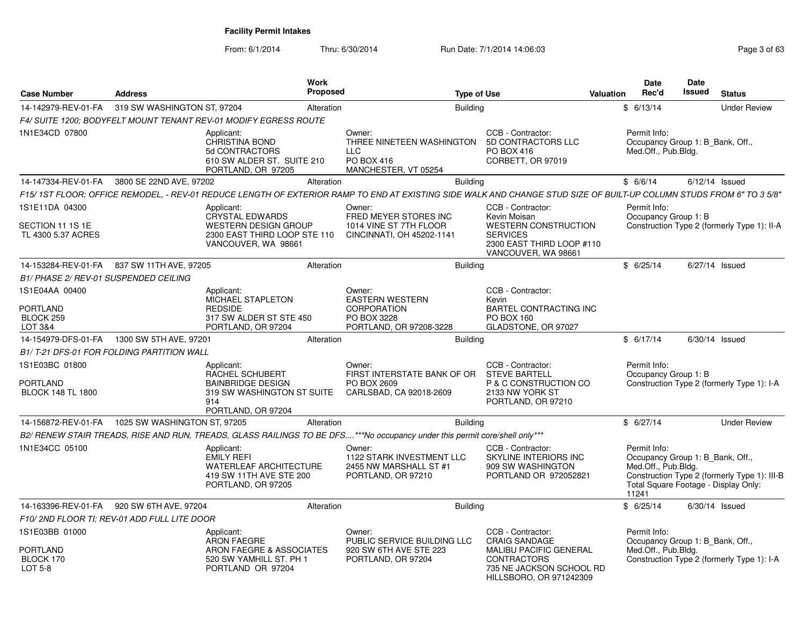| <b>Case Number</b>                                            | <b>Address</b>                               | Work<br>Proposed                                                                                                           | <b>Type of Use</b>                                                                                                                                                   |                                                                                                                                                         | Valuation | Date<br>Rec'd                                                                                                            | <b>Date</b><br><b>Issued</b> | <b>Status</b>                                |
|---------------------------------------------------------------|----------------------------------------------|----------------------------------------------------------------------------------------------------------------------------|----------------------------------------------------------------------------------------------------------------------------------------------------------------------|---------------------------------------------------------------------------------------------------------------------------------------------------------|-----------|--------------------------------------------------------------------------------------------------------------------------|------------------------------|----------------------------------------------|
| 14-142979-REV-01-FA                                           | 319 SW WASHINGTON ST, 97204                  | Alteration                                                                                                                 | <b>Building</b>                                                                                                                                                      |                                                                                                                                                         |           | \$6/13/14                                                                                                                |                              | <b>Under Review</b>                          |
|                                                               |                                              | F4/ SUITE 1200: BODYFELT MOUNT TENANT REV-01 MODIFY EGRESS ROUTE                                                           |                                                                                                                                                                      |                                                                                                                                                         |           |                                                                                                                          |                              |                                              |
| 1N1E34CD 07800                                                |                                              | Applicant:<br><b>CHRISTINA BOND</b><br>5d CONTRACTORS<br>610 SW ALDER ST. SUITE 210<br>PORTLAND, OR 97205                  | Owner:<br>THREE NINETEEN WASHINGTON<br><b>LLC</b><br>PO BOX 416<br>MANCHESTER, VT 05254                                                                              | CCB - Contractor:<br>5D CONTRACTORS LLC<br>PO BOX 416<br>CORBETT, OR 97019                                                                              |           | Permit Info:<br>Occupancy Group 1: B_Bank, Off.,<br>Med.Off., Pub.Bldg.                                                  |                              |                                              |
| 14-147334-REV-01-FA                                           | 3800 SE 22ND AVE, 97202                      | Alteration                                                                                                                 | <b>Building</b>                                                                                                                                                      |                                                                                                                                                         |           | \$6/6/14                                                                                                                 |                              | $6/12/14$ Issued                             |
|                                                               |                                              |                                                                                                                            | F15/ 1ST FLOOR; OFFICE REMODEL, - REV-01 REDUCE LENGTH OF EXTERIOR RAMP TO END AT EXISTING SIDE WALK AND CHANGE STUD SIZE OF BUILT-UP COLUMN STUDS FROM 6" TO 3 5/8" |                                                                                                                                                         |           |                                                                                                                          |                              |                                              |
| 1S1E11DA 04300<br>SECTION 11 1S 1E<br>TL 4300 5.37 ACRES      |                                              | Applicant:<br><b>CRYSTAL EDWARDS</b><br><b>WESTERN DESIGN GROUP</b><br>2300 EAST THIRD LOOP STE 110<br>VANCOUVER, WA 98661 | Owner:<br>FRED MEYER STORES INC<br>1014 VINE ST 7TH FLOOR<br>CINCINNATI, OH 45202-1141                                                                               | CCB - Contractor:<br>Kevin Moisan<br><b>WESTERN CONSTRUCTION</b><br><b>SERVICES</b><br>2300 EAST THIRD LOOP #110<br>VANCOUVER, WA 98661                 |           | Permit Info:<br>Occupancy Group 1: B                                                                                     |                              | Construction Type 2 (formerly Type 1): II-A  |
| 14-153284-REV-01-FA                                           | 837 SW 11TH AVE, 97205                       | Alteration                                                                                                                 | <b>Building</b>                                                                                                                                                      |                                                                                                                                                         |           | \$6/25/14                                                                                                                |                              | 6/27/14 Issued                               |
| <b>B1/ PHASE 2/ REV-01 SUSPENDED CEILING</b>                  |                                              |                                                                                                                            |                                                                                                                                                                      |                                                                                                                                                         |           |                                                                                                                          |                              |                                              |
| 1S1E04AA 00400<br><b>PORTLAND</b>                             |                                              | Applicant:<br>MICHAEL STAPLETON<br><b>REDSIDE</b>                                                                          | Owner:<br><b>EASTERN WESTERN</b><br>CORPORATION                                                                                                                      | CCB - Contractor:<br>Kevin<br><b>BARTEL CONTRACTING INC</b>                                                                                             |           |                                                                                                                          |                              |                                              |
| BLOCK 259<br>LOT 3&4                                          |                                              | 317 SW ALDER ST STE 450<br>PORTLAND, OR 97204                                                                              | PO BOX 3228<br>PORTLAND, OR 97208-3228                                                                                                                               | <b>PO BOX 160</b><br>GLADSTONE, OR 97027                                                                                                                |           |                                                                                                                          |                              |                                              |
|                                                               | 14-154979-DFS-01-FA   1300 SW 5TH AVE, 97201 | Alteration                                                                                                                 | <b>Building</b>                                                                                                                                                      |                                                                                                                                                         |           | \$6/17/14                                                                                                                |                              | $6/30/14$ Issued                             |
|                                                               | B1/T-21 DFS-01 FOR FOLDING PARTITION WALL    |                                                                                                                            |                                                                                                                                                                      |                                                                                                                                                         |           |                                                                                                                          |                              |                                              |
| 1S1E03BC 01800<br><b>PORTLAND</b><br><b>BLOCK 148 TL 1800</b> | 914                                          | Applicant:<br>RACHEL SCHUBERT<br><b>BAINBRIDGE DESIGN</b><br>319 SW WASHINGTON ST SUITE<br>PORTLAND, OR 97204              | Owner:<br>FIRST INTERSTATE BANK OF OR<br>PO BOX 2609<br>CARLSBAD, CA 92018-2609                                                                                      | CCB - Contractor:<br><b>STEVE BARTELL</b><br>P & C CONSTRUCTION CO<br>2133 NW YORK ST<br>PORTLAND, OR 97210                                             |           | Permit Info:<br>Occupancy Group 1: B                                                                                     |                              | Construction Type 2 (formerly Type 1): I-A   |
| 14-156872-REV-01-FA                                           | 1025 SW WASHINGTON ST, 97205                 | Alteration                                                                                                                 | <b>Building</b>                                                                                                                                                      |                                                                                                                                                         |           | \$6/27/14                                                                                                                |                              | <b>Under Review</b>                          |
|                                                               |                                              |                                                                                                                            | B2/ RENEW STAIR TREADS, RISE AND RUN, TREADS, GLASS RAILINGS TO BE DFS***No occupancy under this permit core/shell only***                                           |                                                                                                                                                         |           |                                                                                                                          |                              |                                              |
| 1N1E34CC 05100                                                |                                              | Applicant:<br><b>EMILY REFI</b><br><b>WATERLEAF ARCHITECTURE</b><br>419 SW 11TH AVE STE 200<br>PORTLAND, OR 97205          | Owner:<br>1122 STARK INVESTMENT LLC<br>2455 NW MARSHALL ST #1<br>PORTLAND, OR 97210                                                                                  | CCB - Contractor:<br>SKYLINE INTERIORS INC<br>909 SW WASHINGTON<br>PORTLAND OR 972052821                                                                |           | Permit Info:<br>Occupancy Group 1: B_Bank, Off.,<br>Med.Off., Pub.Bldg.<br>Total Square Footage - Display Only:<br>11241 |                              | Construction Type 2 (formerly Type 1): III-B |
| 14-163396-REV-01-FA                                           | 920 SW 6TH AVE, 97204                        | Alteration                                                                                                                 | <b>Building</b>                                                                                                                                                      |                                                                                                                                                         |           | \$6/25/14                                                                                                                |                              | 6/30/14 Issued                               |
|                                                               | F10/ 2ND FLOOR TI; REV-01 ADD FULL LITE DOOR |                                                                                                                            |                                                                                                                                                                      |                                                                                                                                                         |           |                                                                                                                          |                              |                                              |
| 1S1E03BB 01000<br>PORTLAND<br>BLOCK 170<br>LOT 5-8            |                                              | Applicant:<br><b>ARON FAEGRE</b><br>ARON FAEGRE & ASSOCIATES<br>520 SW YAMHILL ST. PH 1<br>PORTLAND OR 97204               | Owner:<br>PUBLIC SERVICE BUILDING LLC<br>920 SW 6TH AVE STE 223<br>PORTLAND, OR 97204                                                                                | CCB - Contractor:<br><b>CRAIG SANDAGE</b><br><b>MALIBU PACIFIC GENERAL</b><br><b>CONTRACTORS</b><br>735 NE JACKSON SCHOOL RD<br>HILLSBORO, OR 971242309 |           | Permit Info:<br>Occupancy Group 1: B_Bank, Off.,<br>Med.Off., Pub.Bldg.                                                  |                              | Construction Type 2 (formerly Type 1): I-A   |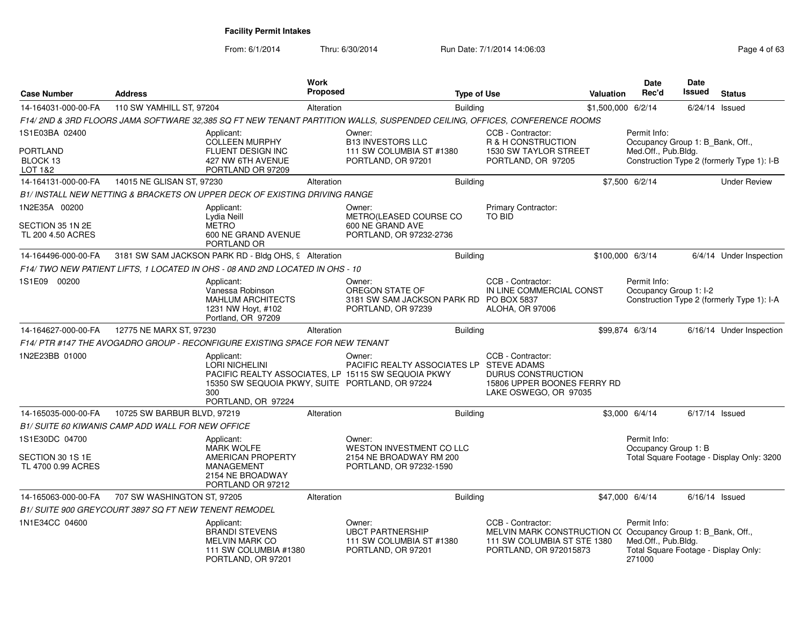| <b>Case Number</b>                                       | Address                                               |                                                                                                                     | Work<br>Proposed                                                                     |                                                                                                                           | <b>Type of Use</b> |                                                                                                                                           | <b>Valuation</b>   | <b>Date</b><br>Rec'd                                                                  | <b>Date</b><br>Issued | <b>Status</b>                              |
|----------------------------------------------------------|-------------------------------------------------------|---------------------------------------------------------------------------------------------------------------------|--------------------------------------------------------------------------------------|---------------------------------------------------------------------------------------------------------------------------|--------------------|-------------------------------------------------------------------------------------------------------------------------------------------|--------------------|---------------------------------------------------------------------------------------|-----------------------|--------------------------------------------|
| 14-164031-000-00-FA                                      | 110 SW YAMHILL ST, 97204                              |                                                                                                                     | Alteration                                                                           |                                                                                                                           | <b>Building</b>    |                                                                                                                                           | \$1,500,000 6/2/14 |                                                                                       |                       | $6/24/14$ Issued                           |
|                                                          |                                                       |                                                                                                                     |                                                                                      | F14/ 2ND & 3RD FLOORS JAMA SOFTWARE 32,385 SQ FT NEW TENANT PARTITION WALLS, SUSPENDED CEILING, OFFICES, CONFERENCE ROOMS |                    |                                                                                                                                           |                    |                                                                                       |                       |                                            |
| 1S1E03BA 02400<br><b>PORTLAND</b><br>BLOCK 13            |                                                       | Applicant:<br><b>COLLEEN MURPHY</b><br>FLUENT DESIGN INC<br>427 NW 6TH AVENUE                                       | Owner:<br><b>B13 INVESTORS LLC</b><br>111 SW COLUMBIA ST #1380<br>PORTLAND, OR 97201 |                                                                                                                           |                    | CCB - Contractor:<br>R & H CONSTRUCTION<br>1530 SW TAYLOR STREET<br>PORTLAND, OR 97205                                                    |                    | Permit Info:<br>Occupancy Group 1: B Bank, Off.,<br>Med.Off., Pub.Bldg.               |                       | Construction Type 2 (formerly Type 1): I-B |
| LOT 1&2<br>14-164131-000-00-FA                           | 14015 NE GLISAN ST, 97230                             | PORTLAND OR 97209                                                                                                   | Alteration                                                                           |                                                                                                                           | <b>Building</b>    |                                                                                                                                           |                    | \$7,500 6/2/14                                                                        |                       | <b>Under Review</b>                        |
|                                                          |                                                       | B1/ INSTALL NEW NETTING & BRACKETS ON UPPER DECK OF EXISTING DRIVING RANGE                                          |                                                                                      |                                                                                                                           |                    |                                                                                                                                           |                    |                                                                                       |                       |                                            |
| 1N2E35A 00200<br>SECTION 35 1N 2E<br>TL 200 4.50 ACRES   |                                                       | Applicant:<br>Lydia Neill<br><b>METRO</b><br>600 NE GRAND AVENUE                                                    |                                                                                      | Owner:<br>METRO(LEASED COURSE CO<br>600 NE GRAND AVE<br>PORTLAND, OR 97232-2736                                           |                    | Primary Contractor:<br><b>TO BID</b>                                                                                                      |                    |                                                                                       |                       |                                            |
|                                                          |                                                       | PORTLAND OR                                                                                                         |                                                                                      |                                                                                                                           |                    |                                                                                                                                           |                    |                                                                                       |                       |                                            |
| 14-164496-000-00-FA                                      |                                                       | 3181 SW SAM JACKSON PARK RD - Bldg OHS, 9 Alteration                                                                |                                                                                      |                                                                                                                           | Building           |                                                                                                                                           | \$100,000 6/3/14   |                                                                                       |                       | 6/4/14 Under Inspection                    |
|                                                          |                                                       | F14/TWO NEW PATIENT LIFTS, 1 LOCATED IN OHS - 08 AND 2ND LOCATED IN OHS - 10                                        |                                                                                      |                                                                                                                           |                    |                                                                                                                                           |                    |                                                                                       |                       |                                            |
| 1S1E09 00200                                             |                                                       | Applicant:<br>Vanessa Robinson<br><b>MAHLUM ARCHITECTS</b><br>1231 NW Hoyt, #102<br>Portland, OR 97209              |                                                                                      | Owner:<br>OREGON STATE OF<br>3181 SW SAM JACKSON PARK RD PO BOX 5837<br>PORTLAND, OR 97239                                |                    | CCB - Contractor:<br>IN LINE COMMERCIAL CONST<br>ALOHA, OR 97006                                                                          |                    | Permit Info:<br>Occupancy Group 1: I-2                                                |                       | Construction Type 2 (formerly Type 1): I-A |
| 14-164627-000-00-FA                                      | 12775 NE MARX ST, 97230                               |                                                                                                                     | Alteration                                                                           |                                                                                                                           | <b>Building</b>    |                                                                                                                                           |                    | \$99,874 6/3/14                                                                       |                       | 6/16/14 Under Inspection                   |
|                                                          |                                                       | F14/ PTR #147 THE AVOGADRO GROUP - RECONFIGURE EXISTING SPACE FOR NEW TENANT                                        |                                                                                      |                                                                                                                           |                    |                                                                                                                                           |                    |                                                                                       |                       |                                            |
| 1N2E23BB 01000                                           |                                                       | Applicant:<br><b>LORI NICHELINI</b><br>15350 SW SEQUOIA PKWY, SUITE PORTLAND, OR 97224<br>300<br>PORTLAND, OR 97224 |                                                                                      | Owner:<br>PACIFIC REALTY ASSOCIATES LP STEVE ADAMS<br>PACIFIC REALTY ASSOCIATES. LP 15115 SW SEQUOIA PKWY                 |                    | CCB - Contractor:<br><b>DURUS CONSTRUCTION</b><br>15806 UPPER BOONES FERRY RD<br>LAKE OSWEGO, OR 97035                                    |                    |                                                                                       |                       |                                            |
| 14-165035-000-00-FA                                      | 10725 SW BARBUR BLVD, 97219                           |                                                                                                                     | Alteration                                                                           |                                                                                                                           | Building           |                                                                                                                                           |                    | \$3,000 6/4/14                                                                        | 6/17/14 Issued        |                                            |
|                                                          | B1/ SUITE 60 KIWANIS CAMP ADD WALL FOR NEW OFFICE     |                                                                                                                     |                                                                                      |                                                                                                                           |                    |                                                                                                                                           |                    |                                                                                       |                       |                                            |
| 1S1E30DC 04700<br>SECTION 30 1S 1E<br>TL 4700 0.99 ACRES |                                                       | Applicant:<br><b>MARK WOLFE</b><br>AMERICAN PROPERTY<br>MANAGEMENT<br>2154 NE BROADWAY<br>PORTLAND OR 97212         |                                                                                      | Owner:<br>WESTON INVESTMENT CO LLC<br>2154 NE BROADWAY RM 200<br>PORTLAND, OR 97232-1590                                  |                    |                                                                                                                                           |                    | Permit Info:<br>Occupancy Group 1: B                                                  |                       | Total Square Footage - Display Only: 3200  |
| 14-165063-000-00-FA                                      | 707 SW WASHINGTON ST, 97205                           |                                                                                                                     | Alteration                                                                           |                                                                                                                           | Building           |                                                                                                                                           |                    | \$47,000 6/4/14                                                                       |                       | $6/16/14$ Issued                           |
|                                                          | B1/ SUITE 900 GREYCOURT 3897 SQ FT NEW TENENT REMODEL |                                                                                                                     |                                                                                      |                                                                                                                           |                    |                                                                                                                                           |                    |                                                                                       |                       |                                            |
| 1N1E34CC 04600                                           |                                                       | Applicant:<br><b>BRANDI STEVENS</b><br><b>MELVIN MARK CO</b><br>111 SW COLUMBIA #1380<br>PORTLAND, OR 97201         |                                                                                      | Owner:<br><b>UBCT PARTNERSHIP</b><br>111 SW COLUMBIA ST #1380<br>PORTLAND, OR 97201                                       |                    | CCB - Contractor:<br>MELVIN MARK CONSTRUCTION C(Occupancy Group 1: B_Bank, Off.,<br>111 SW COLUMBIA ST STE 1380<br>PORTLAND, OR 972015873 |                    | Permit Info:<br>Med.Off., Pub.Bldg.<br>Total Square Footage - Display Only:<br>271000 |                       |                                            |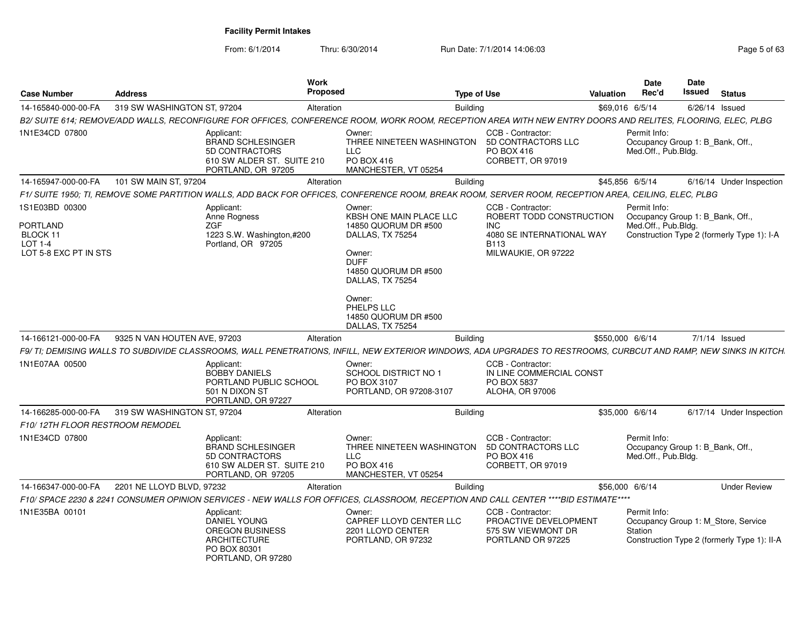| Case Number                                                            | <b>Address</b>               |                                                                                                                   | Work<br>Proposed | <b>Type of Use</b>                                                                                                                                                                                           |                                                                                              | <b>Valuation</b> | <b>Date</b><br>Rec'd                                                    | Date<br><b>Issued</b> | <b>Status</b>                                                                      |
|------------------------------------------------------------------------|------------------------------|-------------------------------------------------------------------------------------------------------------------|------------------|--------------------------------------------------------------------------------------------------------------------------------------------------------------------------------------------------------------|----------------------------------------------------------------------------------------------|------------------|-------------------------------------------------------------------------|-----------------------|------------------------------------------------------------------------------------|
| 14-165840-000-00-FA                                                    | 319 SW WASHINGTON ST, 97204  |                                                                                                                   | Alteration       | <b>Building</b>                                                                                                                                                                                              |                                                                                              |                  | \$69,016 6/5/14                                                         | $6/26/14$ Issued      |                                                                                    |
|                                                                        |                              |                                                                                                                   |                  | B2/ SUITE 614; REMOVE/ADD WALLS, RECONFIGURE FOR OFFICES, CONFERENCE ROOM, WORK ROOM, RECEPTION AREA WITH NEW ENTRY DOORS AND RELITES, FLOORING, ELEC, PLBG                                                  |                                                                                              |                  |                                                                         |                       |                                                                                    |
| 1N1E34CD 07800                                                         |                              | Applicant:<br><b>BRAND SCHLESINGER</b><br>5D CONTRACTORS<br>610 SW ALDER ST. SUITE 210<br>PORTLAND, OR 97205      |                  | Owner:<br>THREE NINETEEN WASHINGTON<br><b>LLC</b><br>PO BOX 416<br>MANCHESTER, VT 05254                                                                                                                      | CCB - Contractor:<br>5D CONTRACTORS LLC<br>PO BOX 416<br>CORBETT, OR 97019                   |                  | Permit Info:<br>Occupancy Group 1: B_Bank, Off.,<br>Med.Off., Pub.Blda. |                       |                                                                                    |
| 14-165947-000-00-FA                                                    | 101 SW MAIN ST, 97204        |                                                                                                                   | Alteration       | <b>Building</b>                                                                                                                                                                                              |                                                                                              |                  | \$45,856 6/5/14                                                         |                       | 6/16/14 Under Inspection                                                           |
|                                                                        |                              |                                                                                                                   |                  | F1/ SUITE 1950; TI, REMOVE SOME PARTITION WALLS, ADD BACK FOR OFFICES, CONFERENCE ROOM, BREAK ROOM, SERVER ROOM, RECEPTION AREA, CEILING, ELEC, PLBG                                                         |                                                                                              |                  |                                                                         |                       |                                                                                    |
| 1S1E03BD 00300                                                         |                              | Applicant:                                                                                                        |                  | Owner:                                                                                                                                                                                                       | CCB - Contractor:                                                                            |                  | Permit Info:                                                            |                       |                                                                                    |
| <b>PORTLAND</b><br>BLOCK 11<br><b>LOT 1-4</b><br>LOT 5-8 EXC PT IN STS |                              | Anne Rogness<br><b>ZGF</b><br>1223 S.W. Washington,#200<br>Portland, OR 97205                                     |                  | KBSH ONE MAIN PLACE LLC<br>14850 QUORUM DR #500<br>DALLAS, TX 75254<br>Owner:<br><b>DUFF</b><br>14850 QUORUM DR #500<br>DALLAS, TX 75254<br>Owner:<br>PHELPS LLC<br>14850 QUORUM DR #500<br>DALLAS, TX 75254 | ROBERT TODD CONSTRUCTION<br>INC.<br>4080 SE INTERNATIONAL WAY<br>B113<br>MILWAUKIE, OR 97222 |                  | Occupancy Group 1: B_Bank, Off.,<br>Med.Off., Pub.Bldg.                 |                       | Construction Type 2 (formerly Type 1): I-A                                         |
| 14-166121-000-00-FA                                                    | 9325 N VAN HOUTEN AVE, 97203 |                                                                                                                   | Alteration       | <b>Building</b>                                                                                                                                                                                              |                                                                                              | \$550,000 6/6/14 |                                                                         |                       | $7/1/14$ Issued                                                                    |
|                                                                        |                              |                                                                                                                   |                  | F9/ TI; DEMISING WALLS TO SUBDIVIDE CLASSROOMS, WALL PENETRATIONS, INFILL, NEW EXTERIOR WINDOWS, ADA UPGRADES TO RESTROOMS, CURBCUT AND RAMP, NEW SINKS IN KITCH.                                            |                                                                                              |                  |                                                                         |                       |                                                                                    |
| 1N1E07AA 00500                                                         |                              | Applicant:<br><b>BOBBY DANIELS</b><br>PORTLAND PUBLIC SCHOOL<br>501 N DIXON ST<br>PORTLAND, OR 97227              |                  | Owner:<br><b>SCHOOL DISTRICT NO 1</b><br>PO BOX 3107<br>PORTLAND, OR 97208-3107                                                                                                                              | CCB - Contractor:<br>IN LINE COMMERCIAL CONST<br>PO BOX 5837<br>ALOHA, OR 97006              |                  |                                                                         |                       |                                                                                    |
| 14-166285-000-00-FA                                                    | 319 SW WASHINGTON ST, 97204  |                                                                                                                   | Alteration       | Building                                                                                                                                                                                                     |                                                                                              |                  | \$35,000 6/6/14                                                         |                       | 6/17/14 Under Inspection                                                           |
| F10/12TH FLOOR RESTROOM REMODEL                                        |                              |                                                                                                                   |                  |                                                                                                                                                                                                              |                                                                                              |                  |                                                                         |                       |                                                                                    |
| 1N1E34CD 07800                                                         |                              | Applicant:<br><b>BRAND SCHLESINGER</b><br>5D CONTRACTORS<br>610 SW ALDER ST. SUITE 210<br>PORTLAND, OR 97205      |                  | Owner:<br>THREE NINETEEN WASHINGTON<br><b>LLC</b><br>PO BOX 416<br>MANCHESTER, VT 05254                                                                                                                      | CCB - Contractor:<br>5D CONTRACTORS LLC<br>PO BOX 416<br>CORBETT, OR 97019                   |                  | Permit Info:<br>Occupancy Group 1: B_Bank, Off.,<br>Med.Off., Pub.Bldg. |                       |                                                                                    |
| 14-166347-000-00-FA                                                    | 2201 NE LLOYD BLVD, 97232    |                                                                                                                   | Alteration       | <b>Building</b>                                                                                                                                                                                              |                                                                                              |                  | \$56,000 6/6/14                                                         |                       | <b>Under Review</b>                                                                |
|                                                                        |                              |                                                                                                                   |                  | F10/ SPACE 2230 & 2241 CONSUMER OPINION SERVICES - NEW WALLS FOR OFFICES, CLASSROOM, RECEPTION AND CALL CENTER ****BID ESTIMATE****                                                                          |                                                                                              |                  |                                                                         |                       |                                                                                    |
| 1N1E35BA 00101                                                         |                              | Applicant:<br><b>DANIEL YOUNG</b><br><b>OREGON BUSINESS</b><br>ARCHITECTURE<br>PO BOX 80301<br>PORTLAND, OR 97280 |                  | Owner:<br>CAPREF LLOYD CENTER LLC<br>2201 LLOYD CENTER<br>PORTLAND, OR 97232                                                                                                                                 | CCB - Contractor:<br>PROACTIVE DEVELOPMENT<br>575 SW VIEWMONT DR<br>PORTLAND OR 97225        |                  | Permit Info:<br>Station                                                 |                       | Occupancy Group 1: M Store, Service<br>Construction Type 2 (formerly Type 1): II-A |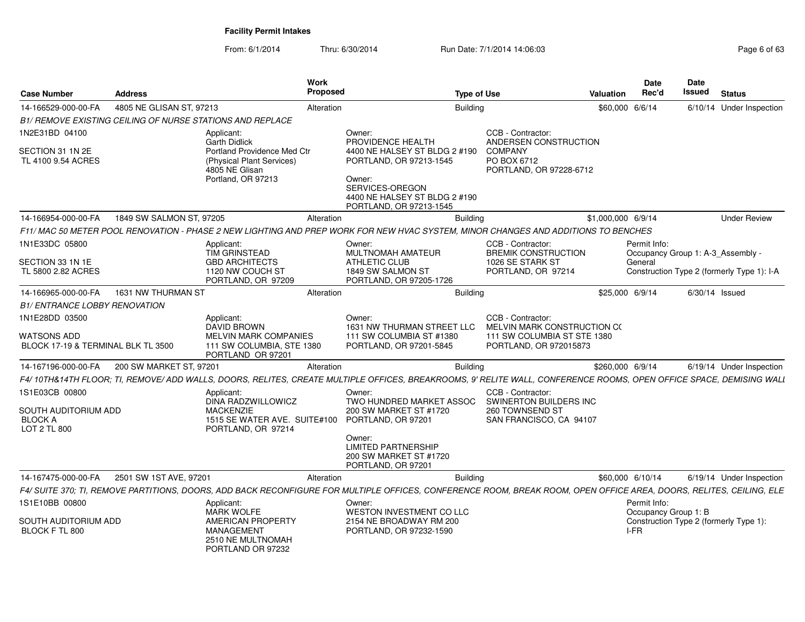From: 6/1/2014Thru: 6/30/2014 **Run Date: 7/1/2014 14:06:03** Page 6 of 630/2014 **Page** 

| Page 6 of 63 |  |
|--------------|--|
|--------------|--|

| <b>Case Number</b>                                            | <b>Address</b>           |                                                                                                  | <b>Work</b><br>Proposed |                                                                                                                                                                     | <b>Type of Use</b> |                                                          | <b>Valuation</b>   | <b>Date</b><br>Rec'd |                      | <b>Date</b><br><b>Issued</b> | <b>Status</b>                              |
|---------------------------------------------------------------|--------------------------|--------------------------------------------------------------------------------------------------|-------------------------|---------------------------------------------------------------------------------------------------------------------------------------------------------------------|--------------------|----------------------------------------------------------|--------------------|----------------------|----------------------|------------------------------|--------------------------------------------|
| 14-166529-000-00-FA                                           | 4805 NE GLISAN ST, 97213 |                                                                                                  | Alteration              |                                                                                                                                                                     | <b>Building</b>    |                                                          | \$60,000 6/6/14    |                      |                      |                              | 6/10/14 Under Inspection                   |
|                                                               |                          | B1/ REMOVE EXISTING CEILING OF NURSE STATIONS AND REPLACE                                        |                         |                                                                                                                                                                     |                    |                                                          |                    |                      |                      |                              |                                            |
| 1N2E31BD 04100                                                |                          | Applicant:<br><b>Garth Didlick</b>                                                               |                         | Owner:<br>PROVIDENCE HEALTH                                                                                                                                         |                    | CCB - Contractor:<br>ANDERSEN CONSTRUCTION               |                    |                      |                      |                              |                                            |
| SECTION 31 1N 2E<br>TL 4100 9.54 ACRES                        |                          | Portland Providence Med Ctr<br>(Physical Plant Services)<br>4805 NE Glisan<br>Portland, OR 97213 |                         | 4400 NE HALSEY ST BLDG 2 #190<br>PORTLAND, OR 97213-1545<br>Owner:<br>SERVICES-OREGON<br>4400 NE HALSEY ST BLDG 2 #190<br>PORTLAND, OR 97213-1545                   |                    | <b>COMPANY</b><br>PO BOX 6712<br>PORTLAND, OR 97228-6712 |                    |                      |                      |                              |                                            |
| 14-166954-000-00-FA                                           | 1849 SW SALMON ST, 97205 |                                                                                                  | Alteration              |                                                                                                                                                                     | Building           |                                                          | \$1,000,000 6/9/14 |                      |                      |                              | <b>Under Review</b>                        |
|                                                               |                          |                                                                                                  |                         | F11/MAC 50 METER POOL RENOVATION - PHASE 2 NEW LIGHTING AND PREP WORK FOR NEW HVAC SYSTEM, MINOR CHANGES AND ADDITIONS TO BENCHES                                   |                    |                                                          |                    |                      |                      |                              |                                            |
| 1N1E33DC 05800                                                |                          | Applicant:<br><b>TIM GRINSTEAD</b>                                                               |                         | Owner:<br><b>MULTNOMAH AMATEUR</b>                                                                                                                                  |                    | CCB - Contractor:<br><b>BREMIK CONSTRUCTION</b>          |                    | Permit Info:         |                      |                              | Occupancy Group 1: A-3_Assembly -          |
| SECTION 33 1N 1E<br>TL 5800 2.82 ACRES                        |                          | <b>GBD ARCHITECTS</b><br>1120 NW COUCH ST<br>PORTLAND, OR 97209                                  |                         | <b>ATHLETIC CLUB</b><br>1849 SW SALMON ST<br>PORTLAND, OR 97205-1726                                                                                                |                    | 1026 SE STARK ST<br>PORTLAND, OR 97214                   |                    | General              |                      |                              | Construction Type 2 (formerly Type 1): I-A |
| 14-166965-000-00-FA                                           | 1631 NW THURMAN ST       |                                                                                                  | Alteration              |                                                                                                                                                                     | Building           |                                                          | \$25,000 6/9/14    |                      |                      | $6/30/14$ Issued             |                                            |
| <b>B1/ ENTRANCE LOBBY RENOVATION</b>                          |                          |                                                                                                  |                         |                                                                                                                                                                     |                    |                                                          |                    |                      |                      |                              |                                            |
| 1N1E28DD 03500                                                |                          | Applicant:<br><b>DAVID BROWN</b>                                                                 |                         | Owner:<br>1631 NW THURMAN STREET LLC                                                                                                                                |                    | CCB - Contractor:<br>MELVIN MARK CONSTRUCTION C(         |                    |                      |                      |                              |                                            |
| <b>WATSONS ADD</b><br>BLOCK 17-19 & TERMINAL BLK TL 3500      |                          | <b>MELVIN MARK COMPANIES</b><br>111 SW COLUMBIA, STE 1380<br>PORTLAND OR 97201                   |                         | 111 SW COLUMBIA ST #1380<br>PORTLAND, OR 97201-5845                                                                                                                 |                    | 111 SW COLUMBIA ST STE 1380<br>PORTLAND, OR 972015873    |                    |                      |                      |                              |                                            |
| 14-167196-000-00-FA                                           | 200 SW MARKET ST, 97201  |                                                                                                  | Alteration              |                                                                                                                                                                     | <b>Building</b>    |                                                          | \$260,000 6/9/14   |                      |                      |                              | 6/19/14 Under Inspection                   |
|                                                               |                          |                                                                                                  |                         | F4/10TH&14TH FLOOR; TI, REMOVE/ADD WALLS, DOORS, RELITES, CREATE MULTIPLE OFFICES, BREAKROOMS, 9' RELITE WALL, CONFERENCE ROOMS, OPEN OFFICE SPACE, DEMISING WALL   |                    |                                                          |                    |                      |                      |                              |                                            |
| 1S1E03CB 00800                                                |                          | Applicant:<br>DINA RADZWILLOWICZ                                                                 |                         | Owner:<br>TWO HUNDRED MARKET ASSOC                                                                                                                                  |                    | CCB - Contractor:<br>SWINERTON BUILDERS INC              |                    |                      |                      |                              |                                            |
| <b>SOUTH AUDITORIUM ADD</b><br><b>BLOCK A</b><br>LOT 2 TL 800 |                          | <b>MACKENZIE</b><br>1515 SE WATER AVE. SUITE#100<br>PORTLAND, OR 97214                           |                         | 200 SW MARKET ST #1720<br>PORTLAND, OR 97201                                                                                                                        |                    | 260 TOWNSEND ST<br>SAN FRANCISCO, CA 94107               |                    |                      |                      |                              |                                            |
|                                                               |                          |                                                                                                  |                         | Owner:<br><b>LIMITED PARTNERSHIP</b><br>200 SW MARKET ST #1720<br>PORTLAND, OR 97201                                                                                |                    |                                                          |                    |                      |                      |                              |                                            |
| 14-167475-000-00-FA                                           | 2501 SW 1ST AVE, 97201   |                                                                                                  | Alteration              |                                                                                                                                                                     | <b>Building</b>    |                                                          | \$60,000 6/10/14   |                      |                      |                              | 6/19/14 Under Inspection                   |
|                                                               |                          |                                                                                                  |                         | F4/ SUITE 370: TI. REMOVE PARTITIONS. DOORS. ADD BACK RECONFIGURE FOR MULTIPLE OFFICES. CONFERENCE ROOM. BREAK ROOM. OPEN OFFICE AREA. DOORS. RELITES. CEILING. ELE |                    |                                                          |                    |                      |                      |                              |                                            |
| 1S1E10BB 00800                                                |                          | Applicant:<br><b>MARK WOLFE</b>                                                                  |                         | Owner:<br>WESTON INVESTMENT CO LLC                                                                                                                                  |                    |                                                          |                    | Permit Info:         | Occupancy Group 1: B |                              |                                            |
| SOUTH AUDITORIUM ADD<br>BLOCK F TL 800                        |                          | <b>AMERICAN PROPERTY</b><br><b>MANAGEMENT</b><br>2510 NE MULTNOMAH<br>PORTLAND OR 97232          |                         | 2154 NE BROADWAY RM 200<br>PORTLAND, OR 97232-1590                                                                                                                  |                    |                                                          |                    | I-FR                 |                      |                              | Construction Type 2 (formerly Type 1):     |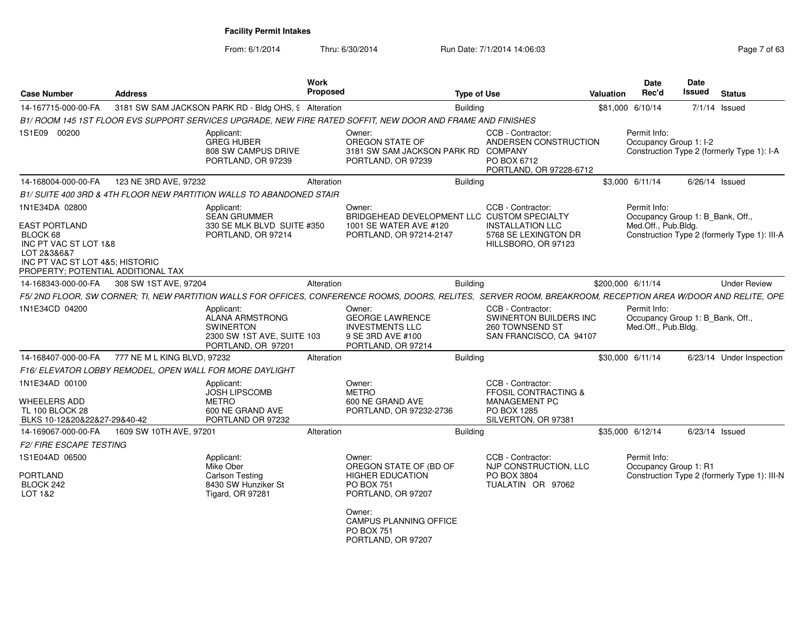| <b>Case Number</b>                                                                                                                                                  | <b>Address</b>              |                                                                                                              | Work<br>Proposed |                                                                                                                                                                                | <b>Type of Use</b> |                                                                                                                    | <b>Valuation</b> | <b>Date</b><br>Rec'd                                                    | Date<br>Issued | <b>Status</b>                                |
|---------------------------------------------------------------------------------------------------------------------------------------------------------------------|-----------------------------|--------------------------------------------------------------------------------------------------------------|------------------|--------------------------------------------------------------------------------------------------------------------------------------------------------------------------------|--------------------|--------------------------------------------------------------------------------------------------------------------|------------------|-------------------------------------------------------------------------|----------------|----------------------------------------------|
| 14-167715-000-00-FA                                                                                                                                                 |                             | 3181 SW SAM JACKSON PARK RD - Bldg OHS, 9 Alteration                                                         |                  |                                                                                                                                                                                | <b>Building</b>    |                                                                                                                    |                  | \$81,000 6/10/14                                                        |                | 7/1/14 Issued                                |
|                                                                                                                                                                     |                             |                                                                                                              |                  | B1/ ROOM 145 1ST FLOOR EVS SUPPORT SERVICES UPGRADE, NEW FIRE RATED SOFFIT, NEW DOOR AND FRAME AND FINISHES                                                                    |                    |                                                                                                                    |                  |                                                                         |                |                                              |
| 1S1E09 00200                                                                                                                                                        |                             | Applicant:<br><b>GREG HUBER</b><br>808 SW CAMPUS DRIVE<br>PORTLAND, OR 97239                                 |                  | Owner:<br>OREGON STATE OF<br>3181 SW SAM JACKSON PARK RD COMPANY<br>PORTLAND, OR 97239                                                                                         |                    | CCB - Contractor:<br>ANDERSEN CONSTRUCTION<br>PO BOX 6712<br>PORTLAND, OR 97228-6712                               |                  | Permit Info:<br>Occupancy Group 1: I-2                                  |                | Construction Type 2 (formerly Type 1): I-A   |
| 14-168004-000-00-FA                                                                                                                                                 | 123 NE 3RD AVE, 97232       |                                                                                                              | Alteration       |                                                                                                                                                                                | Building           |                                                                                                                    |                  | \$3,000 6/11/14                                                         |                | $6/26/14$ Issued                             |
|                                                                                                                                                                     |                             | B1/ SUITE 400 3RD & 4TH FLOOR NEW PARTITION WALLS TO ABANDONED STAIR                                         |                  |                                                                                                                                                                                |                    |                                                                                                                    |                  |                                                                         |                |                                              |
| 1N1E34DA 02800<br><b>EAST PORTLAND</b><br>BLOCK 68<br>INC PT VAC ST LOT 1&8<br>LOT 2&3&6&7<br>INC PT VAC ST LOT 4&5; HISTORIC<br>PROPERTY: POTENTIAL ADDITIONAL TAX |                             | Applicant:<br><b>SEAN GRUMMER</b><br>330 SE MLK BLVD SUITE #350<br>PORTLAND, OR 97214                        |                  | Owner:<br>BRIDGEHEAD DEVELOPMENT LLC CUSTOM SPECIALTY<br>1001 SE WATER AVE #120<br>PORTLAND, OR 97214-2147                                                                     |                    | CCB - Contractor:<br><b>INSTALLATION LLC</b><br>5768 SE LEXINGTON DR<br>HILLSBORO, OR 97123                        |                  | Permit Info:<br>Occupancy Group 1: B_Bank, Off.,<br>Med.Off., Pub.Bldg. |                | Construction Type 2 (formerly Type 1): III-A |
| 14-168343-000-00-FA                                                                                                                                                 | 308 SW 1ST AVE, 97204       |                                                                                                              | Alteration       |                                                                                                                                                                                | <b>Building</b>    |                                                                                                                    |                  | \$200,000 6/11/14                                                       |                | <b>Under Review</b>                          |
|                                                                                                                                                                     |                             |                                                                                                              |                  | F5/ 2ND FLOOR, SW CORNER; TI, NEW PARTITION WALLS FOR OFFICES, CONFERENCE ROOMS, DOORS, RELITES, SERVER ROOM, BREAKROOM, RECEPTION AREA W/DOOR AND RELITE, OPE                 |                    |                                                                                                                    |                  |                                                                         |                |                                              |
| 1N1E34CD 04200                                                                                                                                                      |                             | Applicant:<br><b>ALANA ARMSTRONG</b><br><b>SWINERTON</b><br>2300 SW 1ST AVE, SUITE 103<br>PORTLAND, OR 97201 |                  | Owner:<br><b>GEORGE LAWRENCE</b><br><b>INVESTMENTS LLC</b><br>9 SE 3RD AVE #100<br>PORTLAND, OR 97214                                                                          |                    | CCB - Contractor:<br>SWINERTON BUILDERS INC<br>260 TOWNSEND ST<br>SAN FRANCISCO, CA 94107                          |                  | Permit Info:<br>Occupancy Group 1: B_Bank, Off.,<br>Med.Off., Pub.Bldg. |                |                                              |
| 14-168407-000-00-FA                                                                                                                                                 | 777 NE M L KING BLVD, 97232 |                                                                                                              | Alteration       |                                                                                                                                                                                | <b>Building</b>    |                                                                                                                    |                  | \$30,000 6/11/14                                                        |                | 6/23/14 Under Inspection                     |
|                                                                                                                                                                     |                             | F16/ ELEVATOR LOBBY REMODEL, OPEN WALL FOR MORE DAYLIGHT                                                     |                  |                                                                                                                                                                                |                    |                                                                                                                    |                  |                                                                         |                |                                              |
| 1N1E34AD 00100<br><b>WHEELERS ADD</b><br><b>TL 100 BLOCK 28</b><br>BLKS 10-12&20&22&27-29&40-42                                                                     |                             | Applicant:<br><b>JOSH LIPSCOMB</b><br><b>METRO</b><br>600 NE GRAND AVE<br>PORTLAND OR 97232                  |                  | Owner:<br><b>METRO</b><br>600 NE GRAND AVE<br>PORTLAND, OR 97232-2736                                                                                                          |                    | CCB - Contractor:<br><b>FFOSIL CONTRACTING &amp;</b><br><b>MANAGEMENT PC</b><br>PO BOX 1285<br>SILVERTON, OR 97381 |                  |                                                                         |                |                                              |
| 14-169067-000-00-FA                                                                                                                                                 | 1609 SW 10TH AVE, 97201     |                                                                                                              | Alteration       |                                                                                                                                                                                | <b>Building</b>    |                                                                                                                    |                  | \$35,000 6/12/14                                                        |                | 6/23/14 Issued                               |
| <i>F2/ FIRE ESCAPE TESTING</i>                                                                                                                                      |                             |                                                                                                              |                  |                                                                                                                                                                                |                    |                                                                                                                    |                  |                                                                         |                |                                              |
| 1S1E04AD 06500<br><b>PORTLAND</b><br>BLOCK 242<br>LOT 1&2                                                                                                           |                             | Applicant:<br>Mike Ober<br><b>Carlson Testing</b><br>8430 SW Hunziker St<br>Tigard, OR 97281                 |                  | Owner:<br>OREGON STATE OF (BD OF<br><b>HIGHER EDUCATION</b><br><b>PO BOX 751</b><br>PORTLAND, OR 97207<br>Owner:<br>CAMPUS PLANNING OFFICE<br>PO BOX 751<br>PORTLAND, OR 97207 |                    | CCB - Contractor:<br>NJP CONSTRUCTION, LLC<br>PO BOX 3804<br>TUALATIN OR 97062                                     |                  | Permit Info:<br>Occupancy Group 1: R1                                   |                | Construction Type 2 (formerly Type 1): III-N |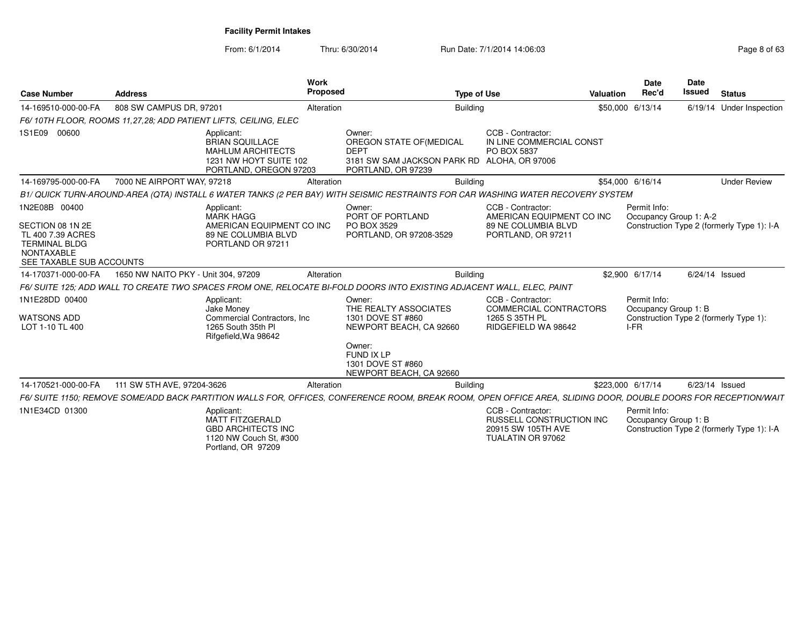| <b>Case Number</b>                                                                                                              | <b>Address</b>                      |                                                                                                                      | Work<br><b>Proposed</b> | <b>Type of Use</b>                                                                                                                                              |                                                                                                 | <b>Valuation</b> | <b>Date</b><br>Rec'd                         | <b>Date</b><br><b>Issued</b> | <b>Status</b>                              |
|---------------------------------------------------------------------------------------------------------------------------------|-------------------------------------|----------------------------------------------------------------------------------------------------------------------|-------------------------|-----------------------------------------------------------------------------------------------------------------------------------------------------------------|-------------------------------------------------------------------------------------------------|------------------|----------------------------------------------|------------------------------|--------------------------------------------|
| 14-169510-000-00-FA                                                                                                             | 808 SW CAMPUS DR, 97201             |                                                                                                                      | Alteration              | <b>Building</b>                                                                                                                                                 |                                                                                                 |                  | \$50,000 6/13/14                             |                              | 6/19/14 Under Inspection                   |
|                                                                                                                                 |                                     | F6/10TH FLOOR, ROOMS 11,27,28; ADD PATIENT LIFTS, CEILING, ELEC                                                      |                         |                                                                                                                                                                 |                                                                                                 |                  |                                              |                              |                                            |
| 1S1E09 00600                                                                                                                    |                                     | Applicant:<br><b>BRIAN SQUILLACE</b><br><b>MAHLUM ARCHITECTS</b><br>1231 NW HOYT SUITE 102<br>PORTLAND, OREGON 97203 |                         | Owner:<br>OREGON STATE OF (MEDICAL<br><b>DEPT</b><br>3181 SW SAM JACKSON PARK RD ALOHA, OR 97006<br>PORTLAND, OR 97239                                          | CCB - Contractor:<br>IN LINE COMMERCIAL CONST<br>PO BOX 5837                                    |                  |                                              |                              |                                            |
| 14-169795-000-00-FA                                                                                                             | 7000 NE AIRPORT WAY, 97218          |                                                                                                                      | Alteration              | <b>Building</b>                                                                                                                                                 |                                                                                                 |                  | \$54,000 6/16/14                             |                              | <b>Under Review</b>                        |
|                                                                                                                                 |                                     |                                                                                                                      |                         | B1/ QUICK TURN-AROUND-AREA (QTA) INSTALL 6 WATER TANKS (2 PER BAY) WITH SEISMIC RESTRAINTS FOR CAR WASHING WATER RECOVERY SYSTEM                                |                                                                                                 |                  |                                              |                              |                                            |
| 1N2E08B 00400<br>SECTION 08 1N 2E<br>TL 400 7.39 ACRES<br><b>TERMINAL BLDG</b><br><b>NONTAXABLE</b><br>SEE TAXABLE SUB ACCOUNTS |                                     | Applicant:<br><b>MARK HAGG</b><br>AMERICAN EQUIPMENT CO INC<br>89 NE COLUMBIA BLVD<br>PORTLAND OR 97211              |                         | Owner:<br>PORT OF PORTLAND<br>PO BOX 3529<br>PORTLAND, OR 97208-3529                                                                                            | CCB - Contractor:<br>AMERICAN EQUIPMENT CO INC<br>89 NE COLUMBIA BLVD<br>PORTLAND, OR 97211     |                  | Permit Info:<br>Occupancy Group 1: A-2       |                              | Construction Type 2 (formerly Type 1): I-A |
| 14-170371-000-00-FA                                                                                                             | 1650 NW NAITO PKY - Unit 304, 97209 |                                                                                                                      | Alteration              | <b>Building</b>                                                                                                                                                 |                                                                                                 |                  | \$2,900 6/17/14                              |                              | 6/24/14 Issued                             |
|                                                                                                                                 |                                     |                                                                                                                      |                         | F6/ SUITE 125: ADD WALL TO CREATE TWO SPACES FROM ONE. RELOCATE BI-FOLD DOORS INTO EXISTING ADJACENT WALL. ELEC. PAINT                                          |                                                                                                 |                  |                                              |                              |                                            |
| 1N1E28DD 00400<br><b>WATSONS ADD</b><br>LOT 1-10 TL 400                                                                         |                                     | Applicant:<br>Jake Money<br>Commercial Contractors, Inc.<br>1265 South 35th PI<br>Rifgefield, Wa 98642               |                         | Owner:<br>THE REALTY ASSOCIATES<br>1301 DOVE ST #860<br>NEWPORT BEACH, CA 92660<br>Owner:<br>FUND IX LP                                                         | CCB - Contractor:<br>COMMERCIAL CONTRACTORS<br>1265 S 35TH PL<br>RIDGEFIELD WA 98642            |                  | Permit Info:<br>Occupancy Group 1: B<br>I-FR |                              | Construction Type 2 (formerly Type 1):     |
|                                                                                                                                 |                                     |                                                                                                                      |                         | 1301 DOVE ST #860<br>NEWPORT BEACH, CA 92660                                                                                                                    |                                                                                                 |                  |                                              |                              |                                            |
| 14-170521-000-00-FA                                                                                                             | 111 SW 5TH AVE, 97204-3626          |                                                                                                                      | Alteration              | <b>Building</b>                                                                                                                                                 |                                                                                                 |                  | \$223,000 6/17/14                            |                              | $6/23/14$ Issued                           |
|                                                                                                                                 |                                     |                                                                                                                      |                         | F6/ SUITE 1150; REMOVE SOME/ADD BACK PARTITION WALLS FOR, OFFICES, CONFERENCE ROOM, BREAK ROOM, OPEN OFFICE AREA, SLIDING DOOR, DOUBLE DOORS FOR RECEPTION/WAIT |                                                                                                 |                  |                                              |                              |                                            |
| 1N1E34CD 01300                                                                                                                  |                                     | Applicant:<br><b>MATT FITZGERALD</b><br><b>GBD ARCHITECTS INC</b><br>1120 NW Couch St, #300<br>Portland, OR 97209    |                         |                                                                                                                                                                 | CCB - Contractor:<br><b>RUSSELL CONSTRUCTION INC</b><br>20915 SW 105TH AVE<br>TUALATIN OR 97062 |                  | Permit Info:<br>Occupancy Group 1: B         |                              | Construction Type 2 (formerly Type 1): I-A |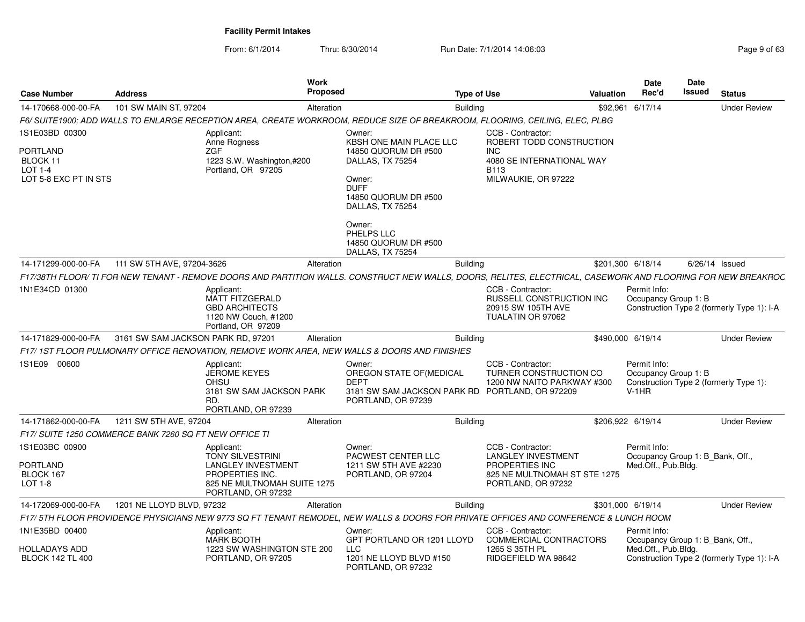| <b>Case Number</b>                                                | <b>Address</b>                                         | <b>Work</b><br><b>Proposed</b>                                                                                                                                |                                                                                                               | <b>Type of Use</b> |                                                                                                                        | <b>Valuation</b> | <b>Date</b><br>Rec'd                                                    | Date<br><b>Issued</b> | <b>Status</b>                              |
|-------------------------------------------------------------------|--------------------------------------------------------|---------------------------------------------------------------------------------------------------------------------------------------------------------------|---------------------------------------------------------------------------------------------------------------|--------------------|------------------------------------------------------------------------------------------------------------------------|------------------|-------------------------------------------------------------------------|-----------------------|--------------------------------------------|
| 14-170668-000-00-FA                                               | 101 SW MAIN ST, 97204                                  | Alteration                                                                                                                                                    |                                                                                                               | <b>Building</b>    |                                                                                                                        | \$92,961         | 6/17/14                                                                 |                       | <b>Under Review</b>                        |
|                                                                   |                                                        | F6/ SUITE1900: ADD WALLS TO ENLARGE RECEPTION AREA. CREATE WORKROOM. REDUCE SIZE OF BREAKROOM, FLOORING, CEILING, ELEC, PLBG                                  |                                                                                                               |                    |                                                                                                                        |                  |                                                                         |                       |                                            |
| 1S1E03BD 00300                                                    |                                                        | Applicant:<br>Anne Rogness                                                                                                                                    | Owner:<br><b>KBSH ONE MAIN PLACE LLC</b>                                                                      |                    | CCB - Contractor:<br>ROBERT TODD CONSTRUCTION                                                                          |                  |                                                                         |                       |                                            |
| <b>PORTLAND</b><br>BLOCK 11<br>$LOT 1-4$<br>LOT 5-8 EXC PT IN STS |                                                        | ZGF<br>1223 S.W. Washington,#200<br>Portland, OR 97205                                                                                                        | 14850 QUORUM DR #500<br>DALLAS, TX 75254<br>Owner:<br><b>DUFF</b><br>14850 QUORUM DR #500<br>DALLAS, TX 75254 |                    | INC<br>4080 SE INTERNATIONAL WAY<br><b>B113</b><br>MILWAUKIE, OR 97222                                                 |                  |                                                                         |                       |                                            |
|                                                                   |                                                        |                                                                                                                                                               | Owner:<br>PHELPS LLC<br>14850 QUORUM DR #500<br>DALLAS, TX 75254                                              |                    |                                                                                                                        |                  |                                                                         |                       |                                            |
| 14-171299-000-00-FA                                               | 111 SW 5TH AVE, 97204-3626                             | Alteration                                                                                                                                                    |                                                                                                               | <b>Building</b>    |                                                                                                                        |                  | \$201,300 6/18/14                                                       |                       | 6/26/14 Issued                             |
|                                                                   |                                                        | F17/38TH FLOOR/ TI FOR NEW TENANT - REMOVE DOORS AND PARTITION WALLS. CONSTRUCT NEW WALLS, DOORS, RELITES, ELECTRICAL, CASEWORK AND FLOORING FOR NEW BREAKROC |                                                                                                               |                    |                                                                                                                        |                  |                                                                         |                       |                                            |
| 1N1E34CD 01300                                                    |                                                        | Applicant:<br><b>MATT FITZGERALD</b><br><b>GBD ARCHITECTS</b><br>1120 NW Couch, #1200<br>Portland, OR 97209                                                   |                                                                                                               |                    | CCB - Contractor:<br>RUSSELL CONSTRUCTION INC<br>20915 SW 105TH AVE<br>TUALATIN OR 97062                               |                  | Permit Info:<br>Occupancy Group 1: B                                    |                       | Construction Type 2 (formerly Type 1): I-A |
| 14-171829-000-00-FA                                               | 3161 SW SAM JACKSON PARK RD, 97201                     | Alteration                                                                                                                                                    |                                                                                                               | <b>Building</b>    |                                                                                                                        |                  | \$490,000 6/19/14                                                       |                       | <b>Under Review</b>                        |
|                                                                   |                                                        | F17/1ST FLOOR PULMONARY OFFICE RENOVATION, REMOVE WORK AREA, NEW WALLS & DOORS AND FINISHES                                                                   |                                                                                                               |                    |                                                                                                                        |                  |                                                                         |                       |                                            |
| 1S1E09 00600                                                      |                                                        | Applicant:<br><b>JEROME KEYES</b><br><b>OHSU</b><br>3181 SW SAM JACKSON PARK<br>RD.<br>PORTLAND, OR 97239                                                     | Owner:<br>OREGON STATE OF (MEDICAL<br><b>DEPT</b><br>3181 SW SAM JACKSON PARK RD<br>PORTLAND, OR 97239        |                    | CCB - Contractor:<br>TURNER CONSTRUCTION CO<br>1200 NW NAITO PARKWAY #300<br>PORTLAND, OR 972209                       |                  | Permit Info:<br>Occupancy Group 1: B<br>$V-1HR$                         |                       | Construction Type 2 (formerly Type 1):     |
| 14-171862-000-00-FA                                               | 1211 SW 5TH AVE, 97204                                 | Alteration                                                                                                                                                    |                                                                                                               | <b>Building</b>    |                                                                                                                        |                  | \$206,922 6/19/14                                                       |                       | <b>Under Review</b>                        |
|                                                                   | F17/ SUITE 1250 COMMERCE BANK 7260 SQ FT NEW OFFICE TI |                                                                                                                                                               |                                                                                                               |                    |                                                                                                                        |                  |                                                                         |                       |                                            |
| 1S1E03BC 00900<br><b>PORTLAND</b><br>BLOCK 167<br><b>LOT 1-8</b>  |                                                        | Applicant:<br><b>TONY SILVESTRINI</b><br><b>LANGLEY INVESTMENT</b><br>PROPERTIES INC.<br>825 NE MULTNOMAH SUITE 1275<br>PORTLAND, OR 97232                    | Owner:<br>PACWEST CENTER LLC<br>1211 SW 5TH AVE #2230<br>PORTLAND, OR 97204                                   |                    | CCB - Contractor:<br><b>LANGLEY INVESTMENT</b><br>PROPERTIES INC<br>825 NE MULTNOMAH ST STE 1275<br>PORTLAND, OR 97232 |                  | Permit Info:<br>Occupancy Group 1: B Bank, Off.,<br>Med.Off., Pub.Bldg. |                       |                                            |
| 14-172069-000-00-FA                                               | 1201 NE LLOYD BLVD, 97232                              | Alteration                                                                                                                                                    |                                                                                                               | <b>Building</b>    |                                                                                                                        |                  | \$301,000 6/19/14                                                       |                       | <b>Under Review</b>                        |
|                                                                   |                                                        | F17/5TH FLOOR PROVIDENCE PHYSICIANS NEW 9773 SQ FT TENANT REMODEL. NEW WALLS & DOORS FOR PRIVATE OFFICES AND CONFERENCE & LUNCH ROOM                          |                                                                                                               |                    |                                                                                                                        |                  |                                                                         |                       |                                            |
| 1N1E35BD 00400                                                    |                                                        | Applicant:<br><b>MARK BOOTH</b>                                                                                                                               | Owner:<br>GPT PORTLAND OR 1201 LLOYD                                                                          |                    | CCB - Contractor:<br><b>COMMERCIAL CONTRACTORS</b>                                                                     |                  | Permit Info:<br>Occupancy Group 1: B Bank, Off.,                        |                       |                                            |
| HOLLADAYS ADD<br><b>BLOCK 142 TL 400</b>                          |                                                        | 1223 SW WASHINGTON STE 200<br>PORTLAND, OR 97205                                                                                                              | LLC<br>1201 NE LLOYD BLVD #150<br>PORTLAND, OR 97232                                                          |                    | 1265 S 35TH PL<br>RIDGEFIELD WA 98642                                                                                  |                  | Med.Off., Pub.Bldg.                                                     |                       | Construction Type 2 (formerly Type 1): I-A |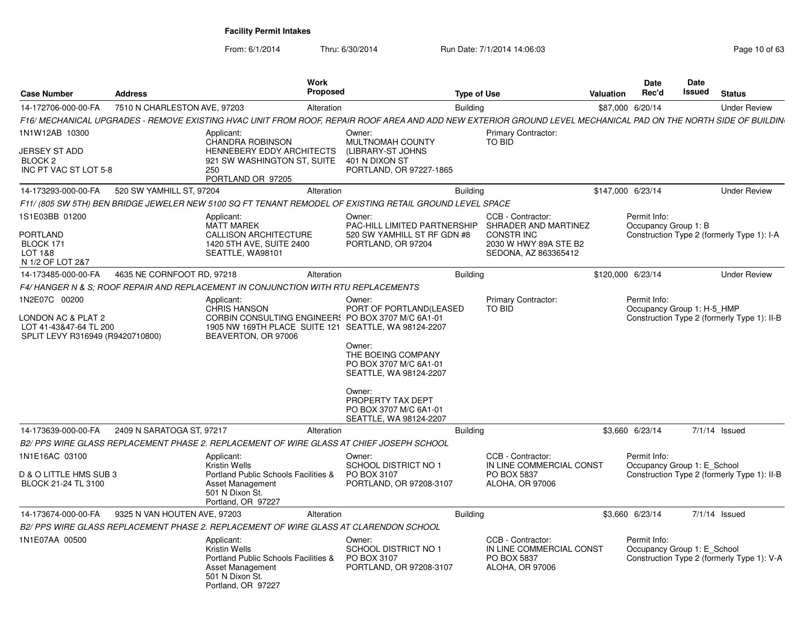From: 6/1/2014

Thru: 6/30/2014 Run Date: 7/1/2014 14:06:03

| <b>Case Number</b>                                                                                | <b>Address</b>               | Work<br><b>Proposed</b>                                                                                                                                                |                                                                                                                                                                                                          | <b>Type of Use</b> |                                                                                                                | <b>Valuation</b>  | <b>Date</b><br>Rec'd                        | <b>Date</b><br>Issued | <b>Status</b>                               |
|---------------------------------------------------------------------------------------------------|------------------------------|------------------------------------------------------------------------------------------------------------------------------------------------------------------------|----------------------------------------------------------------------------------------------------------------------------------------------------------------------------------------------------------|--------------------|----------------------------------------------------------------------------------------------------------------|-------------------|---------------------------------------------|-----------------------|---------------------------------------------|
| 14-172706-000-00-FA                                                                               | 7510 N CHARLESTON AVE, 97203 | Alteration                                                                                                                                                             |                                                                                                                                                                                                          | <b>Building</b>    |                                                                                                                |                   | \$87,000 6/20/14                            |                       | <b>Under Review</b>                         |
|                                                                                                   |                              | F16/ MECHANICAL UPGRADES - REMOVE EXISTING HVAC UNIT FROM ROOF, REPAIR ROOF AREA AND ADD NEW EXTERIOR GROUND LEVEL MECHANICAL PAD ON THE NORTH SIDE OF BUILDIN         |                                                                                                                                                                                                          |                    |                                                                                                                |                   |                                             |                       |                                             |
| 1N1W12AB 10300                                                                                    |                              | Applicant:                                                                                                                                                             | Owner:                                                                                                                                                                                                   |                    | <b>Primary Contractor:</b>                                                                                     |                   |                                             |                       |                                             |
| JERSEY ST ADD<br>BLOCK <sub>2</sub><br>INC PT VAC ST LOT 5-8                                      |                              | <b>CHANDRA ROBINSON</b><br>HENNEBERY EDDY ARCHITECTS<br>921 SW WASHINGTON ST, SUITE<br>250<br>PORTLAND OR 97205                                                        | MULTNOMAH COUNTY<br>(LIBRARY-ST JOHNS<br>401 N DIXON ST<br>PORTLAND, OR 97227-1865                                                                                                                       |                    | <b>TO BID</b>                                                                                                  |                   |                                             |                       |                                             |
| 14-173293-000-00-FA                                                                               | 520 SW YAMHILL ST, 97204     | Alteration                                                                                                                                                             |                                                                                                                                                                                                          | <b>Building</b>    |                                                                                                                | \$147,000 6/23/14 |                                             |                       | <b>Under Review</b>                         |
|                                                                                                   |                              | F11/ (805 SW 5TH) BEN BRIDGE JEWELER NEW 5100 SQ FT TENANT REMODEL OF EXISTING RETAIL GROUND LEVEL SPACE                                                               |                                                                                                                                                                                                          |                    |                                                                                                                |                   |                                             |                       |                                             |
| 1S1E03BB 01200<br><b>PORTLAND</b><br>BLOCK 171<br>LOT 1&8<br>N 1/2 OF LOT 2&7                     |                              | Applicant:<br><b>MATT MAREK</b><br><b>CALLISON ARCHITECTURE</b><br>1420 5TH AVE, SUITE 2400<br>SEATTLE, WA98101                                                        | Owner:<br><b>PAC-HILL LIMITED PARTNERSHIP</b><br>520 SW YAMHILL ST RF GDN #8<br>PORTLAND, OR 97204                                                                                                       |                    | CCB - Contractor:<br>SHRADER AND MARTINEZ<br><b>CONSTRING</b><br>2030 W HWY 89A STE B2<br>SEDONA, AZ 863365412 |                   | Permit Info:<br>Occupancy Group 1: B        |                       | Construction Type 2 (formerly Type 1): I-A  |
| 14-173485-000-00-FA                                                                               | 4635 NE CORNFOOT RD, 97218   | Alteration                                                                                                                                                             |                                                                                                                                                                                                          | <b>Building</b>    |                                                                                                                | \$120,000 6/23/14 |                                             |                       | <b>Under Review</b>                         |
|                                                                                                   |                              | F4/HANGER N & S; ROOF REPAIR AND REPLACEMENT IN CONJUNCTION WITH RTU REPLACEMENTS                                                                                      |                                                                                                                                                                                                          |                    |                                                                                                                |                   |                                             |                       |                                             |
| 1N2E07C 00200<br>LONDON AC & PLAT 2<br>LOT 41-43&47-64 TL 200<br>SPLIT LEVY R316949 (R9420710800) |                              | Applicant:<br><b>CHRIS HANSON</b><br>CORBIN CONSULTING ENGINEERS PO BOX 3707 M/C 6A1-01<br>1905 NW 169TH PLACE SUITE 121 SEATTLE, WA 98124-2207<br>BEAVERTON, OR 97006 | Owner:<br>PORT OF PORTLAND(LEASED<br>Owner:<br>THE BOEING COMPANY<br>PO BOX 3707 M/C 6A1-01<br>SEATTLE, WA 98124-2207<br>Owner:<br>PROPERTY TAX DEPT<br>PO BOX 3707 M/C 6A1-01<br>SEATTLE, WA 98124-2207 |                    | Primary Contractor:<br><b>TO BID</b>                                                                           |                   | Permit Info:<br>Occupancy Group 1: H-5 HMP  |                       | Construction Type 2 (formerly Type 1): II-B |
| 14-173639-000-00-FA                                                                               | 2409 N SARATOGA ST, 97217    | Alteration                                                                                                                                                             |                                                                                                                                                                                                          | <b>Building</b>    |                                                                                                                |                   | \$3,660 6/23/14                             |                       | $7/1/14$ Issued                             |
|                                                                                                   |                              | B2/ PPS WIRE GLASS REPLACEMENT PHASE 2. REPLACEMENT OF WIRE GLASS AT CHIEF JOSEPH SCHOOL                                                                               |                                                                                                                                                                                                          |                    |                                                                                                                |                   |                                             |                       |                                             |
| 1N1E16AC 03100<br>D & O LITTLE HMS SUB 3<br>BLOCK 21-24 TL 3100                                   |                              | Applicant:<br><b>Kristin Wells</b><br>Portland Public Schools Facilities &<br>Asset Management<br>501 N Dixon St.<br>Portland, OR 97227                                | Owner:<br><b>SCHOOL DISTRICT NO 1</b><br>PO BOX 3107<br>PORTLAND, OR 97208-3107                                                                                                                          |                    | CCB - Contractor:<br>IN LINE COMMERCIAL CONST<br>PO BOX 5837<br><b>ALOHA, OR 97006</b>                         |                   | Permit Info:<br>Occupancy Group 1: E School |                       | Construction Type 2 (formerly Type 1): II-B |
| 14-173674-000-00-FA                                                                               | 9325 N VAN HOUTEN AVE, 97203 | Alteration                                                                                                                                                             |                                                                                                                                                                                                          | <b>Building</b>    |                                                                                                                |                   | \$3,660 6/23/14                             |                       | $7/1/14$ Issued                             |
|                                                                                                   |                              | B2/ PPS WIRE GLASS REPLACEMENT PHASE 2. REPLACEMENT OF WIRE GLASS AT CLARENDON SCHOOL                                                                                  |                                                                                                                                                                                                          |                    |                                                                                                                |                   |                                             |                       |                                             |
| 1N1E07AA 00500                                                                                    |                              | Applicant:<br><b>Kristin Wells</b><br>Portland Public Schools Facilities &<br>Asset Management<br>501 N Dixon St.<br>Portland, OR 97227                                | Owner:<br>SCHOOL DISTRICT NO 1<br>PO BOX 3107<br>PORTLAND, OR 97208-3107                                                                                                                                 |                    | CCB - Contractor:<br>IN LINE COMMERCIAL CONST<br>PO BOX 5837<br>ALOHA, OR 97006                                |                   | Permit Info:<br>Occupancy Group 1: E School |                       | Construction Type 2 (formerly Type 1): V-A  |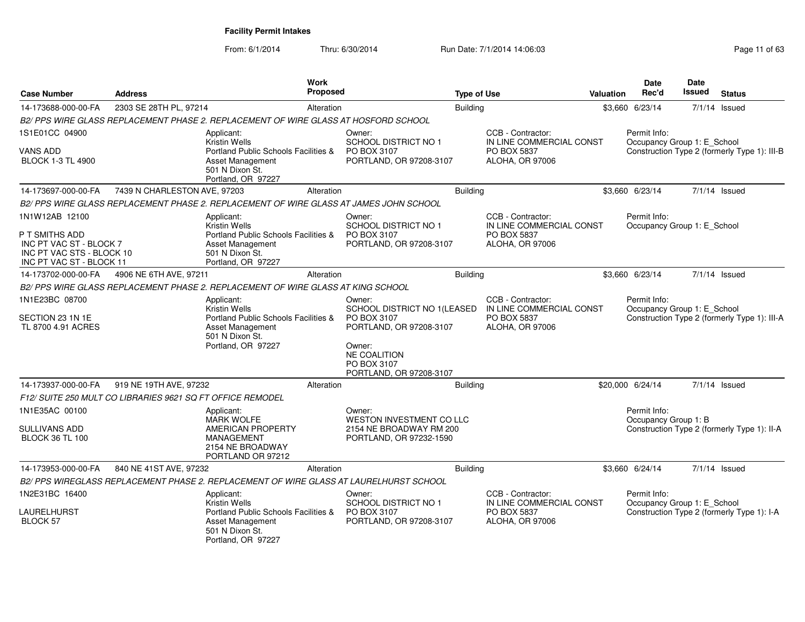| Case Number                                                                                                          | <b>Address</b>                                             | <b>Work</b><br><b>Proposed</b>                                                                                                          |                                                                                                                                                            | <b>Type of Use</b> |                                                                                        | Valuation | <b>Date</b><br>Rec'd                        | <b>Date</b><br><b>Issued</b> | <b>Status</b>                                |
|----------------------------------------------------------------------------------------------------------------------|------------------------------------------------------------|-----------------------------------------------------------------------------------------------------------------------------------------|------------------------------------------------------------------------------------------------------------------------------------------------------------|--------------------|----------------------------------------------------------------------------------------|-----------|---------------------------------------------|------------------------------|----------------------------------------------|
| 14-173688-000-00-FA                                                                                                  | 2303 SE 28TH PL, 97214                                     | Alteration                                                                                                                              |                                                                                                                                                            | <b>Building</b>    |                                                                                        |           | \$3,660 6/23/14                             |                              | 7/1/14 Issued                                |
|                                                                                                                      |                                                            | B2/ PPS WIRE GLASS REPLACEMENT PHASE 2. REPLACEMENT OF WIRE GLASS AT HOSFORD SCHOOL                                                     |                                                                                                                                                            |                    |                                                                                        |           |                                             |                              |                                              |
| 1S1E01CC 04900                                                                                                       |                                                            | Applicant:<br>Kristin Wells                                                                                                             | Owner:<br><b>SCHOOL DISTRICT NO 1</b>                                                                                                                      |                    | CCB - Contractor:<br>IN LINE COMMERCIAL CONST                                          |           | Permit Info:<br>Occupancy Group 1: E School |                              |                                              |
| <b>VANS ADD</b><br><b>BLOCK 1-3 TL 4900</b>                                                                          |                                                            | Portland Public Schools Facilities &<br>Asset Management<br>501 N Dixon St.<br>Portland, OR 97227                                       | PO BOX 3107<br>PORTLAND, OR 97208-3107                                                                                                                     |                    | PO BOX 5837<br><b>ALOHA, OR 97006</b>                                                  |           |                                             |                              | Construction Type 2 (formerly Type 1): III-B |
| 14-173697-000-00-FA                                                                                                  | 7439 N CHARLESTON AVE, 97203                               | Alteration                                                                                                                              |                                                                                                                                                            | <b>Building</b>    |                                                                                        |           | \$3,660 6/23/14                             |                              | $7/1/14$ Issued                              |
|                                                                                                                      |                                                            | B2/ PPS WIRE GLASS REPLACEMENT PHASE 2. REPLACEMENT OF WIRE GLASS AT JAMES JOHN SCHOOL                                                  |                                                                                                                                                            |                    |                                                                                        |           |                                             |                              |                                              |
| 1N1W12AB 12100<br>P T SMITHS ADD<br>INC PT VAC ST - BLOCK 7<br>INC PT VAC STS - BLOCK 10<br>INC PT VAC ST - BLOCK 11 |                                                            | Applicant:<br>Kristin Wells<br>Portland Public Schools Facilities &<br><b>Asset Management</b><br>501 N Dixon St.<br>Portland, OR 97227 | Owner:<br><b>SCHOOL DISTRICT NO 1</b><br>PO BOX 3107<br>PORTLAND, OR 97208-3107                                                                            |                    | CCB - Contractor:<br>IN LINE COMMERCIAL CONST<br>PO BOX 5837<br><b>ALOHA, OR 97006</b> |           | Permit Info:<br>Occupancy Group 1: E School |                              |                                              |
| 14-173702-000-00-FA                                                                                                  | 4906 NE 6TH AVE, 97211                                     | Alteration                                                                                                                              |                                                                                                                                                            | <b>Building</b>    |                                                                                        |           | \$3,660 6/23/14                             |                              | $7/1/14$ Issued                              |
|                                                                                                                      |                                                            | B2/ PPS WIRE GLASS REPLACEMENT PHASE 2. REPLACEMENT OF WIRE GLASS AT KING SCHOOL                                                        |                                                                                                                                                            |                    |                                                                                        |           |                                             |                              |                                              |
| 1N1E23BC 08700<br>SECTION 23 1N 1E<br>TL 8700 4.91 ACRES                                                             |                                                            | Applicant:<br>Kristin Wells<br>Portland Public Schools Facilities &<br>Asset Management<br>501 N Dixon St.<br>Portland, OR 97227        | Owner:<br>SCHOOL DISTRICT NO 1(LEASED<br>PO BOX 3107<br>PORTLAND, OR 97208-3107<br>Owner:<br><b>NE COALITION</b><br>PO BOX 3107<br>PORTLAND, OR 97208-3107 |                    | CCB - Contractor:<br>IN LINE COMMERCIAL CONST<br>PO BOX 5837<br>ALOHA, OR 97006        |           | Permit Info:<br>Occupancy Group 1: E_School |                              | Construction Type 2 (formerly Type 1): III-A |
| 14-173937-000-00-FA                                                                                                  | 919 NE 19TH AVE, 97232                                     | Alteration                                                                                                                              |                                                                                                                                                            | <b>Building</b>    |                                                                                        |           | \$20,000 6/24/14                            |                              | $7/1/14$ Issued                              |
|                                                                                                                      | F12/ SUITE 250 MULT CO LIBRARIES 9621 SQ FT OFFICE REMODEL |                                                                                                                                         |                                                                                                                                                            |                    |                                                                                        |           |                                             |                              |                                              |
| 1N1E35AC 00100<br><b>SULLIVANS ADD</b>                                                                               |                                                            | Applicant:<br><b>MARK WOLFE</b><br><b>AMERICAN PROPERTY</b>                                                                             | Owner:<br>WESTON INVESTMENT CO LLC<br>2154 NE BROADWAY RM 200                                                                                              |                    |                                                                                        |           | Permit Info:<br>Occupancy Group 1: B        |                              | Construction Type 2 (formerly Type 1): II-A  |
| <b>BLOCK 36 TL 100</b>                                                                                               |                                                            | <b>MANAGEMENT</b><br>2154 NE BROADWAY<br>PORTLAND OR 97212                                                                              | PORTLAND, OR 97232-1590                                                                                                                                    |                    |                                                                                        |           |                                             |                              |                                              |
| 14-173953-000-00-FA                                                                                                  | 840 NE 41ST AVE, 97232                                     | Alteration                                                                                                                              |                                                                                                                                                            | Building           |                                                                                        |           | \$3,660 6/24/14                             |                              | $7/1/14$ Issued                              |
|                                                                                                                      |                                                            | B2/ PPS WIREGLASS REPLACEMENT PHASE 2. REPLACEMENT OF WIRE GLASS AT LAURELHURST SCHOOL                                                  |                                                                                                                                                            |                    |                                                                                        |           |                                             |                              |                                              |
| 1N2E31BC 16400                                                                                                       |                                                            | Applicant:<br>Kristin Wells                                                                                                             | Owner:<br>SCHOOL DISTRICT NO 1                                                                                                                             |                    | CCB - Contractor:<br>IN LINE COMMERCIAL CONST                                          |           | Permit Info:<br>Occupancy Group 1: E_School |                              |                                              |
| LAURELHURST<br><b>BLOCK 57</b>                                                                                       |                                                            | Portland Public Schools Facilities &<br><b>Asset Management</b><br>501 N Dixon St.<br>Portland, OR 97227                                | PO BOX 3107<br>PORTLAND, OR 97208-3107                                                                                                                     |                    | PO BOX 5837<br><b>ALOHA, OR 97006</b>                                                  |           |                                             |                              | Construction Type 2 (formerly Type 1): I-A   |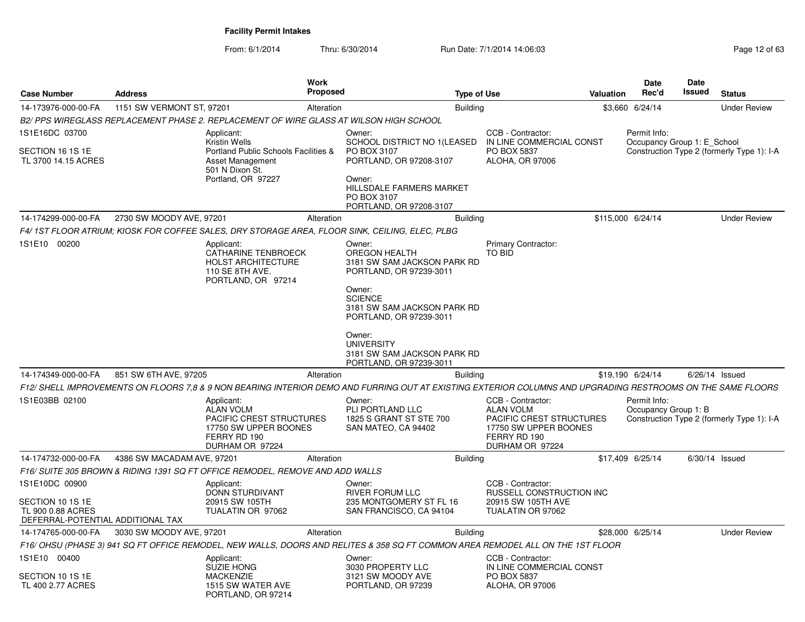| <b>Case Number</b>                                                                           | <b>Address</b>             | <b>Work</b><br>Proposed                                                                                                                                                                                                                                                                      |                                                                                                                                                                         | <b>Type of Use</b> |                                                                                                                                      | <b>Valuation</b> | <b>Date</b><br>Rec'd                        | Date<br><b>Issued</b> | <b>Status</b>                              |
|----------------------------------------------------------------------------------------------|----------------------------|----------------------------------------------------------------------------------------------------------------------------------------------------------------------------------------------------------------------------------------------------------------------------------------------|-------------------------------------------------------------------------------------------------------------------------------------------------------------------------|--------------------|--------------------------------------------------------------------------------------------------------------------------------------|------------------|---------------------------------------------|-----------------------|--------------------------------------------|
| 14-173976-000-00-FA                                                                          | 1151 SW VERMONT ST, 97201  | Alteration                                                                                                                                                                                                                                                                                   |                                                                                                                                                                         | <b>Building</b>    |                                                                                                                                      |                  | \$3,660 6/24/14                             |                       | <b>Under Review</b>                        |
|                                                                                              |                            | B2/PPS WIREGLASS REPLACEMENT PHASE 2. REPLACEMENT OF WIRE GLASS AT WILSON HIGH SCHOOL                                                                                                                                                                                                        |                                                                                                                                                                         |                    |                                                                                                                                      |                  |                                             |                       |                                            |
| 1S1E16DC 03700<br>SECTION 16 1S 1E<br>TL 3700 14.15 ACRES                                    |                            | Applicant:<br><b>Kristin Wells</b><br>Portland Public Schools Facilities &<br><b>Asset Management</b><br>501 N Dixon St.<br>Portland, OR 97227                                                                                                                                               | Owner:<br>SCHOOL DISTRICT NO 1(LEASED<br>PO BOX 3107<br>PORTLAND, OR 97208-3107<br>Owner:<br>HILLSDALE FARMERS MARKET<br>PO BOX 3107<br>PORTLAND, OR 97208-3107         |                    | CCB - Contractor:<br>IN LINE COMMERCIAL CONST<br>PO BOX 5837<br>ALOHA, OR 97006                                                      |                  | Permit Info:<br>Occupancy Group 1: E School |                       | Construction Type 2 (formerly Type 1): I-A |
| 14-174299-000-00-FA                                                                          | 2730 SW MOODY AVE, 97201   | Alteration                                                                                                                                                                                                                                                                                   |                                                                                                                                                                         | <b>Building</b>    |                                                                                                                                      |                  | \$115,000 6/24/14                           |                       | <b>Under Review</b>                        |
|                                                                                              |                            | F4/ 1ST FLOOR ATRIUM; KIOSK FOR COFFEE SALES, DRY STORAGE AREA, FLOOR SINK, CEILING, ELEC, PLBG                                                                                                                                                                                              |                                                                                                                                                                         |                    |                                                                                                                                      |                  |                                             |                       |                                            |
| 1S1E10 00200                                                                                 |                            | Applicant:<br>CATHARINE TENBROECK<br><b>HOLST ARCHITECTURE</b><br>110 SE 8TH AVE.<br>PORTLAND, OR 97214                                                                                                                                                                                      | Owner:<br>OREGON HEALTH<br>3181 SW SAM JACKSON PARK RD<br>PORTLAND, OR 97239-3011<br>Owner:<br><b>SCIENCE</b><br>3181 SW SAM JACKSON PARK RD<br>PORTLAND, OR 97239-3011 |                    | <b>Primary Contractor:</b><br>TO BID                                                                                                 |                  |                                             |                       |                                            |
|                                                                                              |                            |                                                                                                                                                                                                                                                                                              | Owner:<br><b>UNIVERSITY</b><br>3181 SW SAM JACKSON PARK RD<br>PORTLAND, OR 97239-3011                                                                                   |                    |                                                                                                                                      |                  |                                             |                       |                                            |
| 14-174349-000-00-FA                                                                          | 851 SW 6TH AVE, 97205      | Alteration                                                                                                                                                                                                                                                                                   |                                                                                                                                                                         | <b>Building</b>    |                                                                                                                                      |                  | \$19,190 6/24/14                            |                       | $6/26/14$ Issued                           |
| 1S1E03BB 02100                                                                               |                            | F12/ SHELL IMPROVEMENTS ON FLOORS 7,8 & 9 NON BEARING INTERIOR DEMO AND FURRING OUT AT EXISTING EXTERIOR COLUMNS AND UPGRADING RESTROOMS ON THE SAME FLOORS<br>Applicant:<br><b>ALAN VOLM</b><br><b>PACIFIC CREST STRUCTURES</b><br>17750 SW UPPER BOONES<br>FERRY RD 190<br>DURHAM OR 97224 | Owner:<br>PLI PORTLAND LLC<br>1825 S GRANT ST STE 700<br>SAN MATEO, CA 94402                                                                                            |                    | CCB - Contractor:<br><b>ALAN VOLM</b><br><b>PACIFIC CREST STRUCTURES</b><br>17750 SW UPPER BOONES<br>FERRY RD 190<br>DURHAM OR 97224 |                  | Permit Info:<br>Occupancy Group 1: B        |                       | Construction Type 2 (formerly Type 1): I-A |
| 14-174732-000-00-FA                                                                          | 4386 SW MACADAM AVE, 97201 | Alteration                                                                                                                                                                                                                                                                                   |                                                                                                                                                                         | <b>Building</b>    |                                                                                                                                      |                  | \$17,409 6/25/14                            |                       | $6/30/14$ Issued                           |
|                                                                                              |                            | F16/ SUITE 305 BROWN & RIDING 1391 SQ FT OFFICE REMODEL, REMOVE AND ADD WALLS                                                                                                                                                                                                                |                                                                                                                                                                         |                    |                                                                                                                                      |                  |                                             |                       |                                            |
| 1S1E10DC 00900<br>SECTION 10 1S 1E<br>TL 900 0.88 ACRES<br>DEFERRAL-POTENTIAL ADDITIONAL TAX |                            | Applicant:<br>DONN STURDIVANT<br>20915 SW 105TH<br>TUALATIN OR 97062                                                                                                                                                                                                                         | Owner:<br><b>RIVER FORUM LLC</b><br>235 MONTGOMERY ST FL 16<br>SAN FRANCISCO, CA 94104                                                                                  |                    | CCB - Contractor:<br>RUSSELL CONSTRUCTION INC<br>20915 SW 105TH AVE<br>TUALATIN OR 97062                                             |                  |                                             |                       |                                            |
| 14-174765-000-00-FA                                                                          | 3030 SW MOODY AVE, 97201   | Alteration                                                                                                                                                                                                                                                                                   |                                                                                                                                                                         | <b>Building</b>    |                                                                                                                                      |                  | \$28,000 6/25/14                            |                       | <b>Under Review</b>                        |
|                                                                                              |                            | F16/OHSU (PHASE 3) 941 SQ FT OFFICE REMODEL, NEW WALLS, DOORS AND RELITES & 358 SQ FT COMMON AREA REMODEL ALL ON THE 1ST FLOOR                                                                                                                                                               |                                                                                                                                                                         |                    |                                                                                                                                      |                  |                                             |                       |                                            |
| 1S1E10 00400<br>SECTION 10 1S 1E<br>TL 400 2.77 ACRES                                        |                            | Applicant:<br><b>SUZIE HONG</b><br><b>MACKENZIE</b><br>1515 SW WATER AVE<br>PORTLAND, OR 97214                                                                                                                                                                                               | Owner:<br>3030 PROPERTY LLC<br>3121 SW MOODY AVE<br>PORTLAND, OR 97239                                                                                                  |                    | CCB - Contractor:<br>IN LINE COMMERCIAL CONST<br><b>PO BOX 5837</b><br>ALOHA, OR 97006                                               |                  |                                             |                       |                                            |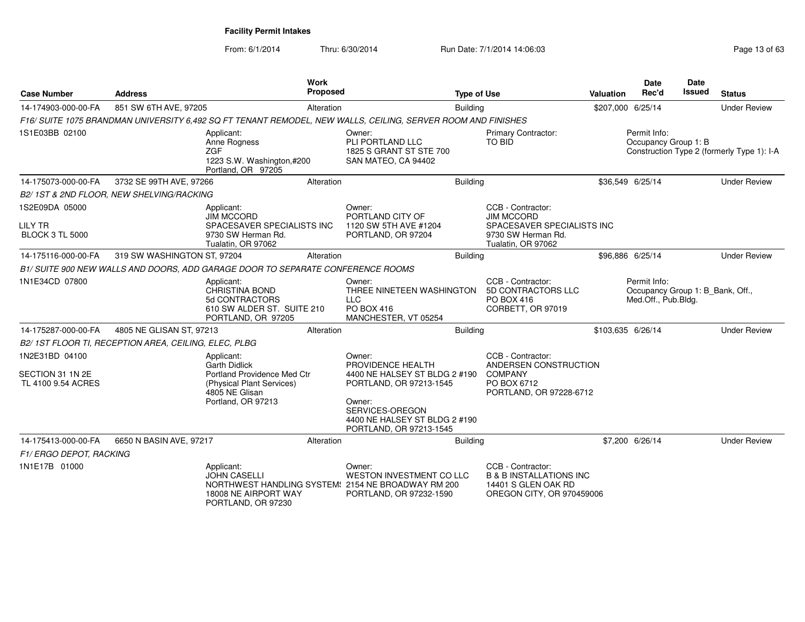| <b>Case Number</b>                                         | <b>Address</b>                                       | <b>Work</b>                                                                                                                            | <b>Proposed</b> |                                                                                                   | <b>Type of Use</b> |                                                                                                                  | Valuation | Date<br>Rec'd                                                           | <b>Date</b><br>Issued | <b>Status</b>                              |
|------------------------------------------------------------|------------------------------------------------------|----------------------------------------------------------------------------------------------------------------------------------------|-----------------|---------------------------------------------------------------------------------------------------|--------------------|------------------------------------------------------------------------------------------------------------------|-----------|-------------------------------------------------------------------------|-----------------------|--------------------------------------------|
| 14-174903-000-00-FA                                        | 851 SW 6TH AVE, 97205                                |                                                                                                                                        | Alteration      |                                                                                                   | <b>Building</b>    |                                                                                                                  |           | \$207,000 6/25/14                                                       |                       | <b>Under Review</b>                        |
|                                                            |                                                      | F16/ SUITE 1075 BRANDMAN UNIVERSITY 6,492 SQ FT TENANT REMODEL, NEW WALLS, CEILING, SERVER ROOM AND FINISHES                           |                 |                                                                                                   |                    |                                                                                                                  |           |                                                                         |                       |                                            |
| 1S1E03BB 02100                                             |                                                      | Applicant:<br>Anne Rogness<br><b>ZGF</b><br>1223 S.W. Washington,#200<br>Portland, OR 97205                                            |                 | Owner:<br>PLI PORTLAND LLC<br>1825 S GRANT ST STE 700<br>SAN MATEO, CA 94402                      |                    | Primary Contractor:<br>TO BID                                                                                    |           | Permit Info:<br>Occupancy Group 1: B                                    |                       | Construction Type 2 (formerly Type 1): I-A |
| 14-175073-000-00-FA                                        | 3732 SE 99TH AVE, 97266                              |                                                                                                                                        | Alteration      |                                                                                                   | Building           |                                                                                                                  |           | \$36,549 6/25/14                                                        |                       | <b>Under Review</b>                        |
|                                                            | B2/1ST & 2ND FLOOR, NEW SHELVING/RACKING             |                                                                                                                                        |                 |                                                                                                   |                    |                                                                                                                  |           |                                                                         |                       |                                            |
| 1S2E09DA 05000<br><b>LILY TR</b><br><b>BLOCK 3 TL 5000</b> |                                                      | Applicant:<br><b>JIM MCCORD</b><br>SPACESAVER SPECIALISTS INC<br>9730 SW Herman Rd.<br>Tualatin, OR 97062                              |                 | Owner:<br>PORTLAND CITY OF<br>1120 SW 5TH AVE #1204<br>PORTLAND, OR 97204                         |                    | CCB - Contractor:<br><b>JIM MCCORD</b><br>SPACESAVER SPECIALISTS INC<br>9730 SW Herman Rd.<br>Tualatin, OR 97062 |           |                                                                         |                       |                                            |
| 14-175116-000-00-FA                                        | 319 SW WASHINGTON ST, 97204                          |                                                                                                                                        | Alteration      |                                                                                                   | <b>Building</b>    |                                                                                                                  |           | \$96,886 6/25/14                                                        |                       | <b>Under Review</b>                        |
|                                                            |                                                      | B1/ SUITE 900 NEW WALLS AND DOORS, ADD GARAGE DOOR TO SEPARATE CONFERENCE ROOMS                                                        |                 |                                                                                                   |                    |                                                                                                                  |           |                                                                         |                       |                                            |
| 1N1E34CD 07800                                             |                                                      | Applicant:<br>CHRISTINA BOND<br>5d CONTRACTORS<br>610 SW ALDER ST. SUITE 210<br>PORTLAND, OR 97205                                     |                 | Owner:<br>THREE NINETEEN WASHINGTON<br><b>LLC</b><br>PO BOX 416<br>MANCHESTER, VT 05254           |                    | CCB - Contractor:<br>5D CONTRACTORS LLC<br>PO BOX 416<br>CORBETT, OR 97019                                       |           | Permit Info:<br>Occupancy Group 1: B_Bank, Off.,<br>Med.Off., Pub.Bldg. |                       |                                            |
| 14-175287-000-00-FA                                        | 4805 NE GLISAN ST, 97213                             |                                                                                                                                        | Alteration      |                                                                                                   | Building           |                                                                                                                  |           | \$103,635 6/26/14                                                       |                       | <b>Under Review</b>                        |
|                                                            | B2/1ST FLOOR TI, RECEPTION AREA, CEILING, ELEC, PLBG |                                                                                                                                        |                 |                                                                                                   |                    |                                                                                                                  |           |                                                                         |                       |                                            |
| 1N2E31BD 04100<br>SECTION 31 1N 2E<br>TL 4100 9.54 ACRES   |                                                      | Applicant:<br><b>Garth Didlick</b><br>Portland Providence Med Ctr<br>(Physical Plant Services)<br>4805 NE Glisan<br>Portland, OR 97213 |                 | Owner:<br>PROVIDENCE HEALTH<br>4400 NE HALSEY ST BLDG 2 #190<br>PORTLAND, OR 97213-1545<br>Owner: |                    | CCB - Contractor:<br>ANDERSEN CONSTRUCTION<br><b>COMPANY</b><br>PO BOX 6712<br>PORTLAND, OR 97228-6712           |           |                                                                         |                       |                                            |
|                                                            |                                                      |                                                                                                                                        |                 | SERVICES-OREGON<br>4400 NE HALSEY ST BLDG 2 #190<br>PORTLAND, OR 97213-1545                       |                    |                                                                                                                  |           |                                                                         |                       |                                            |
| 14-175413-000-00-FA                                        | 6650 N BASIN AVE, 97217                              |                                                                                                                                        | Alteration      |                                                                                                   | <b>Building</b>    |                                                                                                                  |           | \$7,200 6/26/14                                                         |                       | <b>Under Review</b>                        |
| F1/ERGO DEPOT, RACKING                                     |                                                      |                                                                                                                                        |                 |                                                                                                   |                    |                                                                                                                  |           |                                                                         |                       |                                            |
| 1N1E17B 01000                                              |                                                      | Applicant:<br><b>JOHN CASELLI</b><br>NORTHWEST HANDLING SYSTEM: 2154 NE BROADWAY RM 200<br>18008 NE AIRPORT WAY<br>PORTLAND, OR 97230  |                 | Owner:<br><b>WESTON INVESTMENT CO LLC</b><br>PORTLAND, OR 97232-1590                              |                    | CCB - Contractor:<br><b>B &amp; B INSTALLATIONS INC</b><br>14401 S GLEN OAK RD<br>OREGON CITY, OR 970459006      |           |                                                                         |                       |                                            |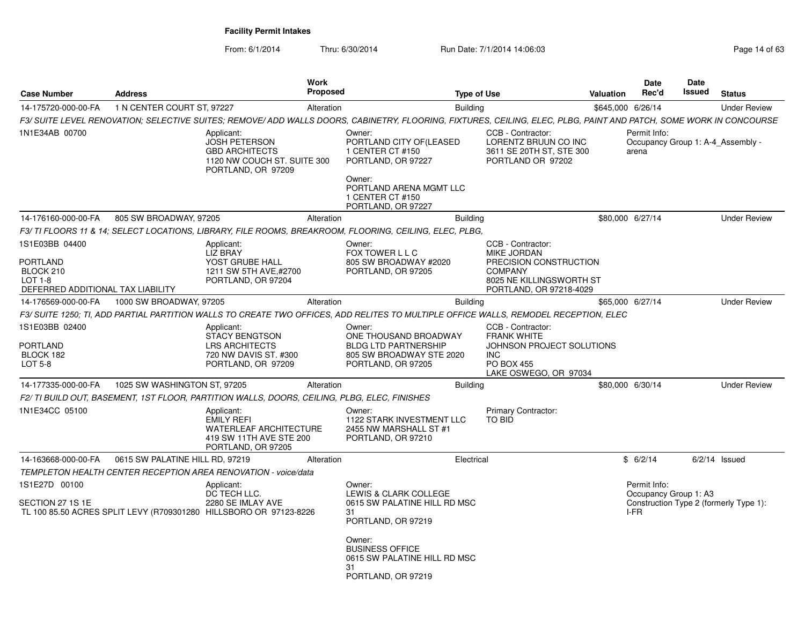From: 6/1/2014

Thru: 6/30/2014 Run Date: 7/1/2014 14:06:03

| <b>Case Number</b>                                                                             | <b>Address</b>                  |                                                                                                                   | <b>Work</b><br><b>Proposed</b> |                                                                                                                                                                    | <b>Type of Use</b>                                                                                                                         | Valuation | <b>Date</b><br>Rec'd                  | Date<br>Issued | <b>Status</b>                          |
|------------------------------------------------------------------------------------------------|---------------------------------|-------------------------------------------------------------------------------------------------------------------|--------------------------------|--------------------------------------------------------------------------------------------------------------------------------------------------------------------|--------------------------------------------------------------------------------------------------------------------------------------------|-----------|---------------------------------------|----------------|----------------------------------------|
| 14-175720-000-00-FA                                                                            | 1 N CENTER COURT ST, 97227      |                                                                                                                   | Alteration                     | <b>Building</b>                                                                                                                                                    |                                                                                                                                            |           | \$645,000 6/26/14                     |                | <b>Under Review</b>                    |
|                                                                                                |                                 |                                                                                                                   |                                | F3/ SUITE LEVEL RENOVATION; SELECTIVE SUITES; REMOVE/ ADD WALLS DOORS, CABINETRY, FLOORING, FIXTURES, CEILING, ELEC, PLBG, PAINT AND PATCH, SOME WORK IN CONCOURSE |                                                                                                                                            |           |                                       |                |                                        |
| 1N1E34AB 00700                                                                                 |                                 | Applicant:<br><b>JOSH PETERSON</b><br><b>GBD ARCHITECTS</b><br>1120 NW COUCH ST. SUITE 300<br>PORTLAND, OR 97209  |                                | Owner:<br>PORTLAND CITY OF(LEASED<br>1 CENTER CT #150<br>PORTLAND, OR 97227<br>Owner:<br>PORTLAND ARENA MGMT LLC<br>1 CENTER CT #150<br>PORTLAND, OR 97227         | CCB - Contractor:<br>LORENTZ BRUUN CO INC<br>3611 SE 20TH ST, STE 300<br>PORTLAND OR 97202                                                 |           | Permit Info:<br>arena                 |                | Occupancy Group 1: A-4 Assembly -      |
| 14-176160-000-00-FA                                                                            | 805 SW BROADWAY, 97205          |                                                                                                                   | Alteration                     | <b>Building</b>                                                                                                                                                    |                                                                                                                                            |           | \$80,000 6/27/14                      |                | <b>Under Review</b>                    |
|                                                                                                |                                 |                                                                                                                   |                                | F3/ TI FLOORS 11 & 14; SELECT LOCATIONS, LIBRARY, FILE ROOMS, BREAKROOM, FLOORING, CEILING, ELEC, PLBG,                                                            |                                                                                                                                            |           |                                       |                |                                        |
| 1S1E03BB 04400<br><b>PORTLAND</b><br>BLOCK 210<br>LOT 1-8<br>DEFERRED ADDITIONAL TAX LIABILITY |                                 | Applicant:<br><b>LIZ BRAY</b><br>YOST GRUBE HALL<br>1211 SW 5TH AVE.#2700<br>PORTLAND, OR 97204                   |                                | Owner:<br>FOX TOWER L L C<br>805 SW BROADWAY #2020<br>PORTLAND, OR 97205                                                                                           | CCB - Contractor:<br><b>MIKE JORDAN</b><br>PRECISION CONSTRUCTION<br><b>COMPANY</b><br>8025 NE KILLINGSWORTH ST<br>PORTLAND, OR 97218-4029 |           |                                       |                |                                        |
| 14-176569-000-00-FA                                                                            | 1000 SW BROADWAY, 97205         |                                                                                                                   | Alteration                     |                                                                                                                                                                    | <b>Building</b>                                                                                                                            |           | \$65,000 6/27/14                      |                | <b>Under Review</b>                    |
|                                                                                                |                                 |                                                                                                                   |                                | F3/ SUITE 1250; TI, ADD PARTIAL PARTITION WALLS TO CREATE TWO OFFICES, ADD RELITES TO MULTIPLE OFFICE WALLS, REMODEL RECEPTION, ELEC                               |                                                                                                                                            |           |                                       |                |                                        |
| 1S1E03BB 02400<br><b>PORTLAND</b><br>BLOCK 182<br>LOT 5-8                                      |                                 | Applicant:<br><b>STACY BENGTSON</b><br><b>LRS ARCHITECTS</b><br>720 NW DAVIS ST. #300<br>PORTLAND, OR 97209       |                                | Owner:<br>ONE THOUSAND BROADWAY<br><b>BLDG LTD PARTNERSHIP</b><br>805 SW BROADWAY STE 2020<br>PORTLAND, OR 97205                                                   | CCB - Contractor:<br><b>FRANK WHITE</b><br>JOHNSON PROJECT SOLUTIONS<br><b>INC</b><br><b>PO BOX 455</b><br>LAKE OSWEGO, OR 97034           |           |                                       |                |                                        |
| 14-177335-000-00-FA                                                                            | 1025 SW WASHINGTON ST, 97205    |                                                                                                                   | Alteration                     | <b>Building</b>                                                                                                                                                    |                                                                                                                                            |           | \$80,000 6/30/14                      |                | <b>Under Review</b>                    |
|                                                                                                |                                 | F2/ TI BUILD OUT, BASEMENT, 1ST FLOOR, PARTITION WALLS, DOORS, CEILING, PLBG, ELEC, FINISHES                      |                                |                                                                                                                                                                    |                                                                                                                                            |           |                                       |                |                                        |
| 1N1E34CC 05100                                                                                 |                                 | Applicant:<br><b>EMILY REFI</b><br><b>WATERLEAF ARCHITECTURE</b><br>419 SW 11TH AVE STE 200<br>PORTLAND, OR 97205 |                                | Owner:<br>1122 STARK INVESTMENT LLC<br>2455 NW MARSHALL ST #1<br>PORTLAND, OR 97210                                                                                | Primary Contractor:<br><b>TO BID</b>                                                                                                       |           |                                       |                |                                        |
| 14-163668-000-00-FA                                                                            | 0615 SW PALATINE HILL RD, 97219 |                                                                                                                   | Alteration                     |                                                                                                                                                                    | Electrical                                                                                                                                 |           | \$6/2/14                              |                | $6/2/14$ Issued                        |
|                                                                                                |                                 | <b>TEMPLETON HEALTH CENTER RECEPTION AREA RENOVATION - voice/data</b>                                             |                                |                                                                                                                                                                    |                                                                                                                                            |           |                                       |                |                                        |
| 1S1E27D 00100                                                                                  |                                 | Applicant:<br>DC TECH LLC.                                                                                        |                                | Owner:<br>LEWIS & CLARK COLLEGE                                                                                                                                    |                                                                                                                                            |           | Permit Info:<br>Occupancy Group 1: A3 |                |                                        |
| SECTION 27 1S 1E                                                                               |                                 | 2280 SE IMLAY AVE<br>TL 100 85.50 ACRES SPLIT LEVY (R709301280 HILLSBORO OR 97123-8226                            |                                | 0615 SW PALATINE HILL RD MSC<br>31<br>PORTLAND, OR 97219                                                                                                           |                                                                                                                                            |           | I-FR                                  |                | Construction Type 2 (formerly Type 1): |
|                                                                                                |                                 |                                                                                                                   |                                | Owner:<br><b>BUSINESS OFFICE</b><br>0615 SW PALATINE HILL RD MSC<br>31<br>PORTLAND, OR 97219                                                                       |                                                                                                                                            |           |                                       |                |                                        |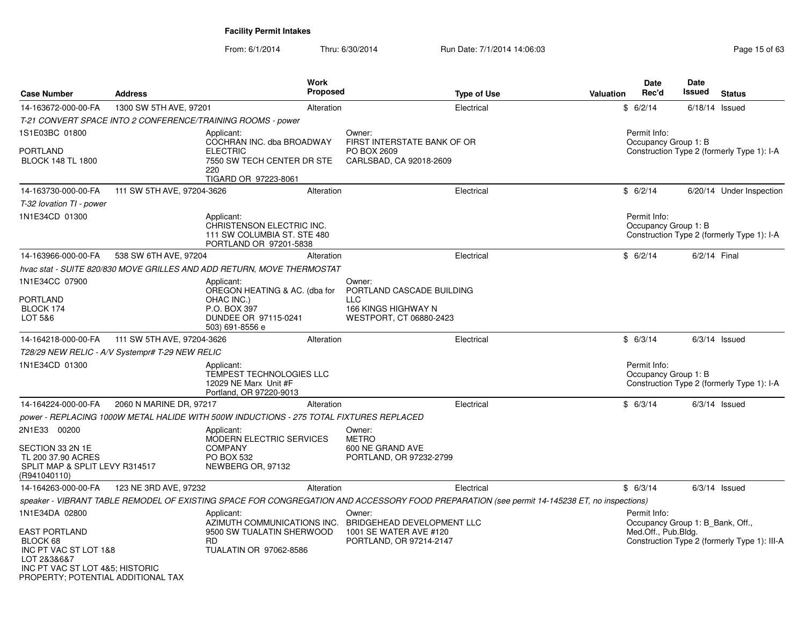| <b>Case Number</b>                                                                       | <b>Address</b>                                  | <b>Work</b><br><b>Proposed</b>                                                                   |                                  | <b>Type of Use</b>                                                                                                                          | <b>Valuation</b> | <b>Date</b><br>Rec'd                                    | <b>Date</b><br>Issued | <b>Status</b>                                |
|------------------------------------------------------------------------------------------|-------------------------------------------------|--------------------------------------------------------------------------------------------------|----------------------------------|---------------------------------------------------------------------------------------------------------------------------------------------|------------------|---------------------------------------------------------|-----------------------|----------------------------------------------|
| 14-163672-000-00-FA                                                                      | 1300 SW 5TH AVE, 97201                          | Alteration                                                                                       |                                  | Electrical                                                                                                                                  |                  | \$6/2/14                                                |                       | $6/18/14$ Issued                             |
|                                                                                          |                                                 | T-21 CONVERT SPACE INTO 2 CONFERENCE/TRAINING ROOMS - power                                      |                                  |                                                                                                                                             |                  |                                                         |                       |                                              |
| 1S1E03BC 01800                                                                           |                                                 | Applicant:<br>COCHRAN INC. dba BROADWAY                                                          | Owner:                           | FIRST INTERSTATE BANK OF OR                                                                                                                 |                  | Permit Info:<br>Occupancy Group 1: B                    |                       |                                              |
| <b>PORTLAND</b><br><b>BLOCK 148 TL 1800</b>                                              |                                                 | <b>ELECTRIC</b><br>7550 SW TECH CENTER DR STE<br>220<br>TIGARD OR 97223-8061                     | PO BOX 2609                      | CARLSBAD, CA 92018-2609                                                                                                                     |                  |                                                         |                       | Construction Type 2 (formerly Type 1): I-A   |
| 14-163730-000-00-FA                                                                      | 111 SW 5TH AVE, 97204-3626                      | Alteration                                                                                       |                                  | Electrical                                                                                                                                  |                  | \$6/2/14                                                |                       | 6/20/14 Under Inspection                     |
| T-32 lovation TI - power                                                                 |                                                 |                                                                                                  |                                  |                                                                                                                                             |                  |                                                         |                       |                                              |
| 1N1E34CD 01300                                                                           |                                                 | Applicant:<br>CHRISTENSON ELECTRIC INC.<br>111 SW COLUMBIA ST. STE 480<br>PORTLAND OR 97201-5838 |                                  |                                                                                                                                             |                  | Permit Info:<br>Occupancy Group 1: B                    |                       | Construction Type 2 (formerly Type 1): I-A   |
| 14-163966-000-00-FA                                                                      | 538 SW 6TH AVE, 97204                           | Alteration                                                                                       |                                  | Electrical                                                                                                                                  |                  | \$6/2/14                                                |                       | 6/2/14 Final                                 |
|                                                                                          |                                                 | hvac stat - SUITE 820/830 MOVE GRILLES AND ADD RETURN, MOVE THERMOSTAT                           |                                  |                                                                                                                                             |                  |                                                         |                       |                                              |
| 1N1E34CC 07900                                                                           |                                                 | Applicant:<br>OREGON HEATING & AC. (dba for                                                      | Owner:                           | PORTLAND CASCADE BUILDING                                                                                                                   |                  |                                                         |                       |                                              |
| <b>PORTLAND</b>                                                                          |                                                 | OHAC INC.)                                                                                       | <b>LLC</b>                       |                                                                                                                                             |                  |                                                         |                       |                                              |
| BLOCK 174<br>LOT 5&6                                                                     |                                                 | P.O. BOX 397<br>DUNDEE OR 97115-0241<br>503) 691-8556 e                                          |                                  | 166 KINGS HIGHWAY N<br>WESTPORT, CT 06880-2423                                                                                              |                  |                                                         |                       |                                              |
| 14-164218-000-00-FA                                                                      | 111 SW 5TH AVE, 97204-3626                      | Alteration                                                                                       |                                  | Electrical                                                                                                                                  |                  | \$6/3/14                                                |                       | $6/3/14$ Issued                              |
|                                                                                          | T28/29 NEW RELIC - A/V Systempr# T-29 NEW RELIC |                                                                                                  |                                  |                                                                                                                                             |                  |                                                         |                       |                                              |
| 1N1E34CD 01300                                                                           |                                                 | Applicant:<br>TEMPEST TECHNOLOGIES LLC<br>12029 NE Marx Unit #F<br>Portland, OR 97220-9013       |                                  |                                                                                                                                             |                  | Permit Info:<br>Occupancy Group 1: B                    |                       | Construction Type 2 (formerly Type 1): I-A   |
| 14-164224-000-00-FA                                                                      | 2060 N MARINE DR, 97217                         | Alteration                                                                                       |                                  | Electrical                                                                                                                                  |                  | \$6/3/14                                                |                       | $6/3/14$ Issued                              |
|                                                                                          |                                                 | power - REPLACING 1000W METAL HALIDE WITH 500W INDUCTIONS - 275 TOTAL FIXTURES REPLACED          |                                  |                                                                                                                                             |                  |                                                         |                       |                                              |
| 2N1E33 00200                                                                             |                                                 | Applicant:                                                                                       | Owner:                           |                                                                                                                                             |                  |                                                         |                       |                                              |
| SECTION 33 2N 1E<br>TL 200 37.90 ACRES<br>SPLIT MAP & SPLIT LEVY R314517<br>(R941040110) |                                                 | MODERN ELECTRIC SERVICES<br><b>COMPANY</b><br><b>PO BOX 532</b><br>NEWBERG OR, 97132             | <b>METRO</b><br>600 NE GRAND AVE | PORTLAND, OR 97232-2799                                                                                                                     |                  |                                                         |                       |                                              |
| 14-164263-000-00-FA                                                                      | 123 NE 3RD AVE, 97232                           | Alteration                                                                                       |                                  | Electrical                                                                                                                                  |                  | \$6/3/14                                                |                       | $6/3/14$ Issued                              |
|                                                                                          |                                                 |                                                                                                  |                                  | speaker - VIBRANT TABLE REMODEL OF EXISTING SPACE FOR CONGREGATION AND ACCESSORY FOOD PREPARATION (see permit 14-145238 ET, no inspections) |                  |                                                         |                       |                                              |
| 1N1E34DA 02800                                                                           |                                                 | Applicant:                                                                                       | Owner:                           |                                                                                                                                             |                  | Permit Info:                                            |                       |                                              |
| <b>EAST PORTLAND</b><br>BLOCK 68<br>INC PT VAC ST LOT 1&8<br>LOT 2&3&6&7                 |                                                 | AZIMUTH COMMUNICATIONS INC.<br>9500 SW TUALATIN SHERWOOD<br><b>RD</b><br>TUALATIN OR 97062-8586  |                                  | BRIDGEHEAD DEVELOPMENT LLC<br>1001 SE WATER AVE #120<br>PORTLAND, OR 97214-2147                                                             |                  | Occupancy Group 1: B Bank, Off.,<br>Med.Off., Pub.Bldg. |                       | Construction Type 2 (formerly Type 1): III-A |
| INC PT VAC ST LOT 4&5; HISTORIC<br>PROPERTY; POTENTIAL ADDITIONAL TAX                    |                                                 |                                                                                                  |                                  |                                                                                                                                             |                  |                                                         |                       |                                              |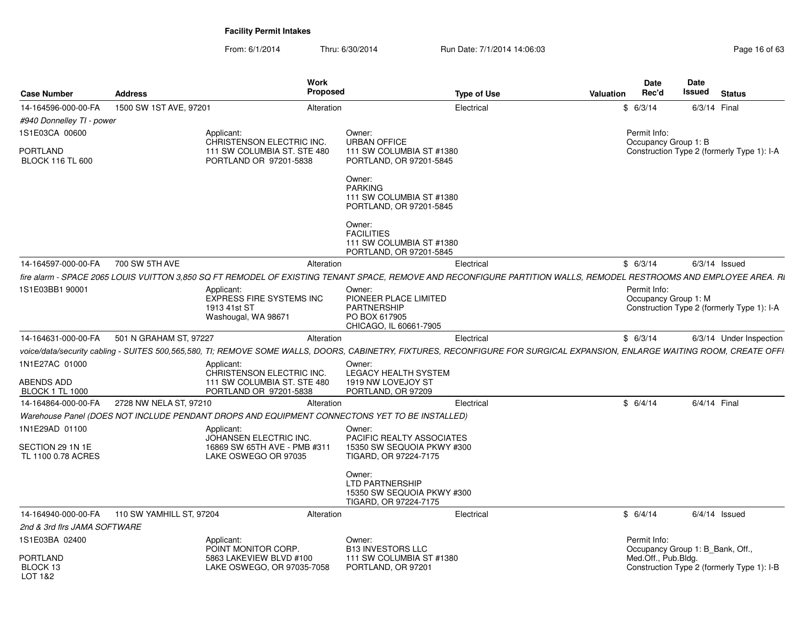|                                        |                                              | Work                                                                                                                                                                       |                                                                                           |                    |           | Date                                 | Date                                       |  |
|----------------------------------------|----------------------------------------------|----------------------------------------------------------------------------------------------------------------------------------------------------------------------------|-------------------------------------------------------------------------------------------|--------------------|-----------|--------------------------------------|--------------------------------------------|--|
| <b>Case Number</b>                     | <b>Address</b>                               | Proposed                                                                                                                                                                   |                                                                                           | <b>Type of Use</b> | Valuation | Rec'd                                | Issued<br><b>Status</b>                    |  |
| 14-164596-000-00-FA                    | 1500 SW 1ST AVE, 97201                       | Alteration                                                                                                                                                                 |                                                                                           | Electrical         |           | \$6/3/14                             | 6/3/14 Final                               |  |
| #940 Donnelley TI - power              |                                              |                                                                                                                                                                            |                                                                                           |                    |           |                                      |                                            |  |
| 1S1E03CA 00600                         |                                              | Applicant:<br>CHRISTENSON ELECTRIC INC.                                                                                                                                    | Owner:<br><b>URBAN OFFICE</b>                                                             |                    |           | Permit Info:<br>Occupancy Group 1: B |                                            |  |
| PORTLAND<br><b>BLOCK 116 TL 600</b>    |                                              | 111 SW COLUMBIA ST. STE 480<br>PORTLAND OR 97201-5838                                                                                                                      | 111 SW COLUMBIA ST #1380<br>PORTLAND, OR 97201-5845                                       |                    |           |                                      | Construction Type 2 (formerly Type 1): I-A |  |
|                                        |                                              |                                                                                                                                                                            | Owner:<br><b>PARKING</b><br>111 SW COLUMBIA ST #1380<br>PORTLAND, OR 97201-5845           |                    |           |                                      |                                            |  |
|                                        |                                              |                                                                                                                                                                            | Owner:<br><b>FACILITIES</b><br>111 SW COLUMBIA ST #1380                                   |                    |           |                                      |                                            |  |
|                                        |                                              |                                                                                                                                                                            | PORTLAND, OR 97201-5845                                                                   |                    |           |                                      |                                            |  |
| 14-164597-000-00-FA 700 SW 5TH AVE     |                                              | Alteration                                                                                                                                                                 |                                                                                           | Electrical         |           | \$6/3/14                             | $6/3/14$ Issued                            |  |
|                                        |                                              | fire alarm - SPACE 2065 LOUIS VUITTON 3,850 SQ FT REMODEL OF EXISTING TENANT SPACE, REMOVE AND RECONFIGURE PARTITION WALLS, REMODEL RESTROOMS AND EMPLOYEE AREA. RI        |                                                                                           |                    |           |                                      |                                            |  |
| 1S1E03BB1 90001                        |                                              | Applicant:<br><b>EXPRESS FIRE SYSTEMS INC</b><br>1913 41st ST<br>Washougal, WA 98671                                                                                       | Owner:<br>PIONEER PLACE LIMITED<br>PARTNERSHIP<br>PO BOX 617905<br>CHICAGO, IL 60661-7905 |                    |           | Permit Info:<br>Occupancy Group 1: M | Construction Type 2 (formerly Type 1): I-A |  |
|                                        | 14-164631-000-00-FA 501 N GRAHAM ST, 97227   | Alteration                                                                                                                                                                 |                                                                                           | Electrical         |           | \$6/3/14                             | 6/3/14 Under Inspection                    |  |
|                                        |                                              | voice/data/security cabling - SUITES 500,565,580, TI; REMOVE SOME WALLS, DOORS, CABINETRY, FIXTURES, RECONFIGURE FOR SURGICAL EXPANSION, ENLARGE WAITING ROOM, CREATE OFFI |                                                                                           |                    |           |                                      |                                            |  |
| 1N1E27AC 01000                         |                                              | Applicant<br>CHRISTENSON ELECTRIC INC.                                                                                                                                     | Owner:<br>LEGACY HEALTH SYSTEM                                                            |                    |           |                                      |                                            |  |
| ABENDS ADD<br><b>BLOCK 1 TL 1000</b>   |                                              | 111 SW COLUMBIA ST. STE 480<br>PORTLAND OR 97201-5838                                                                                                                      | 1919 NW LOVEJOY ST<br>PORTLAND, OR 97209                                                  |                    |           |                                      |                                            |  |
|                                        | 14-164864-000-00-FA 2728 NW NELA ST. 97210   | Alteration                                                                                                                                                                 |                                                                                           | Electrical         |           | \$6/4/14                             | 6/4/14 Final                               |  |
|                                        |                                              | Warehouse Panel (DOES NOT INCLUDE PENDANT DROPS AND EQUIPMENT CONNECTONS YET TO BE INSTALLED)                                                                              |                                                                                           |                    |           |                                      |                                            |  |
| 1N1E29AD 01100                         |                                              | Applicant:<br>JOHANSEN ELECTRIC INC.                                                                                                                                       | Owner:<br>PACIFIC REALTY ASSOCIATES                                                       |                    |           |                                      |                                            |  |
| SECTION 29 1N 1E<br>TL 1100 0.78 ACRES |                                              | 16869 SW 65TH AVE - PMB #311<br>LAKE OSWEGO OR 97035                                                                                                                       | 15350 SW SEQUOIA PKWY #300<br>TIGARD, OR 97224-7175                                       |                    |           |                                      |                                            |  |
|                                        |                                              |                                                                                                                                                                            | Owner:<br>LTD PARTNERSHIP<br>15350 SW SEQUOIA PKWY #300<br>TIGARD, OR 97224-7175          |                    |           |                                      |                                            |  |
|                                        | 14-164940-000-00-FA 110 SW YAMHILL ST, 97204 | Alteration                                                                                                                                                                 |                                                                                           | Electrical         |           | \$6/4/14                             | $6/4/14$ Issued                            |  |
| 2nd & 3rd firs JAMA SOFTWARE           |                                              |                                                                                                                                                                            |                                                                                           |                    |           |                                      |                                            |  |
| 1S1E03BA 02400                         |                                              | Applicant:                                                                                                                                                                 | Owner:                                                                                    |                    |           | Permit Info:                         |                                            |  |
| PORTLAND                               |                                              | POINT MONITOR CORP.<br>5863 LAKEVIEW BLVD #100                                                                                                                             | <b>B13 INVESTORS LLC</b><br>111 SW COLUMBIA ST #1380                                      |                    |           | Med.Off., Pub.Bldg.                  | Occupancy Group 1: B_Bank, Off.,           |  |
| BLOCK 13<br>LOT 1&2                    |                                              | LAKE OSWEGO, OR 97035-7058                                                                                                                                                 | PORTLAND, OR 97201                                                                        |                    |           |                                      | Construction Type 2 (formerly Type 1): I-B |  |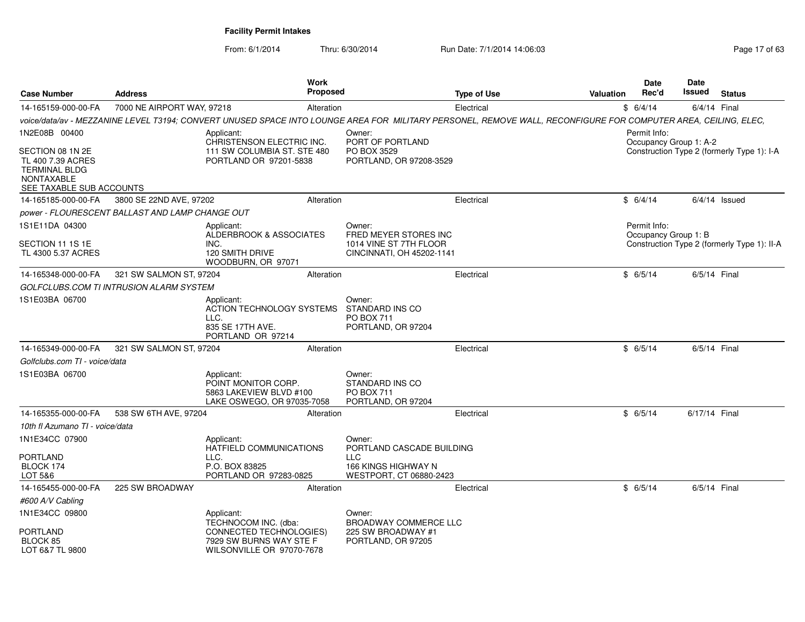| <b>Case Number</b>                                                                                             | <b>Address</b>                                  | Work<br><b>Proposed</b>                                                                                                                                        |                                                               | <b>Type of Use</b> | <b>Valuation</b> | Date<br>Rec'd                          | <b>Date</b><br>Issued | <b>Status</b>                               |
|----------------------------------------------------------------------------------------------------------------|-------------------------------------------------|----------------------------------------------------------------------------------------------------------------------------------------------------------------|---------------------------------------------------------------|--------------------|------------------|----------------------------------------|-----------------------|---------------------------------------------|
| 14-165159-000-00-FA                                                                                            | 7000 NE AIRPORT WAY, 97218                      | Alteration                                                                                                                                                     |                                                               | Electrical         |                  | \$6/4/14                               | 6/4/14 Final          |                                             |
|                                                                                                                |                                                 | voice/data/av - MEZZANINE LEVEL T3194; CONVERT UNUSED SPACE INTO LOUNGE AREA FOR MILITARY PERSONEL, REMOVE WALL, RECONFIGURE FOR COMPUTER AREA, CEILING, ELEC, |                                                               |                    |                  |                                        |                       |                                             |
| 1N2E08B 00400                                                                                                  |                                                 | Applicant:<br>CHRISTENSON ELECTRIC INC.                                                                                                                        | Owner:<br>PORT OF PORTLAND                                    |                    |                  | Permit Info:<br>Occupancy Group 1: A-2 |                       |                                             |
| SECTION 08 1N 2E<br>TL 400 7.39 ACRES<br><b>TERMINAL BLDG</b><br><b>NONTAXABLE</b><br>SEE TAXABLE SUB ACCOUNTS |                                                 | 111 SW COLUMBIA ST. STE 480<br>PORTLAND OR 97201-5838                                                                                                          | PO BOX 3529<br>PORTLAND, OR 97208-3529                        |                    |                  |                                        |                       | Construction Type 2 (formerly Type 1): I-A  |
| 14-165185-000-00-FA                                                                                            | 3800 SE 22ND AVE, 97202                         | Alteration                                                                                                                                                     |                                                               | Electrical         |                  | \$6/4/14                               |                       | $6/4/14$ Issued                             |
|                                                                                                                | power - FLOURESCENT BALLAST AND LAMP CHANGE OUT |                                                                                                                                                                |                                                               |                    |                  |                                        |                       |                                             |
| 1S1E11DA 04300                                                                                                 |                                                 | Applicant:<br>ALDERBROOK & ASSOCIATES                                                                                                                          | Owner:<br>FRED MEYER STORES INC                               |                    |                  | Permit Info:<br>Occupancy Group 1: B   |                       |                                             |
| SECTION 11 1S 1E<br>TL 4300 5.37 ACRES                                                                         |                                                 | INC.<br>120 SMITH DRIVE<br>WOODBURN, OR 97071                                                                                                                  | 1014 VINE ST 7TH FLOOR<br>CINCINNATI, OH 45202-1141           |                    |                  |                                        |                       | Construction Type 2 (formerly Type 1): II-A |
| 14-165348-000-00-FA                                                                                            | 321 SW SALMON ST, 97204                         | Alteration                                                                                                                                                     |                                                               | Electrical         |                  | \$6/5/14                               | 6/5/14 Final          |                                             |
|                                                                                                                | GOLFCLUBS.COM TI INTRUSION ALARM SYSTEM         |                                                                                                                                                                |                                                               |                    |                  |                                        |                       |                                             |
| 1S1E03BA 06700                                                                                                 |                                                 | Applicant:<br>ACTION TECHNOLOGY SYSTEMS<br>LLC.<br>835 SE 17TH AVE.<br>PORTLAND OR 97214                                                                       | Owner:<br>STANDARD INS CO<br>PO BOX 711<br>PORTLAND, OR 97204 |                    |                  |                                        |                       |                                             |
| 14-165349-000-00-FA                                                                                            | 321 SW SALMON ST, 97204                         | Alteration                                                                                                                                                     |                                                               | Electrical         |                  | \$6/5/14                               | 6/5/14 Final          |                                             |
| Golfclubs.com TI - voice/data                                                                                  |                                                 |                                                                                                                                                                |                                                               |                    |                  |                                        |                       |                                             |
| 1S1E03BA 06700                                                                                                 |                                                 | Applicant:<br>POINT MONITOR CORP.<br>5863 LAKEVIEW BLVD #100<br>LAKE OSWEGO, OR 97035-7058                                                                     | Owner:<br>STANDARD INS CO<br>PO BOX 711<br>PORTLAND, OR 97204 |                    |                  |                                        |                       |                                             |
| 14-165355-000-00-FA                                                                                            | 538 SW 6TH AVE, 97204                           | Alteration                                                                                                                                                     |                                                               | Electrical         |                  | \$6/5/14                               | 6/17/14 Final         |                                             |
| 10th fl Azumano TI - voice/data                                                                                |                                                 |                                                                                                                                                                |                                                               |                    |                  |                                        |                       |                                             |
| 1N1E34CC 07900                                                                                                 |                                                 | Applicant:<br>HATFIELD COMMUNICATIONS                                                                                                                          | Owner:<br>PORTLAND CASCADE BUILDING                           |                    |                  |                                        |                       |                                             |
| <b>PORTLAND</b><br>BLOCK 174<br>LOT 5&6                                                                        |                                                 | LLC.<br>P.O. BOX 83825<br>PORTLAND OR 97283-0825                                                                                                               | <b>LLC</b><br>166 KINGS HIGHWAY N<br>WESTPORT, CT 06880-2423  |                    |                  |                                        |                       |                                             |
| 14-165455-000-00-FA                                                                                            | 225 SW BROADWAY                                 | Alteration                                                                                                                                                     |                                                               | Electrical         |                  | \$6/5/14                               | 6/5/14 Final          |                                             |
| #600 A/V Cabling                                                                                               |                                                 |                                                                                                                                                                |                                                               |                    |                  |                                        |                       |                                             |
| 1N1E34CC 09800                                                                                                 |                                                 | Applicant:<br>TECHNOCOM INC. (dba:                                                                                                                             | Owner:<br>BROADWAY COMMERCE LLC                               |                    |                  |                                        |                       |                                             |
| <b>PORTLAND</b><br>BLOCK 85<br>LOT 6&7 TL 9800                                                                 |                                                 | CONNECTED TECHNOLOGIES)<br>7929 SW BURNS WAY STE F<br>WILSONVILLE OR 97070-7678                                                                                | 225 SW BROADWAY #1<br>PORTLAND, OR 97205                      |                    |                  |                                        |                       |                                             |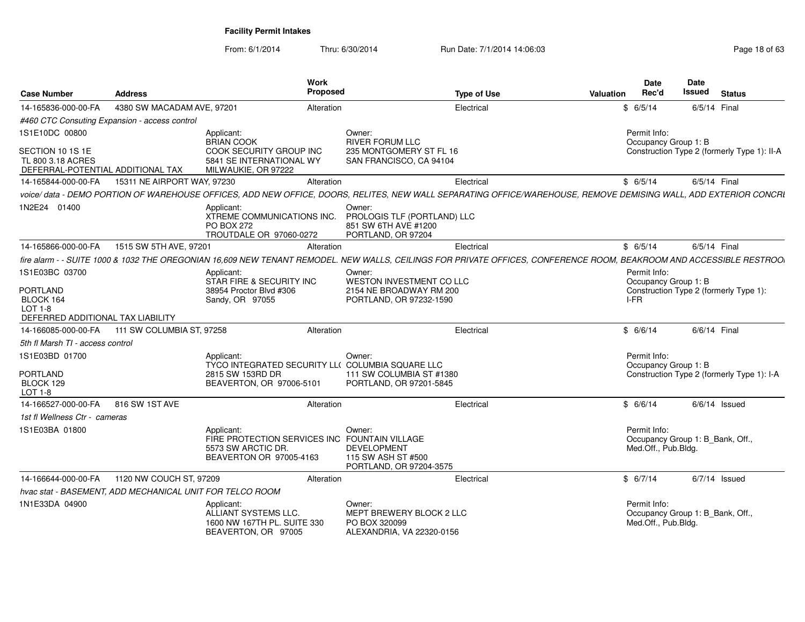| <b>Case Number</b>                                                         | <b>Address</b>              | Work<br><b>Proposed</b>                                                                                                                                             |                                                                                     | <b>Type of Use</b> | Valuation | <b>Date</b><br>Rec'd                                                    | <b>Date</b><br>Issued | <b>Status</b>                               |
|----------------------------------------------------------------------------|-----------------------------|---------------------------------------------------------------------------------------------------------------------------------------------------------------------|-------------------------------------------------------------------------------------|--------------------|-----------|-------------------------------------------------------------------------|-----------------------|---------------------------------------------|
| 14-165836-000-00-FA                                                        | 4380 SW MACADAM AVE, 97201  | Alteration                                                                                                                                                          |                                                                                     | Electrical         |           | \$6/5/14                                                                | 6/5/14 Final          |                                             |
| #460 CTC Consuting Expansion - access control                              |                             |                                                                                                                                                                     |                                                                                     |                    |           |                                                                         |                       |                                             |
| 1S1E10DC 00800                                                             |                             | Applicant:<br><b>BRIAN COOK</b>                                                                                                                                     | Owner:<br><b>RIVER FORUM LLC</b>                                                    |                    |           | Permit Info:<br>Occupancy Group 1: B                                    |                       |                                             |
| SECTION 10 1S 1E<br>TL 800 3.18 ACRES<br>DEFERRAL-POTENTIAL ADDITIONAL TAX |                             | COOK SECURITY GROUP INC<br>5841 SE INTERNATIONAL WY<br>MILWAUKIE, OR 97222                                                                                          | 235 MONTGOMERY ST FL 16<br>SAN FRANCISCO, CA 94104                                  |                    |           |                                                                         |                       | Construction Type 2 (formerly Type 1): II-A |
| 14-165844-000-00-FA                                                        | 15311 NE AIRPORT WAY, 97230 | Alteration                                                                                                                                                          |                                                                                     | Electrical         |           | \$6/5/14                                                                | 6/5/14 Final          |                                             |
|                                                                            |                             | voice/data - DEMO PORTION OF WAREHOUSE OFFICES, ADD NEW OFFICE, DOORS, RELITES, NEW WALL SEPARATING OFFICE/WAREHOUSE, REMOVE DEMISING WALL, ADD EXTERIOR CONCRI     |                                                                                     |                    |           |                                                                         |                       |                                             |
| 1N2E24 01400                                                               |                             | Applicant:<br>XTREME COMMUNICATIONS INC.<br><b>PO BOX 272</b><br>TROUTDALE OR 97060-0272                                                                            | Owner:<br>PROLOGIS TLF (PORTLAND) LLC<br>851 SW 6TH AVE #1200<br>PORTLAND, OR 97204 |                    |           |                                                                         |                       |                                             |
| 14-165866-000-00-FA                                                        | 1515 SW 5TH AVE, 97201      | Alteration                                                                                                                                                          |                                                                                     | Electrical         |           | \$6/5/14                                                                | 6/5/14 Final          |                                             |
|                                                                            |                             | fire alarm - - SUITE 1000 & 1032 THE OREGONIAN 16.609 NEW TENANT REMODEL. NEW WALLS, CEILINGS FOR PRIVATE OFFICES, CONFERENCE ROOM, BEAKROOM AND ACCESSIBLE RESTROO |                                                                                     |                    |           |                                                                         |                       |                                             |
| 1S1E03BC 03700                                                             |                             | Applicant:<br>STAR FIRE & SECURITY INC                                                                                                                              | Owner:<br>WESTON INVESTMENT CO LLC                                                  |                    |           | Permit Info:<br>Occupancy Group 1: B                                    |                       |                                             |
| <b>PORTLAND</b><br>BLOCK 164<br>$LOT 1-8$                                  |                             | 38954 Proctor Blvd #306<br>Sandy, OR 97055                                                                                                                          | 2154 NE BROADWAY RM 200<br>PORTLAND, OR 97232-1590                                  |                    |           | Construction Type 2 (formerly Type 1):<br>I-FR                          |                       |                                             |
| DEFERRED ADDITIONAL TAX LIABILITY                                          |                             |                                                                                                                                                                     |                                                                                     |                    |           |                                                                         |                       |                                             |
| 14-166085-000-00-FA                                                        | 111 SW COLUMBIA ST, 97258   | Alteration                                                                                                                                                          |                                                                                     | Electrical         |           | \$6/6/14                                                                | 6/6/14 Final          |                                             |
| 5th fl Marsh TI - access control                                           |                             |                                                                                                                                                                     |                                                                                     |                    |           |                                                                         |                       |                                             |
| 1S1E03BD 01700                                                             |                             | Applicant:<br>TYCO INTEGRATED SECURITY LL( COLUMBIA SQUARE LLC                                                                                                      | Owner:                                                                              |                    |           | Permit Info:<br>Occupancy Group 1: B                                    |                       |                                             |
| <b>PORTLAND</b><br>BLOCK 129<br>$LOT 1-8$                                  |                             | 2815 SW 153RD DR<br>BEAVERTON, OR 97006-5101                                                                                                                        | 111 SW COLUMBIA ST #1380<br>PORTLAND, OR 97201-5845                                 |                    |           |                                                                         |                       | Construction Type 2 (formerly Type 1): I-A  |
| 14-166527-000-00-FA                                                        | 816 SW 1ST AVE              | Alteration                                                                                                                                                          |                                                                                     | Electrical         |           | \$6/6/14                                                                |                       | $6/6/14$ Issued                             |
| 1st fl Wellness Ctr - cameras                                              |                             |                                                                                                                                                                     |                                                                                     |                    |           |                                                                         |                       |                                             |
| 1S1E03BA 01800                                                             |                             | Applicant:<br>FIRE PROTECTION SERVICES INC FOUNTAIN VILLAGE<br>5573 SW ARCTIC DR.<br>BEAVERTON OR 97005-4163                                                        | Owner:<br><b>DEVELOPMENT</b><br>115 SW ASH ST #500<br>PORTLAND, OR 97204-3575       |                    |           | Permit Info:<br>Occupancy Group 1: B Bank, Off.,<br>Med.Off., Pub.Bldg. |                       |                                             |
| 14-166644-000-00-FA                                                        | 1120 NW COUCH ST, 97209     | Alteration                                                                                                                                                          |                                                                                     | Electrical         |           | \$6/7/14                                                                |                       | $6/7/14$ Issued                             |
| hvac stat - BASEMENT, ADD MECHANICAL UNIT FOR TELCO ROOM                   |                             |                                                                                                                                                                     |                                                                                     |                    |           |                                                                         |                       |                                             |
| 1N1E33DA 04900                                                             |                             | Applicant:<br>ALLIANT SYSTEMS LLC.<br>1600 NW 167TH PL, SUITE 330<br>BEAVERTON, OR 97005                                                                            | Owner:<br>MEPT BREWERY BLOCK 2 LLC<br>PO BOX 320099<br>ALEXANDRIA, VA 22320-0156    |                    |           | Permit Info:<br>Occupancy Group 1: B Bank, Off.,<br>Med.Off., Pub.Bldg. |                       |                                             |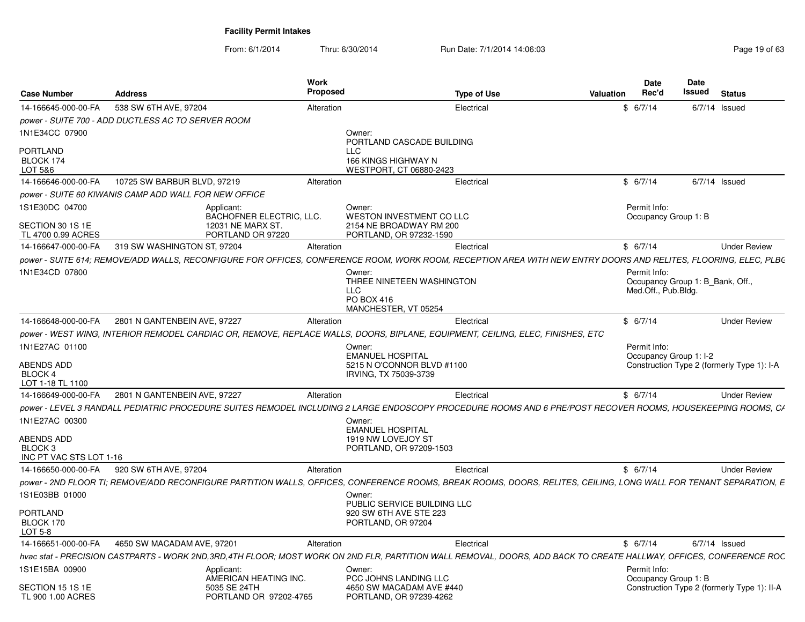| 14-166645-000-00-FA<br>1N1E34CC 07900<br>PORTLAND<br>BLOCK 174<br>LOT 5&6<br>14-166646-000-00-FA | 538 SW 6TH AVE, 97204<br>power - SUITE 700 - ADD DUCTLESS AC TO SERVER ROOM<br>10725 SW BARBUR BLVD, 97219 |                                              | Alteration | Owner:                                                | Electrical                                                                                                                                                           | \$6/7/14               | $6/7/14$ Issued                             |
|--------------------------------------------------------------------------------------------------|------------------------------------------------------------------------------------------------------------|----------------------------------------------|------------|-------------------------------------------------------|----------------------------------------------------------------------------------------------------------------------------------------------------------------------|------------------------|---------------------------------------------|
|                                                                                                  |                                                                                                            |                                              |            |                                                       |                                                                                                                                                                      |                        |                                             |
|                                                                                                  |                                                                                                            |                                              |            |                                                       |                                                                                                                                                                      |                        |                                             |
|                                                                                                  |                                                                                                            |                                              |            |                                                       |                                                                                                                                                                      |                        |                                             |
|                                                                                                  |                                                                                                            |                                              |            | PORTLAND CASCADE BUILDING<br><b>LLC</b>               |                                                                                                                                                                      |                        |                                             |
|                                                                                                  |                                                                                                            |                                              |            | 166 KINGS HIGHWAY N                                   |                                                                                                                                                                      |                        |                                             |
|                                                                                                  |                                                                                                            |                                              |            | WESTPORT, CT 06880-2423                               |                                                                                                                                                                      |                        |                                             |
|                                                                                                  |                                                                                                            |                                              | Alteration |                                                       | Electrical                                                                                                                                                           | \$6/7/14               | $6/7/14$ Issued                             |
|                                                                                                  | power - SUITE 60 KIWANIS CAMP ADD WALL FOR NEW OFFICE                                                      |                                              |            |                                                       |                                                                                                                                                                      |                        |                                             |
| 1S1E30DC 04700                                                                                   |                                                                                                            | Applicant:                                   |            | Owner:                                                |                                                                                                                                                                      | Permit Info:           |                                             |
|                                                                                                  |                                                                                                            | BACHOFNER ELECTRIC, LLC.                     |            | WESTON INVESTMENT CO LLC                              |                                                                                                                                                                      | Occupancy Group 1: B   |                                             |
| SECTION 30 1S 1E<br>TL 4700 0.99 ACRES                                                           |                                                                                                            | <b>12031 NE MARX ST</b><br>PORTLAND OR 97220 |            | 2154 NE BROADWAY RM 200<br>PORTLAND, OR 97232-1590    |                                                                                                                                                                      |                        |                                             |
| 14-166647-000-00-FA                                                                              | 319 SW WASHINGTON ST, 97204                                                                                |                                              | Alteration |                                                       | Electrical                                                                                                                                                           | \$6/7/14               | <b>Under Review</b>                         |
|                                                                                                  |                                                                                                            |                                              |            |                                                       | power - SUITE 614; REMOVE/ADD WALLS, RECONFIGURE FOR OFFICES, CONFERENCE ROOM, WORK ROOM, RECEPTION AREA WITH NEW ENTRY DOORS AND RELITES, FLOORING, ELEC, PLBO      |                        |                                             |
|                                                                                                  |                                                                                                            |                                              |            |                                                       |                                                                                                                                                                      |                        |                                             |
| 1N1E34CD 07800                                                                                   |                                                                                                            |                                              |            | Owner:<br>THREE NINETEEN WASHINGTON                   |                                                                                                                                                                      | Permit Info:           | Occupancy Group 1: B_Bank, Off.,            |
|                                                                                                  |                                                                                                            |                                              |            | LLC                                                   |                                                                                                                                                                      | Med.Off., Pub.Bldg.    |                                             |
|                                                                                                  |                                                                                                            |                                              |            | PO BOX 416                                            |                                                                                                                                                                      |                        |                                             |
|                                                                                                  |                                                                                                            |                                              |            | MANCHESTER. VT 05254                                  |                                                                                                                                                                      |                        |                                             |
| 14-166648-000-00-FA                                                                              | 2801 N GANTENBEIN AVE, 97227                                                                               |                                              | Alteration |                                                       | Electrical                                                                                                                                                           | \$6/7/14               | <b>Under Review</b>                         |
|                                                                                                  |                                                                                                            |                                              |            |                                                       | power - WEST WING, INTERIOR REMODEL CARDIAC OR, REMOVE, REPLACE WALLS, DOORS, BIPLANE, EQUIPMENT, CEILING, ELEC, FINISHES, ETC                                       |                        |                                             |
| 1N1E27AC 01100                                                                                   |                                                                                                            |                                              |            | Owner:                                                |                                                                                                                                                                      | Permit Info:           |                                             |
| ABENDS ADD                                                                                       |                                                                                                            |                                              |            | <b>EMANUEL HOSPITAL</b><br>5215 N O'CONNOR BLVD #1100 |                                                                                                                                                                      | Occupancy Group 1: I-2 |                                             |
| BLOCK 4                                                                                          |                                                                                                            |                                              |            | IRVING, TX 75039-3739                                 |                                                                                                                                                                      |                        | Construction Type 2 (formerly Type 1): I-A  |
| LOT 1-18 TL 1100                                                                                 |                                                                                                            |                                              |            |                                                       |                                                                                                                                                                      |                        |                                             |
| 14-166649-000-00-FA                                                                              | 2801 N GANTENBEIN AVE, 97227                                                                               |                                              | Alteration |                                                       | Electrical                                                                                                                                                           | \$6/7/14               | <b>Under Review</b>                         |
|                                                                                                  |                                                                                                            |                                              |            |                                                       | power - LEVEL 3 RANDALL PEDIATRIC PROCEDURE SUITES REMODEL INCLUDING 2 LARGE ENDOSCOPY PROCEDURE ROOMS AND 6 PRE/POST RECOVER ROOMS. HOUSEKEEPING ROOMS, CA          |                        |                                             |
| 1N1E27AC 00300                                                                                   |                                                                                                            |                                              |            | Owner:                                                |                                                                                                                                                                      |                        |                                             |
|                                                                                                  |                                                                                                            |                                              |            | <b>EMANUEL HOSPITAL</b>                               |                                                                                                                                                                      |                        |                                             |
| ABENDS ADD                                                                                       |                                                                                                            |                                              |            | 1919 NW LOVEJOY ST                                    |                                                                                                                                                                      |                        |                                             |
| BLOCK 3<br>INC PT VAC STS LOT 1-16                                                               |                                                                                                            |                                              |            | PORTLAND, OR 97209-1503                               |                                                                                                                                                                      |                        |                                             |
|                                                                                                  | 920 SW 6TH AVE, 97204                                                                                      |                                              |            |                                                       |                                                                                                                                                                      | \$6/7/14               | <b>Under Review</b>                         |
| 14-166650-000-00-FA                                                                              |                                                                                                            |                                              | Alteration |                                                       | Electrical                                                                                                                                                           |                        |                                             |
|                                                                                                  |                                                                                                            |                                              |            |                                                       | power - 2ND FLOOR TI; REMOVE/ADD RECONFIGURE PARTITION WALLS, OFFICES, CONFERENCE ROOMS, BREAK ROOMS, DOORS, RELITES, CEILING, LONG WALL FOR TENANT SEPARATION, E    |                        |                                             |
| 1S1E03BB 01000                                                                                   |                                                                                                            |                                              |            | Owner:                                                |                                                                                                                                                                      |                        |                                             |
| PORTLAND                                                                                         |                                                                                                            |                                              |            | PUBLIC SERVICE BUILDING LLC<br>920 SW 6TH AVE STE 223 |                                                                                                                                                                      |                        |                                             |
| BLOCK 170                                                                                        |                                                                                                            |                                              |            | PORTLAND, OR 97204                                    |                                                                                                                                                                      |                        |                                             |
| LOT 5-8                                                                                          |                                                                                                            |                                              |            |                                                       |                                                                                                                                                                      |                        |                                             |
|                                                                                                  | 14-166651-000-00-FA 4650 SW MACADAM AVE, 97201                                                             |                                              | Alteration |                                                       | Electrical                                                                                                                                                           | \$6/7/14               | $6/7/14$ Issued                             |
|                                                                                                  |                                                                                                            |                                              |            |                                                       | hvac stat - PRECISION CASTPARTS - WORK 2ND, 3RD, 4TH FLOOR; MOST WORK ON 2ND FLR, PARTITION WALL REMOVAL, DOORS, ADD BACK TO CREATE HALLWAY, OFFICES, CONFERENCE ROC |                        |                                             |
| 1S1E15BA 00900                                                                                   |                                                                                                            | Applicant:                                   |            | Owner:                                                |                                                                                                                                                                      | Permit Info:           |                                             |
|                                                                                                  |                                                                                                            | AMERICAN HEATING INC.                        |            | PCC JOHNS LANDING LLC                                 |                                                                                                                                                                      | Occupancy Group 1: B   |                                             |
| SECTION 15 1S 1E                                                                                 |                                                                                                            | 5035 SE 24TH                                 |            | 4650 SW MACADAM AVE #440                              |                                                                                                                                                                      |                        | Construction Type 2 (formerly Type 1): II-A |
| TL 900 1.00 ACRES                                                                                |                                                                                                            | PORTLAND OR 97202-4765                       |            | PORTLAND, OR 97239-4262                               |                                                                                                                                                                      |                        |                                             |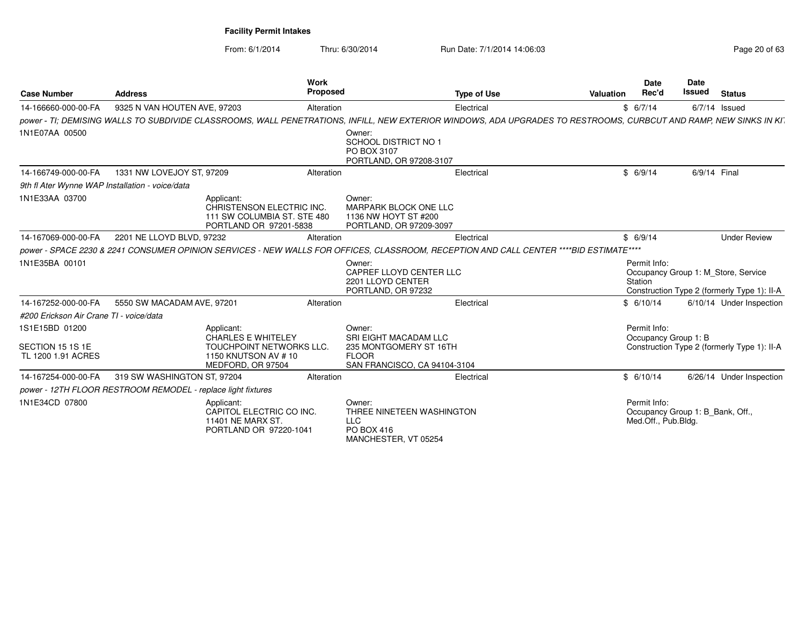From: 6/1/2014

Thru: 6/30/2014 Run Date: 7/1/2014 14:06:03

| <b>Case Number</b>                                       | <b>Address</b>                                               | Work<br><b>Proposed</b>                                                                                                                                           |                                                                                                           | <b>Type of Use</b> | <b>Valuation</b> | Date<br>Rec'd                                                           | Date<br>Issued | <b>Status</b>                                                                      |
|----------------------------------------------------------|--------------------------------------------------------------|-------------------------------------------------------------------------------------------------------------------------------------------------------------------|-----------------------------------------------------------------------------------------------------------|--------------------|------------------|-------------------------------------------------------------------------|----------------|------------------------------------------------------------------------------------|
| 14-166660-000-00-FA                                      | 9325 N VAN HOUTEN AVE, 97203                                 | Alteration                                                                                                                                                        |                                                                                                           | Electrical         |                  | \$6/7/14                                                                |                | $6/7/14$ Issued                                                                    |
|                                                          |                                                              | power - TI; DEMISING WALLS TO SUBDIVIDE CLASSROOMS, WALL PENETRATIONS, INFILL, NEW EXTERIOR WINDOWS, ADA UPGRADES TO RESTROOMS, CURBCUT AND RAMP, NEW SINKS IN KI |                                                                                                           |                    |                  |                                                                         |                |                                                                                    |
| 1N1E07AA 00500                                           |                                                              |                                                                                                                                                                   | Owner:<br><b>SCHOOL DISTRICT NO 1</b><br>PO BOX 3107<br>PORTLAND, OR 97208-3107                           |                    |                  |                                                                         |                |                                                                                    |
| 14-166749-000-00-FA                                      | 1331 NW LOVEJOY ST, 97209                                    | Alteration                                                                                                                                                        |                                                                                                           | Electrical         |                  | \$6/9/14                                                                |                | 6/9/14 Final                                                                       |
| 9th fl Ater Wynne WAP Installation - voice/data          |                                                              |                                                                                                                                                                   |                                                                                                           |                    |                  |                                                                         |                |                                                                                    |
| 1N1E33AA 03700                                           |                                                              | Applicant:<br>CHRISTENSON ELECTRIC INC.<br>111 SW COLUMBIA ST. STE 480<br>PORTLAND OR 97201-5838                                                                  | Owner:<br>MARPARK BLOCK ONE LLC<br>1136 NW HOYT ST #200<br>PORTLAND, OR 97209-3097                        |                    |                  |                                                                         |                |                                                                                    |
| 14-167069-000-00-FA                                      | 2201 NE LLOYD BLVD, 97232                                    | Alteration                                                                                                                                                        |                                                                                                           | Electrical         |                  | \$6/9/14                                                                |                | <b>Under Review</b>                                                                |
|                                                          |                                                              | power - SPACE 2230 & 2241 CONSUMER OPINION SERVICES - NEW WALLS FOR OFFICES, CLASSROOM, RECEPTION AND CALL CENTER ****BID ESTIMATE****                            |                                                                                                           |                    |                  |                                                                         |                |                                                                                    |
| 1N1E35BA 00101                                           |                                                              |                                                                                                                                                                   | Owner:<br>CAPREF LLOYD CENTER LLC<br>2201 LLOYD CENTER<br>PORTLAND, OR 97232                              |                    |                  | Permit Info:<br>Station                                                 |                | Occupancy Group 1: M Store, Service<br>Construction Type 2 (formerly Type 1): II-A |
| 14-167252-000-00-FA                                      | 5550 SW MACADAM AVE, 97201                                   | Alteration                                                                                                                                                        |                                                                                                           | Electrical         |                  | \$6/10/14                                                               |                | 6/10/14 Under Inspection                                                           |
| #200 Erickson Air Crane TI - voice/data                  |                                                              |                                                                                                                                                                   |                                                                                                           |                    |                  |                                                                         |                |                                                                                    |
| 1S1E15BD 01200<br>SECTION 15 1S 1E<br>TL 1200 1.91 ACRES |                                                              | Applicant:<br><b>CHARLES E WHITELEY</b><br><b>TOUCHPOINT NETWORKS LLC.</b><br>1150 KNUTSON AV # 10<br>MEDFORD, OR 97504                                           | Owner:<br>SRI EIGHT MACADAM LLC<br>235 MONTGOMERY ST 16TH<br><b>FLOOR</b><br>SAN FRANCISCO, CA 94104-3104 |                    |                  | Permit Info:<br>Occupancy Group 1: B                                    |                | Construction Type 2 (formerly Type 1): II-A                                        |
| 14-167254-000-00-FA                                      | 319 SW WASHINGTON ST, 97204                                  | Alteration                                                                                                                                                        |                                                                                                           | Electrical         |                  | \$6/10/14                                                               |                | 6/26/14 Under Inspection                                                           |
|                                                          | power - 12TH FLOOR RESTROOM REMODEL - replace light fixtures |                                                                                                                                                                   |                                                                                                           |                    |                  |                                                                         |                |                                                                                    |
| 1N1E34CD 07800                                           |                                                              | Applicant:<br>CAPITOL ELECTRIC CO INC.<br>11401 NE MARX ST.<br>PORTLAND OR 97220-1041                                                                             | Owner:<br>THREE NINETEEN WASHINGTON<br><b>LLC</b><br>PO BOX 416<br>MANCHESTER, VT 05254                   |                    |                  | Permit Info:<br>Occupancy Group 1: B Bank, Off.,<br>Med.Off., Pub.Bldg. |                |                                                                                    |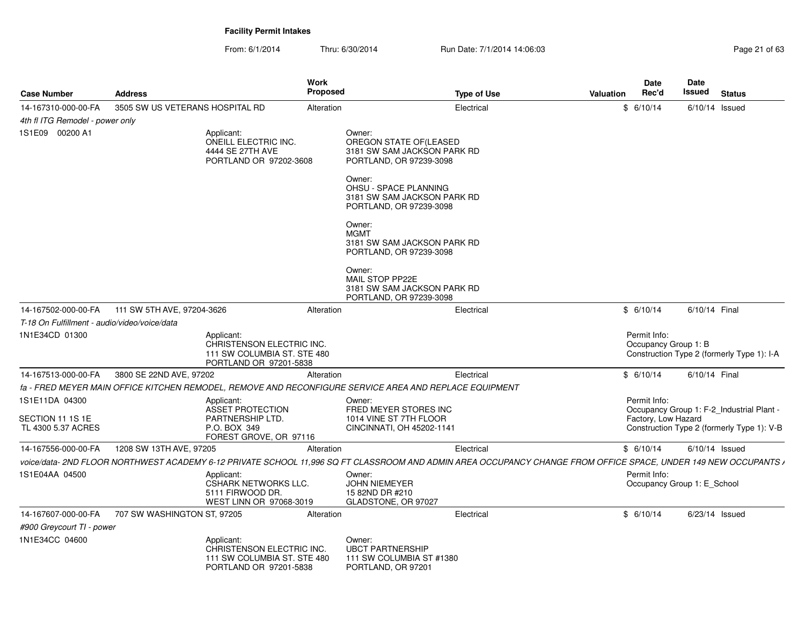| <b>Case Number</b>                           | <b>Address</b>                  |                                                                                                  | Work<br>Proposed |                                                                                                                                                                 | <b>Type of Use</b> | <b>Valuation</b> | Date<br>Rec'd                               | Date<br>Issued | <b>Status</b>                              |
|----------------------------------------------|---------------------------------|--------------------------------------------------------------------------------------------------|------------------|-----------------------------------------------------------------------------------------------------------------------------------------------------------------|--------------------|------------------|---------------------------------------------|----------------|--------------------------------------------|
| 14-167310-000-00-FA                          | 3505 SW US VETERANS HOSPITAL RD |                                                                                                  | Alteration       |                                                                                                                                                                 | Electrical         |                  | \$6/10/14                                   |                | $6/10/14$ Issued                           |
| 4th fl ITG Remodel - power only              |                                 |                                                                                                  |                  |                                                                                                                                                                 |                    |                  |                                             |                |                                            |
| 1S1E09 00200 A1                              |                                 | Applicant:<br>ONEILL ELECTRIC INC.<br>4444 SE 27TH AVE<br>PORTLAND OR 97202-3608                 |                  | Owner:<br>OREGON STATE OF(LEASED<br>3181 SW SAM JACKSON PARK RD<br>PORTLAND, OR 97239-3098                                                                      |                    |                  |                                             |                |                                            |
|                                              |                                 |                                                                                                  |                  | Owner:<br>OHSU - SPACE PLANNING<br>3181 SW SAM JACKSON PARK RD<br>PORTLAND, OR 97239-3098                                                                       |                    |                  |                                             |                |                                            |
|                                              |                                 |                                                                                                  |                  | Owner:<br><b>MGMT</b><br>3181 SW SAM JACKSON PARK RD<br>PORTLAND, OR 97239-3098                                                                                 |                    |                  |                                             |                |                                            |
|                                              |                                 |                                                                                                  |                  | Owner:<br>MAIL STOP PP22E<br>3181 SW SAM JACKSON PARK RD<br>PORTLAND, OR 97239-3098                                                                             |                    |                  |                                             |                |                                            |
| 14-167502-000-00-FA                          | 111 SW 5TH AVE, 97204-3626      |                                                                                                  | Alteration       |                                                                                                                                                                 | Electrical         |                  | \$6/10/14                                   | 6/10/14 Final  |                                            |
| T-18 On Fulfillment - audio/video/voice/data |                                 |                                                                                                  |                  |                                                                                                                                                                 |                    |                  |                                             |                |                                            |
| 1N1E34CD 01300                               |                                 | Applicant:<br>CHRISTENSON ELECTRIC INC.<br>111 SW COLUMBIA ST. STE 480<br>PORTLAND OR 97201-5838 |                  |                                                                                                                                                                 |                    |                  | Permit Info:<br>Occupancy Group 1: B        |                | Construction Type 2 (formerly Type 1): I-A |
| 14-167513-000-00-FA                          | 3800 SE 22ND AVE, 97202         |                                                                                                  | Alteration       |                                                                                                                                                                 | Electrical         |                  | \$6/10/14                                   | 6/10/14 Final  |                                            |
|                                              |                                 |                                                                                                  |                  | fa - FRED MEYER MAIN OFFICE KITCHEN REMODEL, REMOVE AND RECONFIGURE SERVICE AREA AND REPLACE EQUIPMENT                                                          |                    |                  |                                             |                |                                            |
| 1S1E11DA 04300                               |                                 | Applicant:<br>ASSET PROTECTION                                                                   |                  | Owner:<br>FRED MEYER STORES INC<br>1014 VINE ST 7TH FLOOR                                                                                                       |                    |                  | Permit Info:                                |                | Occupancy Group 1: F-2 Industrial Plant -  |
| SECTION 11 1S 1E<br>TL 4300 5.37 ACRES       |                                 | PARTNERSHIP LTD.<br>P.O. BOX 349<br>FOREST GROVE, OR 97116                                       |                  | CINCINNATI, OH 45202-1141                                                                                                                                       |                    |                  | Factory, Low Hazard                         |                | Construction Type 2 (formerly Type 1): V-B |
| 14-167556-000-00-FA                          | 1208 SW 13TH AVE, 97205         |                                                                                                  | Alteration       |                                                                                                                                                                 | Electrical         |                  | \$6/10/14                                   |                | $6/10/14$ Issued                           |
|                                              |                                 |                                                                                                  |                  | voice/data- 2ND FLOOR NORTHWEST ACADEMY 6-12 PRIVATE SCHOOL 11.996 SQ FT CLASSROOM AND ADMIN AREA OCCUPANCY CHANGE FROM OFFICE SPACE, UNDER 149 NEW OCCUPANTS ∤ |                    |                  |                                             |                |                                            |
| 1S1E04AA 04500                               |                                 | Applicant:<br>CSHARK NETWORKS LLC.<br>5111 FIRWOOD DR.<br>WEST LINN OR 97068-3019                |                  | Owner:<br><b>JOHN NIEMEYER</b><br>15 82ND DR #210<br>GLADSTONE, OR 97027                                                                                        |                    |                  | Permit Info:<br>Occupancy Group 1: E_School |                |                                            |
| 14-167607-000-00-FA                          | 707 SW WASHINGTON ST, 97205     |                                                                                                  | Alteration       |                                                                                                                                                                 | Electrical         |                  | \$6/10/14                                   |                | $6/23/14$ Issued                           |
| #900 Greycourt TI - power                    |                                 |                                                                                                  |                  |                                                                                                                                                                 |                    |                  |                                             |                |                                            |
| 1N1E34CC 04600                               |                                 | Applicant:<br>CHRISTENSON ELECTRIC INC.<br>111 SW COLUMBIA ST. STE 480<br>PORTLAND OR 97201-5838 |                  | Owner:<br><b>UBCT PARTNERSHIP</b><br>111 SW COLUMBIA ST #1380<br>PORTLAND, OR 97201                                                                             |                    |                  |                                             |                |                                            |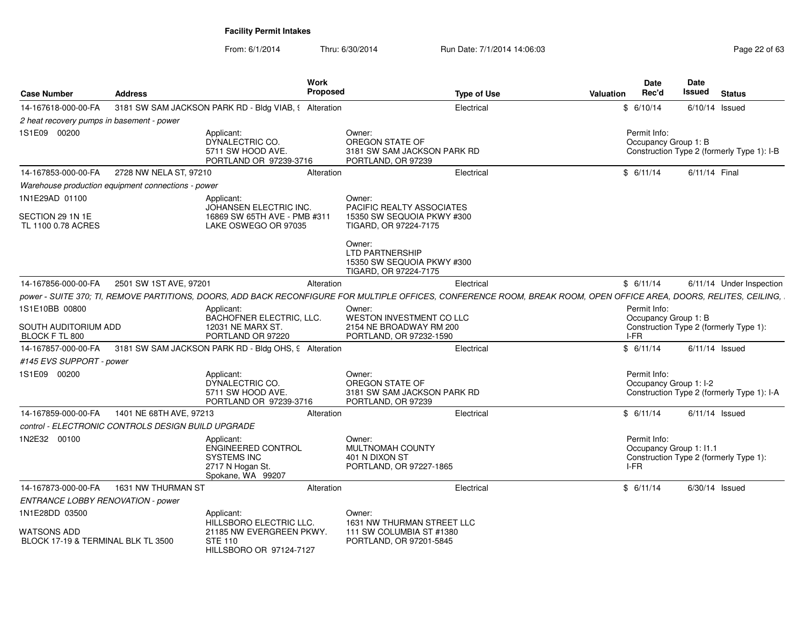| 14-167618-000-00-FA                                                 | 3181 SW SAM JACKSON PARK RD - Bldg VIAB, § Alteration                                           |                                                                                                                                                                     |                                                 |                  | <b>Status</b>                              |
|---------------------------------------------------------------------|-------------------------------------------------------------------------------------------------|---------------------------------------------------------------------------------------------------------------------------------------------------------------------|-------------------------------------------------|------------------|--------------------------------------------|
|                                                                     |                                                                                                 | Electrical                                                                                                                                                          | \$6/10/14                                       | $6/10/14$ Issued |                                            |
| 2 heat recovery pumps in basement - power                           |                                                                                                 |                                                                                                                                                                     |                                                 |                  |                                            |
| 1S1E09 00200                                                        | Applicant:<br>DYNALECTRIC CO.<br>5711 SW HOOD AVE.<br>PORTLAND OR 97239-3716                    | Owner:<br>OREGON STATE OF<br>3181 SW SAM JACKSON PARK RD<br>PORTLAND, OR 97239                                                                                      | Permit Info:<br>Occupancy Group 1: B            |                  | Construction Type 2 (formerly Type 1): I-B |
| 14-167853-000-00-FA<br>2728 NW NELA ST, 97210                       | Alteration                                                                                      | Electrical                                                                                                                                                          | \$6/11/14                                       | 6/11/14 Final    |                                            |
| Warehouse production equipment connections - power                  |                                                                                                 |                                                                                                                                                                     |                                                 |                  |                                            |
| 1N1E29AD 01100<br>SECTION 29 1N 1E<br>TL 1100 0.78 ACRES            | Applicant:<br>JOHANSEN ELECTRIC INC.<br>16869 SW 65TH AVE - PMB #311<br>LAKE OSWEGO OR 97035    | Owner:<br>PACIFIC REALTY ASSOCIATES<br>15350 SW SEQUOIA PKWY #300<br>TIGARD, OR 97224-7175                                                                          |                                                 |                  |                                            |
|                                                                     |                                                                                                 | Owner:<br><b>LTD PARTNERSHIP</b><br>15350 SW SEQUOIA PKWY #300<br>TIGARD, OR 97224-7175                                                                             |                                                 |                  |                                            |
| 2501 SW 1ST AVE, 97201<br>14-167856-000-00-FA                       | Alteration                                                                                      | Electrical                                                                                                                                                          | \$6/11/14                                       |                  | 6/11/14 Under Inspection                   |
|                                                                     |                                                                                                 | power - SUITE 370; TI, REMOVE PARTITIONS, DOORS, ADD BACK RECONFIGURE FOR MULTIPLE OFFICES, CONFERENCE ROOM, BREAK ROOM, OPEN OFFICE AREA, DOORS, RELITES, CEILING, |                                                 |                  |                                            |
| 1S1E10BB 00800<br>SOUTH AUDITORIUM ADD<br>BLOCK F TL 800            | Applicant:<br>BACHOFNER ELECTRIC, LLC.<br>12031 NE MARX ST.<br>PORTLAND OR 97220                | Owner:<br>WESTON INVESTMENT CO LLC<br>2154 NE BROADWAY RM 200<br>PORTLAND, OR 97232-1590                                                                            | Permit Info:<br>Occupancy Group 1: B<br>I-FR    |                  | Construction Type 2 (formerly Type 1):     |
| 14-167857-000-00-FA                                                 | 3181 SW SAM JACKSON PARK RD - Bldg OHS, 9 Alteration                                            | Electrical                                                                                                                                                          | \$6/11/14                                       | $6/11/14$ Issued |                                            |
| #145 EVS SUPPORT - power                                            |                                                                                                 |                                                                                                                                                                     |                                                 |                  |                                            |
| 1S1E09 00200                                                        | Applicant:<br>DYNALECTRIC CO.<br>5711 SW HOOD AVE.<br>PORTLAND OR 97239-3716                    | Owner:<br>OREGON STATE OF<br>3181 SW SAM JACKSON PARK RD<br>PORTLAND, OR 97239                                                                                      | Permit Info:<br>Occupancy Group 1: I-2          |                  | Construction Type 2 (formerly Type 1): I-A |
| 1401 NE 68TH AVE, 97213<br>14-167859-000-00-FA                      | Alteration                                                                                      | Electrical                                                                                                                                                          | \$6/11/14                                       | $6/11/14$ Issued |                                            |
| control - ELECTRONIC CONTROLS DESIGN BUILD UPGRADE                  |                                                                                                 |                                                                                                                                                                     |                                                 |                  |                                            |
| 1N2E32 00100                                                        | Applicant:<br>ENGINEERED CONTROL<br><b>SYSTEMS INC</b><br>2717 N Hogan St.<br>Spokane, WA 99207 | Owner:<br>MULTNOMAH COUNTY<br>401 N DIXON ST<br>PORTLAND, OR 97227-1865                                                                                             | Permit Info:<br>Occupancy Group 1: I1.1<br>I-FR |                  | Construction Type 2 (formerly Type 1):     |
| 14-167873-000-00-FA<br>1631 NW THURMAN ST                           | Alteration                                                                                      | Electrical                                                                                                                                                          | \$6/11/14                                       | 6/30/14 Issued   |                                            |
| ENTRANCE LOBBY RENOVATION - power                                   |                                                                                                 |                                                                                                                                                                     |                                                 |                  |                                            |
| 1N1E28DD 03500<br>WATSONS ADD<br>BLOCK 17-19 & TERMINAL BLK TL 3500 | Applicant:<br>HILLSBORO ELECTRIC LLC.<br>21185 NW EVERGREEN PKWY.<br><b>STE 110</b>             | Owner:<br>1631 NW THURMAN STREET LLC<br>111 SW COLUMBIA ST #1380<br>PORTLAND, OR 97201-5845                                                                         |                                                 |                  |                                            |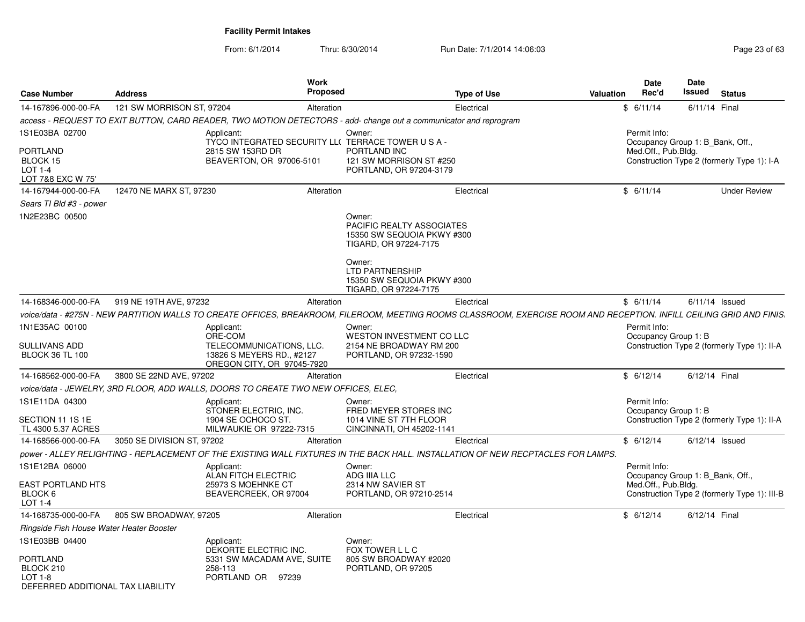From: 6/1/2014Thru: 6/30/2014 Run Date: 7/1/2014 14:06:03 Research 2010 Page 23 of 63

|                                                                                                |                            | Work                                                                                                              |                                                                                                                                                              |                                                                                                                                                                      |                                     | Date  | <b>Date</b>          |                                                                                |
|------------------------------------------------------------------------------------------------|----------------------------|-------------------------------------------------------------------------------------------------------------------|--------------------------------------------------------------------------------------------------------------------------------------------------------------|----------------------------------------------------------------------------------------------------------------------------------------------------------------------|-------------------------------------|-------|----------------------|--------------------------------------------------------------------------------|
| <b>Case Number</b>                                                                             | <b>Address</b>             | <b>Proposed</b>                                                                                                   |                                                                                                                                                              | <b>Type of Use</b><br><b>Valuation</b>                                                                                                                               |                                     | Rec'd | <b>Issued</b>        | <b>Status</b>                                                                  |
| 14-167896-000-00-FA                                                                            | 121 SW MORRISON ST, 97204  | Alteration                                                                                                        |                                                                                                                                                              | Electrical                                                                                                                                                           | \$6/11/14                           |       |                      | 6/11/14 Final                                                                  |
|                                                                                                |                            | access - REQUEST TO EXIT BUTTON, CARD READER, TWO MOTION DETECTORS - add- change out a communicator and reprogram |                                                                                                                                                              |                                                                                                                                                                      |                                     |       |                      |                                                                                |
| 1S1E03BA 02700<br><b>PORTLAND</b><br>BLOCK 15<br>LOT 1-4<br>LOT 7&8 EXC W 75'                  |                            | Applicant:<br>TYCO INTEGRATED SECURITY LL( TERRACE TOWER U S A -<br>2815 SW 153RD DR<br>BEAVERTON, OR 97006-5101  | Owner:<br>PORTLAND INC<br>121 SW MORRISON ST #250<br>PORTLAND, OR 97204-3179                                                                                 |                                                                                                                                                                      | Permit Info:<br>Med.Off., Pub.Bldg. |       |                      | Occupancy Group 1: B Bank, Off.,<br>Construction Type 2 (formerly Type 1): I-A |
| 14-167944-000-00-FA                                                                            | 12470 NE MARX ST, 97230    | Alteration                                                                                                        |                                                                                                                                                              | Electrical                                                                                                                                                           | \$6/11/14                           |       |                      | <b>Under Review</b>                                                            |
| Sears TI Bld #3 - power                                                                        |                            |                                                                                                                   |                                                                                                                                                              |                                                                                                                                                                      |                                     |       |                      |                                                                                |
| 1N2E23BC 00500                                                                                 |                            |                                                                                                                   | Owner:<br>PACIFIC REALTY ASSOCIATES<br>15350 SW SEQUOIA PKWY #300<br>TIGARD, OR 97224-7175<br>Owner:<br><b>LTD PARTNERSHIP</b><br>15350 SW SEQUOIA PKWY #300 |                                                                                                                                                                      |                                     |       |                      |                                                                                |
|                                                                                                |                            |                                                                                                                   | TIGARD, OR 97224-7175                                                                                                                                        |                                                                                                                                                                      |                                     |       |                      |                                                                                |
| 14-168346-000-00-FA                                                                            | 919 NE 19TH AVE, 97232     | Alteration                                                                                                        |                                                                                                                                                              | Electrical                                                                                                                                                           | \$6/11/14                           |       |                      | $6/11/14$ Issued                                                               |
|                                                                                                |                            |                                                                                                                   |                                                                                                                                                              | voice/data - #275N - NEW PARTITION WALLS TO CREATE OFFICES, BREAKROOM, FILEROOM, MEETING ROOMS CLASSROOM, EXERCISE ROOM AND RECEPTION. INFILL CEILING GRID AND FINIS |                                     |       |                      |                                                                                |
| 1N1E35AC 00100<br><b>SULLIVANS ADD</b><br><b>BLOCK 36 TL 100</b>                               |                            | Applicant:<br>ORE-COM<br>TELECOMMUNICATIONS, LLC.<br>13826 S MEYERS RD., #2127<br>OREGON CITY, OR 97045-7920      | Owner:<br><b>WESTON INVESTMENT CO LLC</b><br>2154 NE BROADWAY RM 200<br>PORTLAND, OR 97232-1590                                                              |                                                                                                                                                                      | Permit Info:                        |       | Occupancy Group 1: B | Construction Type 2 (formerly Type 1): II-A                                    |
| 14-168562-000-00-FA                                                                            | 3800 SE 22ND AVE, 97202    | Alteration                                                                                                        |                                                                                                                                                              | Electrical                                                                                                                                                           | \$6/12/14                           |       |                      | 6/12/14 Final                                                                  |
|                                                                                                |                            | voice/data - JEWELRY, 3RD FLOOR, ADD WALLS, DOORS TO CREATE TWO NEW OFFICES, ELEC,                                |                                                                                                                                                              |                                                                                                                                                                      |                                     |       |                      |                                                                                |
| 1S1E11DA 04300<br>SECTION 11 1S 1E<br>TL 4300 5.37 ACRES                                       |                            | Applicant:<br>STONER ELECTRIC, INC.<br>1904 SE OCHOCO ST.<br>MILWAUKIE OR 97222-7315                              | Owner:<br>FRED MEYER STORES INC<br>1014 VINE ST 7TH FLOOR<br>CINCINNATI, OH 45202-1141                                                                       |                                                                                                                                                                      | Permit Info:                        |       | Occupancy Group 1: B | Construction Type 2 (formerly Type 1): II-A                                    |
| 14-168566-000-00-FA                                                                            | 3050 SE DIVISION ST, 97202 | Alteration                                                                                                        |                                                                                                                                                              | Electrical                                                                                                                                                           | \$6/12/14                           |       |                      | $6/12/14$ Issued                                                               |
|                                                                                                |                            |                                                                                                                   |                                                                                                                                                              | power - ALLEY RELIGHTING - REPLACEMENT OF THE EXISTING WALL FIXTURES IN THE BACK HALL. INSTALLATION OF NEW RECPTACLES FOR LAMPS.                                     |                                     |       |                      |                                                                                |
| 1S1E12BA 06000                                                                                 |                            | Applicant:<br><b>ALAN FITCH ELECTRIC</b>                                                                          | Owner:<br>ADG IIIA LLC                                                                                                                                       |                                                                                                                                                                      | Permit Info:                        |       |                      | Occupancy Group 1: B Bank, Off.,                                               |
| <b>EAST PORTLAND HTS</b><br>BLOCK 6<br>LOT 1-4                                                 |                            | 25973 S MOEHNKE CT<br>BEAVERCREEK, OR 97004                                                                       | 2314 NW SAVIER ST<br>PORTLAND, OR 97210-2514                                                                                                                 |                                                                                                                                                                      | Med.Off., Pub.Bldg.                 |       |                      | Construction Type 2 (formerly Type 1): III-B                                   |
| 14-168735-000-00-FA                                                                            | 805 SW BROADWAY, 97205     | Alteration                                                                                                        |                                                                                                                                                              | Electrical                                                                                                                                                           | \$6/12/14                           |       |                      | 6/12/14 Final                                                                  |
| Ringside Fish House Water Heater Booster                                                       |                            |                                                                                                                   |                                                                                                                                                              |                                                                                                                                                                      |                                     |       |                      |                                                                                |
| 1S1E03BB 04400<br><b>PORTLAND</b><br>BLOCK 210<br>LOT 1-8<br>DEFERRED ADDITIONAL TAX LIABILITY |                            | Applicant:<br>DEKORTE ELECTRIC INC.<br>5331 SW MACADAM AVE, SUITE<br>258-113<br>PORTLAND OR 97239                 | Owner:<br>FOX TOWER L L C<br>805 SW BROADWAY #2020<br>PORTLAND, OR 97205                                                                                     |                                                                                                                                                                      |                                     |       |                      |                                                                                |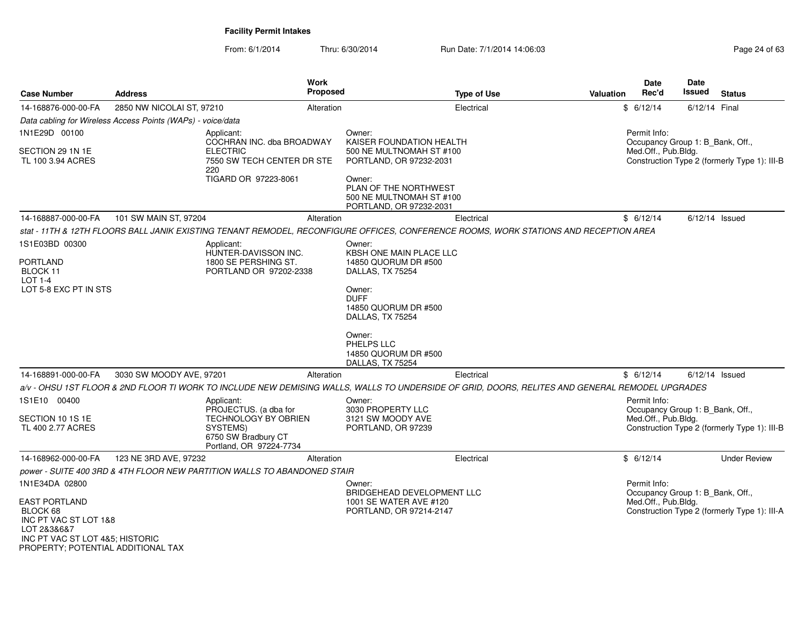| <b>Case Number</b>                                                                                                                                | <b>Address</b>                                              | Work<br><b>Proposed</b>                                                                                                                         |                                                                                        | <b>Type of Use</b> | <b>Valuation</b> | Date<br>Rec'd                                           | <b>Date</b><br>Issued | <b>Status</b>                                |
|---------------------------------------------------------------------------------------------------------------------------------------------------|-------------------------------------------------------------|-------------------------------------------------------------------------------------------------------------------------------------------------|----------------------------------------------------------------------------------------|--------------------|------------------|---------------------------------------------------------|-----------------------|----------------------------------------------|
| 14-168876-000-00-FA                                                                                                                               | 2850 NW NICOLAI ST, 97210                                   | Alteration                                                                                                                                      |                                                                                        | Electrical         |                  | \$6/12/14                                               | 6/12/14 Final         |                                              |
|                                                                                                                                                   | Data cabling for Wireless Access Points (WAPs) - voice/data |                                                                                                                                                 |                                                                                        |                    |                  |                                                         |                       |                                              |
| 1N1E29D 00100                                                                                                                                     |                                                             | Applicant:<br>COCHRAN INC. dba BROADWAY                                                                                                         | Owner:<br>KAISER FOUNDATION HEALTH                                                     |                    |                  | Permit Info:                                            |                       |                                              |
| SECTION 29 1N 1E<br>TL 100 3.94 ACRES                                                                                                             |                                                             | <b>ELECTRIC</b><br>7550 SW TECH CENTER DR STE<br>220                                                                                            | 500 NE MULTNOMAH ST #100<br>PORTLAND, OR 97232-2031                                    |                    |                  | Occupancy Group 1: B Bank, Off.,<br>Med.Off., Pub.Bldg. |                       | Construction Type 2 (formerly Type 1): III-B |
|                                                                                                                                                   |                                                             | TIGARD OR 97223-8061                                                                                                                            | Owner:<br>PLAN OF THE NORTHWEST<br>500 NE MULTNOMAH ST #100<br>PORTLAND, OR 97232-2031 |                    |                  |                                                         |                       |                                              |
| 14-168887-000-00-FA                                                                                                                               | 101 SW MAIN ST, 97204                                       | Alteration                                                                                                                                      |                                                                                        | Electrical         |                  | \$6/12/14                                               |                       | $6/12/14$ Issued                             |
|                                                                                                                                                   |                                                             | stat - 11TH & 12TH FLOORS BALL JANIK EXISTING TENANT REMODEL, RECONFIGURE OFFICES, CONFERENCE ROOMS, WORK STATIONS AND RECEPTION AREA           |                                                                                        |                    |                  |                                                         |                       |                                              |
| 1S1E03BD 00300<br><b>PORTLAND</b>                                                                                                                 |                                                             | Applicant:<br>HUNTER-DAVISSON INC.<br>1800 SE PERSHING ST.                                                                                      | Owner:<br>KBSH ONE MAIN PLACE LLC<br>14850 QUORUM DR #500                              |                    |                  |                                                         |                       |                                              |
| BLOCK 11<br>$LOT 1-4$                                                                                                                             |                                                             | PORTLAND OR 97202-2338                                                                                                                          | DALLAS, TX 75254                                                                       |                    |                  |                                                         |                       |                                              |
| LOT 5-8 EXC PT IN STS                                                                                                                             |                                                             |                                                                                                                                                 | Owner:<br><b>DUFF</b><br>14850 QUORUM DR #500<br>DALLAS, TX 75254                      |                    |                  |                                                         |                       |                                              |
|                                                                                                                                                   |                                                             |                                                                                                                                                 | Owner:<br>PHELPS LLC<br>14850 QUORUM DR #500<br>DALLAS, TX 75254                       |                    |                  |                                                         |                       |                                              |
| 14-168891-000-00-FA                                                                                                                               | 3030 SW MOODY AVE, 97201                                    | Alteration                                                                                                                                      |                                                                                        | Electrical         |                  | \$6/12/14                                               |                       | $6/12/14$ Issued                             |
|                                                                                                                                                   |                                                             | a/v - OHSU 1ST FLOOR & 2ND FLOOR TI WORK TO INCLUDE NEW DEMISING WALLS, WALLS TO UNDERSIDE OF GRID, DOORS, RELITES AND GENERAL REMODEL UPGRADES |                                                                                        |                    |                  |                                                         |                       |                                              |
| 1S1E10 00400                                                                                                                                      |                                                             | Applicant:<br>PROJECTUS. (a dba for                                                                                                             | Owner:<br>3030 PROPERTY LLC                                                            |                    |                  | Permit Info:<br>Occupancy Group 1: B_Bank, Off.,        |                       |                                              |
| SECTION 10 1S 1E<br>TL 400 2.77 ACRES                                                                                                             |                                                             | <b>TECHNOLOGY BY OBRIEN</b><br>SYSTEMS)<br>6750 SW Bradbury CT<br>Portland, OR 97224-7734                                                       | 3121 SW MOODY AVE<br>PORTLAND, OR 97239                                                |                    |                  | Med.Off., Pub.Bldg.                                     |                       | Construction Type 2 (formerly Type 1): III-B |
| 14-168962-000-00-FA                                                                                                                               | 123 NE 3RD AVE, 97232                                       | Alteration                                                                                                                                      |                                                                                        | Electrical         |                  | \$6/12/14                                               |                       | <b>Under Review</b>                          |
|                                                                                                                                                   |                                                             | power - SUITE 400 3RD & 4TH FLOOR NEW PARTITION WALLS TO ABANDONED STAIR                                                                        |                                                                                        |                    |                  |                                                         |                       |                                              |
| 1N1E34DA 02800                                                                                                                                    |                                                             |                                                                                                                                                 | Owner:                                                                                 |                    |                  | Permit Info:                                            |                       |                                              |
| <b>EAST PORTLAND</b><br>BLOCK 68<br>INC PT VAC ST LOT 1&8<br>LOT 2&3&6&7<br>INC PT VAC ST LOT 4&5; HISTORIC<br>PROPERTY; POTENTIAL ADDITIONAL TAX |                                                             |                                                                                                                                                 | BRIDGEHEAD DEVELOPMENT LLC<br>1001 SE WATER AVE #120<br>PORTLAND, OR 97214-2147        |                    |                  | Occupancy Group 1: B_Bank, Off.,<br>Med.Off., Pub.Bldg. |                       | Construction Type 2 (formerly Type 1): III-A |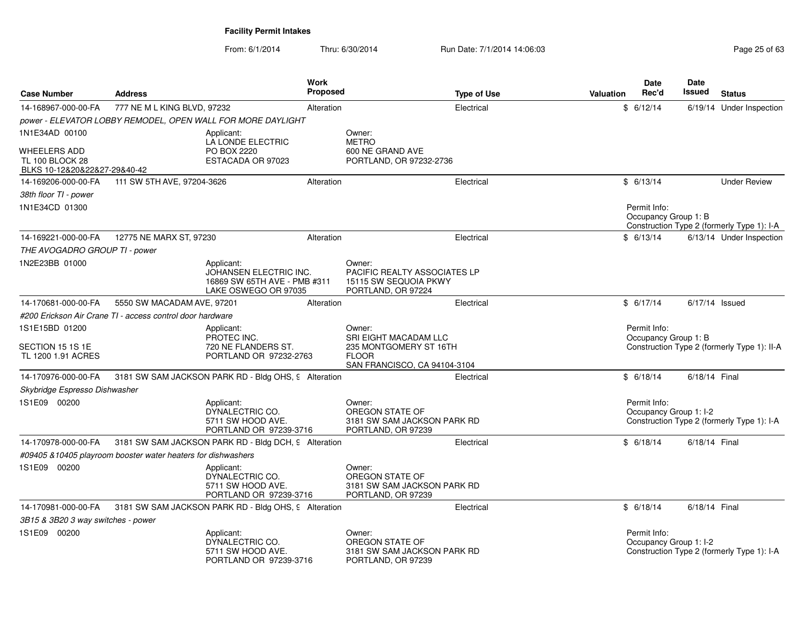| <b>Case Number</b>                                                            | <b>Address</b>                                                |                                                                                              | <b>Work</b><br><b>Proposed</b> |                                                                                                           | <b>Type of Use</b> | Valuation | Date<br>Rec'd                          | <b>Date</b><br>Issued | <b>Status</b>                               |
|-------------------------------------------------------------------------------|---------------------------------------------------------------|----------------------------------------------------------------------------------------------|--------------------------------|-----------------------------------------------------------------------------------------------------------|--------------------|-----------|----------------------------------------|-----------------------|---------------------------------------------|
| 14-168967-000-00-FA                                                           | 777 NE M L KING BLVD, 97232                                   |                                                                                              | Alteration                     |                                                                                                           | Electrical         |           | \$6/12/14                              |                       | 6/19/14 Under Inspection                    |
|                                                                               |                                                               | power - ELEVATOR LOBBY REMODEL, OPEN WALL FOR MORE DAYLIGHT                                  |                                |                                                                                                           |                    |           |                                        |                       |                                             |
| 1N1E34AD 00100                                                                |                                                               | Applicant:                                                                                   |                                | Owner:                                                                                                    |                    |           |                                        |                       |                                             |
| <b>WHEELERS ADD</b><br><b>TL 100 BLOCK 28</b><br>BLKS 10-12&20&22&27-29&40-42 |                                                               | LA LONDE ELECTRIC<br>PO BOX 2220<br>ESTACADA OR 97023                                        |                                | <b>METRO</b><br>600 NE GRAND AVE<br>PORTLAND, OR 97232-2736                                               |                    |           |                                        |                       |                                             |
| 14-169206-000-00-FA                                                           | 111 SW 5TH AVE, 97204-3626                                    |                                                                                              | Alteration                     |                                                                                                           | Electrical         |           | \$6/13/14                              |                       | <b>Under Review</b>                         |
| 38th floor TI - power                                                         |                                                               |                                                                                              |                                |                                                                                                           |                    |           |                                        |                       |                                             |
| 1N1E34CD 01300                                                                |                                                               |                                                                                              |                                |                                                                                                           |                    |           | Permit Info:<br>Occupancy Group 1: B   |                       | Construction Type 2 (formerly Type 1): I-A  |
| 14-169221-000-00-FA                                                           | 12775 NE MARX ST, 97230                                       |                                                                                              | Alteration                     |                                                                                                           | Electrical         |           | \$6/13/14                              |                       | 6/13/14 Under Inspection                    |
| THE AVOGADRO GROUP TI - power                                                 |                                                               |                                                                                              |                                |                                                                                                           |                    |           |                                        |                       |                                             |
| 1N2E23BB 01000                                                                |                                                               | Applicant:<br>JOHANSEN ELECTRIC INC.<br>16869 SW 65TH AVE - PMB #311<br>LAKE OSWEGO OR 97035 |                                | Owner:<br><b>PACIFIC REALTY ASSOCIATES LP</b><br>15115 SW SEQUOIA PKWY<br>PORTLAND, OR 97224              |                    |           |                                        |                       |                                             |
| 14-170681-000-00-FA                                                           | 5550 SW MACADAM AVE, 97201                                    |                                                                                              | Alteration                     |                                                                                                           | Electrical         |           | \$6/17/14                              | 6/17/14 Issued        |                                             |
|                                                                               | #200 Erickson Air Crane TI - access control door hardware     |                                                                                              |                                |                                                                                                           |                    |           |                                        |                       |                                             |
| 1S1E15BD 01200<br>SECTION 15 1S 1E<br>TL 1200 1.91 ACRES                      |                                                               | Applicant:<br>PROTEC INC.<br>720 NE FLANDERS ST.<br>PORTLAND OR 97232-2763                   |                                | Owner:<br>SRI EIGHT MACADAM LLC<br>235 MONTGOMERY ST 16TH<br><b>FLOOR</b><br>SAN FRANCISCO, CA 94104-3104 |                    |           | Permit Info:<br>Occupancy Group 1: B   |                       | Construction Type 2 (formerly Type 1): II-A |
| 14-170976-000-00-FA                                                           |                                                               | 3181 SW SAM JACKSON PARK RD - Bldg OHS, 9 Alteration                                         |                                |                                                                                                           | Electrical         |           | \$6/18/14                              | 6/18/14 Final         |                                             |
| Skybridge Espresso Dishwasher                                                 |                                                               |                                                                                              |                                |                                                                                                           |                    |           |                                        |                       |                                             |
| 1S1E09 00200                                                                  |                                                               | Applicant:<br>DYNALECTRIC CO.<br>5711 SW HOOD AVE.<br>PORTLAND OR 97239-3716                 |                                | Owner:<br>OREGON STATE OF<br>3181 SW SAM JACKSON PARK RD<br>PORTLAND, OR 97239                            |                    |           | Permit Info:<br>Occupancy Group 1: I-2 |                       | Construction Type 2 (formerly Type 1): I-A  |
| 14-170978-000-00-FA                                                           |                                                               | 3181 SW SAM JACKSON PARK RD - Bldg DCH, 9 Alteration                                         |                                |                                                                                                           | Electrical         |           | \$6/18/14                              | 6/18/14 Final         |                                             |
|                                                                               | #09405 & 10405 playroom booster water heaters for dishwashers |                                                                                              |                                |                                                                                                           |                    |           |                                        |                       |                                             |
| 1S1E09 00200                                                                  |                                                               | Applicant:<br>DYNALECTRIC CO.<br>5711 SW HOOD AVE.<br>PORTLAND OR 97239-3716                 |                                | Owner:<br>OREGON STATE OF<br>3181 SW SAM JACKSON PARK RD<br>PORTLAND, OR 97239                            |                    |           |                                        |                       |                                             |
| 14-170981-000-00-FA                                                           |                                                               | 3181 SW SAM JACKSON PARK RD - Bldg OHS, 9 Alteration                                         |                                |                                                                                                           | Electrical         |           | \$6/18/14                              | 6/18/14 Final         |                                             |
| 3B15 & 3B20 3 way switches - power                                            |                                                               |                                                                                              |                                |                                                                                                           |                    |           |                                        |                       |                                             |
| 1S1E09 00200                                                                  |                                                               | Applicant:<br>DYNALECTRIC CO.<br>5711 SW HOOD AVE.<br>PORTLAND OR 97239-3716                 |                                | Owner:<br>OREGON STATE OF<br>3181 SW SAM JACKSON PARK RD<br>PORTLAND, OR 97239                            |                    |           | Permit Info:<br>Occupancy Group 1: I-2 |                       | Construction Type 2 (formerly Type 1): I-A  |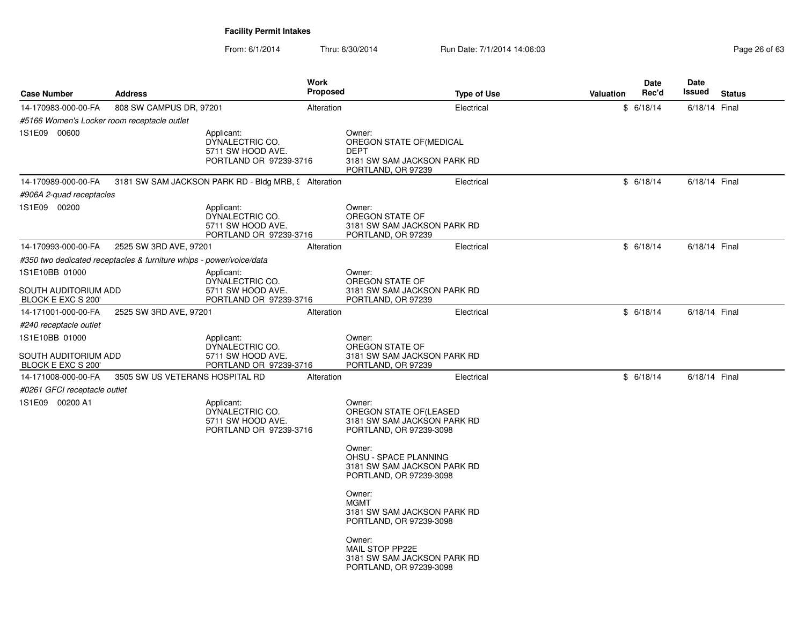| <b>Case Number</b>                                                                    | <b>Address</b>                                                      |                                                                              | Work<br>Proposed | <b>Type of Use</b>                                                                                     | <b>Valuation</b> | Date<br>Rec'd | Date<br>Issued | <b>Status</b> |
|---------------------------------------------------------------------------------------|---------------------------------------------------------------------|------------------------------------------------------------------------------|------------------|--------------------------------------------------------------------------------------------------------|------------------|---------------|----------------|---------------|
| 14-170983-000-00-FA                                                                   | 808 SW CAMPUS DR, 97201                                             |                                                                              | Alteration       | Electrical                                                                                             |                  | \$6/18/14     | 6/18/14 Final  |               |
| #5166 Women's Locker room receptacle outlet                                           |                                                                     |                                                                              |                  |                                                                                                        |                  |               |                |               |
| 1S1E09 00600                                                                          |                                                                     | Applicant:<br>DYNALECTRIC CO.<br>5711 SW HOOD AVE.<br>PORTLAND OR 97239-3716 |                  | Owner:<br>OREGON STATE OF (MEDICAL<br><b>DEPT</b><br>3181 SW SAM JACKSON PARK RD<br>PORTLAND, OR 97239 |                  |               |                |               |
| 14-170989-000-00-FA                                                                   |                                                                     | 3181 SW SAM JACKSON PARK RD - Bldg MRB, 9 Alteration                         |                  | Electrical                                                                                             |                  | \$6/18/14     | 6/18/14 Final  |               |
| #906A 2-quad receptacles                                                              |                                                                     |                                                                              |                  |                                                                                                        |                  |               |                |               |
| 1S1E09 00200                                                                          |                                                                     | Applicant:<br>DYNALECTRIC CO.<br>5711 SW HOOD AVE.<br>PORTLAND OR 97239-3716 |                  | Owner:<br>OREGON STATE OF<br>3181 SW SAM JACKSON PARK RD<br>PORTLAND, OR 97239                         |                  |               |                |               |
| 14-170993-000-00-FA                                                                   | 2525 SW 3RD AVE, 97201                                              |                                                                              | Alteration       | Electrical                                                                                             |                  | \$6/18/14     | 6/18/14 Final  |               |
|                                                                                       | #350 two dedicated receptacles & furniture whips - power/voice/data |                                                                              |                  |                                                                                                        |                  |               |                |               |
| 1S1E10BB 01000<br>SOUTH AUDITORIUM ADD                                                |                                                                     | Applicant:<br>DYNALECTRIC CO.<br>5711 SW HOOD AVE.                           |                  | Owner:<br>OREGON STATE OF<br>3181 SW SAM JACKSON PARK RD                                               |                  |               |                |               |
| BLOCK E EXC S 200                                                                     |                                                                     | PORTLAND OR 97239-3716                                                       |                  | PORTLAND, OR 97239                                                                                     |                  |               |                |               |
| 14-171001-000-00-FA                                                                   | 2525 SW 3RD AVE, 97201                                              |                                                                              | Alteration       | Electrical                                                                                             |                  | \$6/18/14     | 6/18/14 Final  |               |
| #240 receptacle outlet<br>1S1E10BB 01000<br>SOUTH AUDITORIUM ADD<br>BLOCK E EXC S 200 |                                                                     | Applicant:<br>DYNALECTRIC CO.<br>5711 SW HOOD AVE.<br>PORTLAND OR 97239-3716 |                  | Owner:<br>OREGON STATE OF<br>3181 SW SAM JACKSON PARK RD<br>PORTLAND, OR 97239                         |                  |               |                |               |
| 14-171008-000-00-FA<br>#0261 GFCI receptacle outlet                                   | 3505 SW US VETERANS HOSPITAL RD                                     |                                                                              | Alteration       | Electrical                                                                                             |                  | \$6/18/14     | 6/18/14 Final  |               |
| 1S1E09 00200 A1                                                                       |                                                                     | Applicant:<br>DYNALECTRIC CO.<br>5711 SW HOOD AVE.<br>PORTLAND OR 97239-3716 |                  | Owner:<br>OREGON STATE OF (LEASED<br>3181 SW SAM JACKSON PARK RD<br>PORTLAND, OR 97239-3098            |                  |               |                |               |
|                                                                                       |                                                                     |                                                                              |                  | Owner:<br>OHSU - SPACE PLANNING<br>3181 SW SAM JACKSON PARK RD<br>PORTLAND, OR 97239-3098              |                  |               |                |               |
|                                                                                       |                                                                     |                                                                              |                  | Owner:<br><b>MGMT</b><br>3181 SW SAM JACKSON PARK RD<br>PORTLAND, OR 97239-3098                        |                  |               |                |               |
|                                                                                       |                                                                     |                                                                              |                  | Owner:<br>MAIL STOP PP22E<br>3181 SW SAM JACKSON PARK RD<br>PORTLAND, OR 97239-3098                    |                  |               |                |               |
|                                                                                       |                                                                     |                                                                              |                  |                                                                                                        |                  |               |                |               |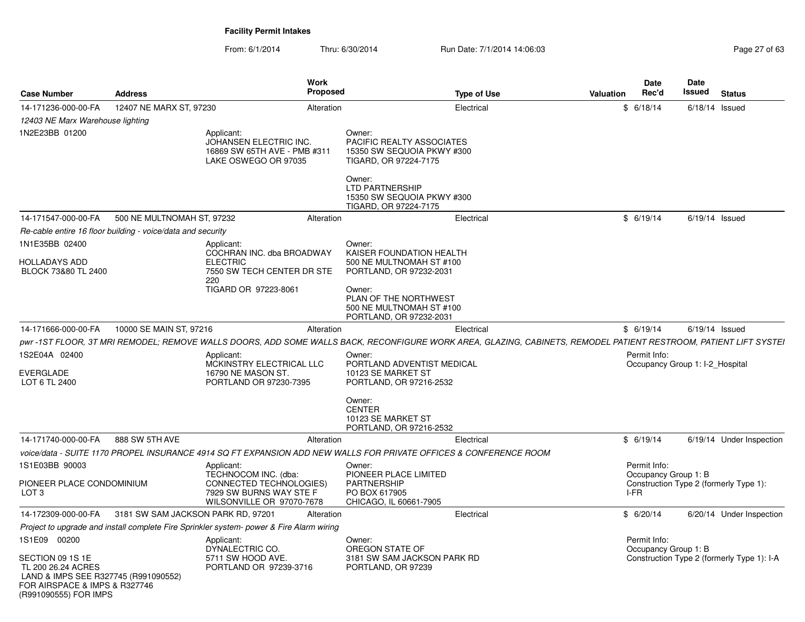| <b>Case Number</b>                                                                                                                       | <b>Address</b>                                              | Work<br>Proposed                                                                                                                                                 |                                                                                            | <b>Type of Use</b> | Valuation | <b>Date</b><br>Rec'd                            | Date<br>Issued   | <b>Status</b>                              |
|------------------------------------------------------------------------------------------------------------------------------------------|-------------------------------------------------------------|------------------------------------------------------------------------------------------------------------------------------------------------------------------|--------------------------------------------------------------------------------------------|--------------------|-----------|-------------------------------------------------|------------------|--------------------------------------------|
| 14-171236-000-00-FA                                                                                                                      | 12407 NE MARX ST, 97230                                     | Alteration                                                                                                                                                       |                                                                                            | Electrical         | \$        | 6/18/14                                         | $6/18/14$ Issued |                                            |
| 12403 NE Marx Warehouse lighting                                                                                                         |                                                             |                                                                                                                                                                  |                                                                                            |                    |           |                                                 |                  |                                            |
| 1N2E23BB 01200                                                                                                                           |                                                             | Applicant:<br>JOHANSEN ELECTRIC INC.<br>16869 SW 65TH AVE - PMB #311<br>LAKE OSWEGO OR 97035                                                                     | Owner:<br>PACIFIC REALTY ASSOCIATES<br>15350 SW SEQUOIA PKWY #300<br>TIGARD, OR 97224-7175 |                    |           |                                                 |                  |                                            |
|                                                                                                                                          |                                                             |                                                                                                                                                                  | Owner:<br><b>LTD PARTNERSHIP</b><br>15350 SW SEQUOIA PKWY #300<br>TIGARD, OR 97224-7175    |                    |           |                                                 |                  |                                            |
| 14-171547-000-00-FA                                                                                                                      | 500 NE MULTNOMAH ST, 97232                                  | Alteration                                                                                                                                                       |                                                                                            | Electrical         |           | \$6/19/14                                       | $6/19/14$ Issued |                                            |
|                                                                                                                                          | Re-cable entire 16 floor building - voice/data and security |                                                                                                                                                                  |                                                                                            |                    |           |                                                 |                  |                                            |
| 1N1E35BB 02400<br><b>HOLLADAYS ADD</b><br>BLOCK 73&80 TL 2400                                                                            |                                                             | Applicant:<br>COCHRAN INC. dba BROADWAY<br><b>ELECTRIC</b><br>7550 SW TECH CENTER DR STE                                                                         | Owner:<br>KAISER FOUNDATION HEALTH<br>500 NE MULTNOMAH ST #100<br>PORTLAND, OR 97232-2031  |                    |           |                                                 |                  |                                            |
|                                                                                                                                          |                                                             | 220<br>TIGARD OR 97223-8061                                                                                                                                      | Owner:<br>PLAN OF THE NORTHWEST<br>500 NE MULTNOMAH ST #100<br>PORTLAND, OR 97232-2031     |                    |           |                                                 |                  |                                            |
| 14-171666-000-00-FA                                                                                                                      | 10000 SE MAIN ST, 97216                                     | Alteration                                                                                                                                                       |                                                                                            | Electrical         |           | \$6/19/14                                       | $6/19/14$ Issued |                                            |
|                                                                                                                                          |                                                             | pwr -1ST FLOOR, 3T MRI REMODEL; REMOVE WALLS DOORS, ADD SOME WALLS BACK, RECONFIGURE WORK AREA, GLAZING, CABINETS, REMODEL PATIENT RESTROOM, PATIENT LIFT SYSTEI |                                                                                            |                    |           |                                                 |                  |                                            |
| 1S2E04A 02400<br><b>EVERGLADE</b><br>LOT 6 TL 2400                                                                                       |                                                             | Applicant:<br>MCKINSTRY ELECTRICAL LLC<br>16790 NE MASON ST.<br>PORTLAND OR 97230-7395                                                                           | Owner:<br>PORTLAND ADVENTIST MEDICAL<br>10123 SE MARKET ST<br>PORTLAND, OR 97216-2532      |                    |           | Permit Info:<br>Occupancy Group 1: I-2 Hospital |                  |                                            |
|                                                                                                                                          |                                                             |                                                                                                                                                                  | Owner:<br><b>CENTER</b><br>10123 SE MARKET ST<br>PORTLAND, OR 97216-2532                   |                    |           |                                                 |                  |                                            |
| 14-171740-000-00-FA                                                                                                                      | 888 SW 5TH AVE                                              | Alteration                                                                                                                                                       |                                                                                            | Electrical         |           | \$6/19/14                                       |                  | 6/19/14 Under Inspection                   |
|                                                                                                                                          |                                                             | voice/data - SUITE 1170 PROPEL INSURANCE 4914 SQ FT EXPANSION ADD NEW WALLS FOR PRIVATE OFFICES & CONFERENCE ROOM                                                |                                                                                            |                    |           |                                                 |                  |                                            |
| 1S1E03BB 90003                                                                                                                           |                                                             | Applicant:<br>TECHNOCOM INC. (dba:                                                                                                                               | Owner:<br>PIONEER PLACE LIMITED                                                            |                    |           | Permit Info:<br>Occupancy Group 1: B            |                  |                                            |
| PIONEER PLACE CONDOMINIUM<br>LOT 3                                                                                                       |                                                             | CONNECTED TECHNOLOGIES)<br>7929 SW BURNS WAY STE F<br>WILSONVILLE OR 97070-7678                                                                                  | PARTNERSHIP<br>PO BOX 617905<br>CHICAGO, IL 60661-7905                                     |                    |           | I-FR                                            |                  | Construction Type 2 (formerly Type 1):     |
| 14-172309-000-00-FA                                                                                                                      | 3181 SW SAM JACKSON PARK RD, 97201                          | Alteration                                                                                                                                                       |                                                                                            | Electrical         |           | \$6/20/14                                       |                  | 6/20/14 Under Inspection                   |
|                                                                                                                                          |                                                             | Project to upgrade and install complete Fire Sprinkler system- power & Fire Alarm wiring                                                                         |                                                                                            |                    |           |                                                 |                  |                                            |
| 1S1E09 00200                                                                                                                             |                                                             | Applicant:<br>DYNALECTRIC CO.                                                                                                                                    | Owner:<br>OREGON STATE OF                                                                  |                    |           | Permit Info:<br>Occupancy Group 1: B            |                  |                                            |
| SECTION 09 1S 1E<br>TL 200 26.24 ACRES<br>LAND & IMPS SEE R327745 (R991090552)<br>FOR AIRSPACE & IMPS & R327746<br>(R991090555) FOR IMPS |                                                             | 5711 SW HOOD AVE.<br>PORTLAND OR 97239-3716                                                                                                                      | 3181 SW SAM JACKSON PARK RD<br>PORTLAND, OR 97239                                          |                    |           |                                                 |                  | Construction Type 2 (formerly Type 1): I-A |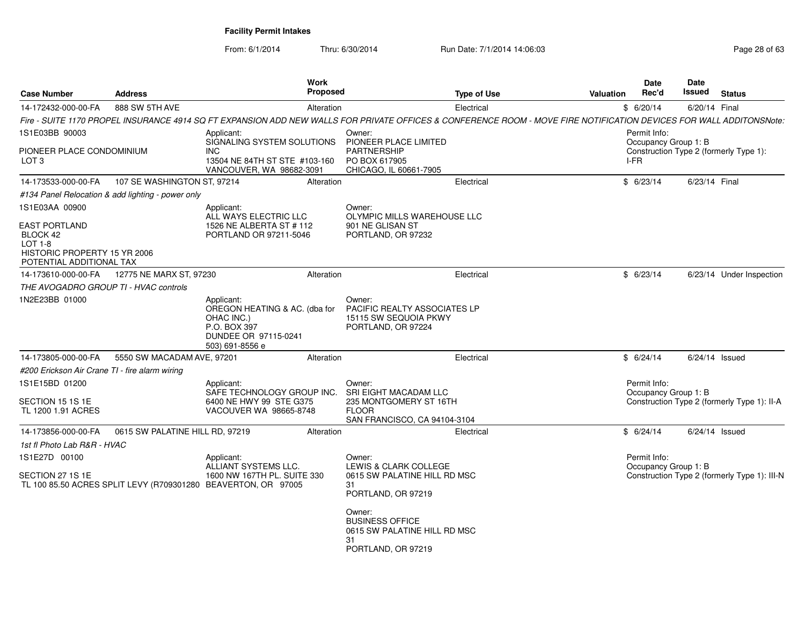| <b>Case Number</b>                                                                                        | <b>Address</b>                                    | Work<br>Proposed                                                                                                                                                    |                                                                                              | <b>Type of Use</b> | Valuation | <b>Date</b><br>Rec'd                 | Date<br>Issued   | <b>Status</b>                                |
|-----------------------------------------------------------------------------------------------------------|---------------------------------------------------|---------------------------------------------------------------------------------------------------------------------------------------------------------------------|----------------------------------------------------------------------------------------------|--------------------|-----------|--------------------------------------|------------------|----------------------------------------------|
| 14-172432-000-00-FA                                                                                       | 888 SW 5TH AVE                                    | Alteration                                                                                                                                                          |                                                                                              | Electrical         |           | \$6/20/14                            | 6/20/14 Final    |                                              |
|                                                                                                           |                                                   | Fire - SUITE 1170 PROPEL INSURANCE 4914 SQ FT EXPANSION ADD NEW WALLS FOR PRIVATE OFFICES & CONFERENCE ROOM - MOVE FIRE NOTIFICATION DEVICES FOR WALL ADDITONSNote: |                                                                                              |                    |           |                                      |                  |                                              |
| 1S1E03BB 90003                                                                                            |                                                   | Applicant:<br>SIGNALING SYSTEM SOLUTIONS                                                                                                                            | Owner:<br>PIONEER PLACE LIMITED                                                              |                    |           | Permit Info:<br>Occupancy Group 1: B |                  |                                              |
| PIONEER PLACE CONDOMINIUM<br>LOT <sub>3</sub>                                                             |                                                   | INC<br>13504 NE 84TH ST STE #103-160<br>VANCOUVER, WA 98682-3091                                                                                                    | <b>PARTNERSHIP</b><br>PO BOX 617905<br>CHICAGO, IL 60661-7905                                |                    |           | I-FR                                 |                  | Construction Type 2 (formerly Type 1):       |
| 14-173533-000-00-FA                                                                                       | 107 SE WASHINGTON ST, 97214                       | Alteration                                                                                                                                                          |                                                                                              | Electrical         |           | \$6/23/14                            | 6/23/14 Final    |                                              |
|                                                                                                           | #134 Panel Relocation & add lighting - power only |                                                                                                                                                                     |                                                                                              |                    |           |                                      |                  |                                              |
| 1S1E03AA 00900                                                                                            |                                                   | Applicant:<br>ALL WAYS ELECTRIC LLC                                                                                                                                 | Owner:<br>OLYMPIC MILLS WAREHOUSE LLC                                                        |                    |           |                                      |                  |                                              |
| <b>EAST PORTLAND</b><br>BLOCK 42<br>$LOT 1-8$<br>HISTORIC PROPERTY 15 YR 2006<br>POTENTIAL ADDITIONAL TAX |                                                   | 1526 NE ALBERTA ST #112<br>PORTLAND OR 97211-5046                                                                                                                   | 901 NE GLISAN ST<br>PORTLAND, OR 97232                                                       |                    |           |                                      |                  |                                              |
| 14-173610-000-00-FA                                                                                       | 12775 NE MARX ST, 97230                           | Alteration                                                                                                                                                          |                                                                                              | Electrical         |           | \$6/23/14                            |                  | 6/23/14 Under Inspection                     |
| THE AVOGADRO GROUP TI - HVAC controls                                                                     |                                                   |                                                                                                                                                                     |                                                                                              |                    |           |                                      |                  |                                              |
| 1N2E23BB 01000                                                                                            |                                                   | Applicant:<br>OREGON HEATING & AC. (dba for<br>OHAC INC.)<br>P.O. BOX 397<br>DUNDEE OR 97115-0241<br>503) 691-8556 e                                                | Owner:<br>PACIFIC REALTY ASSOCIATES LP<br>15115 SW SEQUOIA PKWY<br>PORTLAND, OR 97224        |                    |           |                                      |                  |                                              |
| 14-173805-000-00-FA                                                                                       | 5550 SW MACADAM AVE, 97201                        | Alteration                                                                                                                                                          |                                                                                              | Electrical         |           | \$6/24/14                            | $6/24/14$ Issued |                                              |
| #200 Erickson Air Crane TI - fire alarm wiring                                                            |                                                   |                                                                                                                                                                     |                                                                                              |                    |           |                                      |                  |                                              |
| 1S1E15BD 01200                                                                                            |                                                   | Applicant:<br>SAFE TECHNOLOGY GROUP INC.                                                                                                                            | Owner:<br><b>SRI EIGHT MACADAM LLC</b>                                                       |                    |           | Permit Info:<br>Occupancy Group 1: B |                  |                                              |
| SECTION 15 1S 1E<br>TL 1200 1.91 ACRES                                                                    |                                                   | 6400 NE HWY 99 STE G375<br>VACOUVER WA 98665-8748                                                                                                                   | 235 MONTGOMERY ST 16TH<br><b>FLOOR</b><br>SAN FRANCISCO, CA 94104-3104                       |                    |           |                                      |                  | Construction Type 2 (formerly Type 1): II-A  |
| 14-173856-000-00-FA                                                                                       | 0615 SW PALATINE HILL RD, 97219                   | Alteration                                                                                                                                                          |                                                                                              | Electrical         |           | \$6/24/14                            | $6/24/14$ Issued |                                              |
| 1st fl Photo Lab R&R - HVAC                                                                               |                                                   |                                                                                                                                                                     |                                                                                              |                    |           |                                      |                  |                                              |
| 1S1E27D 00100                                                                                             |                                                   | Applicant:<br>ALLIANT SYSTEMS LLC.                                                                                                                                  | Owner:<br>LEWIS & CLARK COLLEGE                                                              |                    |           | Permit Info:<br>Occupancy Group 1: B |                  |                                              |
| SECTION 27 1S 1E                                                                                          |                                                   | 1600 NW 167TH PL, SUITE 330<br>TL 100 85.50 ACRES SPLIT LEVY (R709301280 BEAVERTON, OR 97005                                                                        | 0615 SW PALATINE HILL RD MSC<br>31<br>PORTLAND, OR 97219                                     |                    |           |                                      |                  | Construction Type 2 (formerly Type 1): III-N |
|                                                                                                           |                                                   |                                                                                                                                                                     | Owner:<br><b>BUSINESS OFFICE</b><br>0615 SW PALATINE HILL RD MSC<br>31<br>PORTLAND, OR 97219 |                    |           |                                      |                  |                                              |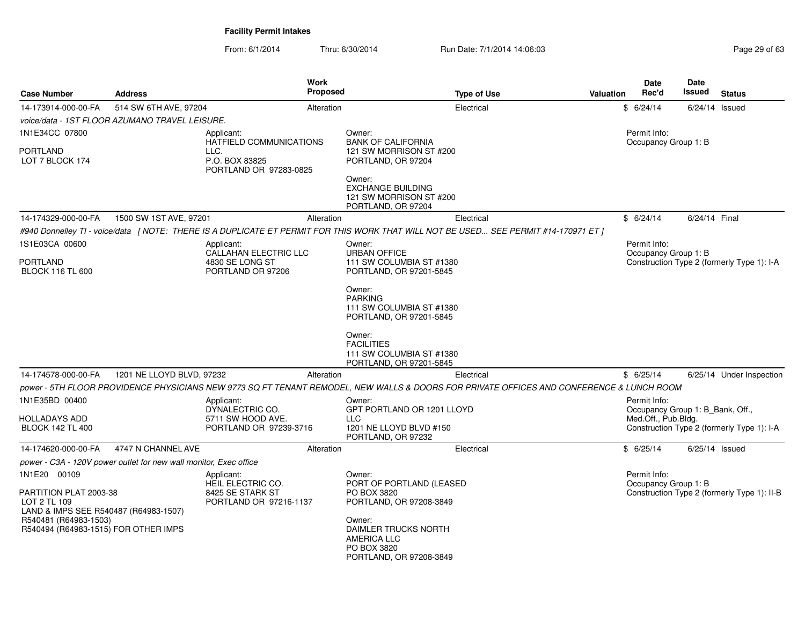From: 6/1/2014Thru: 6/30/2014 Run Date: 7/1/2014 14:06:03 Research 2010 Page 29 of 63

| <b>Case Number</b>                                                                                                                                               | <b>Address</b>                                                    | <b>Work</b><br>Proposed                                                                                                                  |                                                                                                                                                                                | <b>Type of Use</b> | <b>Valuation</b> | <b>Date</b><br>Rec'd                                                    | <b>Date</b><br>Issued | <b>Status</b>                               |
|------------------------------------------------------------------------------------------------------------------------------------------------------------------|-------------------------------------------------------------------|------------------------------------------------------------------------------------------------------------------------------------------|--------------------------------------------------------------------------------------------------------------------------------------------------------------------------------|--------------------|------------------|-------------------------------------------------------------------------|-----------------------|---------------------------------------------|
| 14-173914-000-00-FA                                                                                                                                              | 514 SW 6TH AVE, 97204                                             | Alteration                                                                                                                               |                                                                                                                                                                                | Electrical         |                  | \$6/24/14                                                               |                       | $6/24/14$ Issued                            |
|                                                                                                                                                                  | voice/data - 1ST FLOOR AZUMANO TRAVEL LEISURE.                    |                                                                                                                                          |                                                                                                                                                                                |                    |                  |                                                                         |                       |                                             |
| 1N1E34CC 07800                                                                                                                                                   |                                                                   | Applicant:                                                                                                                               | Owner:                                                                                                                                                                         |                    |                  | Permit Info:                                                            |                       |                                             |
| <b>PORTLAND</b><br>LOT 7 BLOCK 174                                                                                                                               |                                                                   | HATFIELD COMMUNICATIONS<br>LLC.<br>P.O. BOX 83825<br>PORTLAND OR 97283-0825                                                              | <b>BANK OF CALIFORNIA</b><br>121 SW MORRISON ST #200<br>PORTLAND, OR 97204<br>Owner:                                                                                           |                    |                  | Occupancy Group 1: B                                                    |                       |                                             |
|                                                                                                                                                                  |                                                                   |                                                                                                                                          | <b>EXCHANGE BUILDING</b><br>121 SW MORRISON ST #200<br>PORTLAND, OR 97204                                                                                                      |                    |                  |                                                                         |                       |                                             |
| 14-174329-000-00-FA                                                                                                                                              | 1500 SW 1ST AVE, 97201                                            | Alteration                                                                                                                               |                                                                                                                                                                                | Electrical         |                  | \$6/24/14                                                               | 6/24/14 Final         |                                             |
|                                                                                                                                                                  |                                                                   | #940 Donnelley TI - voice/data [NOTE: THERE IS A DUPLICATE ET PERMIT FOR THIS WORK THAT WILL NOT BE USED SEE PERMIT #14-170971 ET ]      |                                                                                                                                                                                |                    |                  |                                                                         |                       |                                             |
| 1S1E03CA 00600<br>PORTLAND<br><b>BLOCK 116 TL 600</b>                                                                                                            |                                                                   | Applicant:<br>CALLAHAN ELECTRIC LLC<br>4830 SE LONG ST<br>PORTLAND OR 97206                                                              | Owner:<br><b>URBAN OFFICE</b><br>111 SW COLUMBIA ST #1380<br>PORTLAND, OR 97201-5845                                                                                           |                    |                  | Permit Info:<br>Occupancy Group 1: B                                    |                       | Construction Type 2 (formerly Type 1): I-A  |
|                                                                                                                                                                  |                                                                   |                                                                                                                                          | Owner:<br><b>PARKING</b><br>111 SW COLUMBIA ST #1380<br>PORTLAND, OR 97201-5845<br>Owner:<br><b>FACILITIES</b><br>111 SW COLUMBIA ST #1380<br>PORTLAND, OR 97201-5845          |                    |                  |                                                                         |                       |                                             |
| 14-174578-000-00-FA                                                                                                                                              | 1201 NE LLOYD BLVD, 97232                                         | Alteration                                                                                                                               |                                                                                                                                                                                | Electrical         |                  | \$6/25/14                                                               |                       | 6/25/14 Under Inspection                    |
|                                                                                                                                                                  |                                                                   | power - 5TH FLOOR PROVIDENCE PHYSICIANS NEW 9773 SQ FT TENANT REMODEL, NEW WALLS & DOORS FOR PRIVATE OFFICES AND CONFERENCE & LUNCH ROOM |                                                                                                                                                                                |                    |                  |                                                                         |                       |                                             |
| 1N1E35BD 00400<br>HOLLADAYS ADD<br><b>BLOCK 142 TL 400</b>                                                                                                       |                                                                   | Applicant:<br>DYNALECTRIC CO.<br>5711 SW HOOD AVE.<br>PORTLAND OR 97239-3716                                                             | Owner:<br>GPT PORTLAND OR 1201 LLOYD<br><b>LLC</b><br>1201 NE LLOYD BLVD #150<br>PORTLAND, OR 97232                                                                            |                    |                  | Permit Info:<br>Occupancy Group 1: B_Bank, Off.,<br>Med.Off., Pub.Bldg. |                       | Construction Type 2 (formerly Type 1): I-A  |
| 14-174620-000-00-FA                                                                                                                                              | 4747 N CHANNEL AVE                                                | Alteration                                                                                                                               |                                                                                                                                                                                | Electrical         |                  | \$6/25/14                                                               |                       | $6/25/14$ Issued                            |
|                                                                                                                                                                  | power - C3A - 120V power outlet for new wall monitor, Exec office |                                                                                                                                          |                                                                                                                                                                                |                    |                  |                                                                         |                       |                                             |
| 1N1E20 00109<br>PARTITION PLAT 2003-38<br>LOT 2 TL 109<br>LAND & IMPS SEE R540487 (R64983-1507)<br>R540481 (R64983-1503)<br>R540494 (R64983-1515) FOR OTHER IMPS |                                                                   | Applicant:<br>HEIL ELECTRIC CO.<br>8425 SE STARK ST<br>PORTLAND OR 97216-1137                                                            | Owner:<br>PORT OF PORTLAND (LEASED<br>PO BOX 3820<br>PORTLAND, OR 97208-3849<br>Owner:<br>DAIMLER TRUCKS NORTH<br><b>AMERICA LLC</b><br>PO BOX 3820<br>PORTLAND, OR 97208-3849 |                    |                  | Permit Info:<br>Occupancy Group 1: B                                    |                       | Construction Type 2 (formerly Type 1): II-B |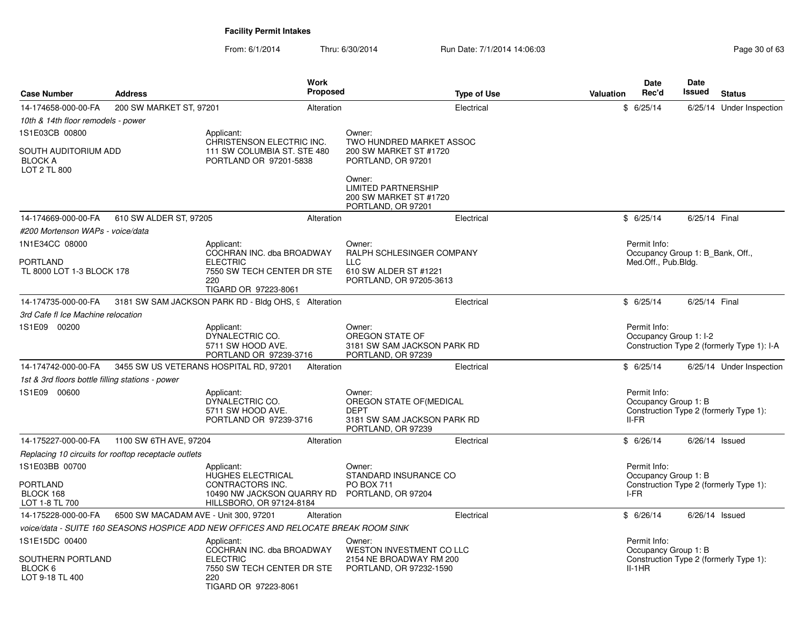| <b>Case Number</b>                                     | <b>Address</b>                                       | <b>Work</b><br><b>Proposed</b>                                                                            |                                                                                                       | <b>Type of Use</b> | <b>Valuation</b> | Date<br>Rec'd                                    | <b>Date</b><br>Issued | <b>Status</b>                              |
|--------------------------------------------------------|------------------------------------------------------|-----------------------------------------------------------------------------------------------------------|-------------------------------------------------------------------------------------------------------|--------------------|------------------|--------------------------------------------------|-----------------------|--------------------------------------------|
| 14-174658-000-00-FA                                    | 200 SW MARKET ST, 97201                              | Alteration                                                                                                |                                                                                                       | Electrical         |                  | \$6/25/14                                        |                       | 6/25/14 Under Inspection                   |
| 10th & 14th floor remodels - power                     |                                                      |                                                                                                           |                                                                                                       |                    |                  |                                                  |                       |                                            |
| 1S1E03CB 00800                                         |                                                      | Applicant:<br>CHRISTENSON ELECTRIC INC.                                                                   | Owner:<br>TWO HUNDRED MARKET ASSOC                                                                    |                    |                  |                                                  |                       |                                            |
| SOUTH AUDITORIUM ADD<br><b>BLOCK A</b><br>LOT 2 TL 800 |                                                      | 111 SW COLUMBIA ST. STE 480<br>PORTLAND OR 97201-5838                                                     | 200 SW MARKET ST #1720<br>PORTLAND, OR 97201                                                          |                    |                  |                                                  |                       |                                            |
|                                                        |                                                      |                                                                                                           | Owner:<br><b>LIMITED PARTNERSHIP</b><br>200 SW MARKET ST #1720<br>PORTLAND, OR 97201                  |                    |                  |                                                  |                       |                                            |
| 14-174669-000-00-FA                                    | 610 SW ALDER ST, 97205                               | Alteration                                                                                                |                                                                                                       | Electrical         |                  | \$6/25/14                                        | 6/25/14 Final         |                                            |
| #200 Mortenson WAPs - voice/data                       |                                                      |                                                                                                           |                                                                                                       |                    |                  |                                                  |                       |                                            |
| 1N1E34CC 08000                                         |                                                      | Applicant:<br>COCHRAN INC. dba BROADWAY                                                                   | Owner:<br>RALPH SCHLESINGER COMPANY                                                                   |                    |                  | Permit Info:<br>Occupancy Group 1: B Bank, Off., |                       |                                            |
| <b>PORTLAND</b><br>TL 8000 LOT 1-3 BLOCK 178           |                                                      | <b>ELECTRIC</b><br>7550 SW TECH CENTER DR STE<br>220<br>TIGARD OR 97223-8061                              | <b>LLC</b><br>610 SW ALDER ST #1221<br>PORTLAND, OR 97205-3613                                        |                    |                  | Med.Off., Pub.Bldg.                              |                       |                                            |
| 14-174735-000-00-FA                                    |                                                      | 3181 SW SAM JACKSON PARK RD - Bldg OHS, 9 Alteration                                                      |                                                                                                       | Electrical         |                  | \$6/25/14                                        | 6/25/14 Final         |                                            |
| 3rd Cafe fl Ice Machine relocation                     |                                                      |                                                                                                           |                                                                                                       |                    |                  |                                                  |                       |                                            |
| 1S1E09 00200                                           |                                                      | Applicant:<br>DYNALECTRIC CO.<br>5711 SW HOOD AVE.<br>PORTLAND OR 97239-3716                              | Owner:<br>OREGON STATE OF<br>3181 SW SAM JACKSON PARK RD<br>PORTLAND, OR 97239                        |                    |                  | Permit Info:<br>Occupancy Group 1: I-2           |                       | Construction Type 2 (formerly Type 1): I-A |
| 14-174742-000-00-FA                                    |                                                      | 3455 SW US VETERANS HOSPITAL RD, 97201<br>Alteration                                                      |                                                                                                       | Electrical         |                  | \$6/25/14                                        |                       | 6/25/14 Under Inspection                   |
| 1st & 3rd floors bottle filling stations - power       |                                                      |                                                                                                           |                                                                                                       |                    |                  |                                                  |                       |                                            |
| 1S1E09 00600                                           |                                                      | Applicant:<br>DYNALECTRIC CO.<br>5711 SW HOOD AVE.<br>PORTLAND OR 97239-3716                              | Owner:<br>OREGON STATE OF(MEDICAL<br><b>DEPT</b><br>3181 SW SAM JACKSON PARK RD<br>PORTLAND, OR 97239 |                    |                  | Permit Info:<br>Occupancy Group 1: B<br>II-FR    |                       | Construction Type 2 (formerly Type 1):     |
| 14-175227-000-00-FA                                    | 1100 SW 6TH AVE, 97204                               | Alteration                                                                                                |                                                                                                       | Electrical         |                  | \$6/26/14                                        | 6/26/14 Issued        |                                            |
|                                                        | Replacing 10 circuits for rooftop receptacle outlets |                                                                                                           |                                                                                                       |                    |                  |                                                  |                       |                                            |
| 1S1E03BB 00700                                         |                                                      | Applicant:<br>HUGHES ELECTRICAL                                                                           | Owner:<br>STANDARD INSURANCE CO                                                                       |                    |                  | Permit Info:<br>Occupancy Group 1: B             |                       |                                            |
| PORTLAND<br>BLOCK 168<br>LOT 1-8 TL 700                |                                                      | CONTRACTORS INC.<br>10490 NW JACKSON QUARRY RD PORTLAND, OR 97204<br>HILLSBORO, OR 97124-8184             | <b>PO BOX 711</b>                                                                                     |                    |                  | I-FR                                             |                       | Construction Type 2 (formerly Type 1):     |
| 14-175228-000-00-FA                                    |                                                      | 6500 SW MACADAM AVE - Unit 300, 97201<br>Alteration                                                       |                                                                                                       | Electrical         |                  | \$6/26/14                                        | $6/26/14$ Issued      |                                            |
|                                                        |                                                      | voice/data - SUITE 160 SEASONS HOSPICE ADD NEW OFFICES AND RELOCATE BREAK ROOM SINK                       |                                                                                                       |                    |                  |                                                  |                       |                                            |
| 1S1E15DC 00400                                         |                                                      | Applicant:                                                                                                | Owner:                                                                                                |                    |                  | Permit Info:                                     |                       |                                            |
| SOUTHERN PORTLAND<br>BLOCK 6<br>LOT 9-18 TL 400        |                                                      | COCHRAN INC. dba BROADWAY<br><b>ELECTRIC</b><br>7550 SW TECH CENTER DR STE<br>220<br>TIGARD OR 97223-8061 | WESTON INVESTMENT CO LLC<br>2154 NE BROADWAY RM 200<br>PORTLAND, OR 97232-1590                        |                    |                  | Occupancy Group 1: B<br>$II-1HR$                 |                       | Construction Type 2 (formerly Type 1):     |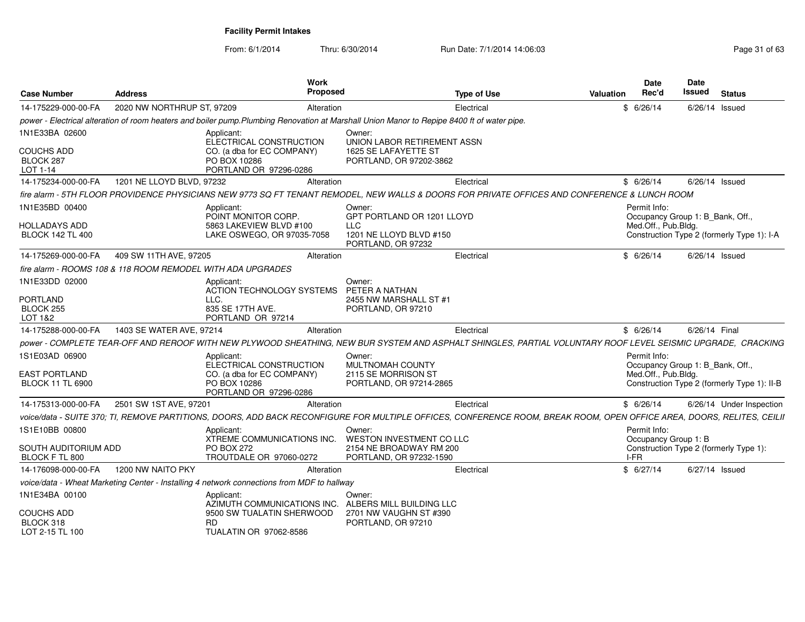| <b>Case Number</b>                                | <b>Address</b>                                              | Work<br><b>Proposed</b>                                                                                                                                                |                                                                                | <b>Type of Use</b> | <b>Valuation</b> | Date<br>Rec'd                                           | Date<br>Issued | <b>Status</b>                               |
|---------------------------------------------------|-------------------------------------------------------------|------------------------------------------------------------------------------------------------------------------------------------------------------------------------|--------------------------------------------------------------------------------|--------------------|------------------|---------------------------------------------------------|----------------|---------------------------------------------|
| 14-175229-000-00-FA                               | 2020 NW NORTHRUP ST, 97209                                  | Alteration                                                                                                                                                             |                                                                                | Electrical         |                  | \$6/26/14                                               | 6/26/14 Issued |                                             |
|                                                   |                                                             | power - Electrical alteration of room heaters and boiler pump. Plumbing Renovation at Marshall Union Manor to Repipe 8400 ft of water pipe.                            |                                                                                |                    |                  |                                                         |                |                                             |
| 1N1E33BA 02600                                    |                                                             | Applicant:                                                                                                                                                             | Owner:                                                                         |                    |                  |                                                         |                |                                             |
| <b>COUCHS ADD</b><br>BLOCK 287<br>LOT 1-14        |                                                             | ELECTRICAL CONSTRUCTION<br>CO. (a dba for EC COMPANY)<br>PO BOX 10286<br>PORTLAND OR 97296-0286                                                                        | UNION LABOR RETIREMENT ASSN<br>1625 SE LAFAYETTE ST<br>PORTLAND, OR 97202-3862 |                    |                  |                                                         |                |                                             |
| 14-175234-000-00-FA                               | 1201 NE LLOYD BLVD, 97232                                   | Alteration                                                                                                                                                             |                                                                                | Electrical         |                  | \$6/26/14                                               | 6/26/14 Issued |                                             |
|                                                   |                                                             | fire alarm - 5TH FLOOR PROVIDENCE PHYSICIANS NEW 9773 SQ FT TENANT REMODEL, NEW WALLS & DOORS FOR PRIVATE OFFICES AND CONFERENCE & LUNCH ROOM                          |                                                                                |                    |                  |                                                         |                |                                             |
| 1N1E35BD 00400                                    |                                                             | Applicant:<br>POINT MONITOR CORP.                                                                                                                                      | Owner:<br>GPT PORTLAND OR 1201 LLOYD                                           |                    |                  | Permit Info:<br>Occupancy Group 1: B_Bank, Off.,        |                |                                             |
| HOLLADAYS ADD<br><b>BLOCK 142 TL 400</b>          |                                                             | 5863 LAKEVIEW BLVD #100<br>LAKE OSWEGO, OR 97035-7058                                                                                                                  | LLC<br>1201 NE LLOYD BLVD #150<br>PORTLAND, OR 97232                           |                    |                  | Med.Off., Pub.Bldg.                                     |                | Construction Type 2 (formerly Type 1): I-A  |
| 14-175269-000-00-FA                               | 409 SW 11TH AVE, 97205                                      | Alteration                                                                                                                                                             |                                                                                | Electrical         |                  | \$6/26/14                                               | 6/26/14 Issued |                                             |
|                                                   | fire alarm - ROOMS 108 & 118 ROOM REMODEL WITH ADA UPGRADES |                                                                                                                                                                        |                                                                                |                    |                  |                                                         |                |                                             |
| 1N1E33DD 02000                                    |                                                             | Applicant:<br>ACTION TECHNOLOGY SYSTEMS                                                                                                                                | Owner:<br>PETER A NATHAN                                                       |                    |                  |                                                         |                |                                             |
| <b>PORTLAND</b><br>BLOCK 255<br>LOT 1&2           |                                                             | LLC.<br>835 SE 17TH AVE.<br>PORTLAND OR 97214                                                                                                                          | 2455 NW MARSHALL ST #1<br>PORTLAND, OR 97210                                   |                    |                  |                                                         |                |                                             |
| 14-175288-000-00-FA                               | 1403 SE WATER AVE, 97214                                    | Alteration                                                                                                                                                             |                                                                                | Electrical         |                  | \$6/26/14                                               | 6/26/14 Final  |                                             |
|                                                   |                                                             | power - COMPLETE TEAR-OFF AND REROOF WITH NEW PLYWOOD SHEATHING, NEW BUR SYSTEM AND ASPHALT SHINGLES, PARTIAL VOLUNTARY ROOF LEVEL SEISMIC UPGRADE, CRACKING           |                                                                                |                    |                  |                                                         |                |                                             |
| 1S1E03AD 06900                                    |                                                             |                                                                                                                                                                        | Owner:                                                                         |                    |                  | Permit Info:                                            |                |                                             |
| <b>EAST PORTLAND</b><br><b>BLOCK 11 TL 6900</b>   |                                                             | Applicant:<br>ELECTRICAL CONSTRUCTION<br>CO. (a dba for EC COMPANY)<br>PO BOX 10286<br>PORTLAND OR 97296-0286                                                          | MULTNOMAH COUNTY<br>2115 SE MORRISON ST<br>PORTLAND, OR 97214-2865             |                    |                  | Occupancy Group 1: B_Bank, Off.,<br>Med.Off., Pub.Bldg. |                | Construction Type 2 (formerly Type 1): II-B |
| 14-175313-000-00-FA                               | 2501 SW 1ST AVE, 97201                                      | Alteration                                                                                                                                                             |                                                                                | Electrical         |                  | \$6/26/14                                               |                | 6/26/14 Under Inspection                    |
|                                                   |                                                             | voice/data - SUITE 370; TI, REMOVE PARTITIONS, DOORS, ADD BACK RECONFIGURE FOR MULTIPLE OFFICES, CONFERENCE ROOM, BREAK ROOM, OPEN OFFICE AREA, DOORS, RELITES, CEILII |                                                                                |                    |                  |                                                         |                |                                             |
| 1S1E10BB 00800                                    |                                                             | Applicant:<br>XTREME COMMUNICATIONS INC.                                                                                                                               | Owner<br>WESTON INVESTMENT CO LLC                                              |                    |                  | Permit Info:<br>Occupancy Group 1: B                    |                |                                             |
| SOUTH AUDITORIUM ADD<br>BLOCK F TL 800            |                                                             | <b>PO BOX 272</b><br>TROUTDALE OR 97060-0272                                                                                                                           | 2154 NE BROADWAY RM 200<br>PORTLAND, OR 97232-1590                             |                    |                  | I-FR                                                    |                | Construction Type 2 (formerly Type 1):      |
| 14-176098-000-00-FA                               | 1200 NW NAITO PKY                                           | Alteration                                                                                                                                                             |                                                                                | Electrical         |                  | \$6/27/14                                               | 6/27/14 Issued |                                             |
|                                                   |                                                             | voice/data - Wheat Marketing Center - Installing 4 network connections from MDF to hallway                                                                             |                                                                                |                    |                  |                                                         |                |                                             |
| 1N1E34BA 00100                                    |                                                             | Applicant:<br>AZIMUTH COMMUNICATIONS INC.                                                                                                                              | Owner:<br>ALBERS MILL BUILDING LLC                                             |                    |                  |                                                         |                |                                             |
| <b>COUCHS ADD</b><br>BLOCK 318<br>LOT 2-15 TL 100 |                                                             | 9500 SW TUALATIN SHERWOOD<br><b>RD</b><br><b>TUALATIN OR 97062-8586</b>                                                                                                | 2701 NW VAUGHN ST #390<br>PORTLAND, OR 97210                                   |                    |                  |                                                         |                |                                             |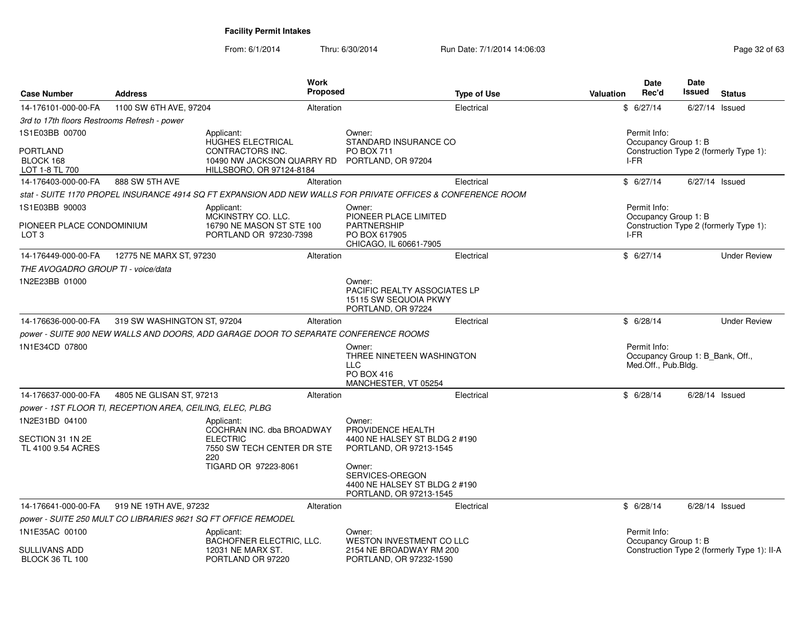| <b>Case Number</b>                             | <b>Address</b>                                                | Work<br>Proposed                                                                                            |                                                                                                | <b>Type of Use</b> | Valuation | Date<br>Rec'd                                                           | Date<br>Issued   | <b>Status</b>                               |
|------------------------------------------------|---------------------------------------------------------------|-------------------------------------------------------------------------------------------------------------|------------------------------------------------------------------------------------------------|--------------------|-----------|-------------------------------------------------------------------------|------------------|---------------------------------------------|
| 14-176101-000-00-FA                            | 1100 SW 6TH AVE, 97204                                        | Alteration                                                                                                  |                                                                                                | Electrical         |           | \$6/27/14                                                               | 6/27/14 Issued   |                                             |
| 3rd to 17th floors Restrooms Refresh - power   |                                                               |                                                                                                             |                                                                                                |                    |           |                                                                         |                  |                                             |
| 1S1E03BB 00700                                 |                                                               | Applicant:                                                                                                  | Owner:                                                                                         |                    |           | Permit Info:                                                            |                  |                                             |
| <b>PORTLAND</b><br>BLOCK 168<br>LOT 1-8 TL 700 |                                                               | <b>HUGHES ELECTRICAL</b><br>CONTRACTORS INC.<br>10490 NW JACKSON QUARRY RD<br>HILLSBORO, OR 97124-8184      | STANDARD INSURANCE CO<br>PO BOX 711<br>PORTLAND, OR 97204                                      |                    |           | Occupancy Group 1: B<br>I-FR                                            |                  | Construction Type 2 (formerly Type 1):      |
| 14-176403-000-00-FA                            | 888 SW 5TH AVE                                                | Alteration                                                                                                  |                                                                                                | Electrical         |           | \$6/27/14                                                               |                  | $6/27/14$ Issued                            |
|                                                |                                                               | stat - SUITE 1170 PROPEL INSURANCE 4914 SQ FT EXPANSION ADD NEW WALLS FOR PRIVATE OFFICES & CONFERENCE ROOM |                                                                                                |                    |           |                                                                         |                  |                                             |
| 1S1E03BB 90003                                 |                                                               | Applicant:<br>MCKINSTRY CO. LLC.                                                                            | Owner:<br>PIONEER PLACE LIMITED                                                                |                    |           | Permit Info:<br>Occupancy Group 1: B                                    |                  |                                             |
| PIONEER PLACE CONDOMINIUM<br>LOT <sub>3</sub>  |                                                               | 16790 NE MASON ST STE 100<br>PORTLAND OR 97230-7398                                                         | <b>PARTNERSHIP</b><br>PO BOX 617905<br>CHICAGO, IL 60661-7905                                  |                    |           | I-FR                                                                    |                  | Construction Type 2 (formerly Type 1):      |
| 14-176449-000-00-FA                            | 12775 NE MARX ST, 97230                                       | Alteration                                                                                                  |                                                                                                | Electrical         |           | \$6/27/14                                                               |                  | <b>Under Review</b>                         |
| THE AVOGADRO GROUP TI - voice/data             |                                                               |                                                                                                             |                                                                                                |                    |           |                                                                         |                  |                                             |
| 1N2E23BB 01000                                 |                                                               |                                                                                                             | Owner:<br>PACIFIC REALTY ASSOCIATES LP<br>15115 SW SEQUOIA PKWY<br>PORTLAND, OR 97224          |                    |           |                                                                         |                  |                                             |
| 14-176636-000-00-FA                            | 319 SW WASHINGTON ST, 97204                                   | Alteration                                                                                                  |                                                                                                | Electrical         |           | \$6/28/14                                                               |                  | <b>Under Review</b>                         |
|                                                |                                                               | power - SUITE 900 NEW WALLS AND DOORS. ADD GARAGE DOOR TO SEPARATE CONFERENCE ROOMS                         |                                                                                                |                    |           |                                                                         |                  |                                             |
| 1N1E34CD 07800                                 |                                                               |                                                                                                             | Owner:<br>THREE NINETEEN WASHINGTON<br><b>LLC</b><br><b>PO BOX 416</b><br>MANCHESTER, VT 05254 |                    |           | Permit Info:<br>Occupancy Group 1: B_Bank, Off.,<br>Med.Off., Pub.Bldg. |                  |                                             |
| 14-176637-000-00-FA                            | 4805 NE GLISAN ST, 97213                                      | Alteration                                                                                                  |                                                                                                | Electrical         |           | \$6/28/14                                                               | $6/28/14$ Issued |                                             |
|                                                | power - 1ST FLOOR TI, RECEPTION AREA, CEILING, ELEC, PLBG     |                                                                                                             |                                                                                                |                    |           |                                                                         |                  |                                             |
| 1N2E31BD 04100                                 |                                                               | Applicant:<br>COCHRAN INC. dba BROADWAY                                                                     | Owner:<br>PROVIDENCE HEALTH                                                                    |                    |           |                                                                         |                  |                                             |
| SECTION 31 1N 2E<br>TL 4100 9.54 ACRES         |                                                               | <b>ELECTRIC</b><br>7550 SW TECH CENTER DR STE<br>220                                                        | 4400 NE HALSEY ST BLDG 2 #190<br>PORTLAND, OR 97213-1545                                       |                    |           |                                                                         |                  |                                             |
|                                                |                                                               | TIGARD OR 97223-8061                                                                                        | Owner:<br>SERVICES-OREGON<br>4400 NE HALSEY ST BLDG 2 #190<br>PORTLAND, OR 97213-1545          |                    |           |                                                                         |                  |                                             |
| 14-176641-000-00-FA                            | 919 NE 19TH AVE, 97232                                        | Alteration                                                                                                  |                                                                                                | Electrical         |           | \$6/28/14                                                               | 6/28/14 Issued   |                                             |
|                                                | power - SUITE 250 MULT CO LIBRARIES 9621 SQ FT OFFICE REMODEL |                                                                                                             |                                                                                                |                    |           |                                                                         |                  |                                             |
| 1N1E35AC 00100                                 |                                                               | Applicant:<br>BACHOFNER ELECTRIC, LLC.                                                                      | Owner:<br>WESTON INVESTMENT CO LLC                                                             |                    |           | Permit Info:<br>Occupancy Group 1: B                                    |                  |                                             |
| SULLIVANS ADD<br><b>BLOCK 36 TL 100</b>        |                                                               | 12031 NE MARX ST.<br>PORTLAND OR 97220                                                                      | 2154 NE BROADWAY RM 200<br>PORTLAND, OR 97232-1590                                             |                    |           |                                                                         |                  | Construction Type 2 (formerly Type 1): II-A |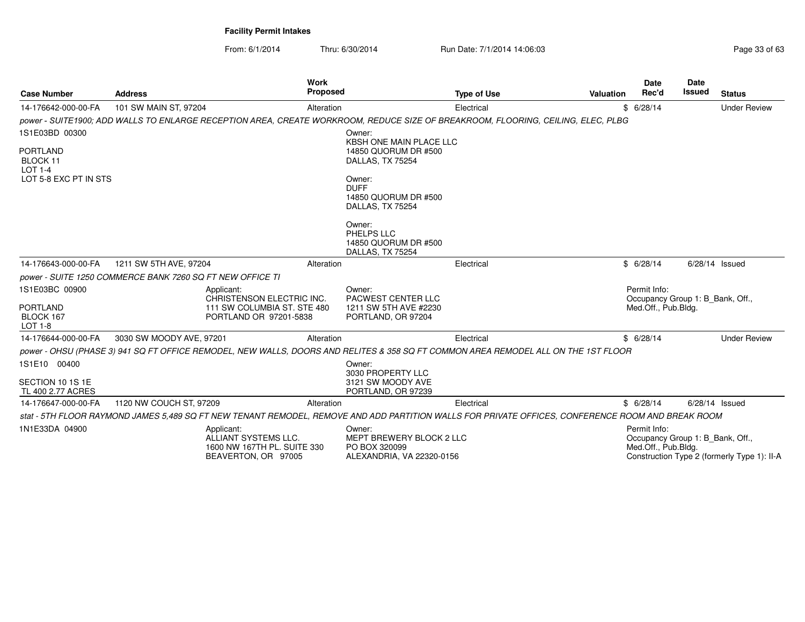| <b>Case Number</b>                      | <b>Address</b>                                            | Work<br><b>Proposed</b>                                                                                                                           |                                                                                  | <b>Type of Use</b> | Valuation | Date<br>Rec'd                                                           | <b>Date</b><br><b>Issued</b> | <b>Status</b>                               |
|-----------------------------------------|-----------------------------------------------------------|---------------------------------------------------------------------------------------------------------------------------------------------------|----------------------------------------------------------------------------------|--------------------|-----------|-------------------------------------------------------------------------|------------------------------|---------------------------------------------|
| 14-176642-000-00-FA                     | 101 SW MAIN ST, 97204                                     | Alteration                                                                                                                                        |                                                                                  | Electrical         |           | \$6/28/14                                                               |                              | <b>Under Review</b>                         |
|                                         |                                                           | power - SUITE1900: ADD WALLS TO ENLARGE RECEPTION AREA, CREATE WORKROOM, REDUCE SIZE OF BREAKROOM, FLOORING, CEILING, ELEC, PLBG                  |                                                                                  |                    |           |                                                                         |                              |                                             |
| 1S1E03BD 00300                          |                                                           |                                                                                                                                                   | Owner:<br><b>KBSH ONE MAIN PLACE LLC</b>                                         |                    |           |                                                                         |                              |                                             |
| <b>PORTLAND</b><br>BLOCK 11<br>LOT 1-4  |                                                           |                                                                                                                                                   | 14850 QUORUM DR #500<br>DALLAS, TX 75254                                         |                    |           |                                                                         |                              |                                             |
| LOT 5-8 EXC PT IN STS                   |                                                           |                                                                                                                                                   | Owner:<br><b>DUFF</b><br>14850 QUORUM DR #500<br>DALLAS, TX 75254                |                    |           |                                                                         |                              |                                             |
|                                         |                                                           |                                                                                                                                                   | Owner:<br>PHELPS LLC<br>14850 QUORUM DR #500<br>DALLAS, TX 75254                 |                    |           |                                                                         |                              |                                             |
| 14-176643-000-00-FA                     | 1211 SW 5TH AVE, 97204                                    | Alteration                                                                                                                                        |                                                                                  | Electrical         |           | \$6/28/14                                                               | $6/28/14$ Issued             |                                             |
|                                         | power - SUITE 1250 COMMERCE BANK 7260 SQ FT NEW OFFICE TI |                                                                                                                                                   |                                                                                  |                    |           |                                                                         |                              |                                             |
| 1S1E03BC 00900                          |                                                           | Applicant:<br>CHRISTENSON ELECTRIC INC.                                                                                                           | Owner:<br>PACWEST CENTER LLC                                                     |                    |           | Permit Info:<br>Occupancy Group 1: B Bank, Off.,                        |                              |                                             |
| <b>PORTLAND</b><br>BLOCK 167<br>LOT 1-8 |                                                           | 111 SW COLUMBIA ST. STE 480<br>PORTLAND OR 97201-5838                                                                                             | 1211 SW 5TH AVE #2230<br>PORTLAND, OR 97204                                      |                    |           | Med.Off., Pub.Bldg.                                                     |                              |                                             |
| 14-176644-000-00-FA                     | 3030 SW MOODY AVE, 97201                                  | Alteration                                                                                                                                        |                                                                                  | Electrical         |           | \$6/28/14                                                               |                              | <b>Under Review</b>                         |
|                                         |                                                           | power - OHSU (PHASE 3) 941 SQ FT OFFICE REMODEL, NEW WALLS, DOORS AND RELITES & 358 SQ FT COMMON AREA REMODEL ALL ON THE 1ST FLOOR                |                                                                                  |                    |           |                                                                         |                              |                                             |
| 1S1E10 00400                            |                                                           |                                                                                                                                                   | Owner:<br>3030 PROPERTY LLC                                                      |                    |           |                                                                         |                              |                                             |
| SECTION 10 1S 1E<br>TL 400 2.77 ACRES   |                                                           |                                                                                                                                                   | 3121 SW MOODY AVE<br>PORTLAND, OR 97239                                          |                    |           |                                                                         |                              |                                             |
| 14-176647-000-00-FA                     | 1120 NW COUCH ST, 97209                                   | Alteration                                                                                                                                        |                                                                                  | Electrical         |           | \$6/28/14                                                               | $6/28/14$ Issued             |                                             |
|                                         |                                                           | stat - 5TH FLOOR RAYMOND JAMES 5.489 SQ FT NEW TENANT REMODEL, REMOVE AND ADD PARTITION WALLS FOR PRIVATE OFFICES, CONFERENCE ROOM AND BREAK ROOM |                                                                                  |                    |           |                                                                         |                              |                                             |
| 1N1E33DA 04900                          |                                                           | Applicant:<br>ALLIANT SYSTEMS LLC.<br>1600 NW 167TH PL. SUITE 330<br>BEAVERTON, OR 97005                                                          | Owner:<br>MEPT BREWERY BLOCK 2 LLC<br>PO BOX 320099<br>ALEXANDRIA, VA 22320-0156 |                    |           | Permit Info:<br>Occupancy Group 1: B Bank, Off.,<br>Med.Off., Pub.Bldg. |                              | Construction Type 2 (formerly Type 1): II-A |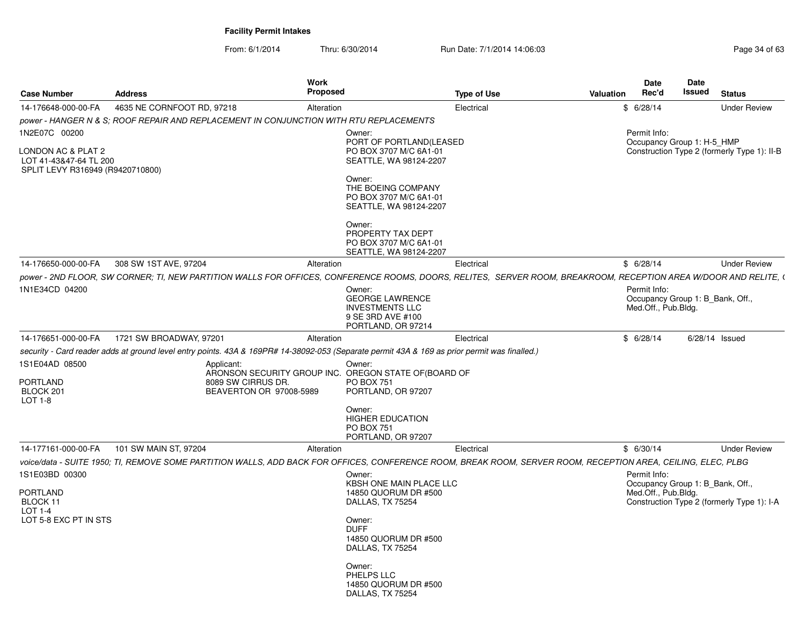| <b>Case Number</b>                                                               | <b>Address</b>             | <b>Work</b><br>Proposed                                                                                                                                          |                                                                                                       | <b>Type of Use</b> | Valuation | <b>Date</b><br>Rec'd                                                    | Date<br>Issued | <b>Status</b>                               |
|----------------------------------------------------------------------------------|----------------------------|------------------------------------------------------------------------------------------------------------------------------------------------------------------|-------------------------------------------------------------------------------------------------------|--------------------|-----------|-------------------------------------------------------------------------|----------------|---------------------------------------------|
| 14-176648-000-00-FA                                                              | 4635 NE CORNFOOT RD, 97218 | Alteration                                                                                                                                                       |                                                                                                       | Electrical         |           | \$6/28/14                                                               |                | <b>Under Review</b>                         |
|                                                                                  |                            | power - HANGER N & S; ROOF REPAIR AND REPLACEMENT IN CONJUNCTION WITH RTU REPLACEMENTS                                                                           |                                                                                                       |                    |           |                                                                         |                |                                             |
| 1N2E07C 00200                                                                    |                            |                                                                                                                                                                  | Owner:<br>PORT OF PORTLAND(LEASED                                                                     |                    |           | Permit Info:<br>Occupancy Group 1: H-5_HMP                              |                |                                             |
| LONDON AC & PLAT 2<br>LOT 41-43&47-64 TL 200<br>SPLIT LEVY R316949 (R9420710800) |                            |                                                                                                                                                                  | PO BOX 3707 M/C 6A1-01<br>SEATTLE, WA 98124-2207                                                      |                    |           |                                                                         |                | Construction Type 2 (formerly Type 1): II-B |
|                                                                                  |                            |                                                                                                                                                                  | Owner:<br>THE BOEING COMPANY<br>PO BOX 3707 M/C 6A1-01<br>SEATTLE, WA 98124-2207                      |                    |           |                                                                         |                |                                             |
|                                                                                  |                            |                                                                                                                                                                  | Owner:<br>PROPERTY TAX DEPT<br>PO BOX 3707 M/C 6A1-01<br>SEATTLE, WA 98124-2207                       |                    |           |                                                                         |                |                                             |
| 14-176650-000-00-FA                                                              | 308 SW 1ST AVE, 97204      | Alteration                                                                                                                                                       |                                                                                                       | Electrical         |           | \$6/28/14                                                               |                | <b>Under Review</b>                         |
|                                                                                  |                            | power - 2ND FLOOR, SW CORNER; TI, NEW PARTITION WALLS FOR OFFICES, CONFERENCE ROOMS, DOORS, RELITES, SERVER ROOM, BREAKROOM, RECEPTION AREA W/DOOR AND RELITE, ( |                                                                                                       |                    |           |                                                                         |                |                                             |
| 1N1E34CD 04200                                                                   |                            |                                                                                                                                                                  | Owner:<br><b>GEORGE LAWRENCE</b><br><b>INVESTMENTS LLC</b><br>9 SE 3RD AVE #100<br>PORTLAND, OR 97214 |                    |           | Permit Info:<br>Occupancy Group 1: B_Bank, Off.,<br>Med.Off., Pub.Bldg. |                |                                             |
| 14-176651-000-00-FA                                                              | 1721 SW BROADWAY, 97201    | Alteration                                                                                                                                                       |                                                                                                       | Electrical         |           | \$6/28/14                                                               |                | $6/28/14$ Issued                            |
|                                                                                  |                            | security - Card reader adds at ground level entry points. 43A & 169PR# 14-38092-053 (Separate permit 43A & 169 as prior permit was finalled.)                    |                                                                                                       |                    |           |                                                                         |                |                                             |
| 1S1E04AD 08500                                                                   |                            | Applicant:                                                                                                                                                       | Owner:                                                                                                |                    |           |                                                                         |                |                                             |
| PORTLAND<br>BLOCK 201                                                            |                            | ARONSON SECURITY GROUP INC. OREGON STATE OF (BOARD OF<br>8089 SW CIRRUS DR.<br>BEAVERTON OR 97008-5989                                                           | <b>PO BOX 751</b><br>PORTLAND, OR 97207                                                               |                    |           |                                                                         |                |                                             |
| LOT 1-8                                                                          |                            |                                                                                                                                                                  | Owner:<br><b>HIGHER EDUCATION</b><br>PO BOX 751<br>PORTLAND, OR 97207                                 |                    |           |                                                                         |                |                                             |
| 14-177161-000-00-FA                                                              | 101 SW MAIN ST, 97204      | Alteration                                                                                                                                                       |                                                                                                       | Electrical         |           | \$6/30/14                                                               |                | <b>Under Review</b>                         |
|                                                                                  |                            | voice/data - SUITE 1950; TI, REMOVE SOME PARTITION WALLS, ADD BACK FOR OFFICES, CONFERENCE ROOM, BREAK ROOM, SERVER ROOM, RECEPTION AREA, CEILING, ELEC, PLBG    |                                                                                                       |                    |           |                                                                         |                |                                             |
| 1S1E03BD 00300                                                                   |                            |                                                                                                                                                                  | Owner:                                                                                                |                    |           | Permit Info:                                                            |                |                                             |
| PORTLAND<br>BLOCK 11                                                             |                            |                                                                                                                                                                  | <b>KBSH ONE MAIN PLACE LLC</b><br>14850 QUORUM DR #500<br>DALLAS, TX 75254                            |                    |           | Occupancy Group 1: B_Bank, Off.,<br>Med.Off., Pub.Bldg.                 |                | Construction Type 2 (formerly Type 1): I-A  |
| LOT 1-4<br>LOT 5-8 EXC PT IN STS                                                 |                            |                                                                                                                                                                  | Owner:<br><b>DUFF</b><br>14850 QUORUM DR #500<br>DALLAS, TX 75254                                     |                    |           |                                                                         |                |                                             |
|                                                                                  |                            |                                                                                                                                                                  | Owner:<br>PHELPS LLC<br>14850 QUORUM DR #500<br>DALLAS, TX 75254                                      |                    |           |                                                                         |                |                                             |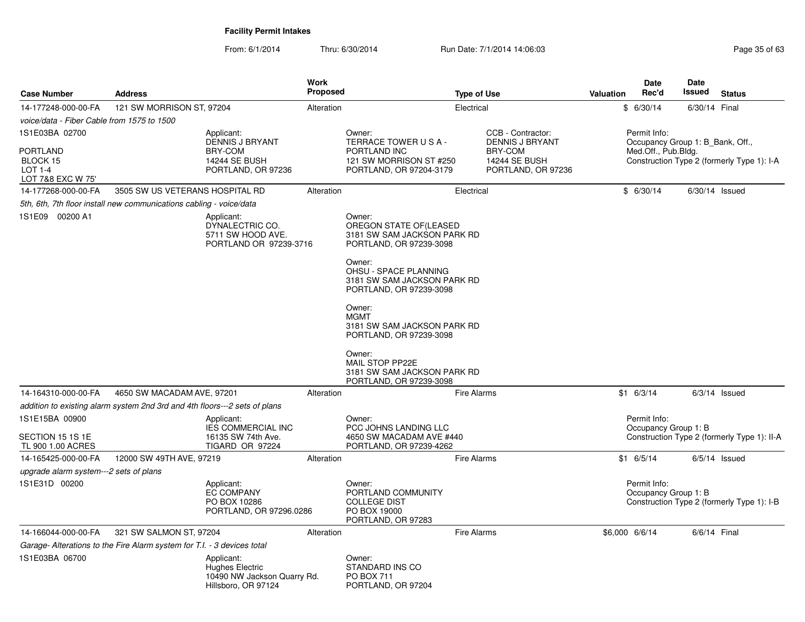| <b>Case Number</b>                                                 | <b>Address</b>                                                             |                                                                                     | <b>Work</b><br><b>Proposed</b> |                                                                                            | <b>Type of Use</b> |                                                | Valuation                                                                          | <b>Date</b><br>Rec'd                             | Date<br>Issued  | <b>Status</b>                               |  |
|--------------------------------------------------------------------|----------------------------------------------------------------------------|-------------------------------------------------------------------------------------|--------------------------------|--------------------------------------------------------------------------------------------|--------------------|------------------------------------------------|------------------------------------------------------------------------------------|--------------------------------------------------|-----------------|---------------------------------------------|--|
| 14-177248-000-00-FA                                                | 121 SW MORRISON ST, 97204                                                  |                                                                                     | Alteration                     | Electrical                                                                                 |                    |                                                | \$6/30/14                                                                          | 6/30/14 Final                                    |                 |                                             |  |
| voice/data - Fiber Cable from 1575 to 1500                         |                                                                            |                                                                                     |                                |                                                                                            |                    |                                                |                                                                                    |                                                  |                 |                                             |  |
| 1S1E03BA 02700                                                     |                                                                            | Applicant:<br><b>DENNIS J BRYANT</b>                                                |                                | Owner:<br>TERRACE TOWER USA-                                                               |                    | CCB - Contractor:<br><b>DENNIS J BRYANT</b>    |                                                                                    | Permit Info:<br>Occupancy Group 1: B_Bank, Off., |                 |                                             |  |
| <b>PORTLAND</b><br>BLOCK 15<br><b>LOT 1-4</b><br>LOT 7&8 EXC W 75' |                                                                            | <b>BRY-COM</b><br>14244 SE BUSH<br>PORTLAND, OR 97236                               |                                | PORTLAND INC<br>121 SW MORRISON ST #250<br>PORTLAND, OR 97204-3179                         |                    | BRY-COM<br>14244 SE BUSH<br>PORTLAND, OR 97236 | Med.Off., Pub.Bldg.                                                                |                                                  |                 | Construction Type 2 (formerly Type 1): I-A  |  |
| 14-177268-000-00-FA                                                | 3505 SW US VETERANS HOSPITAL RD                                            |                                                                                     | Alteration                     |                                                                                            | Electrical         |                                                |                                                                                    | \$6/30/14                                        |                 | $6/30/14$ Issued                            |  |
|                                                                    | 5th, 6th, 7th floor install new communications cabling - voice/data        |                                                                                     |                                |                                                                                            |                    |                                                |                                                                                    |                                                  |                 |                                             |  |
| 1S1E09 00200 A1                                                    |                                                                            | Applicant:<br>DYNALECTRIC CO.<br>5711 SW HOOD AVE.<br>PORTLAND OR 97239-3716        |                                | Owner:<br>OREGON STATE OF(LEASED<br>3181 SW SAM JACKSON PARK RD<br>PORTLAND, OR 97239-3098 |                    |                                                |                                                                                    |                                                  |                 |                                             |  |
|                                                                    |                                                                            |                                                                                     |                                | Owner:<br>OHSU - SPACE PLANNING<br>3181 SW SAM JACKSON PARK RD<br>PORTLAND, OR 97239-3098  |                    |                                                |                                                                                    |                                                  |                 |                                             |  |
|                                                                    |                                                                            |                                                                                     |                                | Owner:<br><b>MGMT</b><br>3181 SW SAM JACKSON PARK RD<br>PORTLAND, OR 97239-3098            |                    |                                                |                                                                                    |                                                  |                 |                                             |  |
|                                                                    |                                                                            |                                                                                     |                                | Owner:<br>MAIL STOP PP22E<br>3181 SW SAM JACKSON PARK RD<br>PORTLAND, OR 97239-3098        |                    |                                                |                                                                                    |                                                  |                 |                                             |  |
| 14-164310-000-00-FA                                                | 4650 SW MACADAM AVE, 97201                                                 |                                                                                     | Alteration                     | <b>Fire Alarms</b>                                                                         |                    |                                                | $$1$ 6/3/14                                                                        |                                                  | $6/3/14$ Issued |                                             |  |
|                                                                    | addition to existing alarm system 2nd 3rd and 4th floors---2 sets of plans |                                                                                     |                                |                                                                                            |                    |                                                |                                                                                    |                                                  |                 |                                             |  |
| 1S1E15BA 00900<br>SECTION 15 1S 1E<br>TL 900 1.00 ACRES            |                                                                            | Applicant:<br><b>IES COMMERCIAL INC</b><br>16135 SW 74th Ave.<br>TIGARD OR 97224    |                                | Owner:<br>PCC JOHNS LANDING LLC<br>4650 SW MACADAM AVE #440<br>PORTLAND, OR 97239-4262     |                    |                                                |                                                                                    | Permit Info:<br>Occupancy Group 1: B             |                 | Construction Type 2 (formerly Type 1): II-A |  |
| 14-165425-000-00-FA                                                | 12000 SW 49TH AVE, 97219                                                   |                                                                                     | Alteration                     |                                                                                            | <b>Fire Alarms</b> |                                                |                                                                                    | $$1$ 6/5/14                                      |                 | $6/5/14$ Issued                             |  |
| upgrade alarm system---2 sets of plans                             |                                                                            |                                                                                     |                                |                                                                                            |                    |                                                |                                                                                    |                                                  |                 |                                             |  |
| 1S1E31D 00200                                                      |                                                                            | Applicant:<br><b>EC COMPANY</b><br>PO BOX 10286<br>PORTLAND, OR 97296.0286          |                                | Owner:<br>PORTLAND COMMUNITY<br><b>COLLEGE DIST</b><br>PO BOX 19000<br>PORTLAND, OR 97283  |                    |                                                | Permit Info:<br>Occupancy Group 1: B<br>Construction Type 2 (formerly Type 1): I-B |                                                  |                 |                                             |  |
| 14-166044-000-00-FA                                                | 321 SW SALMON ST, 97204                                                    |                                                                                     | Alteration                     |                                                                                            | <b>Fire Alarms</b> |                                                | \$6,000 6/6/14                                                                     |                                                  | 6/6/14 Final    |                                             |  |
|                                                                    | Garage- Alterations to the Fire Alarm system for T.I. - 3 devices total    |                                                                                     |                                |                                                                                            |                    |                                                |                                                                                    |                                                  |                 |                                             |  |
| 1S1E03BA 06700                                                     |                                                                            | Applicant:<br>Hughes Electric<br>10490 NW Jackson Quarry Rd.<br>Hillsboro, OR 97124 |                                | Owner:<br>STANDARD INS CO<br>PO BOX 711<br>PORTLAND, OR 97204                              |                    |                                                |                                                                                    |                                                  |                 |                                             |  |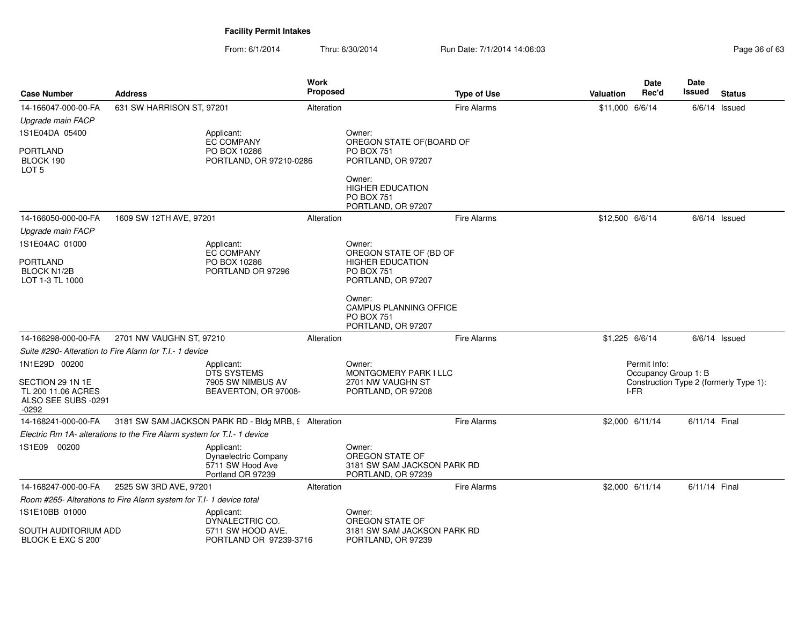| <b>Case Number</b>                                 | <b>Address</b>                                                          |                                                                                    | <b>Work</b><br><b>Proposed</b> |                                                                                              | <b>Type of Use</b>                                                             | <b>Valuation</b> | <b>Date</b><br>Rec'd | Date<br>Issued | <b>Status</b>   |
|----------------------------------------------------|-------------------------------------------------------------------------|------------------------------------------------------------------------------------|--------------------------------|----------------------------------------------------------------------------------------------|--------------------------------------------------------------------------------|------------------|----------------------|----------------|-----------------|
| 14-166047-000-00-FA                                | 631 SW HARRISON ST, 97201                                               |                                                                                    | Alteration                     |                                                                                              | <b>Fire Alarms</b>                                                             | \$11,000 6/6/14  |                      |                | $6/6/14$ Issued |
| Upgrade main FACP                                  |                                                                         |                                                                                    |                                |                                                                                              |                                                                                |                  |                      |                |                 |
| 1S1E04DA 05400                                     |                                                                         | Applicant:                                                                         |                                | Owner:                                                                                       |                                                                                |                  |                      |                |                 |
| PORTLAND<br>BLOCK 190<br>LOT 5                     |                                                                         | EC COMPANY<br>PO BOX 10286<br>PORTLAND, OR 97210-0286                              |                                | OREGON STATE OF(BOARD OF<br><b>PO BOX 751</b><br>PORTLAND, OR 97207                          |                                                                                |                  |                      |                |                 |
|                                                    |                                                                         |                                                                                    |                                | Owner:<br><b>HIGHER EDUCATION</b><br><b>PO BOX 751</b><br>PORTLAND, OR 97207                 |                                                                                |                  |                      |                |                 |
| 14-166050-000-00-FA                                | 1609 SW 12TH AVE, 97201                                                 |                                                                                    | Alteration                     |                                                                                              | <b>Fire Alarms</b>                                                             | \$12,500 6/6/14  |                      |                | $6/6/14$ Issued |
| Upgrade main FACP                                  |                                                                         |                                                                                    |                                |                                                                                              |                                                                                |                  |                      |                |                 |
| 1S1E04AC 01000                                     |                                                                         | Applicant:                                                                         |                                | Owner:                                                                                       |                                                                                |                  |                      |                |                 |
| <b>PORTLAND</b><br>BLOCK N1/2B<br>LOT 1-3 TL 1000  |                                                                         | EC COMPANY<br>PO BOX 10286<br>PORTLAND OR 97296                                    |                                | OREGON STATE OF (BD OF<br><b>HIGHER EDUCATION</b><br><b>PO BOX 751</b><br>PORTLAND, OR 97207 |                                                                                |                  |                      |                |                 |
|                                                    |                                                                         |                                                                                    |                                | Owner:<br><b>CAMPUS PLANNING OFFICE</b><br><b>PO BOX 751</b><br>PORTLAND, OR 97207           |                                                                                |                  |                      |                |                 |
| 14-166298-000-00-FA                                | 2701 NW VAUGHN ST, 97210                                                |                                                                                    | Alteration                     |                                                                                              | <b>Fire Alarms</b>                                                             | \$1,225 6/6/14   |                      |                | $6/6/14$ Issued |
|                                                    | Suite #290- Alteration to Fire Alarm for T.I.- 1 device                 |                                                                                    |                                |                                                                                              |                                                                                |                  |                      |                |                 |
| 1N1E29D 00200<br>SECTION 29 1N 1E                  | Applicant:<br><b>DTS SYSTEMS</b><br>7905 SW NIMBUS AV                   |                                                                                    |                                | Owner:<br>MONTGOMERY PARK I LLC<br>2701 NW VAUGHN ST                                         | Permit Info:<br>Occupancy Group 1: B<br>Construction Type 2 (formerly Type 1): |                  |                      |                |                 |
| TL 200 11.06 ACRES<br>ALSO SEE SUBS -0291<br>-0292 |                                                                         | BEAVERTON, OR 97008-                                                               |                                | PORTLAND, OR 97208                                                                           |                                                                                |                  | I-FR                 |                |                 |
| 14-168241-000-00-FA                                |                                                                         | 3181 SW SAM JACKSON PARK RD - Bldg MRB, 9 Alteration                               |                                |                                                                                              | <b>Fire Alarms</b>                                                             |                  | \$2,000 6/11/14      | 6/11/14 Final  |                 |
|                                                    | Electric Rm 1A- alterations to the Fire Alarm system for T.I.- 1 device |                                                                                    |                                |                                                                                              |                                                                                |                  |                      |                |                 |
| 1S1E09 00200                                       |                                                                         | Applicant:<br><b>Dynaelectric Company</b><br>5711 SW Hood Ave<br>Portland OR 97239 |                                | Owner:<br>OREGON STATE OF<br>3181 SW SAM JACKSON PARK RD<br>PORTLAND, OR 97239               |                                                                                |                  |                      |                |                 |
| 14-168247-000-00-FA                                | 2525 SW 3RD AVE, 97201                                                  |                                                                                    | Alteration                     |                                                                                              | <b>Fire Alarms</b>                                                             |                  | \$2,000 6/11/14      | 6/11/14 Final  |                 |
|                                                    | Room #265- Alterations to Fire Alarm system for T.I- 1 device total     |                                                                                    |                                |                                                                                              |                                                                                |                  |                      |                |                 |
| 1S1E10BB 01000                                     |                                                                         | Applicant:<br>DYNALECTRIC CO.                                                      |                                | Owner:<br>OREGON STATE OF                                                                    |                                                                                |                  |                      |                |                 |
| SOUTH AUDITORIUM ADD<br>BLOCK E EXC S 200'         |                                                                         | 5711 SW HOOD AVE.<br>PORTLAND OR 97239-3716                                        |                                | 3181 SW SAM JACKSON PARK RD<br>PORTLAND, OR 97239                                            |                                                                                |                  |                      |                |                 |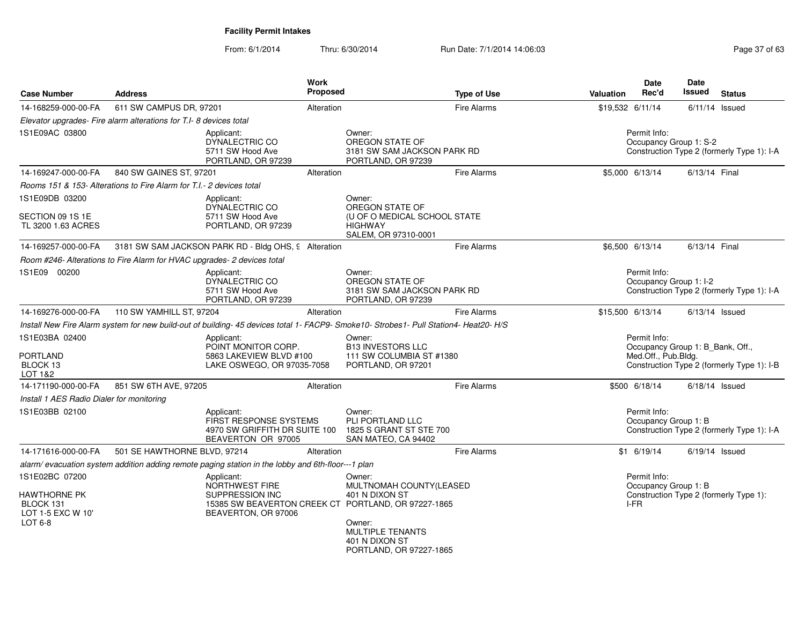| <b>Case Number</b>                                                                   | <b>Address</b>                                                                                     | Work<br>Proposed                                                              | <b>Type of Use</b>                                                                                                                                                                    | Valuation                                                                                                             | Date<br>Rec'd                          | Date<br>Issued         | <b>Status</b>                              |
|--------------------------------------------------------------------------------------|----------------------------------------------------------------------------------------------------|-------------------------------------------------------------------------------|---------------------------------------------------------------------------------------------------------------------------------------------------------------------------------------|-----------------------------------------------------------------------------------------------------------------------|----------------------------------------|------------------------|--------------------------------------------|
| 14-168259-000-00-FA                                                                  | 611 SW CAMPUS DR, 97201                                                                            | Alteration                                                                    | <b>Fire Alarms</b>                                                                                                                                                                    | \$19,532 6/11/14                                                                                                      |                                        |                        | $6/11/14$ Issued                           |
|                                                                                      | Elevator upgrades- Fire alarm alterations for T.I- 8 devices total                                 |                                                                               |                                                                                                                                                                                       |                                                                                                                       |                                        |                        |                                            |
| 1S1E09AC 03800                                                                       | Applicant:<br>DYNALECTRIC CO<br>5711 SW Hood Ave<br>PORTLAND, OR 97239                             |                                                                               | Owner:<br>OREGON STATE OF<br>3181 SW SAM JACKSON PARK RD<br>PORTLAND, OR 97239                                                                                                        |                                                                                                                       | Permit Info:                           | Occupancy Group 1: S-2 | Construction Type 2 (formerly Type 1): I-A |
| 14-169247-000-00-FA                                                                  | 840 SW GAINES ST, 97201                                                                            | Alteration                                                                    | <b>Fire Alarms</b>                                                                                                                                                                    | \$5,000 6/13/14                                                                                                       |                                        | 6/13/14 Final          |                                            |
|                                                                                      | Rooms 151 & 153- Alterations to Fire Alarm for T.I.- 2 devices total                               |                                                                               |                                                                                                                                                                                       |                                                                                                                       |                                        |                        |                                            |
| 1S1E09DB 03200<br>SECTION 09 1S 1E<br>TL 3200 1.63 ACRES                             | Applicant:<br>DYNALECTRIC CO<br>5711 SW Hood Ave<br>PORTLAND, OR 97239                             |                                                                               | Owner:<br>OREGON STATE OF<br>(U OF O MEDICAL SCHOOL STATE<br><b>HIGHWAY</b>                                                                                                           |                                                                                                                       |                                        |                        |                                            |
|                                                                                      |                                                                                                    |                                                                               | SALEM, OR 97310-0001                                                                                                                                                                  |                                                                                                                       |                                        |                        |                                            |
| 14-169257-000-00-FA                                                                  | 3181 SW SAM JACKSON PARK RD - Bldg OHS, 9 Alteration                                               |                                                                               | Fire Alarms                                                                                                                                                                           | \$6,500 6/13/14                                                                                                       |                                        | 6/13/14 Final          |                                            |
|                                                                                      | Room #246- Alterations to Fire Alarm for HVAC upgrades- 2 devices total                            |                                                                               |                                                                                                                                                                                       |                                                                                                                       |                                        |                        |                                            |
| 1S1E09 00200                                                                         | Applicant:<br>DYNALECTRIC CO<br>5711 SW Hood Ave<br>PORTLAND, OR 97239                             |                                                                               | Owner:<br>OREGON STATE OF<br>3181 SW SAM JACKSON PARK RD<br>PORTLAND, OR 97239                                                                                                        |                                                                                                                       | Permit Info:<br>Occupancy Group 1: I-2 |                        | Construction Type 2 (formerly Type 1): I-A |
| 14-169276-000-00-FA                                                                  | 110 SW YAMHILL ST, 97204                                                                           | Alteration                                                                    | <b>Fire Alarms</b>                                                                                                                                                                    | \$15,500 6/13/14                                                                                                      |                                        |                        | $6/13/14$ Issued                           |
|                                                                                      |                                                                                                    |                                                                               | Install New Fire Alarm system for new build-out of building-45 devices total 1- FACP9- Smoke10- Strobes1- Pull Station4- Heat20- H/S                                                  |                                                                                                                       |                                        |                        |                                            |
| 1S1E03BA 02400<br><b>PORTLAND</b><br>BLOCK 13<br>LOT 1&2                             | Applicant:                                                                                         | POINT MONITOR CORP.<br>5863 LAKEVIEW BLVD #100<br>LAKE OSWEGO, OR 97035-7058  | Owner:<br><b>B13 INVESTORS LLC</b><br>111 SW COLUMBIA ST #1380<br>PORTLAND, OR 97201                                                                                                  | Permit Info:<br>Occupancy Group 1: B_Bank, Off.,<br>Med.Off., Pub.Bldg.<br>Construction Type 2 (formerly Type 1): I-B |                                        |                        |                                            |
| 14-171190-000-00-FA                                                                  | 851 SW 6TH AVE, 97205                                                                              | Alteration                                                                    | <b>Fire Alarms</b>                                                                                                                                                                    |                                                                                                                       | \$500 6/18/14                          |                        | $6/18/14$ Issued                           |
| Install 1 AES Radio Dialer for monitoring                                            |                                                                                                    |                                                                               |                                                                                                                                                                                       |                                                                                                                       |                                        |                        |                                            |
| 1S1E03BB 02100                                                                       | Applicant:                                                                                         | FIRST RESPONSE SYSTEMS<br>4970 SW GRIFFITH DR SUITE 100<br>BEAVERTON OR 97005 | Owner:<br>PLI PORTLAND LLC<br>1825 S GRANT ST STE 700<br>SAN MATEO, CA 94402                                                                                                          |                                                                                                                       | Permit Info:<br>Occupancy Group 1: B   |                        | Construction Type 2 (formerly Type 1): I-A |
| 14-171616-000-00-FA                                                                  | 501 SE HAWTHORNE BLVD, 97214                                                                       | Alteration                                                                    | <b>Fire Alarms</b>                                                                                                                                                                    |                                                                                                                       | $$1$ 6/19/14                           |                        | $6/19/14$ Issued                           |
|                                                                                      | alarm/ evacuation system addition adding remote paging station in the lobby and 6th-floor---1 plan |                                                                               |                                                                                                                                                                                       |                                                                                                                       |                                        |                        |                                            |
| 1S1E02BC 07200<br><b>HAWTHORNE PK</b><br>BLOCK 131<br>LOT 1-5 EXC W 10'<br>LOT $6-8$ | Applicant:<br>NORTHWEST FIRE<br>SUPPRESSION INC<br>BEAVERTON, OR 97006                             |                                                                               | Owner:<br>MULTNOMAH COUNTY(LEASED<br>401 N DIXON ST<br>15385 SW BEAVERTON CREEK CT PORTLAND, OR 97227-1865<br>Owner:<br>MULTIPLE TENANTS<br>401 N DIXON ST<br>PORTLAND, OR 97227-1865 | I-FR                                                                                                                  | Permit Info:<br>Occupancy Group 1: B   |                        | Construction Type 2 (formerly Type 1):     |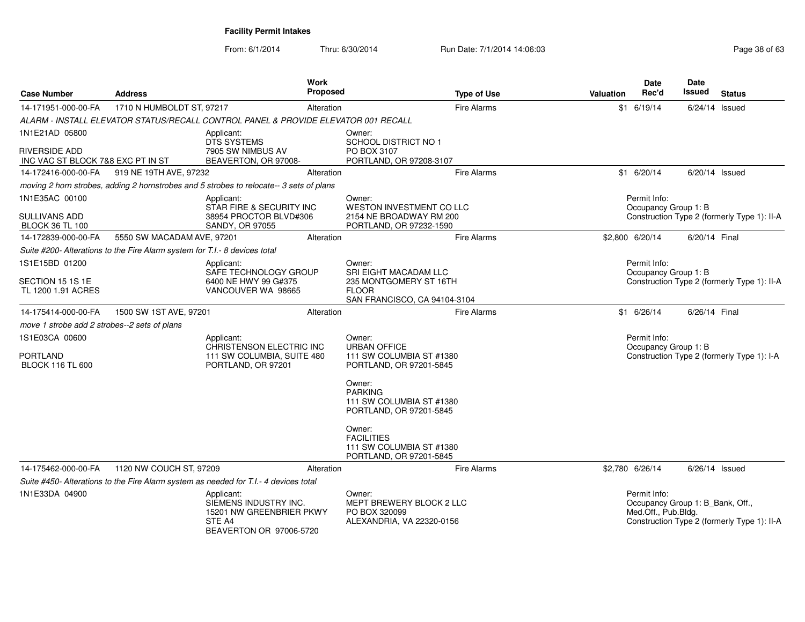| <b>Case Number</b>                                 | <b>Address</b>                                                                       | Work<br><b>Proposed</b>                                                                              |                                                                                    | <b>Type of Use</b> | <b>Valuation</b>                            | <b>Date</b><br>Rec'd                                                    | Date<br><b>Issued</b> | <b>Status</b>                               |
|----------------------------------------------------|--------------------------------------------------------------------------------------|------------------------------------------------------------------------------------------------------|------------------------------------------------------------------------------------|--------------------|---------------------------------------------|-------------------------------------------------------------------------|-----------------------|---------------------------------------------|
| 14-171951-000-00-FA                                | 1710 N HUMBOLDT ST, 97217                                                            | Alteration                                                                                           |                                                                                    | <b>Fire Alarms</b> |                                             | $$1$ 6/19/14                                                            | $6/24/14$ Issued      |                                             |
|                                                    |                                                                                      | ALARM - INSTALL ELEVATOR STATUS/RECALL CONTROL PANEL & PROVIDE ELEVATOR 001 RECALL                   |                                                                                    |                    |                                             |                                                                         |                       |                                             |
| 1N1E21AD 05800                                     |                                                                                      | Applicant:<br><b>DTS SYSTEMS</b>                                                                     | Owner:<br>SCHOOL DISTRICT NO 1                                                     |                    |                                             |                                                                         |                       |                                             |
| RIVERSIDE ADD<br>INC VAC ST BLOCK 7&8 EXC PT IN ST |                                                                                      | 7905 SW NIMBUS AV<br>BEAVERTON, OR 97008-                                                            | PO BOX 3107<br>PORTLAND, OR 97208-3107                                             |                    |                                             |                                                                         |                       |                                             |
| 14-172416-000-00-FA                                | 919 NE 19TH AVE, 97232                                                               | Alteration                                                                                           |                                                                                    | <b>Fire Alarms</b> |                                             | $$1$ 6/20/14                                                            | $6/20/14$ Issued      |                                             |
|                                                    |                                                                                      | moving 2 horn strobes, adding 2 hornstrobes and 5 strobes to relocate--3 sets of plans               |                                                                                    |                    |                                             |                                                                         |                       |                                             |
| 1N1E35AC 00100                                     |                                                                                      | Applicant:<br>STAR FIRE & SECURITY INC                                                               | Owner:<br>WESTON INVESTMENT CO LLC                                                 |                    |                                             | Permit Info:<br>Occupancy Group 1: B                                    |                       |                                             |
| <b>SULLIVANS ADD</b><br><b>BLOCK 36 TL 100</b>     |                                                                                      | 38954 PROCTOR BLVD#306<br>SANDY, OR 97055                                                            | 2154 NE BROADWAY RM 200<br>PORTLAND, OR 97232-1590                                 |                    |                                             |                                                                         |                       | Construction Type 2 (formerly Type 1): II-A |
| 14-172839-000-00-FA                                | 5550 SW MACADAM AVE, 97201                                                           | Alteration                                                                                           |                                                                                    | <b>Fire Alarms</b> |                                             | \$2,800 6/20/14                                                         | 6/20/14 Final         |                                             |
|                                                    | Suite #200- Alterations to the Fire Alarm system for T.I.- 8 devices total           |                                                                                                      |                                                                                    |                    |                                             |                                                                         |                       |                                             |
| 1S1E15BD 01200                                     |                                                                                      | Applicant:<br>SAFE TECHNOLOGY GROUP                                                                  | Owner:<br>SRI EIGHT MACADAM LLC                                                    |                    |                                             | Permit Info:<br>Occupancy Group 1: B                                    |                       |                                             |
| SECTION 15 1S 1E<br>TL 1200 1.91 ACRES             |                                                                                      | 6400 NE HWY 99 G#375<br>VANCOUVER WA 98665                                                           | 235 MONTGOMERY ST 16TH<br><b>FLOOR</b><br>SAN FRANCISCO, CA 94104-3104             |                    | Construction Type 2 (formerly Type 1): II-A |                                                                         |                       |                                             |
| 14-175414-000-00-FA                                | 1500 SW 1ST AVE, 97201                                                               | Alteration                                                                                           |                                                                                    | <b>Fire Alarms</b> |                                             | $$1$ 6/26/14                                                            | 6/26/14 Final         |                                             |
| move 1 strobe add 2 strobes--2 sets of plans       |                                                                                      |                                                                                                      |                                                                                    |                    |                                             |                                                                         |                       |                                             |
| 1S1E03CA 00600                                     |                                                                                      | Applicant:<br>CHRISTENSON ELECTRIC INC                                                               | Owner:<br><b>URBAN OFFICE</b>                                                      |                    |                                             | Permit Info:<br>Occupancy Group 1: B                                    |                       |                                             |
| <b>PORTLAND</b><br><b>BLOCK 116 TL 600</b>         |                                                                                      | 111 SW COLUMBIA, SUITE 480<br>PORTLAND, OR 97201                                                     | 111 SW COLUMBIA ST #1380<br>PORTLAND, OR 97201-5845                                |                    |                                             |                                                                         |                       | Construction Type 2 (formerly Type 1): I-A  |
|                                                    |                                                                                      |                                                                                                      | Owner:<br><b>PARKING</b><br>111 SW COLUMBIA ST #1380<br>PORTLAND, OR 97201-5845    |                    |                                             |                                                                         |                       |                                             |
|                                                    |                                                                                      |                                                                                                      | Owner:<br><b>FACILITIES</b><br>111 SW COLUMBIA ST #1380<br>PORTLAND, OR 97201-5845 |                    |                                             |                                                                         |                       |                                             |
| 14-175462-000-00-FA                                | 1120 NW COUCH ST, 97209                                                              | Alteration                                                                                           |                                                                                    | <b>Fire Alarms</b> |                                             | \$2,780 6/26/14                                                         | $6/26/14$ Issued      |                                             |
|                                                    | Suite #450- Alterations to the Fire Alarm system as needed for T.I.- 4 devices total |                                                                                                      |                                                                                    |                    |                                             |                                                                         |                       |                                             |
| 1N1E33DA 04900                                     |                                                                                      | Applicant:<br>SIEMENS INDUSTRY INC.<br>15201 NW GREENBRIER PKWY<br>STE A4<br>BEAVERTON OR 97006-5720 | Owner:<br>MEPT BREWERY BLOCK 2 LLC<br>PO BOX 320099<br>ALEXANDRIA, VA 22320-0156   |                    |                                             | Permit Info:<br>Occupancy Group 1: B_Bank, Off.,<br>Med.Off., Pub.Bldg. |                       | Construction Type 2 (formerly Type 1): II-A |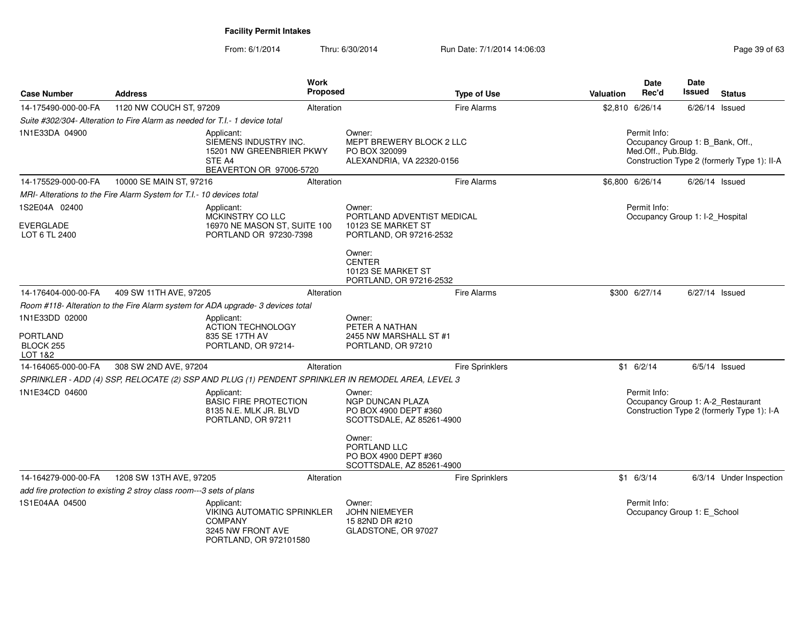| <b>Case Number</b>                                                            | <b>Address</b>                                                              |                                                                                                                  | <b>Work</b><br>Proposed | <b>Type of Use</b>                                                                                | <b>Valuation</b> | Date<br>Rec'd                                                           | <b>Date</b><br>Issued | <b>Status</b>                               |  |
|-------------------------------------------------------------------------------|-----------------------------------------------------------------------------|------------------------------------------------------------------------------------------------------------------|-------------------------|---------------------------------------------------------------------------------------------------|------------------|-------------------------------------------------------------------------|-----------------------|---------------------------------------------|--|
| 14-175490-000-00-FA                                                           | 1120 NW COUCH ST, 97209                                                     |                                                                                                                  | Alteration              | <b>Fire Alarms</b>                                                                                |                  | \$2,810 6/26/14                                                         | 6/26/14 Issued        |                                             |  |
|                                                                               | Suite #302/304- Alteration to Fire Alarm as needed for T.I.- 1 device total |                                                                                                                  |                         |                                                                                                   |                  |                                                                         |                       |                                             |  |
| 1N1E33DA 04900                                                                |                                                                             | Applicant:<br>SIEMENS INDUSTRY INC.<br>15201 NW GREENBRIER PKWY<br>STE A4<br>BEAVERTON OR 97006-5720             |                         | Owner:<br>MEPT BREWERY BLOCK 2 LLC<br>PO BOX 320099<br>ALEXANDRIA, VA 22320-0156                  |                  | Permit Info:<br>Occupancy Group 1: B_Bank, Off.,<br>Med.Off., Pub.Bldg. |                       | Construction Type 2 (formerly Type 1): II-A |  |
| 14-175529-000-00-FA                                                           | 10000 SE MAIN ST, 97216                                                     |                                                                                                                  | Alteration              | <b>Fire Alarms</b>                                                                                |                  | \$6,800 6/26/14                                                         | $6/26/14$ Issued      |                                             |  |
|                                                                               | MRI- Alterations to the Fire Alarm System for T.I.- 10 devices total        |                                                                                                                  |                         |                                                                                                   |                  |                                                                         |                       |                                             |  |
| 1S2E04A 02400<br>Applicant:<br>MCKINSTRY CO LLC<br>EVERGLADE<br>LOT 6 TL 2400 |                                                                             | 16970 NE MASON ST, SUITE 100<br>PORTLAND OR 97230-7398                                                           |                         | Owner:<br>PORTLAND ADVENTIST MEDICAL<br>10123 SE MARKET ST<br>PORTLAND, OR 97216-2532             |                  | Permit Info:                                                            |                       | Occupancy Group 1: I-2 Hospital             |  |
|                                                                               |                                                                             |                                                                                                                  |                         | Owner:<br><b>CENTER</b><br>10123 SE MARKET ST<br>PORTLAND, OR 97216-2532                          |                  |                                                                         |                       |                                             |  |
| 14-176404-000-00-FA                                                           | 409 SW 11TH AVE, 97205                                                      |                                                                                                                  | Alteration              | <b>Fire Alarms</b>                                                                                |                  | \$300 6/27/14                                                           | 6/27/14 Issued        |                                             |  |
|                                                                               |                                                                             | Room #118- Alteration to the Fire Alarm system for ADA upgrade- 3 devices total                                  |                         |                                                                                                   |                  |                                                                         |                       |                                             |  |
| 1N1E33DD 02000<br><b>PORTLAND</b><br><b>BLOCK 255</b><br>LOT 1&2              |                                                                             | Applicant:<br><b>ACTION TECHNOLOGY</b><br>835 SE 17TH AV<br>PORTLAND, OR 97214-                                  |                         | Owner:<br>PETER A NATHAN<br>2455 NW MARSHALL ST #1<br>PORTLAND, OR 97210                          |                  |                                                                         |                       |                                             |  |
| 14-164065-000-00-FA                                                           | 308 SW 2ND AVE, 97204                                                       |                                                                                                                  | Alteration              | <b>Fire Sprinklers</b>                                                                            |                  | $$1 \t6/2/14$                                                           |                       | $6/5/14$ Issued                             |  |
|                                                                               |                                                                             | SPRINKLER - ADD (4) SSP, RELOCATE (2) SSP AND PLUG (1) PENDENT SPRINKLER IN REMODEL AREA, LEVEL 3                |                         |                                                                                                   |                  |                                                                         |                       |                                             |  |
| 1N1E34CD 04600                                                                |                                                                             | Applicant:<br><b>BASIC FIRE PROTECTION</b><br>8135 N.E. MLK JR. BLVD<br>PORTLAND, OR 97211                       |                         | Owner:<br><b>NGP DUNCAN PLAZA</b><br>PO BOX 4900 DEPT #360<br>SCOTTSDALE, AZ 85261-4900<br>Owner: |                  | Permit Info:<br>Occupancy Group 1: A-2_Restaurant                       |                       | Construction Type 2 (formerly Type 1): I-A  |  |
|                                                                               |                                                                             |                                                                                                                  |                         | PORTLAND LLC<br>PO BOX 4900 DEPT #360<br>SCOTTSDALE, AZ 85261-4900                                |                  |                                                                         |                       |                                             |  |
| 14-164279-000-00-FA                                                           | 1208 SW 13TH AVE, 97205                                                     |                                                                                                                  | Alteration              | <b>Fire Sprinklers</b>                                                                            |                  | $$1 \t6/3/14$                                                           |                       | 6/3/14 Under Inspection                     |  |
|                                                                               | add fire protection to existing 2 stroy class room---3 sets of plans        |                                                                                                                  |                         |                                                                                                   |                  |                                                                         |                       |                                             |  |
| 1S1E04AA 04500                                                                |                                                                             | Applicant:<br><b>VIKING AUTOMATIC SPRINKLER</b><br><b>COMPANY</b><br>3245 NW FRONT AVE<br>PORTLAND, OR 972101580 |                         | Owner:<br><b>JOHN NIEMEYER</b><br>15 82ND DR #210<br>GLADSTONE, OR 97027                          |                  | Permit Info:<br>Occupancy Group 1: E_School                             |                       |                                             |  |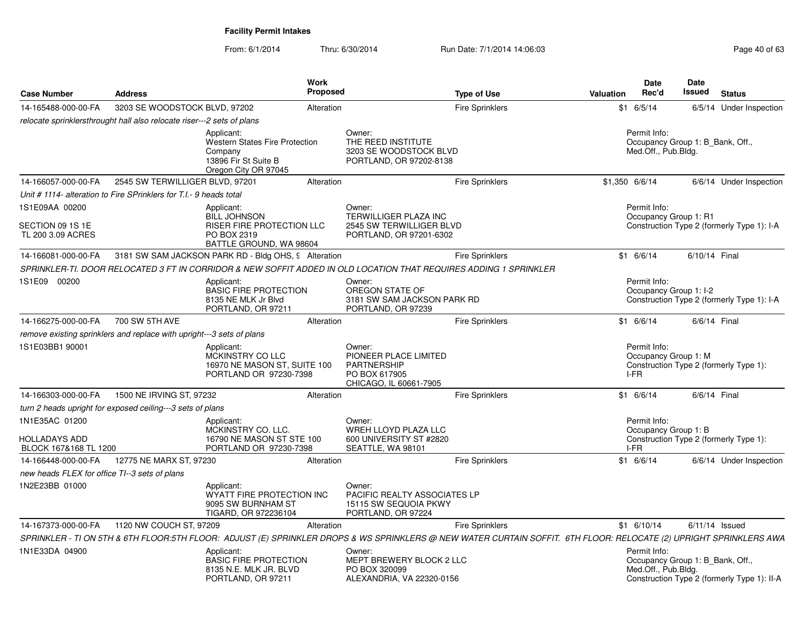| <b>Case Number</b>                                       | <b>Address</b>                                                         | <b>Work</b><br><b>Proposed</b>                                                                                                                                     |                                                                                           | <b>Type of Use</b>     | <b>Valuation</b> | <b>Date</b><br>Rec'd                                                    | <b>Date</b><br>Issued | <b>Status</b>                               |
|----------------------------------------------------------|------------------------------------------------------------------------|--------------------------------------------------------------------------------------------------------------------------------------------------------------------|-------------------------------------------------------------------------------------------|------------------------|------------------|-------------------------------------------------------------------------|-----------------------|---------------------------------------------|
| 14-165488-000-00-FA                                      | 3203 SE WOODSTOCK BLVD, 97202                                          | Alteration                                                                                                                                                         |                                                                                           | <b>Fire Sprinklers</b> |                  | $$1$ 6/5/14                                                             |                       | 6/5/14 Under Inspection                     |
|                                                          | relocate sprinklersthrought hall also relocate riser---2 sets of plans |                                                                                                                                                                    |                                                                                           |                        |                  |                                                                         |                       |                                             |
|                                                          |                                                                        | Applicant:<br><b>Western States Fire Protection</b><br>Company<br>13896 Fir St Suite B<br>Oregon City OR 97045                                                     | Owner:<br>THE REED INSTITUTE<br>3203 SE WOODSTOCK BLVD<br>PORTLAND, OR 97202-8138         |                        |                  | Permit Info:<br>Occupancy Group 1: B_Bank, Off.,<br>Med.Off., Pub.Bldg. |                       |                                             |
| 14-166057-000-00-FA                                      | 2545 SW TERWILLIGER BLVD, 97201                                        | Alteration                                                                                                                                                         |                                                                                           | Fire Sprinklers        | \$1,350 6/6/14   |                                                                         |                       | 6/6/14 Under Inspection                     |
|                                                          | Unit #1114- alteration to Fire SPrinklers for T.I.- 9 heads total      |                                                                                                                                                                    |                                                                                           |                        |                  |                                                                         |                       |                                             |
| 1S1E09AA 00200<br>SECTION 09 1S 1E<br>TL 200 3.09 ACRES  |                                                                        | Applicant:<br><b>BILL JOHNSON</b><br><b>RISER FIRE PROTECTION LLC</b><br>PO BOX 2319<br>BATTLE GROUND, WA 98604                                                    | Owner:<br>TERWILLIGER PLAZA INC<br>2545 SW TERWILLIGER BLVD<br>PORTLAND, OR 97201-6302    |                        |                  | Permit Info:<br>Occupancy Group 1: R1                                   |                       | Construction Type 2 (formerly Type 1): I-A  |
| 14-166081-000-00-FA                                      |                                                                        | 3181 SW SAM JACKSON PARK RD - Bldg OHS, 9 Alteration                                                                                                               |                                                                                           | <b>Fire Sprinklers</b> |                  | \$1 6/6/14                                                              | 6/10/14 Final         |                                             |
|                                                          |                                                                        | SPRINKLER-TI. DOOR RELOCATED 3 FT IN CORRIDOR & NEW SOFFIT ADDED IN OLD LOCATION THAT REQUIRES ADDING 1 SPRINKLER                                                  |                                                                                           |                        |                  |                                                                         |                       |                                             |
| 1S1E09 00200                                             |                                                                        | Applicant:<br><b>BASIC FIRE PROTECTION</b><br>8135 NE MLK Jr Blvd<br>PORTLAND, OR 97211                                                                            | Owner:<br>OREGON STATE OF<br>3181 SW SAM JACKSON PARK RD<br>PORTLAND, OR 97239            |                        |                  | Permit Info:<br>Occupancy Group 1: I-2                                  |                       | Construction Type 2 (formerly Type 1): I-A  |
| 14-166275-000-00-FA                                      | 700 SW 5TH AVE                                                         | Alteration                                                                                                                                                         |                                                                                           | <b>Fire Sprinklers</b> |                  | $$1$ 6/6/14                                                             | 6/6/14 Final          |                                             |
|                                                          | remove existing sprinklers and replace with upright---3 sets of plans  |                                                                                                                                                                    |                                                                                           |                        |                  |                                                                         |                       |                                             |
| 1S1E03BB1 90001                                          |                                                                        | Applicant:<br>MCKINSTRY CO LLC<br>16970 NE MASON ST, SUITE 100<br>PORTLAND OR 97230-7398                                                                           | Owner:<br>PIONEER PLACE LIMITED<br>PARTNERSHIP<br>PO BOX 617905<br>CHICAGO, IL 60661-7905 |                        |                  | Permit Info:<br>Occupancy Group 1: M<br>I-FR                            |                       | Construction Type 2 (formerly Type 1):      |
| 14-166303-000-00-FA                                      | 1500 NE IRVING ST, 97232                                               | Alteration                                                                                                                                                         |                                                                                           | Fire Sprinklers        |                  | $$1$ 6/6/14                                                             | 6/6/14 Final          |                                             |
|                                                          | turn 2 heads upright for exposed ceiling---3 sets of plans             |                                                                                                                                                                    |                                                                                           |                        |                  |                                                                         |                       |                                             |
| 1N1E35AC 01200<br>HOLLADAYS ADD<br>BLOCK 167&168 TL 1200 |                                                                        | Applicant:<br>MCKINSTRY CO. LLC.<br>16790 NE MASON ST STE 100<br>PORTLAND OR 97230-7398                                                                            | Owner:<br>WREH LLOYD PLAZA LLC<br>600 UNIVERSITY ST #2820<br>SEATTLE, WA 98101            |                        |                  | Permit Info:<br>Occupancy Group 1: B<br>I-FR                            |                       | Construction Type 2 (formerly Type 1):      |
| 14-166448-000-00-FA                                      | 12775 NE MARX ST, 97230                                                | Alteration                                                                                                                                                         |                                                                                           | <b>Fire Sprinklers</b> |                  | \$1 6/6/14                                                              |                       | 6/6/14 Under Inspection                     |
| new heads FLEX for office TI--3 sets of plans            |                                                                        |                                                                                                                                                                    |                                                                                           |                        |                  |                                                                         |                       |                                             |
| 1N2E23BB 01000                                           |                                                                        | Applicant:<br>WYATT FIRE PROTECTION INC<br>9095 SW BURNHAM ST<br>TIGARD, OR 972236104                                                                              | Owner:<br>PACIFIC REALTY ASSOCIATES LP<br>15115 SW SEQUOIA PKWY<br>PORTLAND, OR 97224     |                        |                  |                                                                         |                       |                                             |
| 14-167373-000-00-FA                                      | 1120 NW COUCH ST, 97209                                                | Alteration                                                                                                                                                         |                                                                                           | <b>Fire Sprinklers</b> |                  | $$1$ 6/10/14                                                            | $6/11/14$ Issued      |                                             |
|                                                          |                                                                        | SPRINKLER - TI ON 5TH & 6TH FLOOR:5TH FLOOR: ADJUST (E) SPRINKLER DROPS & WS SPRINKLERS @ NEW WATER CURTAIN SOFFIT. 6TH FLOOR: RELOCATE (2) UPRIGHT SPRINKLERS AWA |                                                                                           |                        |                  |                                                                         |                       |                                             |
| 1N1E33DA 04900                                           |                                                                        | Applicant:<br><b>BASIC FIRE PROTECTION</b><br>8135 N.E. MLK JR. BLVD<br>PORTLAND, OR 97211                                                                         | Owner:<br>MEPT BREWERY BLOCK 2 LLC<br>PO BOX 320099<br>ALEXANDRIA, VA 22320-0156          |                        |                  | Permit Info:<br>Occupancy Group 1: B Bank, Off.,<br>Med.Off., Pub.Bldg. |                       | Construction Type 2 (formerly Type 1): II-A |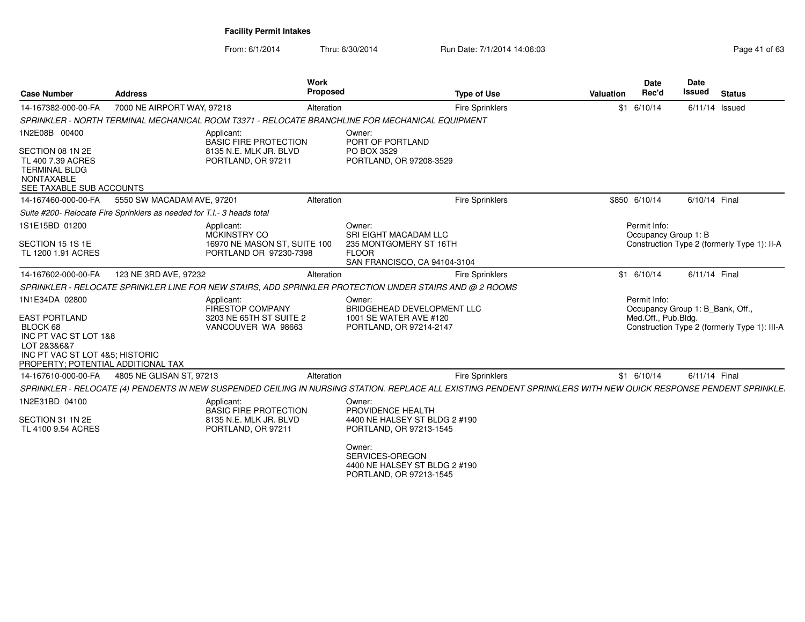| <b>Case Number</b>                                                                                                                                | <b>Address</b>                                                                                                                                                   | Work<br>Proposed                                     | <b>Type of Use</b>                | <b>Date</b><br>Rec'd<br>Valuation    | <b>Date</b><br><b>Issued</b><br><b>Status</b> |
|---------------------------------------------------------------------------------------------------------------------------------------------------|------------------------------------------------------------------------------------------------------------------------------------------------------------------|------------------------------------------------------|-----------------------------------|--------------------------------------|-----------------------------------------------|
| 14-167382-000-00-FA                                                                                                                               | 7000 NE AIRPORT WAY, 97218                                                                                                                                       | Alteration                                           | <b>Fire Sprinklers</b>            | $$1$ 6/10/14                         | $6/11/14$ Issued                              |
|                                                                                                                                                   | SPRINKLER - NORTH TERMINAL MECHANICAL ROOM T3371 - RELOCATE BRANCHLINE FOR MECHANICAL EQUIPMENT                                                                  |                                                      |                                   |                                      |                                               |
| 1N2E08B 00400                                                                                                                                     | Applicant:<br><b>BASIC FIRE PROTECTION</b>                                                                                                                       | Owner:<br>PORT OF PORTLAND                           |                                   |                                      |                                               |
| SECTION 08 1N 2E<br>TL 400 7.39 ACRES<br><b>TERMINAL BLDG</b><br><b>NONTAXABLE</b><br>SEE TAXABLE SUB ACCOUNTS                                    | 8135 N.E. MLK JR. BLVD<br>PORTLAND, OR 97211                                                                                                                     | PO BOX 3529<br>PORTLAND, OR 97208-3529               |                                   |                                      |                                               |
| 14-167460-000-00-FA                                                                                                                               | 5550 SW MACADAM AVE, 97201                                                                                                                                       | Alteration                                           | Fire Sprinklers                   | \$850 6/10/14                        | 6/10/14 Final                                 |
|                                                                                                                                                   | Suite #200- Relocate Fire Sprinklers as needed for T.I.- 3 heads total                                                                                           |                                                      |                                   |                                      |                                               |
| 1S1E15BD 01200                                                                                                                                    | Applicant:<br>MCKINSTRY CO                                                                                                                                       | Owner:<br>SRI EIGHT MACADAM LLC                      |                                   | Permit Info:<br>Occupancy Group 1: B |                                               |
| SECTION 15 1S 1E<br>TL 1200 1.91 ACRES                                                                                                            | 16970 NE MASON ST, SUITE 100<br>PORTLAND OR 97230-7398                                                                                                           | 235 MONTGOMERY ST 16TH<br><b>FLOOR</b>               | SAN FRANCISCO, CA 94104-3104      |                                      | Construction Type 2 (formerly Type 1): II-A   |
| 14-167602-000-00-FA                                                                                                                               | 123 NE 3RD AVE, 97232                                                                                                                                            | Alteration                                           | <b>Fire Sprinklers</b>            | $$1$ 6/10/14                         | 6/11/14 Final                                 |
|                                                                                                                                                   | SPRINKLER - RELOCATE SPRINKLER LINE FOR NEW STAIRS, ADD SPRINKLER PROTECTION UNDER STAIRS AND @ 2 ROOMS                                                          |                                                      |                                   |                                      |                                               |
| 1N1E34DA 02800                                                                                                                                    | Applicant:<br>FIRESTOP COMPANY                                                                                                                                   | Owner:                                               | <b>BRIDGEHEAD DEVELOPMENT LLC</b> | Permit Info:                         | Occupancy Group 1: B_Bank, Off.,              |
| <b>EAST PORTLAND</b><br>BLOCK 68<br>INC PT VAC ST LOT 1&8<br>LOT 2&3&6&7<br>INC PT VAC ST LOT 4&5; HISTORIC<br>PROPERTY; POTENTIAL ADDITIONAL TAX | 3203 NE 65TH ST SUITE 2<br>VANCOUVER WA 98663                                                                                                                    | 1001 SE WATER AVE #120<br>PORTLAND, OR 97214-2147    |                                   | Med.Off., Pub.Bldg.                  | Construction Type 2 (formerly Type 1): III-A  |
|                                                                                                                                                   | 14-167610-000-00-FA 4805 NE GLISAN ST, 97213                                                                                                                     | Alteration                                           | <b>Fire Sprinklers</b>            | $$1$ 6/10/14                         | 6/11/14 Final                                 |
|                                                                                                                                                   | SPRINKLER - RELOCATE (4) PENDENTS IN NEW SUSPENDED CEILING IN NURSING STATION. REPLACE ALL EXISTING PENDENT SPRINKLERS WITH NEW QUICK RESPONSE PENDENT SPRINKLE. |                                                      |                                   |                                      |                                               |
| 1N2E31BD 04100                                                                                                                                    | Applicant:<br><b>BASIC FIRE PROTECTION</b>                                                                                                                       | Owner:<br>PROVIDENCE HEALTH                          |                                   |                                      |                                               |
| SECTION 31 1N 2E<br>TL 4100 9.54 ACRES                                                                                                            | 8135 N.E. MLK JR. BLVD<br>PORTLAND, OR 97211                                                                                                                     | PORTLAND, OR 97213-1545                              | 4400 NE HALSEY ST BLDG 2 #190     |                                      |                                               |
|                                                                                                                                                   |                                                                                                                                                                  | Owner:<br>SERVICES-OREGON<br>PORTLAND, OR 97213-1545 | 4400 NE HALSEY ST BLDG 2 #190     |                                      |                                               |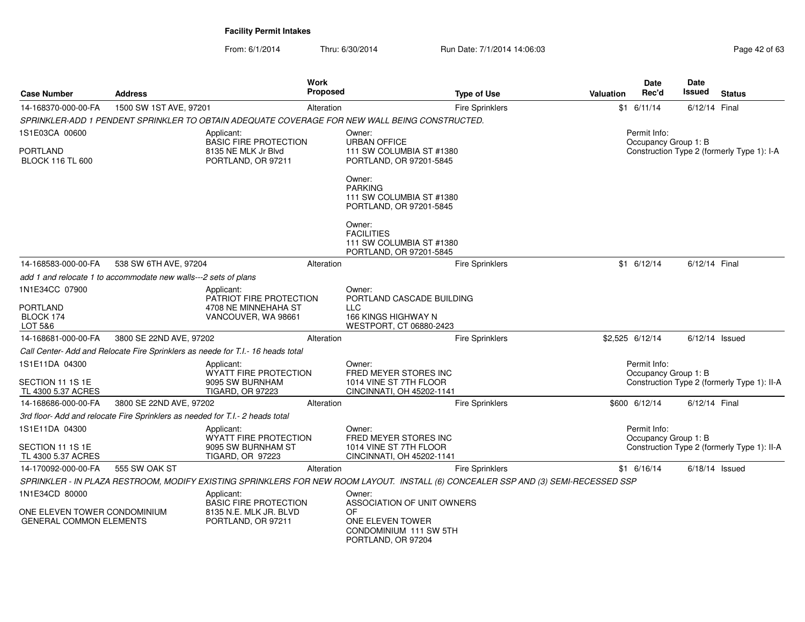| <b>Case Number</b>                                             | <b>Address</b>                                                                |                                                                                                                                    | Work<br>Proposed |                                                                                    | <b>Type of Use</b>     | Valuation |                                                                    | Date<br>Rec'd                        | Date<br>Issued   | <b>Status</b>                               |  |
|----------------------------------------------------------------|-------------------------------------------------------------------------------|------------------------------------------------------------------------------------------------------------------------------------|------------------|------------------------------------------------------------------------------------|------------------------|-----------|--------------------------------------------------------------------|--------------------------------------|------------------|---------------------------------------------|--|
| 14-168370-000-00-FA                                            | 1500 SW 1ST AVE, 97201                                                        |                                                                                                                                    | Alteration       |                                                                                    | <b>Fire Sprinklers</b> |           |                                                                    | $$1$ 6/11/14                         | 6/12/14 Final    |                                             |  |
|                                                                |                                                                               | SPRINKLER-ADD 1 PENDENT SPRINKLER TO OBTAIN ADEQUATE COVERAGE FOR NEW WALL BEING CONSTRUCTED.                                      |                  |                                                                                    |                        |           |                                                                    |                                      |                  |                                             |  |
| 1S1E03CA 00600                                                 |                                                                               | Applicant:<br><b>BASIC FIRE PROTECTION</b>                                                                                         |                  | Owner:<br><b>URBAN OFFICE</b>                                                      |                        |           |                                                                    | Permit Info:                         |                  |                                             |  |
| PORTLAND<br><b>BLOCK 116 TL 600</b>                            |                                                                               | 8135 NE MLK Jr Blvd<br>PORTLAND, OR 97211                                                                                          |                  | 111 SW COLUMBIA ST #1380<br>PORTLAND, OR 97201-5845                                |                        |           | Occupancy Group 1: B<br>Construction Type 2 (formerly Type 1): I-A |                                      |                  |                                             |  |
|                                                                |                                                                               |                                                                                                                                    |                  | Owner:<br><b>PARKING</b><br>111 SW COLUMBIA ST #1380<br>PORTLAND, OR 97201-5845    |                        |           |                                                                    |                                      |                  |                                             |  |
|                                                                |                                                                               |                                                                                                                                    |                  | Owner:<br><b>FACILITIES</b><br>111 SW COLUMBIA ST #1380<br>PORTLAND, OR 97201-5845 |                        |           |                                                                    |                                      |                  |                                             |  |
| 14-168583-000-00-FA                                            | 538 SW 6TH AVE, 97204                                                         |                                                                                                                                    | Alteration       |                                                                                    | <b>Fire Sprinklers</b> |           |                                                                    | $$1 \t6/12/14$                       | 6/12/14 Final    |                                             |  |
|                                                                | add 1 and relocate 1 to accommodate new walls---2 sets of plans               |                                                                                                                                    |                  |                                                                                    |                        |           |                                                                    |                                      |                  |                                             |  |
| 1N1E34CC 07900                                                 |                                                                               | Applicant:<br>PATRIOT FIRE PROTECTION                                                                                              |                  | Owner:<br>PORTLAND CASCADE BUILDING                                                |                        |           |                                                                    |                                      |                  |                                             |  |
| <b>PORTLAND</b><br>BLOCK 174<br>LOT 5&6                        |                                                                               | 4708 NE MINNEHAHA ST<br>VANCOUVER, WA 98661                                                                                        |                  | <b>LLC</b><br>166 KINGS HIGHWAY N<br>WESTPORT, CT 06880-2423                       |                        |           |                                                                    |                                      |                  |                                             |  |
| 14-168681-000-00-FA                                            | 3800 SE 22ND AVE, 97202                                                       |                                                                                                                                    | Alteration       |                                                                                    | <b>Fire Sprinklers</b> |           |                                                                    | \$2,525 6/12/14                      | $6/12/14$ Issued |                                             |  |
|                                                                |                                                                               | Call Center- Add and Relocate Fire Sprinklers as neede for T.I.- 16 heads total                                                    |                  |                                                                                    |                        |           |                                                                    |                                      |                  |                                             |  |
| 1S1E11DA 04300                                                 |                                                                               | Applicant:                                                                                                                         |                  | Owner:                                                                             |                        |           |                                                                    | Permit Info:                         |                  |                                             |  |
| SECTION 11 1S 1E<br>TL 4300 5.37 ACRES                         |                                                                               | <b>WYATT FIRE PROTECTION</b><br>9095 SW BURNHAM<br><b>TIGARD, OR 97223</b>                                                         |                  | FRED MEYER STORES INC<br>1014 VINE ST 7TH FLOOR<br>CINCINNATI, OH 45202-1141       |                        |           |                                                                    | Occupancy Group 1: B                 |                  | Construction Type 2 (formerly Type 1): II-A |  |
| 14-168686-000-00-FA                                            | 3800 SE 22ND AVE, 97202                                                       |                                                                                                                                    | Alteration       |                                                                                    | <b>Fire Sprinklers</b> |           |                                                                    | \$600 6/12/14                        | 6/12/14 Final    |                                             |  |
|                                                                | 3rd floor- Add and relocate Fire Sprinklers as needed for T.I.- 2 heads total |                                                                                                                                    |                  |                                                                                    |                        |           |                                                                    |                                      |                  |                                             |  |
| 1S1E11DA 04300                                                 |                                                                               | Applicant:<br>WYATT FIRE PROTECTION                                                                                                |                  | Owner:<br>FRED MEYER STORES INC                                                    |                        |           |                                                                    | Permit Info:<br>Occupancy Group 1: B |                  |                                             |  |
| SECTION 11 1S 1E<br>TL 4300 5.37 ACRES                         |                                                                               | 9095 SW BURNHAM ST<br><b>TIGARD, OR 97223</b>                                                                                      |                  | 1014 VINE ST 7TH FLOOR<br>CINCINNATI, OH 45202-1141                                |                        |           |                                                                    |                                      |                  | Construction Type 2 (formerly Type 1): II-A |  |
| 14-170092-000-00-FA                                            | 555 SW OAK ST                                                                 |                                                                                                                                    | Alteration       |                                                                                    | <b>Fire Sprinklers</b> |           |                                                                    | $$1 \t6/16/14$                       | $6/18/14$ Issued |                                             |  |
|                                                                |                                                                               | SPRINKLER - IN PLAZA RESTROOM, MODIFY EXISTING SPRINKLERS FOR NEW ROOM LAYOUT. INSTALL (6) CONCEALER SSP AND (3) SEMI-RECESSED SSP |                  |                                                                                    |                        |           |                                                                    |                                      |                  |                                             |  |
| 1N1E34CD 80000                                                 |                                                                               | Applicant:<br><b>BASIC FIRE PROTECTION</b>                                                                                         |                  | Owner:<br>ASSOCIATION OF UNIT OWNERS                                               |                        |           |                                                                    |                                      |                  |                                             |  |
| ONE ELEVEN TOWER CONDOMINIUM<br><b>GENERAL COMMON ELEMENTS</b> |                                                                               | 8135 N.E. MLK JR. BLVD<br>PORTLAND, OR 97211                                                                                       |                  | OF<br>ONE ELEVEN TOWER<br>CONDOMINIUM 111 SW 5TH<br>PORTLAND, OR 97204             |                        |           |                                                                    |                                      |                  |                                             |  |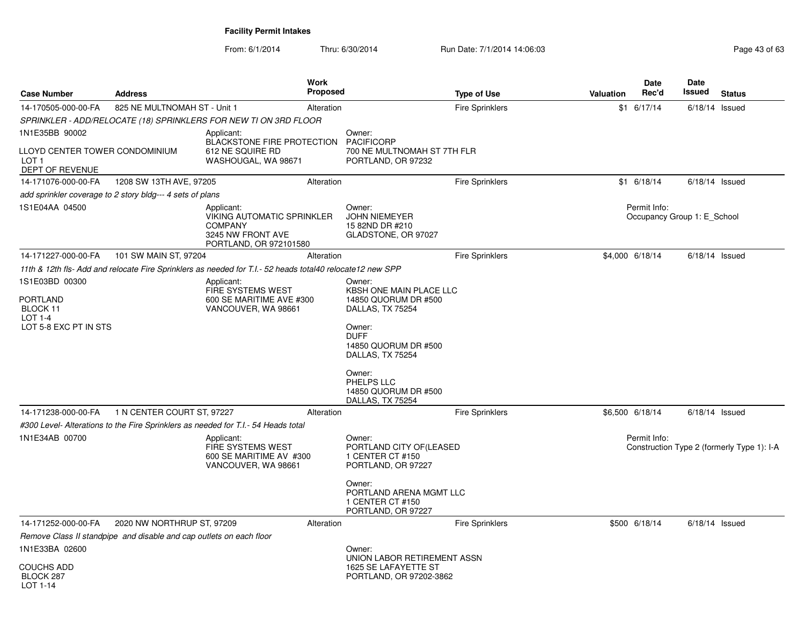| <b>Case Number</b>                                                    | <b>Address</b>                                                      | Work<br>Proposed                                                                                                 |                                                                              | <b>Type of Use</b>     | Valuation | <b>Date</b><br>Rec'd | <b>Date</b><br>Issued<br><b>Status</b>     |
|-----------------------------------------------------------------------|---------------------------------------------------------------------|------------------------------------------------------------------------------------------------------------------|------------------------------------------------------------------------------|------------------------|-----------|----------------------|--------------------------------------------|
| 14-170505-000-00-FA                                                   | 825 NE MULTNOMAH ST - Unit 1                                        | Alteration                                                                                                       |                                                                              | <b>Fire Sprinklers</b> |           | \$1 6/17/14          | 6/18/14<br>Issued                          |
|                                                                       |                                                                     | SPRINKLER - ADD/RELOCATE (18) SPRINKLERS FOR NEW TI ON 3RD FLOOR                                                 |                                                                              |                        |           |                      |                                            |
| 1N1E35BB 90002                                                        |                                                                     | Applicant:<br><b>BLACKSTONE FIRE PROTECTION</b>                                                                  | Owner:<br><b>PACIFICORP</b>                                                  |                        |           |                      |                                            |
| LLOYD CENTER TOWER CONDOMINIUM<br>LOT <sub>1</sub><br>DEPT OF REVENUE |                                                                     | 612 NE SQUIRE RD<br>WASHOUGAL, WA 98671                                                                          | 700 NE MULTNOMAH ST 7TH FLR<br>PORTLAND, OR 97232                            |                        |           |                      |                                            |
| 14-171076-000-00-FA                                                   | 1208 SW 13TH AVE, 97205                                             | Alteration                                                                                                       |                                                                              | Fire Sprinklers        |           | $$1$ 6/18/14         | $6/18/14$ Issued                           |
|                                                                       | add sprinkler coverage to 2 story bldg--- 4 sets of plans           |                                                                                                                  |                                                                              |                        |           |                      |                                            |
| 1S1E04AA 04500                                                        |                                                                     | Applicant:<br><b>VIKING AUTOMATIC SPRINKLER</b><br><b>COMPANY</b><br>3245 NW FRONT AVE<br>PORTLAND, OR 972101580 | Owner:<br>JOHN NIEMEYER<br>15 82ND DR #210<br>GLADSTONE, OR 97027            |                        |           | Permit Info:         | Occupancy Group 1: E School                |
| 14-171227-000-00-FA                                                   | 101 SW MAIN ST, 97204                                               | Alteration                                                                                                       |                                                                              | <b>Fire Sprinklers</b> |           | \$4,000 6/18/14      | $6/18/14$ Issued                           |
|                                                                       |                                                                     | 11th & 12th fls- Add and relocate Fire Sprinklers as needed for T.I.- 52 heads total40 relocate12 new SPP        |                                                                              |                        |           |                      |                                            |
| 1S1E03BD 00300                                                        |                                                                     | Applicant:<br>FIRE SYSTEMS WEST                                                                                  | Owner:<br>KBSH ONE MAIN PLACE LLC                                            |                        |           |                      |                                            |
| <b>PORTLAND</b><br><b>BLOCK 11</b><br>LOT 1-4                         |                                                                     | 600 SE MARITIME AVE #300<br>VANCOUVER, WA 98661                                                                  | 14850 QUORUM DR #500<br>DALLAS, TX 75254                                     |                        |           |                      |                                            |
| LOT 5-8 EXC PT IN STS                                                 |                                                                     |                                                                                                                  | Owner:<br><b>DUFF</b><br>14850 QUORUM DR #500<br>DALLAS, TX 75254            |                        |           |                      |                                            |
|                                                                       |                                                                     |                                                                                                                  | Owner:<br>PHELPS LLC<br>14850 QUORUM DR #500<br>DALLAS, TX 75254             |                        |           |                      |                                            |
| 14-171238-000-00-FA                                                   | 1 N CENTER COURT ST, 97227                                          | Alteration                                                                                                       |                                                                              | <b>Fire Sprinklers</b> |           | \$6,500 6/18/14      | $6/18/14$ Issued                           |
|                                                                       |                                                                     | #300 Level- Alterations to the Fire Sprinklers as needed for T.I.- 54 Heads total                                |                                                                              |                        |           |                      |                                            |
| 1N1E34AB 00700                                                        |                                                                     | Applicant:<br><b>FIRE SYSTEMS WEST</b><br>600 SE MARITIME AV #300<br>VANCOUVER, WA 98661                         | Owner:<br>PORTLAND CITY OF (LEASED<br>1 CENTER CT #150<br>PORTLAND, OR 97227 |                        |           | Permit Info:         | Construction Type 2 (formerly Type 1): I-A |
|                                                                       |                                                                     |                                                                                                                  | Owner:<br>PORTLAND ARENA MGMT LLC<br>1 CENTER CT #150<br>PORTLAND, OR 97227  |                        |           |                      |                                            |
| 14-171252-000-00-FA                                                   | 2020 NW NORTHRUP ST, 97209                                          | Alteration                                                                                                       |                                                                              | <b>Fire Sprinklers</b> |           | \$500 6/18/14        | $6/18/14$ Issued                           |
|                                                                       | Remove Class II standpipe and disable and cap outlets on each floor |                                                                                                                  |                                                                              |                        |           |                      |                                            |
| 1N1E33BA 02600                                                        |                                                                     |                                                                                                                  | Owner:<br>UNION LABOR RETIREMENT ASSN                                        |                        |           |                      |                                            |
| <b>COUCHS ADD</b><br>BLOCK 287<br>LOT 1-14                            |                                                                     |                                                                                                                  | 1625 SE LAFAYETTE ST<br>PORTLAND, OR 97202-3862                              |                        |           |                      |                                            |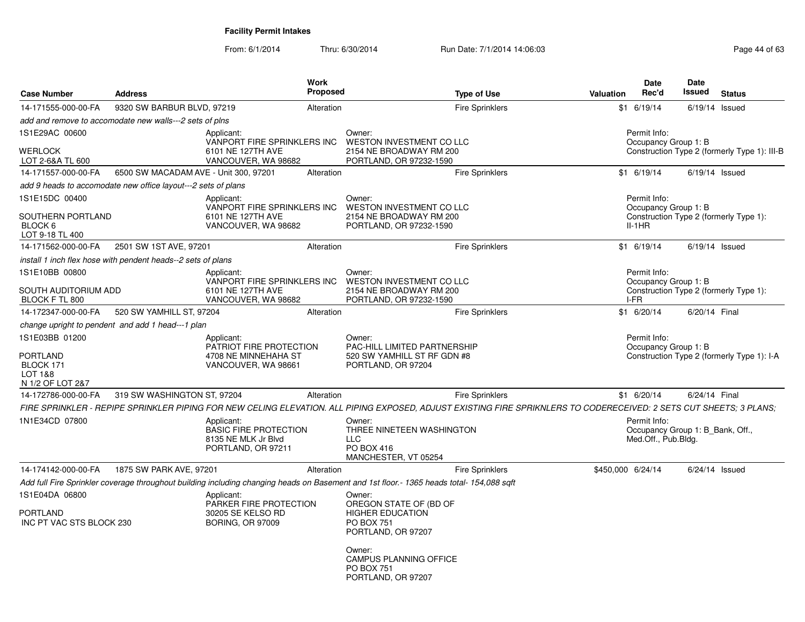| <b>Case Number</b>                                                            | <b>Address</b>                                                |                                                                                         | <b>Work</b><br><b>Proposed</b> |                                                                                                                                          | <b>Type of Use</b>                                                                                                                                                  | Valuation                                                                          | <b>Date</b><br>Rec'd                                                    | <b>Date</b><br>Issued | <b>Status</b>                                |
|-------------------------------------------------------------------------------|---------------------------------------------------------------|-----------------------------------------------------------------------------------------|--------------------------------|------------------------------------------------------------------------------------------------------------------------------------------|---------------------------------------------------------------------------------------------------------------------------------------------------------------------|------------------------------------------------------------------------------------|-------------------------------------------------------------------------|-----------------------|----------------------------------------------|
| 14-171555-000-00-FA                                                           | 9320 SW BARBUR BLVD, 97219                                    |                                                                                         | Alteration                     |                                                                                                                                          | <b>Fire Sprinklers</b>                                                                                                                                              |                                                                                    | $$1$ 6/19/14                                                            | $6/19/14$ Issued      |                                              |
|                                                                               | add and remove to accomodate new walls---2 sets of plns       |                                                                                         |                                |                                                                                                                                          |                                                                                                                                                                     |                                                                                    |                                                                         |                       |                                              |
| 1S1E29AC 00600<br>WERLOCK<br>LOT 2-6&A TL 600                                 |                                                               | Applicant:<br>VANPORT FIRE SPRINKLERS INC<br>6101 NE 127TH AVE<br>VANCOUVER, WA 98682   |                                | Owner:<br><b>WESTON INVESTMENT CO LLC</b><br>2154 NE BROADWAY RM 200<br>PORTLAND, OR 97232-1590                                          |                                                                                                                                                                     |                                                                                    | Permit Info:<br>Occupancy Group 1: B                                    |                       | Construction Type 2 (formerly Type 1): III-B |
| 14-171557-000-00-FA                                                           | 6500 SW MACADAM AVE - Unit 300, 97201                         |                                                                                         | Alteration                     |                                                                                                                                          | <b>Fire Sprinklers</b>                                                                                                                                              |                                                                                    | $$1$ 6/19/14                                                            | $6/19/14$ Issued      |                                              |
|                                                                               | add 9 heads to accomodate new office layout---2 sets of plans |                                                                                         |                                |                                                                                                                                          |                                                                                                                                                                     |                                                                                    |                                                                         |                       |                                              |
| 1S1E15DC 00400                                                                |                                                               | Applicant:<br>VANPORT FIRE SPRINKLERS INC                                               |                                | Owner:<br>WESTON INVESTMENT CO LLC                                                                                                       |                                                                                                                                                                     |                                                                                    | Permit Info:<br>Occupancy Group 1: B                                    |                       |                                              |
| SOUTHERN PORTLAND<br>BLOCK 6<br>LOT 9-18 TL 400                               |                                                               | 6101 NE 127TH AVE<br>VANCOUVER, WA 98682                                                |                                | 2154 NE BROADWAY RM 200<br>PORTLAND, OR 97232-1590                                                                                       |                                                                                                                                                                     |                                                                                    | $II-1HR$                                                                |                       | Construction Type 2 (formerly Type 1):       |
| 14-171562-000-00-FA                                                           | 2501 SW 1ST AVE, 97201                                        |                                                                                         | Alteration                     |                                                                                                                                          | <b>Fire Sprinklers</b>                                                                                                                                              |                                                                                    | $$1$ 6/19/14                                                            | $6/19/14$ Issued      |                                              |
|                                                                               | install 1 inch flex hose with pendent heads--2 sets of plans  |                                                                                         |                                |                                                                                                                                          |                                                                                                                                                                     |                                                                                    |                                                                         |                       |                                              |
| 1S1E10BB 00800<br>SOUTH AUDITORIUM ADD<br>BLOCK F TL 800                      |                                                               | Applicant:<br>VANPORT FIRE SPRINKLERS INC<br>6101 NE 127TH AVE<br>VANCOUVER, WA 98682   |                                | Owner:<br>WESTON INVESTMENT CO LLC<br>2154 NE BROADWAY RM 200<br>PORTLAND, OR 97232-1590                                                 |                                                                                                                                                                     |                                                                                    | Permit Info:<br>Occupancy Group 1: B<br>I-FR                            |                       | Construction Type 2 (formerly Type 1):       |
| 14-172347-000-00-FA                                                           | 520 SW YAMHILL ST, 97204                                      |                                                                                         | Alteration                     |                                                                                                                                          | <b>Fire Sprinklers</b>                                                                                                                                              |                                                                                    | $$1$ 6/20/14                                                            | 6/20/14 Final         |                                              |
|                                                                               | change upright to pendent and add 1 head---1 plan             |                                                                                         |                                |                                                                                                                                          |                                                                                                                                                                     |                                                                                    |                                                                         |                       |                                              |
| 1S1E03BB 01200<br><b>PORTLAND</b><br>BLOCK 171<br>LOT 1&8<br>N 1/2 OF LOT 2&7 |                                                               | Applicant:<br>PATRIOT FIRE PROTECTION<br>4708 NE MINNEHAHA ST<br>VANCOUVER, WA 98661    |                                | Owner:<br><b>PAC-HILL LIMITED PARTNERSHIP</b><br>520 SW YAMHILL ST RF GDN #8<br>PORTLAND, OR 97204                                       |                                                                                                                                                                     | Permit Info:<br>Occupancy Group 1: B<br>Construction Type 2 (formerly Type 1): I-A |                                                                         |                       |                                              |
| 14-172786-000-00-FA                                                           | 319 SW WASHINGTON ST, 97204                                   |                                                                                         | Alteration                     |                                                                                                                                          | <b>Fire Sprinklers</b>                                                                                                                                              |                                                                                    | $$1$ 6/20/14                                                            | 6/24/14 Final         |                                              |
|                                                                               |                                                               |                                                                                         |                                |                                                                                                                                          | FIRE SPRINKLER - REPIPE SPRINKLER PIPING FOR NEW CELING ELEVATION. ALL PIPING EXPOSED, ADJUST EXISTING FIRE SPRIKNLERS TO CODERECEIVED: 2 SETS CUT SHEETS: 3 PLANS: |                                                                                    |                                                                         |                       |                                              |
| 1N1E34CD 07800                                                                |                                                               | Applicant:<br><b>BASIC FIRE PROTECTION</b><br>8135 NE MLK Jr Blvd<br>PORTLAND, OR 97211 |                                | Owner:<br>THREE NINETEEN WASHINGTON<br>LLC<br>PO BOX 416<br>MANCHESTER, VT 05254                                                         |                                                                                                                                                                     |                                                                                    | Permit Info:<br>Occupancy Group 1: B Bank, Off.,<br>Med.Off., Pub.Bldg. |                       |                                              |
| 14-174142-000-00-FA                                                           | 1875 SW PARK AVE, 97201                                       |                                                                                         | Alteration                     |                                                                                                                                          | <b>Fire Sprinklers</b>                                                                                                                                              | \$450,000 6/24/14                                                                  |                                                                         | $6/24/14$ Issued      |                                              |
|                                                                               |                                                               |                                                                                         |                                | Add full Fire Sprinkler coverage throughout building including changing heads on Basement and 1st floor.- 1365 heads total- 154,088 sqft |                                                                                                                                                                     |                                                                                    |                                                                         |                       |                                              |
| 1S1E04DA 06800                                                                |                                                               | Applicant:<br>PARKER FIRE PROTECTION                                                    |                                | Owner:<br>OREGON STATE OF (BD OF                                                                                                         |                                                                                                                                                                     |                                                                                    |                                                                         |                       |                                              |
| PORTLAND<br>INC PT VAC STS BLOCK 230                                          |                                                               | 30205 SE KELSO RD<br><b>BORING, OR 97009</b>                                            |                                | <b>HIGHER EDUCATION</b><br><b>PO BOX 751</b><br>PORTLAND, OR 97207                                                                       |                                                                                                                                                                     |                                                                                    |                                                                         |                       |                                              |
|                                                                               |                                                               |                                                                                         |                                | Owner:<br>CAMPUS PLANNING OFFICE<br><b>PO BOX 751</b><br>PORTLAND, OR 97207                                                              |                                                                                                                                                                     |                                                                                    |                                                                         |                       |                                              |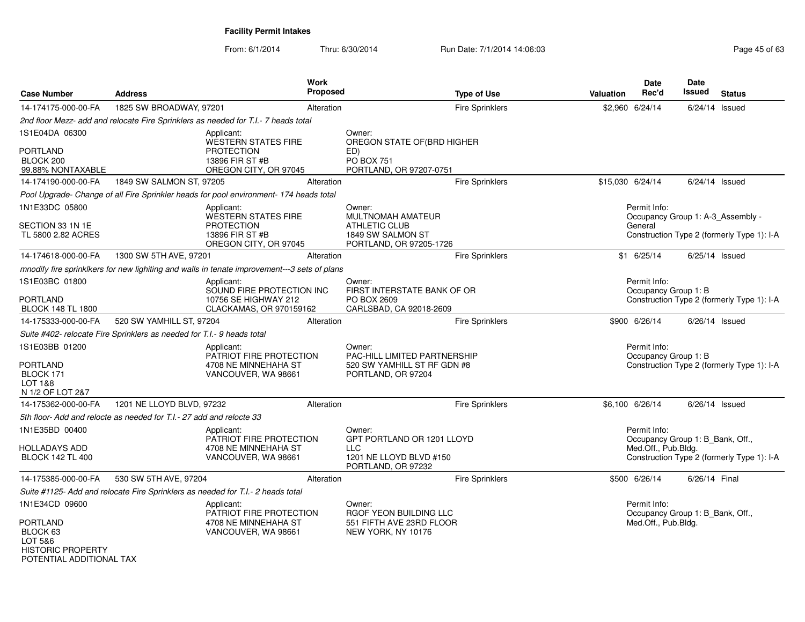From: 6/1/2014Thru: 6/30/2014 Run Date: 7/1/2014 14:06:03

| <b>Case Number</b>                                                     | <b>Address</b>                                                         | Work                                                                                         | <b>Proposed</b> | <b>Type of Use</b>                                                                               | <b>Valuation</b> | <b>Date</b><br>Rec'd                             | <b>Date</b><br>Issued | <b>Status</b>                              |
|------------------------------------------------------------------------|------------------------------------------------------------------------|----------------------------------------------------------------------------------------------|-----------------|--------------------------------------------------------------------------------------------------|------------------|--------------------------------------------------|-----------------------|--------------------------------------------|
| 14-174175-000-00-FA                                                    | 1825 SW BROADWAY, 97201                                                |                                                                                              | Alteration      | <b>Fire Sprinklers</b>                                                                           |                  | \$2,960 6/24/14                                  | $6/24/14$ Issued      |                                            |
|                                                                        |                                                                        | 2nd floor Mezz- add and relocate Fire Sprinklers as needed for T.I.- 7 heads total           |                 |                                                                                                  |                  |                                                  |                       |                                            |
| 1S1E04DA 06300                                                         |                                                                        | Applicant:<br><b>WESTERN STATES FIRE</b>                                                     |                 | Owner:<br>OREGON STATE OF(BRD HIGHER                                                             |                  |                                                  |                       |                                            |
| <b>PORTLAND</b><br>BLOCK 200<br>99.88% NONTAXABLE                      |                                                                        | <b>PROTECTION</b><br>13896 FIR ST #B<br>OREGON CITY, OR 97045                                |                 | ED)<br><b>PO BOX 751</b><br>PORTLAND, OR 97207-0751                                              |                  |                                                  |                       |                                            |
| 14-174190-000-00-FA                                                    | 1849 SW SALMON ST, 97205                                               |                                                                                              | Alteration      | <b>Fire Sprinklers</b>                                                                           |                  | \$15,030 6/24/14                                 | $6/24/14$ Issued      |                                            |
|                                                                        |                                                                        | Pool Upgrade- Change of all Fire Sprinkler heads for pool environment- 174 heads total       |                 |                                                                                                  |                  |                                                  |                       |                                            |
| 1N1E33DC 05800                                                         |                                                                        | Applicant:                                                                                   |                 | Owner:                                                                                           |                  | Permit Info:                                     |                       |                                            |
| SECTION 33 1N 1E<br>TL 5800 2.82 ACRES                                 |                                                                        | WESTERN STATES FIRE<br><b>PROTECTION</b><br>13896 FIR ST #B<br>OREGON CITY, OR 97045         |                 | <b>MULTNOMAH AMATEUR</b><br><b>ATHLETIC CLUB</b><br>1849 SW SALMON ST<br>PORTLAND, OR 97205-1726 |                  | Occupancy Group 1: A-3_Assembly -<br>General     |                       | Construction Type 2 (formerly Type 1): I-A |
| 14-174618-000-00-FA                                                    | 1300 SW 5TH AVE, 97201                                                 |                                                                                              | Alteration      | <b>Fire Sprinklers</b>                                                                           |                  | $$1$ 6/25/14                                     | 6/25/14 Issued        |                                            |
|                                                                        |                                                                        | mnodify fire sprinklkers for new lighiting and walls in tenate improvement---3 sets of plans |                 |                                                                                                  |                  |                                                  |                       |                                            |
| 1S1E03BC 01800                                                         |                                                                        | Applicant:<br>SOUND FIRE PROTECTION INC                                                      |                 | Owner:<br>FIRST INTERSTATE BANK OF OR                                                            |                  | Permit Info:<br>Occupancy Group 1: B             |                       |                                            |
| <b>PORTLAND</b><br><b>BLOCK 148 TL 1800</b>                            |                                                                        | 10756 SE HIGHWAY 212<br>CLACKAMAS, OR 970159162                                              |                 | PO BOX 2609<br>CARLSBAD, CA 92018-2609                                                           |                  |                                                  |                       | Construction Type 2 (formerly Type 1): I-A |
| 14-175333-000-00-FA                                                    | 520 SW YAMHILL ST, 97204                                               |                                                                                              | Alteration      | <b>Fire Sprinklers</b>                                                                           |                  | \$900 6/26/14                                    | $6/26/14$ Issued      |                                            |
|                                                                        | Suite #402- relocate Fire Sprinklers as needed for T.I.- 9 heads total |                                                                                              |                 |                                                                                                  |                  |                                                  |                       |                                            |
| 1S1E03BB 01200                                                         |                                                                        | Applicant:<br>PATRIOT FIRE PROTECTION                                                        |                 | Owner:<br><b>PAC-HILL LIMITED PARTNERSHIP</b>                                                    |                  | Permit Info:<br>Occupancy Group 1: B             |                       |                                            |
| <b>PORTLAND</b><br>BLOCK 171<br><b>LOT 1&amp;8</b><br>N 1/2 OF LOT 2&7 |                                                                        | 4708 NE MINNEHAHA ST<br>VANCOUVER, WA 98661                                                  |                 | 520 SW YAMHILL ST RF GDN #8<br>PORTLAND, OR 97204                                                |                  |                                                  |                       | Construction Type 2 (formerly Type 1): I-A |
| 14-175362-000-00-FA                                                    | 1201 NE LLOYD BLVD, 97232                                              |                                                                                              | Alteration      | <b>Fire Sprinklers</b>                                                                           |                  | \$6,100 6/26/14                                  | $6/26/14$ Issued      |                                            |
|                                                                        | 5th floor- Add and relocte as needed for T.I.- 27 add and relocte 33   |                                                                                              |                 |                                                                                                  |                  |                                                  |                       |                                            |
| 1N1E35BD 00400                                                         |                                                                        | Applicant:<br>PATRIOT FIRE PROTECTION                                                        |                 | Owner:<br>GPT PORTLAND OR 1201 LLOYD                                                             |                  | Permit Info:<br>Occupancy Group 1: B Bank, Off., |                       |                                            |
| <b>HOLLADAYS ADD</b><br><b>BLOCK 142 TL 400</b>                        |                                                                        | 4708 NE MINNEHAHA ST<br>VANCOUVER, WA 98661                                                  |                 | <b>LLC</b><br>1201 NE LLOYD BLVD #150<br>PORTLAND, OR 97232                                      |                  | Med.Off., Pub.Bldg.                              |                       | Construction Type 2 (formerly Type 1): I-A |
| 14-175385-000-00-FA                                                    | 530 SW 5TH AVE, 97204                                                  |                                                                                              | Alteration      | <b>Fire Sprinklers</b>                                                                           |                  | \$500 6/26/14                                    | 6/26/14 Final         |                                            |
|                                                                        |                                                                        | Suite #1125- Add and relocate Fire Sprinklers as needed for T.I.- 2 heads total              |                 |                                                                                                  |                  |                                                  |                       |                                            |
| 1N1E34CD 09600                                                         |                                                                        | Applicant:<br>PATRIOT FIRE PROTECTION                                                        |                 | Owner:<br>RGOF YEON BUILDING LLC                                                                 |                  | Permit Info:<br>Occupancy Group 1: B_Bank, Off., |                       |                                            |
| <b>PORTLAND</b><br>BLOCK 63<br>LOT 5&6<br><b>HISTORIC PROPERTY</b>     |                                                                        | 4708 NE MINNEHAHA ST<br>VANCOUVER, WA 98661                                                  |                 | 551 FIFTH AVE 23RD FLOOR<br>NEW YORK, NY 10176                                                   |                  | Med.Off., Pub.Bldg.                              |                       |                                            |

POTENTIAL ADDITIONAL TAX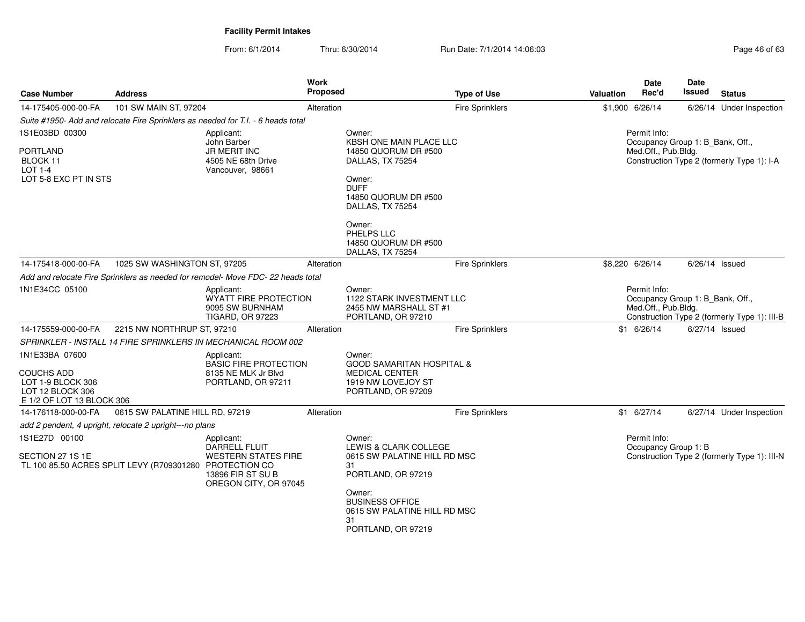| <b>Case Number</b>                                                                                        | <b>Address</b>                                                                                                                                                       |                                                                                                                | <b>Work</b><br>Proposed | <b>Type of Use</b>                                                                                                                                                                                        |  | <b>Valuation</b>                                                                                                        | Date<br>Rec'd                                                           | <b>Date</b><br>Issued | <b>Status</b>                                |
|-----------------------------------------------------------------------------------------------------------|----------------------------------------------------------------------------------------------------------------------------------------------------------------------|----------------------------------------------------------------------------------------------------------------|-------------------------|-----------------------------------------------------------------------------------------------------------------------------------------------------------------------------------------------------------|--|-------------------------------------------------------------------------------------------------------------------------|-------------------------------------------------------------------------|-----------------------|----------------------------------------------|
| 14-175405-000-00-FA                                                                                       | 101 SW MAIN ST, 97204                                                                                                                                                |                                                                                                                | Alteration              | <b>Fire Sprinklers</b>                                                                                                                                                                                    |  |                                                                                                                         | \$1,900 6/26/14                                                         |                       | 6/26/14 Under Inspection                     |
|                                                                                                           |                                                                                                                                                                      | Suite #1950- Add and relocate Fire Sprinklers as needed for T.I. - 6 heads total                               |                         |                                                                                                                                                                                                           |  |                                                                                                                         |                                                                         |                       |                                              |
| 1S1E03BD 00300<br><b>PORTLAND</b><br>BLOCK 11<br><b>LOT 1-4</b><br>LOT 5-8 EXC PT IN STS                  |                                                                                                                                                                      | Applicant:<br>John Barber<br><b>JR MERIT INC</b><br>4505 NE 68th Drive<br>Vancouver, 98661                     |                         | Owner:<br><b>KBSH ONE MAIN PLACE LLC</b><br>14850 QUORUM DR #500<br>DALLAS, TX 75254<br>Owner:<br><b>DUFF</b><br>14850 QUORUM DR #500<br>DALLAS, TX 75254<br>Owner:<br>PHELPS LLC<br>14850 QUORUM DR #500 |  |                                                                                                                         | Permit Info:<br>Occupancy Group 1: B_Bank, Off.,<br>Med.Off., Pub.Bldg. |                       | Construction Type 2 (formerly Type 1): I-A   |
| 14-175418-000-00-FA                                                                                       | 1025 SW WASHINGTON ST, 97205                                                                                                                                         |                                                                                                                | Alteration              | DALLAS, TX 75254<br><b>Fire Sprinklers</b>                                                                                                                                                                |  |                                                                                                                         | \$8,220 6/26/14                                                         | $6/26/14$ Issued      |                                              |
|                                                                                                           |                                                                                                                                                                      |                                                                                                                |                         |                                                                                                                                                                                                           |  |                                                                                                                         |                                                                         |                       |                                              |
| 1N1E34CC 05100                                                                                            | Add and relocate Fire Sprinklers as needed for remodel- Move FDC-22 heads total<br>Applicant:<br>WYATT FIRE PROTECTION<br>9095 SW BURNHAM<br><b>TIGARD, OR 97223</b> |                                                                                                                |                         | Owner:<br><b>1122 STARK INVESTMENT LLC</b><br>2455 NW MARSHALL ST #1<br>PORTLAND, OR 97210                                                                                                                |  | Permit Info:<br>Occupancy Group 1: B Bank, Off.,<br>Med.Off., Pub.Bldg.<br>Construction Type 2 (formerly Type 1): III-B |                                                                         |                       |                                              |
| 14-175559-000-00-FA                                                                                       | 2215 NW NORTHRUP ST, 97210                                                                                                                                           |                                                                                                                | Alteration              | <b>Fire Sprinklers</b>                                                                                                                                                                                    |  |                                                                                                                         | $$1$ 6/26/14                                                            | 6/27/14 Issued        |                                              |
|                                                                                                           |                                                                                                                                                                      | SPRINKLER - INSTALL 14 FIRE SPRINKLERS IN MECHANICAL ROOM 002                                                  |                         |                                                                                                                                                                                                           |  |                                                                                                                         |                                                                         |                       |                                              |
| 1N1E33BA 07600<br><b>COUCHS ADD</b><br>LOT 1-9 BLOCK 306<br>LOT 12 BLOCK 306<br>E 1/2 OF LOT 13 BLOCK 306 |                                                                                                                                                                      | Applicant:<br><b>BASIC FIRE PROTECTION</b><br>8135 NE MLK Jr Blvd<br>PORTLAND, OR 97211                        |                         | Owner:<br><b>GOOD SAMARITAN HOSPITAL &amp;</b><br><b>MEDICAL CENTER</b><br>1919 NW LOVEJOY ST<br>PORTLAND, OR 97209                                                                                       |  |                                                                                                                         |                                                                         |                       |                                              |
| 14-176118-000-00-FA                                                                                       | 0615 SW PALATINE HILL RD, 97219                                                                                                                                      |                                                                                                                | Alteration              | <b>Fire Sprinklers</b>                                                                                                                                                                                    |  |                                                                                                                         | $$1$ 6/27/14                                                            |                       | 6/27/14 Under Inspection                     |
|                                                                                                           | add 2 pendent, 4 upright, relocate 2 upright---no plans                                                                                                              |                                                                                                                |                         |                                                                                                                                                                                                           |  |                                                                                                                         |                                                                         |                       |                                              |
| 1S1E27D 00100<br>SECTION 27 1S 1E                                                                         | TL 100 85.50 ACRES SPLIT LEVY (R709301280 PROTECTION CO                                                                                                              | Applicant:<br><b>DARRELL FLUIT</b><br><b>WESTERN STATES FIRE</b><br>13896 FIR ST SU B<br>OREGON CITY, OR 97045 |                         | Owner:<br><b>LEWIS &amp; CLARK COLLEGE</b><br>0615 SW PALATINE HILL RD MSC<br>31<br>PORTLAND, OR 97219<br>Owner:<br><b>BUSINESS OFFICE</b><br>0615 SW PALATINE HILL RD MSC<br>31                          |  |                                                                                                                         | Permit Info:<br>Occupancy Group 1: B                                    |                       | Construction Type 2 (formerly Type 1): III-N |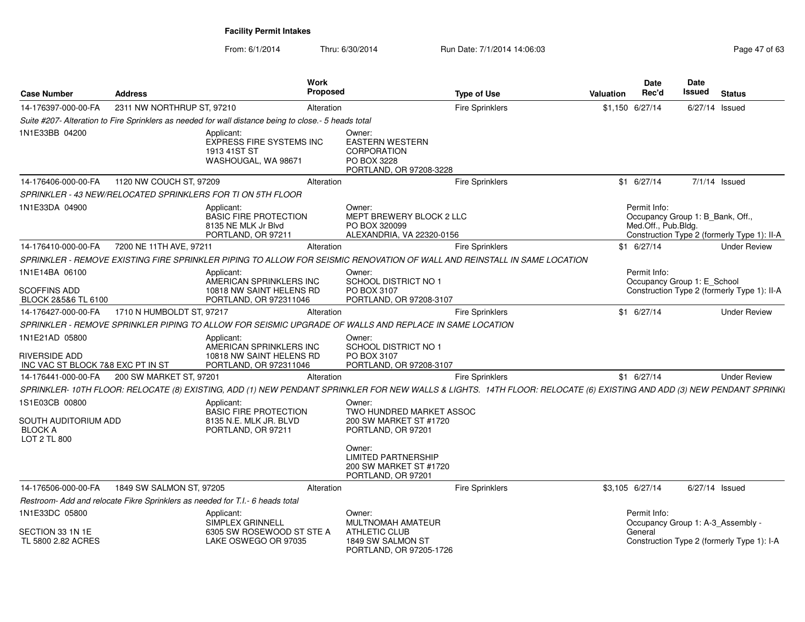| <b>Case Number</b>                                                          | <b>Address</b>             |                                                                                                      | Work<br>Proposed |                                                                                                        | <b>Type of Use</b>                                                                                                                                                   | Valuation | <b>Date</b><br>Rec'd                                                    | Date<br>Issued   | <b>Status</b>                               |
|-----------------------------------------------------------------------------|----------------------------|------------------------------------------------------------------------------------------------------|------------------|--------------------------------------------------------------------------------------------------------|----------------------------------------------------------------------------------------------------------------------------------------------------------------------|-----------|-------------------------------------------------------------------------|------------------|---------------------------------------------|
| 14-176397-000-00-FA                                                         | 2311 NW NORTHRUP ST, 97210 |                                                                                                      | Alteration       |                                                                                                        | <b>Fire Sprinklers</b>                                                                                                                                               |           | \$1,150 6/27/14                                                         | 6/27/14 Issued   |                                             |
|                                                                             |                            | Suite #207- Alteration to Fire Sprinklers as needed for wall distance being to close.- 5 heads total |                  |                                                                                                        |                                                                                                                                                                      |           |                                                                         |                  |                                             |
| 1N1E33BB 04200                                                              |                            | Applicant:<br><b>EXPRESS FIRE SYSTEMS INC</b><br>1913 41ST ST<br>WASHOUGAL, WA 98671                 |                  | Owner:<br><b>EASTERN WESTERN</b><br><b>CORPORATION</b><br>PO BOX 3228<br>PORTLAND, OR 97208-3228       |                                                                                                                                                                      |           |                                                                         |                  |                                             |
| 14-176406-000-00-FA                                                         | 1120 NW COUCH ST, 97209    |                                                                                                      | Alteration       |                                                                                                        | <b>Fire Sprinklers</b>                                                                                                                                               |           | $$1$ 6/27/14                                                            | $7/1/14$ Issued  |                                             |
|                                                                             |                            | SPRINKLER - 43 NEW/RELOCATED SPRINKLERS FOR TI ON 5TH FLOOR                                          |                  |                                                                                                        |                                                                                                                                                                      |           |                                                                         |                  |                                             |
| 1N1E33DA 04900                                                              |                            | Applicant:<br><b>BASIC FIRE PROTECTION</b><br>8135 NE MLK Jr Blvd<br>PORTLAND, OR 97211              |                  | Owner:<br>MEPT BREWERY BLOCK 2 LLC<br>PO BOX 320099<br>ALEXANDRIA, VA 22320-0156                       |                                                                                                                                                                      |           | Permit Info:<br>Occupancy Group 1: B_Bank, Off.,<br>Med.Off., Pub.Bldg. |                  | Construction Type 2 (formerly Type 1): II-A |
| 14-176410-000-00-FA                                                         | 7200 NE 11TH AVE, 97211    |                                                                                                      | Alteration       |                                                                                                        | <b>Fire Sprinklers</b>                                                                                                                                               |           | $$1 \t6/27/14$                                                          |                  | <b>Under Review</b>                         |
|                                                                             |                            |                                                                                                      |                  |                                                                                                        | SPRINKLER - REMOVE EXISTING FIRE SPRINKLER PIPING TO ALLOW FOR SEISMIC RENOVATION OF WALL AND REINSTALL IN SAME LOCATION                                             |           |                                                                         |                  |                                             |
| 1N1E14BA 06100                                                              |                            | Applicant:                                                                                           |                  | Owner:                                                                                                 |                                                                                                                                                                      |           | Permit Info:                                                            |                  |                                             |
| <b>SCOFFINS ADD</b><br>BLOCK 2&5&6 TL 6100                                  |                            | AMERICAN SPRINKLERS INC<br>10818 NW SAINT HELENS RD<br>PORTLAND, OR 972311046                        |                  | SCHOOL DISTRICT NO 1<br>PO BOX 3107<br>PORTLAND, OR 97208-3107                                         |                                                                                                                                                                      |           | Occupancy Group 1: E_School                                             |                  | Construction Type 2 (formerly Type 1): II-A |
| 14-176427-000-00-FA                                                         | 1710 N HUMBOLDT ST, 97217  |                                                                                                      | Alteration       |                                                                                                        | <b>Fire Sprinklers</b>                                                                                                                                               |           | $$1$ 6/27/14                                                            |                  | <b>Under Review</b>                         |
|                                                                             |                            |                                                                                                      |                  | SPRINKLER - REMOVE SPRINKLER PIPING TO ALLOW FOR SEISMIC UPGRADE OF WALLS AND REPLACE IN SAME LOCATION |                                                                                                                                                                      |           |                                                                         |                  |                                             |
| 1N1E21AD 05800<br><b>RIVERSIDE ADD</b><br>INC VAC ST BLOCK 7&8 EXC PT IN ST |                            | Applicant:<br>AMERICAN SPRINKLERS INC<br>10818 NW SAINT HELENS RD<br>PORTLAND, OR 972311046          |                  | Owner:<br>SCHOOL DISTRICT NO 1<br>PO BOX 3107<br>PORTLAND, OR 97208-3107                               |                                                                                                                                                                      |           |                                                                         |                  |                                             |
| 14-176441-000-00-FA                                                         | 200 SW MARKET ST, 97201    |                                                                                                      | Alteration       |                                                                                                        | <b>Fire Sprinklers</b>                                                                                                                                               |           | $$1$ 6/27/14                                                            |                  | <b>Under Review</b>                         |
|                                                                             |                            |                                                                                                      |                  |                                                                                                        | SPRINKLER-10TH FLOOR: RELOCATE (8) EXISTING, ADD (1) NEW PENDANT SPRINKLER FOR NEW WALLS & LIGHTS. 14TH FLOOR: RELOCATE (6) EXISTING AND ADD (3) NEW PENDANT SPRINKI |           |                                                                         |                  |                                             |
| 1S1E03CB 00800<br>SOUTH AUDITORIUM ADD<br><b>BLOCK A</b><br>LOT 2 TL 800    |                            | Applicant:<br><b>BASIC FIRE PROTECTION</b><br>8135 N.E. MLK JR. BLVD<br>PORTLAND, OR 97211           |                  | Owner:<br>TWO HUNDRED MARKET ASSOC<br>200 SW MARKET ST #1720<br>PORTLAND, OR 97201<br>Owner:           |                                                                                                                                                                      |           |                                                                         |                  |                                             |
|                                                                             |                            |                                                                                                      |                  | <b>LIMITED PARTNERSHIP</b><br>200 SW MARKET ST #1720<br>PORTLAND, OR 97201                             |                                                                                                                                                                      |           |                                                                         |                  |                                             |
| 14-176506-000-00-FA                                                         | 1849 SW SALMON ST, 97205   |                                                                                                      | Alteration       |                                                                                                        | <b>Fire Sprinklers</b>                                                                                                                                               |           | \$3,105 6/27/14                                                         | $6/27/14$ Issued |                                             |
|                                                                             |                            | Restroom- Add and relocate Fikre Sprinklers as needed for T.I.- 6 heads total                        |                  |                                                                                                        |                                                                                                                                                                      |           |                                                                         |                  |                                             |
| 1N1E33DC 05800                                                              |                            | Applicant:<br><b>SIMPLEX GRINNELL</b>                                                                |                  | Owner:<br>MULTNOMAH AMATEUR                                                                            |                                                                                                                                                                      |           | Permit Info:<br>Occupancy Group 1: A-3 Assembly -                       |                  |                                             |
| SECTION 33 1N 1E<br>TL 5800 2.82 ACRES                                      |                            | 6305 SW ROSEWOOD ST STE A<br>LAKE OSWEGO OR 97035                                                    |                  | ATHLETIC CLUB<br>1849 SW SALMON ST<br>PORTLAND, OR 97205-1726                                          |                                                                                                                                                                      |           | General                                                                 |                  | Construction Type 2 (formerly Type 1): I-A  |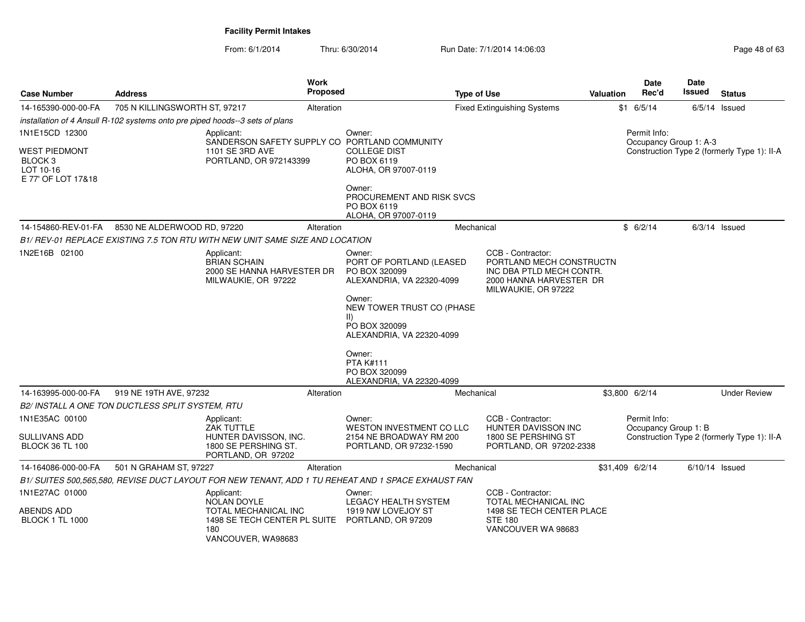| <b>Case Number</b>                                                 | <b>Address</b>                                                               |                                                                                                    | Work<br>Proposed |                                                                                                                                                                                        | <b>Type of Use</b> |                                                                                                                             | Valuation | Date<br>Rec'd                        | Date<br>Issued         | <b>Status</b>                               |
|--------------------------------------------------------------------|------------------------------------------------------------------------------|----------------------------------------------------------------------------------------------------|------------------|----------------------------------------------------------------------------------------------------------------------------------------------------------------------------------------|--------------------|-----------------------------------------------------------------------------------------------------------------------------|-----------|--------------------------------------|------------------------|---------------------------------------------|
| 14-165390-000-00-FA                                                | 705 N KILLINGSWORTH ST, 97217                                                |                                                                                                    | Alteration       |                                                                                                                                                                                        |                    | <b>Fixed Extinguishing Systems</b>                                                                                          |           | $$1$ 6/5/14                          |                        | $6/5/14$ Issued                             |
|                                                                    | installation of 4 Ansull R-102 systems onto pre piped hoods--3 sets of plans |                                                                                                    |                  |                                                                                                                                                                                        |                    |                                                                                                                             |           |                                      |                        |                                             |
| 1N1E15CD 12300                                                     |                                                                              | Applicant:                                                                                         |                  | Owner:                                                                                                                                                                                 |                    |                                                                                                                             |           | Permit Info:                         |                        |                                             |
| <b>WEST PIEDMONT</b><br>BLOCK 3<br>LOT 10-16<br>E 77' OF LOT 17&18 |                                                                              | SANDERSON SAFETY SUPPLY CO<br>1101 SE 3RD AVE<br>PORTLAND, OR 972143399                            |                  | PORTLAND COMMUNITY<br><b>COLLEGE DIST</b><br>PO BOX 6119<br>ALOHA, OR 97007-0119                                                                                                       |                    |                                                                                                                             |           |                                      | Occupancy Group 1: A-3 | Construction Type 2 (formerly Type 1): II-A |
|                                                                    |                                                                              |                                                                                                    |                  | Owner:<br>PROCUREMENT AND RISK SVCS<br>PO BOX 6119<br>ALOHA, OR 97007-0119                                                                                                             |                    |                                                                                                                             |           |                                      |                        |                                             |
| 14-154860-REV-01-FA                                                | 8530 NE ALDERWOOD RD, 97220                                                  |                                                                                                    | Alteration       |                                                                                                                                                                                        | Mechanical         |                                                                                                                             |           | \$6/2/14                             |                        | $6/3/14$ Issued                             |
|                                                                    |                                                                              | B1/ REV-01 REPLACE EXISTING 7.5 TON RTU WITH NEW UNIT SAME SIZE AND LOCATION                       |                  |                                                                                                                                                                                        |                    |                                                                                                                             |           |                                      |                        |                                             |
| 1N2E16B 02100                                                      |                                                                              | Applicant:<br><b>BRIAN SCHAIN</b><br>2000 SE HANNA HARVESTER DR<br>MILWAUKIE, OR 97222             |                  | Owner:<br>PORT OF PORTLAND (LEASED<br>PO BOX 320099<br>ALEXANDRIA, VA 22320-4099<br>Owner:<br>NEW TOWER TRUST CO (PHASE<br>$\vert \vert$<br>PO BOX 320099<br>ALEXANDRIA, VA 22320-4099 |                    | CCB - Contractor:<br>PORTLAND MECH CONSTRUCTN<br>INC DBA PTLD MECH CONTR.<br>2000 HANNA HARVESTER DR<br>MILWAUKIE, OR 97222 |           |                                      |                        |                                             |
|                                                                    |                                                                              |                                                                                                    |                  | Owner:<br><b>PTA K#111</b><br>PO BOX 320099<br>ALEXANDRIA, VA 22320-4099                                                                                                               |                    |                                                                                                                             |           |                                      |                        |                                             |
| 14-163995-000-00-FA                                                | 919 NE 19TH AVE, 97232                                                       |                                                                                                    | Alteration       |                                                                                                                                                                                        | Mechanical         |                                                                                                                             |           | \$3,800 6/2/14                       |                        | <b>Under Review</b>                         |
|                                                                    | B2/ INSTALL A ONE TON DUCTLESS SPLIT SYSTEM, RTU                             |                                                                                                    |                  |                                                                                                                                                                                        |                    |                                                                                                                             |           |                                      |                        |                                             |
| 1N1E35AC 00100<br>SULLIVANS ADD<br><b>BLOCK 36 TL 100</b>          |                                                                              | Applicant:<br>ZAK TUTTLE<br>HUNTER DAVISSON, INC.<br>1800 SE PERSHING ST.<br>PORTLAND, OR 97202    |                  | Owner:<br>WESTON INVESTMENT CO LLC<br>2154 NE BROADWAY RM 200<br>PORTLAND, OR 97232-1590                                                                                               |                    | CCB - Contractor:<br>HUNTER DAVISSON INC<br>1800 SE PERSHING ST<br>PORTLAND, OR 97202-2338                                  |           | Permit Info:<br>Occupancy Group 1: B |                        | Construction Type 2 (formerly Type 1): II-A |
| 14-164086-000-00-FA                                                | 501 N GRAHAM ST, 97227                                                       |                                                                                                    | Alteration       |                                                                                                                                                                                        | Mechanical         |                                                                                                                             |           | \$31,409 6/2/14                      | $6/10/14$ Issued       |                                             |
|                                                                    |                                                                              | B1/ SUITES 500.565.580, REVISE DUCT LAYOUT FOR NEW TENANT, ADD 1 TU REHEAT AND 1 SPACE EXHAUST FAN |                  |                                                                                                                                                                                        |                    |                                                                                                                             |           |                                      |                        |                                             |
| 1N1E27AC 01000<br>ABENDS ADD<br><b>BLOCK 1 TL 1000</b>             |                                                                              | Applicant:<br><b>NOLAN DOYLE</b><br>TOTAL MECHANICAL INC<br>1498 SE TECH CENTER PL SUITE           |                  | Owner:<br>LEGACY HEALTH SYSTEM<br>1919 NW LOVEJOY ST<br>PORTLAND, OR 97209                                                                                                             |                    | CCB - Contractor:<br>TOTAL MECHANICAL INC<br>1498 SE TECH CENTER PLACE<br><b>STE 180</b>                                    |           |                                      |                        |                                             |
|                                                                    |                                                                              | 180<br>VANCOUVER, WA98683                                                                          |                  |                                                                                                                                                                                        |                    | VANCOUVER WA 98683                                                                                                          |           |                                      |                        |                                             |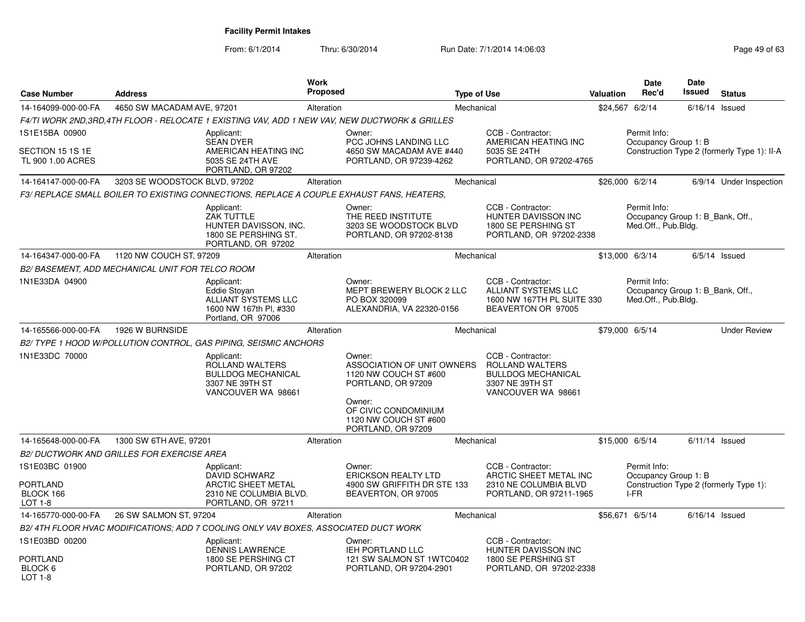From: 6/1/2014

Thru: 6/30/2014 Run Date: 7/1/2014 14:06:03

| <b>Case Number</b>                                        | <b>Address</b>                                   |                                                                                                                 | <b>Work</b><br><b>Proposed</b> |                                                                                                                                                                      | <b>Type of Use</b> |                                                                                                                   | Valuation | <b>Date</b><br>Rec'd                                                    | <b>Date</b><br>Issued | <b>Status</b>                               |
|-----------------------------------------------------------|--------------------------------------------------|-----------------------------------------------------------------------------------------------------------------|--------------------------------|----------------------------------------------------------------------------------------------------------------------------------------------------------------------|--------------------|-------------------------------------------------------------------------------------------------------------------|-----------|-------------------------------------------------------------------------|-----------------------|---------------------------------------------|
| 14-164099-000-00-FA                                       | 4650 SW MACADAM AVE, 97201                       |                                                                                                                 | Alteration                     |                                                                                                                                                                      | Mechanical         |                                                                                                                   |           | \$24,567 6/2/14                                                         |                       | $6/16/14$ Issued                            |
|                                                           |                                                  |                                                                                                                 |                                | F4/TI WORK 2ND,3RD,4TH FLOOR - RELOCATE 1 EXISTING VAV, ADD 1 NEW VAV, NEW DUCTWORK & GRILLES                                                                        |                    |                                                                                                                   |           |                                                                         |                       |                                             |
| 1S1E15BA 00900<br>SECTION 15 1S 1E<br>TL 900 1.00 ACRES   |                                                  | Applicant:<br><b>SEAN DYER</b><br>AMERICAN HEATING INC<br>5035 SE 24TH AVE<br>PORTLAND, OR 97202                |                                | Owner:<br>PCC JOHNS LANDING LLC<br>4650 SW MACADAM AVE #440<br>PORTLAND, OR 97239-4262                                                                               |                    | CCB - Contractor:<br>AMERICAN HEATING INC<br>5035 SE 24TH<br>PORTLAND, OR 97202-4765                              |           | Permit Info:<br>Occupancy Group 1: B                                    |                       | Construction Type 2 (formerly Type 1): II-A |
| 14-164147-000-00-FA                                       | 3203 SE WOODSTOCK BLVD, 97202                    |                                                                                                                 | Alteration                     |                                                                                                                                                                      | Mechanical         |                                                                                                                   |           | \$26,000 6/2/14                                                         |                       | 6/9/14 Under Inspection                     |
|                                                           |                                                  | F3/ REPLACE SMALL BOILER TO EXISTING CONNECTIONS, REPLACE A COUPLE EXHAUST FANS, HEATERS.                       |                                |                                                                                                                                                                      |                    |                                                                                                                   |           |                                                                         |                       |                                             |
|                                                           |                                                  | Applicant:<br>ZAK TUTTLE<br>HUNTER DAVISSON, INC.<br>1800 SE PERSHING ST.<br>PORTLAND, OR 97202                 |                                | Owner:<br>THE REED INSTITUTE<br>3203 SE WOODSTOCK BLVD<br>PORTLAND, OR 97202-8138                                                                                    |                    | CCB - Contractor:<br><b>HUNTER DAVISSON INC</b><br>1800 SE PERSHING ST<br>PORTLAND, OR 97202-2338                 |           | Permit Info:<br>Occupancy Group 1: B Bank, Off.,<br>Med.Off., Pub.Bldg. |                       |                                             |
| 14-164347-000-00-FA                                       | 1120 NW COUCH ST, 97209                          |                                                                                                                 | Alteration                     |                                                                                                                                                                      | Mechanical         |                                                                                                                   |           | \$13,000 6/3/14                                                         |                       | $6/5/14$ Issued                             |
|                                                           | B2/ BASEMENT, ADD MECHANICAL UNIT FOR TELCO ROOM |                                                                                                                 |                                |                                                                                                                                                                      |                    |                                                                                                                   |           |                                                                         |                       |                                             |
| 1N1E33DA 04900                                            |                                                  | Applicant:<br>Eddie Stovan<br>ALLIANT SYSTEMS LLC<br>1600 NW 167th Pl, #330<br>Portland, OR 97006               |                                | Owner:<br>MEPT BREWERY BLOCK 2 LLC<br>PO BOX 320099<br>ALEXANDRIA, VA 22320-0156                                                                                     |                    | CCB - Contractor:<br><b>ALLIANT SYSTEMS LLC</b><br>1600 NW 167TH PL SUITE 330<br>BEAVERTON OR 97005               |           | Permit Info:<br>Occupancy Group 1: B_Bank, Off.,<br>Med.Off., Pub.Bldg. |                       |                                             |
| 14-165566-000-00-FA                                       | 1926 W BURNSIDE                                  |                                                                                                                 | Alteration                     |                                                                                                                                                                      | Mechanical         |                                                                                                                   |           | \$79,000 6/5/14                                                         |                       | <b>Under Review</b>                         |
|                                                           |                                                  | B2/ TYPE 1 HOOD W/POLLUTION CONTROL, GAS PIPING, SEISMIC ANCHORS                                                |                                |                                                                                                                                                                      |                    |                                                                                                                   |           |                                                                         |                       |                                             |
| 1N1E33DC 70000                                            |                                                  | Applicant:<br>ROLLAND WALTERS<br><b>BULLDOG MECHANICAL</b><br>3307 NE 39TH ST<br>VANCOUVER WA 98661             |                                | Owner:<br>ASSOCIATION OF UNIT OWNERS<br>1120 NW COUCH ST #600<br>PORTLAND, OR 97209<br>Owner:<br>OF CIVIC CONDOMINIUM<br>1120 NW COUCH ST #600<br>PORTLAND, OR 97209 |                    | CCB - Contractor:<br><b>ROLLAND WALTERS</b><br><b>BULLDOG MECHANICAL</b><br>3307 NE 39TH ST<br>VANCOUVER WA 98661 |           |                                                                         |                       |                                             |
| 14-165648-000-00-FA                                       | 1300 SW 6TH AVE, 97201                           |                                                                                                                 | Alteration                     |                                                                                                                                                                      | Mechanical         |                                                                                                                   |           | \$15,000 6/5/14                                                         |                       | $6/11/14$ Issued                            |
|                                                           | B2/ DUCTWORK AND GRILLES FOR EXERCISE AREA       |                                                                                                                 |                                |                                                                                                                                                                      |                    |                                                                                                                   |           |                                                                         |                       |                                             |
| 1S1E03BC 01900<br>PORTLAND<br>BLOCK 166<br><b>LOT 1-8</b> |                                                  | Applicant:<br><b>DAVID SCHWARZ</b><br><b>ARCTIC SHEET METAL</b><br>2310 NE COLUMBIA BLVD.<br>PORTLAND, OR 97211 |                                | Owner:<br><b>ERICKSON REALTY LTD</b><br>4900 SW GRIFFITH DR STE 133<br>BEAVERTON, OR 97005                                                                           |                    | CCB - Contractor:<br>ARCTIC SHEET METAL INC<br>2310 NE COLUMBIA BLVD<br>PORTLAND, OR 97211-1965                   |           | Permit Info:<br>Occupancy Group 1: B<br>I-FR                            |                       | Construction Type 2 (formerly Type 1):      |
| 14-165770-000-00-FA                                       | 26 SW SALMON ST, 97204                           |                                                                                                                 | Alteration                     |                                                                                                                                                                      | Mechanical         |                                                                                                                   |           | \$56,671 6/5/14                                                         |                       | $6/16/14$ Issued                            |
|                                                           |                                                  | B2/ 4TH FLOOR HVAC MODIFICATIONS: ADD 7 COOLING ONLY VAV BOXES. ASSOCIATED DUCT WORK                            |                                |                                                                                                                                                                      |                    |                                                                                                                   |           |                                                                         |                       |                                             |
| 1S1E03BD 00200<br>PORTLAND<br>BLOCK 6<br>LOT 1-8          |                                                  | Applicant:<br><b>DENNIS LAWRENCE</b><br>1800 SE PERSHING CT<br>PORTLAND, OR 97202                               |                                | Owner:<br>IEH PORTLAND LLC<br>121 SW SALMON ST 1WTC0402<br>PORTLAND, OR 97204-2901                                                                                   |                    | CCB - Contractor:<br>HUNTER DAVISSON INC<br>1800 SE PERSHING ST<br>PORTLAND, OR 97202-2338                        |           |                                                                         |                       |                                             |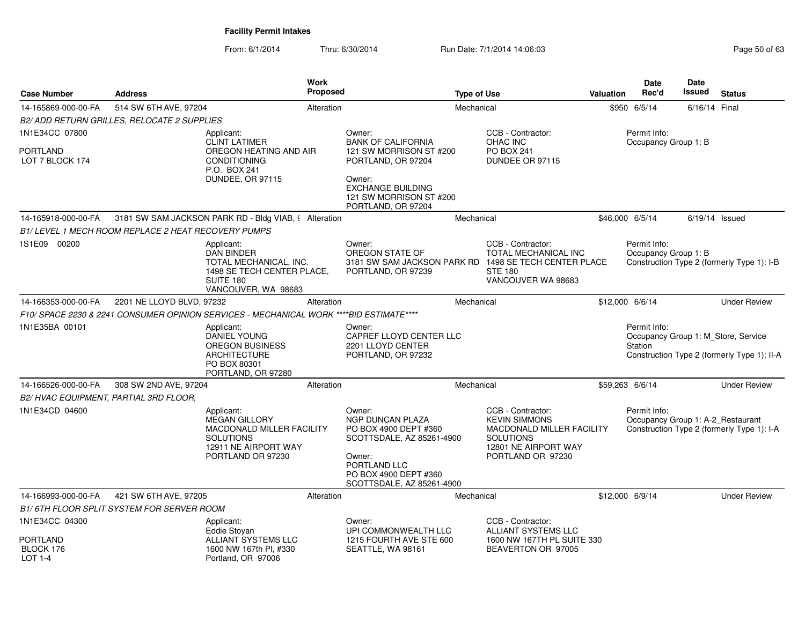| <b>Case Number</b>                    | <b>Address</b>                                     | <b>Work</b><br><b>Proposed</b>                                                                                                          |                                                                                                                                                                         | <b>Type of Use</b> |                                                                                                                                                | Valuation | <b>Date</b><br>Rec'd                              | Date<br>Issued | <b>Status</b>                                                                      |
|---------------------------------------|----------------------------------------------------|-----------------------------------------------------------------------------------------------------------------------------------------|-------------------------------------------------------------------------------------------------------------------------------------------------------------------------|--------------------|------------------------------------------------------------------------------------------------------------------------------------------------|-----------|---------------------------------------------------|----------------|------------------------------------------------------------------------------------|
| 14-165869-000-00-FA                   | 514 SW 6TH AVE, 97204                              | Alteration                                                                                                                              |                                                                                                                                                                         | Mechanical         |                                                                                                                                                |           | \$950 6/5/14                                      | 6/16/14 Final  |                                                                                    |
|                                       | B2/ ADD RETURN GRILLES, RELOCATE 2 SUPPLIES        |                                                                                                                                         |                                                                                                                                                                         |                    |                                                                                                                                                |           |                                                   |                |                                                                                    |
| 1N1E34CC 07800                        |                                                    | Applicant:                                                                                                                              | Owner:                                                                                                                                                                  |                    | CCB - Contractor:                                                                                                                              |           | Permit Info:                                      |                |                                                                                    |
| <b>PORTLAND</b><br>LOT 7 BLOCK 174    |                                                    | <b>CLINT LATIMER</b><br>OREGON HEATING AND AIR<br><b>CONDITIONING</b><br>P.O. BOX 241<br><b>DUNDEE, OR 97115</b>                        | <b>BANK OF CALIFORNIA</b><br>121 SW MORRISON ST #200<br>PORTLAND, OR 97204<br>Owner:<br><b>EXCHANGE BUILDING</b><br>121 SW MORRISON ST #200<br>PORTLAND, OR 97204       |                    | OHAC INC<br><b>PO BOX 241</b><br>DUNDEE OR 97115                                                                                               |           | Occupancy Group 1: B                              |                |                                                                                    |
| 14-165918-000-00-FA                   |                                                    | 3181 SW SAM JACKSON PARK RD - Bldg VIAB, § Alteration                                                                                   |                                                                                                                                                                         | Mechanical         |                                                                                                                                                |           | \$46,000 6/5/14                                   |                | $6/19/14$ Issued                                                                   |
|                                       | B1/LEVEL 1 MECH ROOM REPLACE 2 HEAT RECOVERY PUMPS |                                                                                                                                         |                                                                                                                                                                         |                    |                                                                                                                                                |           |                                                   |                |                                                                                    |
| 1S1E09 00200                          |                                                    | Applicant:<br><b>DAN BINDER</b><br>TOTAL MECHANICAL, INC.<br>1498 SE TECH CENTER PLACE,<br>SUITE 180<br>VANCOUVER, WA 98683             | Owner:<br>OREGON STATE OF<br>3181 SW SAM JACKSON PARK RD 1498 SE TECH CENTER PLACE<br>PORTLAND, OR 97239                                                                |                    | CCB - Contractor:<br>TOTAL MECHANICAL INC<br><b>STE 180</b><br>VANCOUVER WA 98683                                                              |           | Permit Info:<br>Occupancy Group 1: B              |                | Construction Type 2 (formerly Type 1): I-B                                         |
| 14-166353-000-00-FA                   | 2201 NE LLOYD BLVD, 97232                          | Alteration                                                                                                                              |                                                                                                                                                                         | Mechanical         |                                                                                                                                                |           | \$12,000 6/6/14                                   |                | <b>Under Review</b>                                                                |
|                                       |                                                    | F10/ SPACE 2230 & 2241 CONSUMER OPINION SERVICES - MECHANICAL WORK ****BID ESTIMATE****                                                 |                                                                                                                                                                         |                    |                                                                                                                                                |           |                                                   |                |                                                                                    |
| 1N1E35BA 00101                        |                                                    | Applicant:<br><b>DANIEL YOUNG</b><br><b>OREGON BUSINESS</b><br><b>ARCHITECTURE</b><br>PO BOX 80301<br>PORTLAND, OR 97280                | Owner:<br>CAPREF LLOYD CENTER LLC<br>2201 LLOYD CENTER<br>PORTLAND, OR 97232                                                                                            |                    |                                                                                                                                                |           | Permit Info:<br>Station                           |                | Occupancy Group 1: M Store, Service<br>Construction Type 2 (formerly Type 1): II-A |
| 14-166526-000-00-FA                   | 308 SW 2ND AVE, 97204                              | Alteration                                                                                                                              |                                                                                                                                                                         | Mechanical         |                                                                                                                                                |           | \$59,263 6/6/14                                   |                | <b>Under Review</b>                                                                |
| B2/HVAC EQUIPMENT, PARTIAL 3RD FLOOR, |                                                    |                                                                                                                                         |                                                                                                                                                                         |                    |                                                                                                                                                |           |                                                   |                |                                                                                    |
| 1N1E34CD 04600                        |                                                    | Applicant:<br><b>MEGAN GILLORY</b><br><b>MACDONALD MILLER FACILITY</b><br><b>SOLUTIONS</b><br>12911 NE AIRPORT WAY<br>PORTLAND OR 97230 | Owner:<br><b>NGP DUNCAN PLAZA</b><br>PO BOX 4900 DEPT #360<br>SCOTTSDALE, AZ 85261-4900<br>Owner:<br>PORTLAND LLC<br>PO BOX 4900 DEPT #360<br>SCOTTSDALE, AZ 85261-4900 |                    | CCB - Contractor:<br><b>KEVIN SIMMONS</b><br><b>MACDONALD MILLER FACILITY</b><br><b>SOLUTIONS</b><br>12801 NE AIRPORT WAY<br>PORTLAND OR 97230 |           | Permit Info:<br>Occupancy Group 1: A-2_Restaurant |                | Construction Type 2 (formerly Type 1): I-A                                         |
| 14-166993-000-00-FA                   | 421 SW 6TH AVE, 97205                              | Alteration                                                                                                                              |                                                                                                                                                                         | Mechanical         |                                                                                                                                                |           | \$12,000 6/9/14                                   |                | <b>Under Review</b>                                                                |
|                                       | B1/6TH FLOOR SPLIT SYSTEM FOR SERVER ROOM          |                                                                                                                                         |                                                                                                                                                                         |                    |                                                                                                                                                |           |                                                   |                |                                                                                    |
| 1N1E34CC 04300                        |                                                    | Applicant:<br>Eddie Stovan                                                                                                              | Owner:<br>UPI COMMONWEALTH LLC                                                                                                                                          |                    | CCB - Contractor:<br><b>ALLIANT SYSTEMS LLC</b>                                                                                                |           |                                                   |                |                                                                                    |
| PORTLAND<br>BLOCK 176<br>LOT 1-4      |                                                    | <b>ALLIANT SYSTEMS LLC</b><br>1600 NW 167th PI, #330<br>Portland, OR 97006                                                              | 1215 FOURTH AVE STE 600<br>SEATTLE, WA 98161                                                                                                                            |                    | 1600 NW 167TH PL SUITE 330<br>BEAVERTON OR 97005                                                                                               |           |                                                   |                |                                                                                    |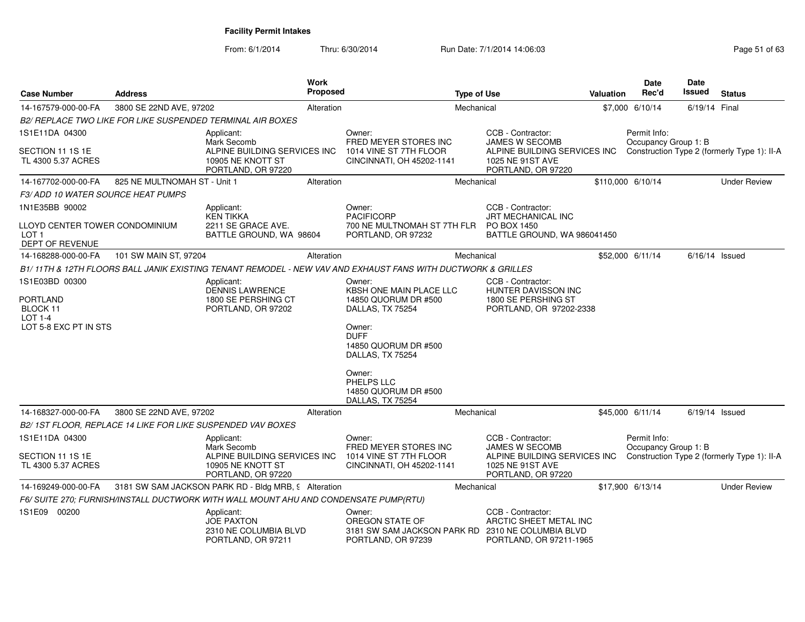| <b>Case Number</b>                                                           | <b>Address</b>               |                                                                                      | <b>Work</b><br>Proposed |                                                                                                             | <b>Type of Use</b> |                                                                                                 | <b>Valuation</b> | Date<br>Rec'd                        | Date<br>Issued   | <b>Status</b>                               |
|------------------------------------------------------------------------------|------------------------------|--------------------------------------------------------------------------------------|-------------------------|-------------------------------------------------------------------------------------------------------------|--------------------|-------------------------------------------------------------------------------------------------|------------------|--------------------------------------|------------------|---------------------------------------------|
| 14-167579-000-00-FA                                                          | 3800 SE 22ND AVE, 97202      |                                                                                      | Alteration              |                                                                                                             | Mechanical         |                                                                                                 |                  | \$7,000 6/10/14                      | 6/19/14 Final    |                                             |
|                                                                              |                              | <b>B2/ REPLACE TWO LIKE FOR LIKE SUSPENDED TERMINAL AIR BOXES</b>                    |                         |                                                                                                             |                    |                                                                                                 |                  |                                      |                  |                                             |
| 1S1E11DA 04300                                                               |                              | Applicant:<br>Mark Secomb                                                            |                         | Owner:<br>FRED MEYER STORES INC                                                                             |                    | CCB - Contractor:<br>JAMES W SECOMB                                                             |                  | Permit Info:<br>Occupancy Group 1: B |                  |                                             |
| SECTION 11 1S 1E<br>TL 4300 5.37 ACRES                                       |                              | ALPINE BUILDING SERVICES INC<br>10905 NE KNOTT ST<br>PORTLAND, OR 97220              |                         | 1014 VINE ST 7TH FLOOR<br>CINCINNATI, OH 45202-1141                                                         |                    | ALPINE BUILDING SERVICES INC<br>1025 NE 91ST AVE<br>PORTLAND, OR 97220                          |                  |                                      |                  | Construction Type 2 (formerly Type 1): II-A |
| 14-167702-000-00-FA                                                          | 825 NE MULTNOMAH ST - Unit 1 |                                                                                      | Alteration              |                                                                                                             | Mechanical         |                                                                                                 |                  | \$110,000 6/10/14                    |                  | <b>Under Review</b>                         |
| <b>F3/ADD 10 WATER SOURCE HEAT PUMPS</b>                                     |                              |                                                                                      |                         |                                                                                                             |                    |                                                                                                 |                  |                                      |                  |                                             |
| 1N1E35BB 90002                                                               |                              | Applicant:<br><b>KEN TIKKA</b>                                                       |                         | Owner:<br><b>PACIFICORP</b>                                                                                 |                    | CCB - Contractor:<br>JRT MECHANICAL INC                                                         |                  |                                      |                  |                                             |
| LLOYD CENTER TOWER CONDOMINIUM<br>LOT <sub>1</sub><br><b>DEPT OF REVENUE</b> |                              | 2211 SE GRACE AVE.<br>BATTLE GROUND, WA 98604                                        |                         | 700 NE MULTNOMAH ST 7TH FLR<br>PORTLAND, OR 97232                                                           |                    | PO BOX 1450<br>BATTLE GROUND, WA 986041450                                                      |                  |                                      |                  |                                             |
| 14-168288-000-00-FA                                                          | 101 SW MAIN ST, 97204        |                                                                                      | Alteration              |                                                                                                             | Mechanical         |                                                                                                 |                  | \$52,000 6/11/14                     | $6/16/14$ Issued |                                             |
|                                                                              |                              |                                                                                      |                         | B1/11TH & 12TH FLOORS BALL JANIK EXISTING TENANT REMODEL - NEW VAV AND EXHAUST FANS WITH DUCTWORK & GRILLES |                    |                                                                                                 |                  |                                      |                  |                                             |
| 1S1E03BD 00300                                                               |                              | Applicant:                                                                           |                         | Owner:                                                                                                      |                    | CCB - Contractor:                                                                               |                  |                                      |                  |                                             |
| <b>PORTLAND</b><br>BLOCK 11<br><b>LOT 1-4</b>                                |                              | <b>DENNIS LAWRENCE</b><br>1800 SE PERSHING CT<br>PORTLAND, OR 97202                  |                         | KBSH ONE MAIN PLACE LLC<br>14850 QUORUM DR #500<br>DALLAS, TX 75254                                         |                    | <b>HUNTER DAVISSON INC</b><br>1800 SE PERSHING ST<br>PORTLAND, OR 97202-2338                    |                  |                                      |                  |                                             |
| LOT 5-8 EXC PT IN STS                                                        |                              |                                                                                      |                         | Owner:<br><b>DUFF</b><br>14850 QUORUM DR #500<br>DALLAS, TX 75254                                           |                    |                                                                                                 |                  |                                      |                  |                                             |
|                                                                              |                              |                                                                                      |                         | Owner:<br>PHELPS LLC<br>14850 QUORUM DR #500<br>DALLAS, TX 75254                                            |                    |                                                                                                 |                  |                                      |                  |                                             |
| 14-168327-000-00-FA                                                          | 3800 SE 22ND AVE, 97202      |                                                                                      | Alteration              |                                                                                                             | Mechanical         |                                                                                                 |                  | \$45,000 6/11/14                     | $6/19/14$ Issued |                                             |
|                                                                              |                              | B2/1ST FLOOR, REPLACE 14 LIKE FOR LIKE SUSPENDED VAV BOXES                           |                         |                                                                                                             |                    |                                                                                                 |                  |                                      |                  |                                             |
| 1S1E11DA 04300                                                               |                              | Applicant:<br>Mark Secomb                                                            |                         | Owner:<br>FRED MEYER STORES INC                                                                             |                    | CCB - Contractor:<br><b>JAMES W SECOMB</b>                                                      |                  | Permit Info:<br>Occupancy Group 1: B |                  |                                             |
| SECTION 11 1S 1E<br>TL 4300 5.37 ACRES                                       |                              | ALPINE BUILDING SERVICES INC<br>10905 NE KNOTT ST<br>PORTLAND, OR 97220              |                         | 1014 VINE ST 7TH FLOOR<br>CINCINNATI, OH 45202-1141                                                         |                    | ALPINE BUILDING SERVICES INC<br>1025 NE 91ST AVE<br>PORTLAND, OR 97220                          |                  |                                      |                  | Construction Type 2 (formerly Type 1): II-A |
| 14-169249-000-00-FA                                                          |                              | 3181 SW SAM JACKSON PARK RD - Bldg MRB, 9 Alteration                                 |                         |                                                                                                             | Mechanical         |                                                                                                 |                  | \$17,900 6/13/14                     |                  | <b>Under Review</b>                         |
|                                                                              |                              | F6/ SUITE 270; FURNISH/INSTALL DUCTWORK WITH WALL MOUNT AHU AND CONDENSATE PUMP(RTU) |                         |                                                                                                             |                    |                                                                                                 |                  |                                      |                  |                                             |
| 1S1E09 00200                                                                 |                              | Applicant:<br><b>JOE PAXTON</b><br>2310 NE COLUMBIA BLVD<br>PORTLAND, OR 97211       |                         | Owner:<br>OREGON STATE OF<br>3181 SW SAM JACKSON PARK RD<br>PORTLAND, OR 97239                              |                    | CCB - Contractor:<br>ARCTIC SHEET METAL INC<br>2310 NE COLUMBIA BLVD<br>PORTLAND, OR 97211-1965 |                  |                                      |                  |                                             |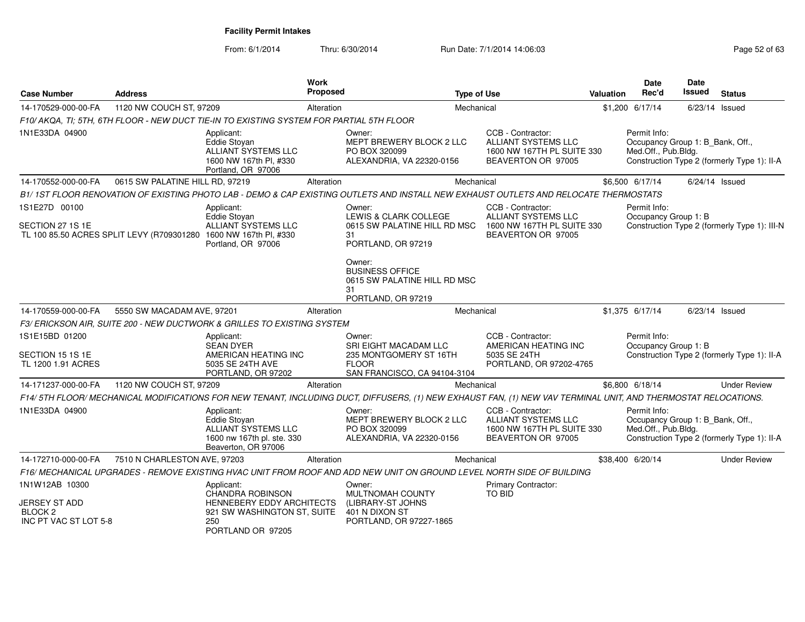From: 6/1/2014

| <b>Case Number</b>                                                  | <b>Address</b>                  |                                                                                                                                      | <b>Work</b><br><b>Proposed</b> |                                                                                                                                                               | <b>Type of Use</b>                                                                                  | <b>Valuation</b> | Date<br>Rec'd                                                           | <b>Date</b><br>Issued | <b>Status</b>                                |
|---------------------------------------------------------------------|---------------------------------|--------------------------------------------------------------------------------------------------------------------------------------|--------------------------------|---------------------------------------------------------------------------------------------------------------------------------------------------------------|-----------------------------------------------------------------------------------------------------|------------------|-------------------------------------------------------------------------|-----------------------|----------------------------------------------|
| 14-170529-000-00-FA                                                 | 1120 NW COUCH ST, 97209         |                                                                                                                                      | Alteration                     |                                                                                                                                                               | Mechanical                                                                                          |                  | \$1,200 6/17/14                                                         |                       | 6/23/14 Issued                               |
|                                                                     |                                 | F10/ AKQA, TI; 5TH, 6TH FLOOR - NEW DUCT TIE-IN TO EXISTING SYSTEM FOR PARTIAL 5TH FLOOR                                             |                                |                                                                                                                                                               |                                                                                                     |                  |                                                                         |                       |                                              |
| 1N1E33DA 04900                                                      |                                 | Applicant:<br>Eddie Stoyan<br>ALLIANT SYSTEMS LLC<br>1600 NW 167th PI, #330<br>Portland, OR 97006                                    |                                | Owner:<br>MEPT BREWERY BLOCK 2 LLC<br>PO BOX 320099<br>ALEXANDRIA, VA 22320-0156                                                                              | CCB - Contractor:<br><b>ALLIANT SYSTEMS LLC</b><br>1600 NW 167TH PL SUITE 330<br>BEAVERTON OR 97005 |                  | Permit Info:<br>Occupancy Group 1: B Bank, Off.,<br>Med.Off., Pub.Bldg. |                       | Construction Type 2 (formerly Type 1): II-A  |
| 14-170552-000-00-FA                                                 | 0615 SW PALATINE HILL RD, 97219 |                                                                                                                                      | Alteration                     |                                                                                                                                                               | Mechanical                                                                                          |                  | \$6,500 6/17/14                                                         |                       | $6/24/14$ Issued                             |
|                                                                     |                                 |                                                                                                                                      |                                | B1/1ST FLOOR RENOVATION OF EXISTING PHOTO LAB - DEMO & CAP EXISTING OUTLETS AND INSTALL NEW EXHAUST OUTLETS AND RELOCATE THERMOSTATS                          |                                                                                                     |                  |                                                                         |                       |                                              |
| 1S1E27D 00100                                                       |                                 | Applicant:                                                                                                                           |                                | Owner:                                                                                                                                                        | CCB - Contractor:                                                                                   |                  | Permit Info:                                                            |                       |                                              |
| SECTION 27 1S 1E                                                    |                                 | Eddie Stoyan<br><b>ALLIANT SYSTEMS LLC</b><br>TL 100 85.50 ACRES SPLIT LEVY (R709301280 1600 NW 167th PI, #330<br>Portland, OR 97006 |                                | LEWIS & CLARK COLLEGE<br>0615 SW PALATINE HILL RD MSC<br>31<br>PORTLAND, OR 97219                                                                             | ALLIANT SYSTEMS LLC<br>1600 NW 167TH PL SUITE 330<br>BEAVERTON OR 97005                             |                  | Occupancy Group 1: B                                                    |                       | Construction Type 2 (formerly Type 1): III-N |
|                                                                     |                                 |                                                                                                                                      |                                | Owner:<br><b>BUSINESS OFFICE</b><br>0615 SW PALATINE HILL RD MSC<br>31<br>PORTLAND, OR 97219                                                                  |                                                                                                     |                  |                                                                         |                       |                                              |
| 14-170559-000-00-FA                                                 | 5550 SW MACADAM AVE, 97201      |                                                                                                                                      | Alteration                     |                                                                                                                                                               | Mechanical                                                                                          |                  | \$1,375 6/17/14                                                         |                       | 6/23/14 Issued                               |
|                                                                     |                                 | F3/ ERICKSON AIR, SUITE 200 - NEW DUCTWORK & GRILLES TO EXISTING SYSTEM                                                              |                                |                                                                                                                                                               |                                                                                                     |                  |                                                                         |                       |                                              |
| 1S1E15BD 01200                                                      |                                 | Applicant:<br><b>SEAN DYER</b>                                                                                                       |                                | Owner:<br>SRI EIGHT MACADAM LLC                                                                                                                               | CCB - Contractor:<br>AMERICAN HEATING INC                                                           |                  | Permit Info:<br>Occupancy Group 1: B                                    |                       |                                              |
| SECTION 15 1S 1E<br>TL 1200 1.91 ACRES                              |                                 | AMERICAN HEATING INC<br>5035 SE 24TH AVE<br>PORTLAND, OR 97202                                                                       |                                | 235 MONTGOMERY ST 16TH<br><b>FLOOR</b><br>SAN FRANCISCO, CA 94104-3104                                                                                        | 5035 SE 24TH<br>PORTLAND, OR 97202-4765                                                             |                  |                                                                         |                       | Construction Type 2 (formerly Type 1): II-A  |
| 14-171237-000-00-FA                                                 | 1120 NW COUCH ST, 97209         |                                                                                                                                      | Alteration                     |                                                                                                                                                               | Mechanical                                                                                          |                  | \$6,800 6/18/14                                                         |                       | <b>Under Review</b>                          |
|                                                                     |                                 |                                                                                                                                      |                                | F14/5TH FLOOR/MECHANICAL MODIFICATIONS FOR NEW TENANT, INCLUDING DUCT, DIFFUSERS, (1) NEW EXHAUST FAN, (1) NEW VAV TERMINAL UNIT, AND THERMOSTAT RELOCATIONS. |                                                                                                     |                  |                                                                         |                       |                                              |
| 1N1E33DA 04900                                                      |                                 | Applicant:<br><b>Eddie Stovan</b><br>ALLIANT SYSTEMS LLC<br>1600 nw 167th pl. ste. 330<br>Beaverton, OR 97006                        |                                | Owner:<br>MEPT BREWERY BLOCK 2 LLC<br>PO BOX 320099<br>ALEXANDRIA, VA 22320-0156                                                                              | CCB - Contractor:<br>ALLIANT SYSTEMS LLC<br>1600 NW 167TH PL SUITE 330<br>BEAVERTON OR 97005        |                  | Permit Info:<br>Occupancy Group 1: B_Bank, Off.,<br>Med.Off., Pub.Bldg. |                       | Construction Type 2 (formerly Type 1): II-A  |
| 14-172710-000-00-FA                                                 | 7510 N CHARLESTON AVE, 97203    |                                                                                                                                      | Alteration                     |                                                                                                                                                               | Mechanical                                                                                          |                  | \$38,400 6/20/14                                                        |                       | <b>Under Review</b>                          |
|                                                                     |                                 |                                                                                                                                      |                                | F16/ MECHANICAL UPGRADES - REMOVE EXISTING HVAC UNIT FROM ROOF AND ADD NEW UNIT ON GROUND LEVEL NORTH SIDE OF BUILDING                                        |                                                                                                     |                  |                                                                         |                       |                                              |
| 1N1W12AB 10300                                                      |                                 | Applicant:<br>CHANDRA ROBINSON                                                                                                       |                                | Owner:<br>MULTNOMAH COUNTY                                                                                                                                    | Primary Contractor:<br>TO BID                                                                       |                  |                                                                         |                       |                                              |
| <b>JERSEY ST ADD</b><br>BLOCK <sub>2</sub><br>INC PT VAC ST LOT 5-8 |                                 | <b>HENNEBERY EDDY ARCHITECTS</b><br>921 SW WASHINGTON ST, SUITE<br>250<br>PORTLAND OR 97205                                          |                                | (LIBRARY-ST JOHNS<br>401 N DIXON ST<br>PORTLAND, OR 97227-1865                                                                                                |                                                                                                     |                  |                                                                         |                       |                                              |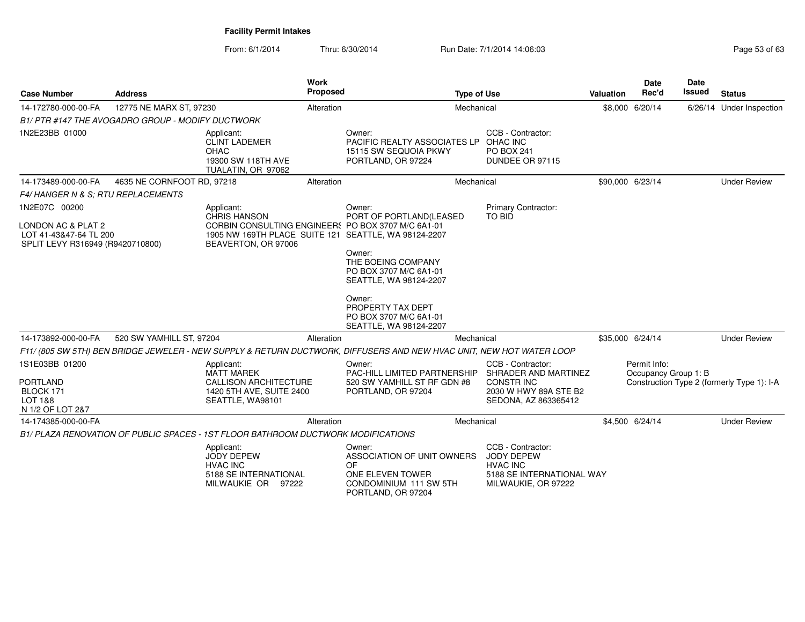| <b>Case Number</b>                                                               | <b>Address</b>                                   | Work                                                                                                                              | <b>Proposed</b> |                                                                                                                     | <b>Type of Use</b>                                                                                     | Valuation | <b>Date</b><br>Rec'd                 | <b>Date</b><br>Issued | <b>Status</b>                              |
|----------------------------------------------------------------------------------|--------------------------------------------------|-----------------------------------------------------------------------------------------------------------------------------------|-----------------|---------------------------------------------------------------------------------------------------------------------|--------------------------------------------------------------------------------------------------------|-----------|--------------------------------------|-----------------------|--------------------------------------------|
| 14-172780-000-00-FA                                                              | 12775 NE MARX ST, 97230                          |                                                                                                                                   | Alteration      |                                                                                                                     | Mechanical                                                                                             |           | \$8,000 6/20/14                      |                       | 6/26/14 Under Inspection                   |
|                                                                                  | B1/PTR #147 THE AVOGADRO GROUP - MODIFY DUCTWORK |                                                                                                                                   |                 |                                                                                                                     |                                                                                                        |           |                                      |                       |                                            |
| 1N2E23BB 01000                                                                   |                                                  | Applicant:<br><b>CLINT LADEMER</b><br><b>OHAC</b><br>19300 SW 118TH AVE<br>TUALATIN, OR 97062                                     |                 | Owner:<br>PACIFIC REALTY ASSOCIATES LP<br>15115 SW SEQUOIA PKWY<br>PORTLAND, OR 97224                               | CCB - Contractor:<br>OHAC INC<br><b>PO BOX 241</b><br>DUNDEE OR 97115                                  |           |                                      |                       |                                            |
| 14-173489-000-00-FA                                                              | 4635 NE CORNFOOT RD, 97218                       |                                                                                                                                   | Alteration      |                                                                                                                     | Mechanical                                                                                             |           | \$90,000 6/23/14                     |                       | <b>Under Review</b>                        |
| F4/HANGER N & S: RTU REPLACEMENTS                                                |                                                  |                                                                                                                                   |                 |                                                                                                                     |                                                                                                        |           |                                      |                       |                                            |
| 1N2E07C 00200                                                                    |                                                  | Applicant:<br><b>CHRIS HANSON</b>                                                                                                 |                 | Owner:<br>PORT OF PORTLAND(LEASED                                                                                   | Primary Contractor:<br><b>TO BID</b>                                                                   |           |                                      |                       |                                            |
| LONDON AC & PLAT 2<br>LOT 41-43&47-64 TL 200<br>SPLIT LEVY R316949 (R9420710800) |                                                  | CORBIN CONSULTING ENGINEERS PO BOX 3707 M/C 6A1-01<br>1905 NW 169TH PLACE SUITE 121 SEATTLE, WA 98124-2207<br>BEAVERTON, OR 97006 |                 |                                                                                                                     |                                                                                                        |           |                                      |                       |                                            |
|                                                                                  |                                                  |                                                                                                                                   |                 | Owner:<br>THE BOEING COMPANY<br>PO BOX 3707 M/C 6A1-01<br>SEATTLE, WA 98124-2207                                    |                                                                                                        |           |                                      |                       |                                            |
|                                                                                  |                                                  |                                                                                                                                   |                 | Owner:<br>PROPERTY TAX DEPT<br>PO BOX 3707 M/C 6A1-01<br>SEATTLE, WA 98124-2207                                     |                                                                                                        |           |                                      |                       |                                            |
| 14-173892-000-00-FA                                                              | 520 SW YAMHILL ST, 97204                         |                                                                                                                                   | Alteration      |                                                                                                                     | Mechanical                                                                                             |           | \$35,000 6/24/14                     |                       | <b>Under Review</b>                        |
|                                                                                  |                                                  |                                                                                                                                   |                 | F11/(805 SW 5TH) BEN BRIDGE JEWELER - NEW SUPPLY & RETURN DUCTWORK, DIFFUSERS AND NEW HVAC UNIT, NEW HOT WATER LOOP |                                                                                                        |           |                                      |                       |                                            |
| 1S1E03BB 01200                                                                   |                                                  | Applicant:<br><b>MATT MAREK</b>                                                                                                   |                 | Owner:<br>PAC-HILL LIMITED PARTNERSHIP                                                                              | CCB - Contractor:<br>SHRADER AND MARTINEZ                                                              |           | Permit Info:<br>Occupancy Group 1: B |                       |                                            |
| <b>PORTLAND</b><br>BLOCK 171<br>LOT 1&8<br>N 1/2 OF LOT 2&7                      |                                                  | <b>CALLISON ARCHITECTURE</b><br>1420 5TH AVE, SUITE 2400<br>SEATTLE, WA98101                                                      |                 | 520 SW YAMHILL ST RF GDN #8<br>PORTLAND, OR 97204                                                                   | <b>CONSTRING</b><br>2030 W HWY 89A STE B2<br>SEDONA, AZ 863365412                                      |           |                                      |                       | Construction Type 2 (formerly Type 1): I-A |
| 14-174385-000-00-FA                                                              |                                                  |                                                                                                                                   | Alteration      |                                                                                                                     | Mechanical                                                                                             |           | \$4,500 6/24/14                      |                       | <b>Under Review</b>                        |
|                                                                                  |                                                  | B1/ PLAZA RENOVATION OF PUBLIC SPACES - 1ST FLOOR BATHROOM DUCTWORK MODIFICATIONS                                                 |                 |                                                                                                                     |                                                                                                        |           |                                      |                       |                                            |
|                                                                                  |                                                  | Applicant:<br><b>JODY DEPEW</b><br><b>HVAC INC</b><br>5188 SE INTERNATIONAL<br>MILWAUKIE OR 97222                                 |                 | Owner:<br>ASSOCIATION OF UNIT OWNERS<br>OF<br>ONE ELEVEN TOWER<br>CONDOMINIUM 111 SW 5TH<br>PORTLAND, OR 97204      | CCB - Contractor:<br>JODY DEPEW<br><b>HVAC INC</b><br>5188 SE INTERNATIONAL WAY<br>MILWAUKIE, OR 97222 |           |                                      |                       |                                            |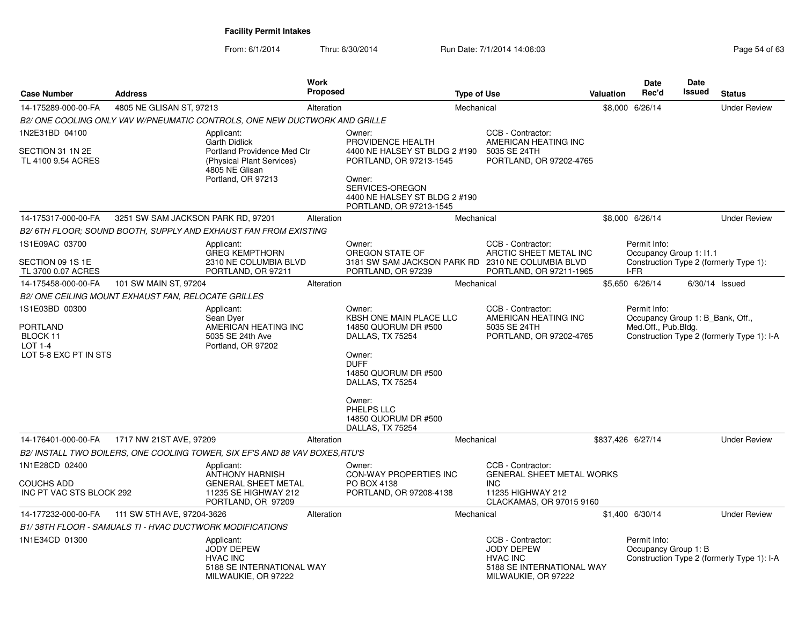| <b>Case Number</b>                                                                | <b>Address</b>                     |                                                                                                                          | <b>Work</b><br>Proposed |                                                                                                                                                                        | <b>Type of Use</b> |                                                                                                               | Valuation | Date<br>Rec'd                                                           | Date<br>Issued   | <b>Status</b>                              |
|-----------------------------------------------------------------------------------|------------------------------------|--------------------------------------------------------------------------------------------------------------------------|-------------------------|------------------------------------------------------------------------------------------------------------------------------------------------------------------------|--------------------|---------------------------------------------------------------------------------------------------------------|-----------|-------------------------------------------------------------------------|------------------|--------------------------------------------|
| 14-175289-000-00-FA                                                               | 4805 NE GLISAN ST, 97213           |                                                                                                                          | Alteration              |                                                                                                                                                                        | Mechanical         |                                                                                                               |           | \$8,000 6/26/14                                                         |                  | <b>Under Review</b>                        |
|                                                                                   |                                    | B2/ ONE COOLING ONLY VAV W/PNEUMATIC CONTROLS, ONE NEW DUCTWORK AND GRILLE                                               |                         |                                                                                                                                                                        |                    |                                                                                                               |           |                                                                         |                  |                                            |
| 1N2E31BD 04100                                                                    |                                    | Applicant:                                                                                                               |                         | Owner:                                                                                                                                                                 |                    | CCB - Contractor:                                                                                             |           |                                                                         |                  |                                            |
| SECTION 31 1N 2E<br>TL 4100 9.54 ACRES                                            |                                    | <b>Garth Didlick</b><br>Portland Providence Med Ctr<br>(Physical Plant Services)<br>4805 NE Glisan<br>Portland, OR 97213 |                         | PROVIDENCE HEALTH<br>4400 NE HALSEY ST BLDG 2 #190<br>PORTLAND, OR 97213-1545<br>Owner:<br>SERVICES-OREGON<br>4400 NE HALSEY ST BLDG 2 #190<br>PORTLAND, OR 97213-1545 |                    | AMERICAN HEATING INC<br>5035 SE 24TH<br>PORTLAND, OR 97202-4765                                               |           |                                                                         |                  |                                            |
| 14-175317-000-00-FA                                                               | 3251 SW SAM JACKSON PARK RD, 97201 |                                                                                                                          | Alteration              |                                                                                                                                                                        | Mechanical         |                                                                                                               |           | \$8,000 6/26/14                                                         |                  | <b>Under Review</b>                        |
|                                                                                   |                                    | B2/6TH FLOOR; SOUND BOOTH, SUPPLY AND EXHAUST FAN FROM EXISTING                                                          |                         |                                                                                                                                                                        |                    |                                                                                                               |           |                                                                         |                  |                                            |
| 1S1E09AC 03700<br>SECTION 09 1S 1E                                                |                                    | Applicant:<br><b>GREG KEMPTHORN</b><br>2310 NE COLUMBIA BLVD                                                             |                         | Owner:<br>OREGON STATE OF<br>3181 SW SAM JACKSON PARK RD 2310 NE COLUMBIA BLVD                                                                                         |                    | CCB - Contractor:<br>ARCTIC SHEET METAL INC                                                                   |           | Permit Info:<br>Occupancy Group 1: I1.1                                 |                  | Construction Type 2 (formerly Type 1):     |
| TL 3700 0.07 ACRES                                                                |                                    | PORTLAND, OR 97211                                                                                                       |                         | PORTLAND, OR 97239                                                                                                                                                     |                    | PORTLAND, OR 97211-1965                                                                                       |           | I-FR                                                                    |                  |                                            |
| 14-175458-000-00-FA                                                               | 101 SW MAIN ST, 97204              |                                                                                                                          | Alteration              |                                                                                                                                                                        | Mechanical         |                                                                                                               |           | \$5,650 6/26/14                                                         | $6/30/14$ Issued |                                            |
| B2/ ONE CEILING MOUNT EXHAUST FAN, RELOCATE GRILLES                               |                                    |                                                                                                                          |                         |                                                                                                                                                                        |                    |                                                                                                               |           |                                                                         |                  |                                            |
| 1S1E03BD 00300<br><b>PORTLAND</b><br>BLOCK 11<br>LOT 1-4<br>LOT 5-8 EXC PT IN STS |                                    | Applicant:<br>Sean Dyer<br>AMERICAN HEATING INC<br>5035 SE 24th Ave<br>Portland, OR 97202                                |                         | Owner:<br>KBSH ONE MAIN PLACE LLC<br>14850 QUORUM DR #500<br>DALLAS, TX 75254<br>Owner:<br><b>DUFF</b><br>14850 QUORUM DR #500<br>DALLAS, TX 75254<br>Owner:           |                    | CCB - Contractor:<br>AMERICAN HEATING INC<br>5035 SE 24TH<br>PORTLAND, OR 97202-4765                          |           | Permit Info:<br>Occupancy Group 1: B Bank, Off.,<br>Med.Off., Pub.Bldg. |                  | Construction Type 2 (formerly Type 1): I-A |
|                                                                                   |                                    |                                                                                                                          |                         | PHELPS LLC<br>14850 QUORUM DR #500<br>DALLAS, TX 75254                                                                                                                 |                    |                                                                                                               |           |                                                                         |                  |                                            |
| 14-176401-000-00-FA                                                               | 1717 NW 21ST AVE, 97209            |                                                                                                                          | Alteration              |                                                                                                                                                                        | Mechanical         |                                                                                                               |           | \$837.426 6/27/14                                                       |                  | <b>Under Review</b>                        |
|                                                                                   |                                    | B2/ INSTALL TWO BOILERS, ONE COOLING TOWER, SIX EF'S AND 88 VAV BOXES, RTU'S                                             |                         |                                                                                                                                                                        |                    |                                                                                                               |           |                                                                         |                  |                                            |
| 1N1E28CD 02400<br><b>COUCHS ADD</b><br>INC PT VAC STS BLOCK 292                   |                                    | Applicant:<br><b>ANTHONY HARNISH</b><br><b>GENERAL SHEET METAL</b><br>11235 SE HIGHWAY 212<br>PORTLAND, OR 97209         |                         | Owner:<br><b>CON-WAY PROPERTIES INC</b><br>PO BOX 4138<br>PORTLAND, OR 97208-4138                                                                                      |                    | CCB - Contractor:<br><b>GENERAL SHEET METAL WORKS</b><br>INC<br>11235 HIGHWAY 212<br>CLACKAMAS, OR 97015 9160 |           |                                                                         |                  |                                            |
| 14-177232-000-00-FA                                                               | 111 SW 5TH AVE, 97204-3626         |                                                                                                                          | Alteration              |                                                                                                                                                                        | Mechanical         |                                                                                                               |           | \$1,400 6/30/14                                                         |                  | <b>Under Review</b>                        |
| B1/38TH FLOOR - SAMUALS TI - HVAC DUCTWORK MODIFICATIONS                          |                                    |                                                                                                                          |                         |                                                                                                                                                                        |                    |                                                                                                               |           |                                                                         |                  |                                            |
| 1N1E34CD 01300                                                                    |                                    | Applicant:<br><b>JODY DEPEW</b><br><b>HVAC INC</b><br>5188 SE INTERNATIONAL WAY<br>MILWAUKIE, OR 97222                   |                         |                                                                                                                                                                        |                    | CCB - Contractor:<br><b>JODY DEPEW</b><br><b>HVAC INC</b><br>5188 SE INTERNATIONAL WAY<br>MILWAUKIE, OR 97222 |           | Permit Info:<br>Occupancy Group 1: B                                    |                  | Construction Type 2 (formerly Type 1): I-A |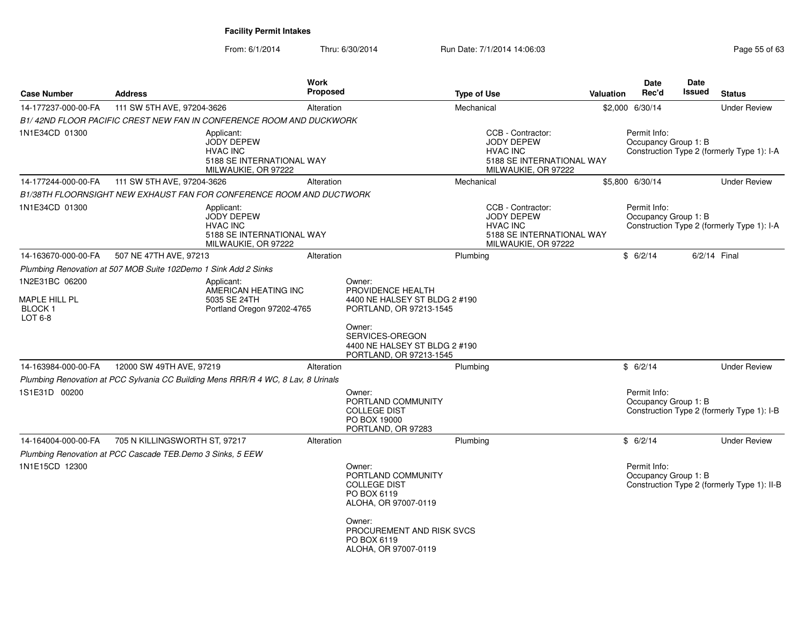| <b>Case Number</b>                         | <b>Address</b>                                                  |                                                                                                        | Work<br><b>Proposed</b> |                                                                                            | <b>Type of Use</b> |                                                                                                               | <b>Valuation</b> | <b>Date</b><br>Rec'd                 | Date<br>Issued | <b>Status</b>                               |
|--------------------------------------------|-----------------------------------------------------------------|--------------------------------------------------------------------------------------------------------|-------------------------|--------------------------------------------------------------------------------------------|--------------------|---------------------------------------------------------------------------------------------------------------|------------------|--------------------------------------|----------------|---------------------------------------------|
| 14-177237-000-00-FA                        | 111 SW 5TH AVE, 97204-3626                                      |                                                                                                        | Alteration              |                                                                                            | Mechanical         |                                                                                                               |                  | \$2,000 6/30/14                      |                | <b>Under Review</b>                         |
|                                            |                                                                 | B1/42ND FLOOR PACIFIC CREST NEW FAN IN CONFERENCE ROOM AND DUCKWORK                                    |                         |                                                                                            |                    |                                                                                                               |                  |                                      |                |                                             |
| 1N1E34CD 01300                             |                                                                 | Applicant:<br><b>JODY DEPEW</b><br><b>HVAC INC</b><br>5188 SE INTERNATIONAL WAY<br>MILWAUKIE, OR 97222 |                         |                                                                                            |                    | CCB - Contractor:<br>JODY DEPEW<br><b>HVAC INC</b><br>5188 SE INTERNATIONAL WAY<br>MILWAUKIE, OR 97222        |                  | Permit Info:<br>Occupancy Group 1: B |                | Construction Type 2 (formerly Type 1): I-A  |
| 14-177244-000-00-FA                        | 111 SW 5TH AVE, 97204-3626                                      |                                                                                                        | Alteration              |                                                                                            | Mechanical         |                                                                                                               |                  | \$5,800 6/30/14                      |                | <b>Under Review</b>                         |
|                                            |                                                                 | B1/38TH FLOORNSIGHT NEW EXHAUST FAN FOR CONFERENCE ROOM AND DUCTWORK                                   |                         |                                                                                            |                    |                                                                                                               |                  |                                      |                |                                             |
| 1N1E34CD 01300                             |                                                                 | Applicant:<br><b>JODY DEPEW</b><br><b>HVAC INC</b><br>5188 SE INTERNATIONAL WAY<br>MILWAUKIE, OR 97222 |                         |                                                                                            |                    | CCB - Contractor:<br><b>JODY DEPEW</b><br><b>HVAC INC</b><br>5188 SE INTERNATIONAL WAY<br>MILWAUKIE, OR 97222 |                  | Permit Info:<br>Occupancy Group 1: B |                | Construction Type 2 (formerly Type 1): I-A  |
| 14-163670-000-00-FA                        | 507 NE 47TH AVE, 97213                                          |                                                                                                        | Alteration              |                                                                                            | Plumbing           |                                                                                                               |                  | \$6/2/14                             |                | 6/2/14 Final                                |
|                                            | Plumbing Renovation at 507 MOB Suite 102Demo 1 Sink Add 2 Sinks |                                                                                                        |                         |                                                                                            |                    |                                                                                                               |                  |                                      |                |                                             |
| 1N2E31BC 06200                             |                                                                 | Applicant:                                                                                             |                         | Owner:                                                                                     |                    |                                                                                                               |                  |                                      |                |                                             |
| MAPLE HILL PL<br><b>BLOCK1</b><br>$LOT6-8$ |                                                                 | AMERICAN HEATING INC<br>5035 SE 24TH<br>Portland Oregon 97202-4765                                     |                         | PROVIDENCE HEALTH<br>4400 NE HALSEY ST BLDG 2 #190<br>PORTLAND, OR 97213-1545              |                    |                                                                                                               |                  |                                      |                |                                             |
|                                            |                                                                 |                                                                                                        |                         | Owner:<br>SERVICES-OREGON<br>4400 NE HALSEY ST BLDG 2 #190<br>PORTLAND, OR 97213-1545      |                    |                                                                                                               |                  |                                      |                |                                             |
| 14-163984-000-00-FA                        | 12000 SW 49TH AVE, 97219                                        |                                                                                                        | Alteration              |                                                                                            | Plumbing           |                                                                                                               |                  | \$6/2/14                             |                | <b>Under Review</b>                         |
|                                            |                                                                 | Plumbing Renovation at PCC Sylvania CC Building Mens RRR/R 4 WC, 8 Lav, 8 Urinals                      |                         |                                                                                            |                    |                                                                                                               |                  |                                      |                |                                             |
| 1S1E31D 00200                              |                                                                 |                                                                                                        |                         | Owner:<br>PORTLAND COMMUNITY<br><b>COLLEGE DIST</b><br>PO BOX 19000<br>PORTLAND, OR 97283  |                    |                                                                                                               |                  | Permit Info:<br>Occupancy Group 1: B |                | Construction Type 2 (formerly Type 1): I-B  |
| 14-164004-000-00-FA                        | 705 N KILLINGSWORTH ST, 97217                                   |                                                                                                        | Alteration              |                                                                                            | Plumbing           |                                                                                                               |                  | \$6/2/14                             |                | <b>Under Review</b>                         |
|                                            | Plumbing Renovation at PCC Cascade TEB.Demo 3 Sinks, 5 EEW      |                                                                                                        |                         |                                                                                            |                    |                                                                                                               |                  |                                      |                |                                             |
| 1N1E15CD 12300                             |                                                                 |                                                                                                        |                         | Owner:<br>PORTLAND COMMUNITY<br><b>COLLEGE DIST</b><br>PO BOX 6119<br>ALOHA, OR 97007-0119 |                    |                                                                                                               |                  | Permit Info:<br>Occupancy Group 1: B |                | Construction Type 2 (formerly Type 1): II-B |
|                                            |                                                                 |                                                                                                        |                         | Owner:<br>PROCUREMENT AND RISK SVCS<br>PO BOX 6119<br>ALOHA, OR 97007-0119                 |                    |                                                                                                               |                  |                                      |                |                                             |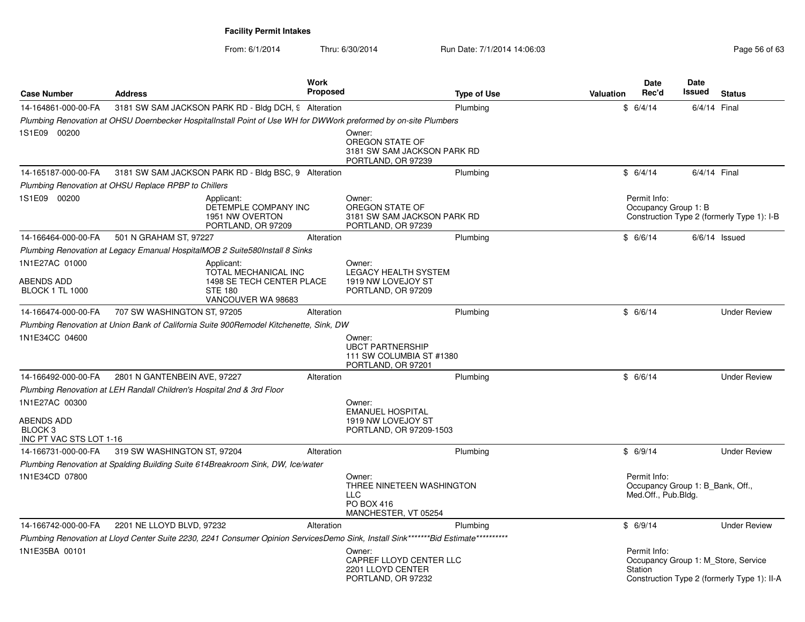| <b>Case Number</b>                                                 | <b>Address</b>                                                                                                                     | <b>Work</b><br><b>Proposed</b> |                                                                                         | Type of Use | Valuation | <b>Date</b><br>Rec'd                                                    | <b>Date</b><br>Issued | <b>Status</b>                                                                      |
|--------------------------------------------------------------------|------------------------------------------------------------------------------------------------------------------------------------|--------------------------------|-----------------------------------------------------------------------------------------|-------------|-----------|-------------------------------------------------------------------------|-----------------------|------------------------------------------------------------------------------------|
| 14-164861-000-00-FA                                                | 3181 SW SAM JACKSON PARK RD - Bldg DCH, 9 Alteration                                                                               |                                |                                                                                         | Plumbing    |           | \$6/4/14                                                                | 6/4/14 Final          |                                                                                    |
|                                                                    | Plumbing Renovation at OHSU Doernbecker HospitalInstall Point of Use WH for DWWork preformed by on-site Plumbers                   |                                |                                                                                         |             |           |                                                                         |                       |                                                                                    |
| 1S1E09 00200                                                       |                                                                                                                                    |                                | Owner:<br>OREGON STATE OF<br>3181 SW SAM JACKSON PARK RD<br>PORTLAND, OR 97239          |             |           |                                                                         |                       |                                                                                    |
| 14-165187-000-00-FA                                                | 3181 SW SAM JACKSON PARK RD - Bldg BSC, 9 Alteration                                                                               |                                |                                                                                         | Plumbing    |           | \$6/4/14                                                                | 6/4/14 Final          |                                                                                    |
|                                                                    | Plumbing Renovation at OHSU Replace RPBP to Chillers                                                                               |                                |                                                                                         |             |           |                                                                         |                       |                                                                                    |
| 1S1E09 00200                                                       | Applicant:<br>DETEMPLE COMPANY INC<br>1951 NW OVERTON<br>PORTLAND, OR 97209                                                        |                                | Owner:<br>OREGON STATE OF<br>3181 SW SAM JACKSON PARK RD<br>PORTLAND, OR 97239          |             |           | Permit Info:<br>Occupancy Group 1: B                                    |                       | Construction Type 2 (formerly Type 1): I-B                                         |
| 14-166464-000-00-FA                                                | 501 N GRAHAM ST, 97227                                                                                                             | Alteration                     |                                                                                         | Plumbing    |           | \$6/6/14                                                                |                       | $6/6/14$ Issued                                                                    |
|                                                                    | Plumbing Renovation at Legacy Emanual HospitalMOB 2 Suite580Install 8 Sinks                                                        |                                |                                                                                         |             |           |                                                                         |                       |                                                                                    |
| 1N1E27AC 01000<br>ABENDS ADD<br><b>BLOCK 1 TL 1000</b>             | Applicant:<br>TOTAL MECHANICAL INC<br>1498 SE TECH CENTER PLACE<br><b>STE 180</b><br>VANCOUVER WA 98683                            |                                | Owner:<br><b>LEGACY HEALTH SYSTEM</b><br>1919 NW LOVEJOY ST<br>PORTLAND, OR 97209       |             |           |                                                                         |                       |                                                                                    |
| 14-166474-000-00-FA                                                | 707 SW WASHINGTON ST, 97205                                                                                                        | Alteration                     |                                                                                         | Plumbing    |           | \$6/6/14                                                                |                       | <b>Under Review</b>                                                                |
|                                                                    | Plumbing Renovation at Union Bank of California Suite 900Remodel Kitchenette, Sink, DW                                             |                                |                                                                                         |             |           |                                                                         |                       |                                                                                    |
| 1N1E34CC 04600                                                     |                                                                                                                                    |                                | Owner:<br><b>UBCT PARTNERSHIP</b><br>111 SW COLUMBIA ST #1380<br>PORTLAND, OR 97201     |             |           |                                                                         |                       |                                                                                    |
| 14-166492-000-00-FA                                                | 2801 N GANTENBEIN AVE, 97227                                                                                                       | Alteration                     |                                                                                         | Plumbing    |           | \$6/6/14                                                                |                       | <b>Under Review</b>                                                                |
|                                                                    | Plumbing Renovation at LEH Randall Children's Hospital 2nd & 3rd Floor                                                             |                                |                                                                                         |             |           |                                                                         |                       |                                                                                    |
| 1N1E27AC 00300<br>ABENDS ADD<br>BLOCK 3<br>INC PT VAC STS LOT 1-16 |                                                                                                                                    |                                | Owner:<br><b>EMANUEL HOSPITAL</b><br>1919 NW LOVEJOY ST<br>PORTLAND, OR 97209-1503      |             |           |                                                                         |                       |                                                                                    |
| 14-166731-000-00-FA                                                | 319 SW WASHINGTON ST, 97204                                                                                                        | Alteration                     |                                                                                         | Plumbing    |           | \$6/9/14                                                                |                       | <b>Under Review</b>                                                                |
|                                                                    | Plumbing Renovation at Spalding Building Suite 614Breakroom Sink, DW, Ice/water                                                    |                                |                                                                                         |             |           |                                                                         |                       |                                                                                    |
| 1N1E34CD 07800                                                     |                                                                                                                                    |                                | Owner:<br>THREE NINETEEN WASHINGTON<br><b>LLC</b><br>PO BOX 416<br>MANCHESTER, VT 05254 |             |           | Permit Info:<br>Occupancy Group 1: B_Bank, Off.,<br>Med.Off., Pub.Bldg. |                       |                                                                                    |
| 14-166742-000-00-FA                                                | 2201 NE LLOYD BLVD, 97232                                                                                                          | Alteration                     |                                                                                         | Plumbing    |           | \$6/9/14                                                                |                       | <b>Under Review</b>                                                                |
|                                                                    | Plumbing Renovation at Lloyd Center Suite 2230, 2241 Consumer Opinion ServicesDemo Sink, Install Sink*******Bid Estimate********** |                                |                                                                                         |             |           |                                                                         |                       |                                                                                    |
| 1N1E35BA 00101                                                     |                                                                                                                                    |                                | Owner:<br>CAPREF LLOYD CENTER LLC<br>2201 LLOYD CENTER<br>PORTLAND, OR 97232            |             |           | Permit Info:<br>Station                                                 |                       | Occupancy Group 1: M Store, Service<br>Construction Type 2 (formerly Type 1): II-A |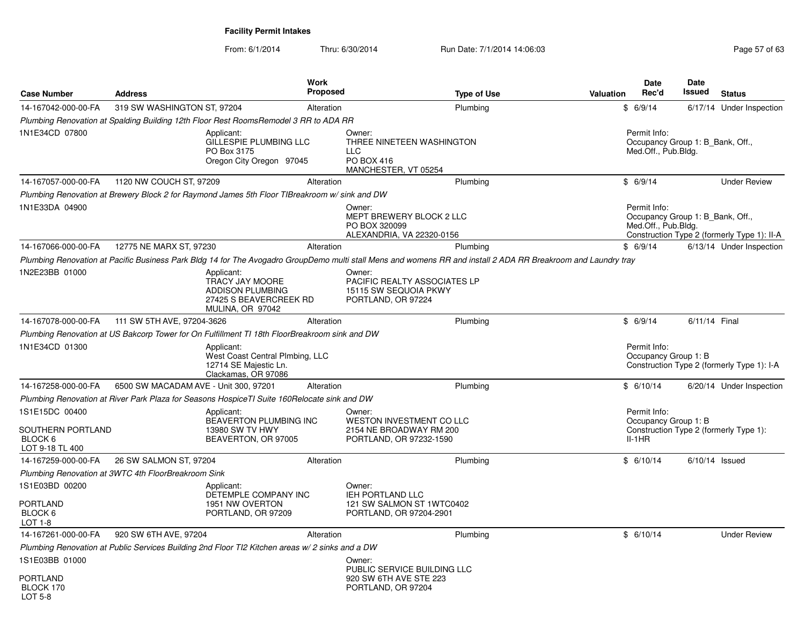| <b>Case Number</b>                                                | <b>Address</b>                        |                                                                                                        | <b>Work</b><br>Proposed |                                                                                                                                                                | <b>Type of Use</b> | <b>Valuation</b> | <b>Date</b><br>Rec'd                                                    | Date<br>Issued   | <b>Status</b>                               |
|-------------------------------------------------------------------|---------------------------------------|--------------------------------------------------------------------------------------------------------|-------------------------|----------------------------------------------------------------------------------------------------------------------------------------------------------------|--------------------|------------------|-------------------------------------------------------------------------|------------------|---------------------------------------------|
| 14-167042-000-00-FA                                               | 319 SW WASHINGTON ST, 97204           |                                                                                                        | Alteration              |                                                                                                                                                                | Plumbing           |                  | \$6/9/14                                                                |                  | 6/17/14 Under Inspection                    |
|                                                                   |                                       | Plumbing Renovation at Spalding Building 12th Floor Rest RoomsRemodel 3 RR to ADA RR                   |                         |                                                                                                                                                                |                    |                  |                                                                         |                  |                                             |
| 1N1E34CD 07800                                                    |                                       | Applicant:<br>GILLESPIE PLUMBING LLC<br>PO Box 3175<br>Oregon City Oregon 97045                        |                         | Owner:<br>THREE NINETEEN WASHINGTON<br><b>LLC</b><br>PO BOX 416<br>MANCHESTER, VT 05254                                                                        |                    |                  | Permit Info:<br>Occupancy Group 1: B_Bank, Off.,<br>Med.Off., Pub.Bldg. |                  |                                             |
| 14-167057-000-00-FA                                               | 1120 NW COUCH ST, 97209               |                                                                                                        | Alteration              |                                                                                                                                                                | Plumbing           |                  | \$6/9/14                                                                |                  | <b>Under Review</b>                         |
|                                                                   |                                       | Plumbing Renovation at Brewery Block 2 for Raymond James 5th Floor TIBreakroom w/sink and DW           |                         |                                                                                                                                                                |                    |                  |                                                                         |                  |                                             |
| 1N1E33DA 04900                                                    |                                       |                                                                                                        |                         | Owner:<br>MEPT BREWERY BLOCK 2 LLC<br>PO BOX 320099<br>ALEXANDRIA, VA 22320-0156                                                                               |                    |                  | Permit Info:<br>Occupancy Group 1: B Bank, Off.,<br>Med.Off., Pub.Bldg. |                  | Construction Type 2 (formerly Type 1): II-A |
| 14-167066-000-00-FA                                               | 12775 NE MARX ST, 97230               |                                                                                                        | Alteration              |                                                                                                                                                                | Plumbing           |                  | \$6/9/14                                                                |                  | 6/13/14 Under Inspection                    |
|                                                                   |                                       |                                                                                                        |                         | Plumbing Renovation at Pacific Business Park Bldg 14 for The Avogadro GroupDemo multi stall Mens and womens RR and install 2 ADA RR Breakroom and Laundry tray |                    |                  |                                                                         |                  |                                             |
| 1N2E23BB 01000                                                    |                                       | Applicant:<br>TRACY JAY MOORE<br><b>ADDISON PLUMBING</b><br>27425 S BEAVERCREEK RD<br>MULINA, OR 97042 |                         | Owner:<br>PACIFIC REALTY ASSOCIATES LP<br>15115 SW SEQUOIA PKWY<br>PORTLAND, OR 97224                                                                          |                    |                  |                                                                         |                  |                                             |
| 14-167078-000-00-FA                                               | 111 SW 5TH AVE, 97204-3626            |                                                                                                        | Alteration              |                                                                                                                                                                | Plumbing           |                  | \$6/9/14                                                                | 6/11/14 Final    |                                             |
|                                                                   |                                       | Plumbing Renovation at US Bakcorp Tower for On Fulfillment TI 18th FloorBreakroom sink and DW          |                         |                                                                                                                                                                |                    |                  |                                                                         |                  |                                             |
| 1N1E34CD 01300                                                    |                                       | Applicant:<br>West Coast Central Plmbing, LLC<br>12714 SE Majestic Ln.<br>Clackamas, OR 97086          |                         |                                                                                                                                                                |                    |                  | Permit Info:<br>Occupancy Group 1: B                                    |                  | Construction Type 2 (formerly Type 1): I-A  |
| 14-167258-000-00-FA                                               | 6500 SW MACADAM AVE - Unit 300, 97201 |                                                                                                        | Alteration              |                                                                                                                                                                | Plumbing           |                  | \$6/10/14                                                               |                  | 6/20/14 Under Inspection                    |
|                                                                   |                                       | Plumbing Renovation at River Park Plaza for Seasons HospiceTI Suite 160Relocate sink and DW            |                         |                                                                                                                                                                |                    |                  |                                                                         |                  |                                             |
| 1S1E15DC 00400<br>SOUTHERN PORTLAND<br>BLOCK 6<br>LOT 9-18 TL 400 |                                       | Applicant:<br>BEAVERTON PLUMBING INC<br>13980 SW TV HWY<br>BEAVERTON, OR 97005                         |                         | Owner:<br>WESTON INVESTMENT CO LLC<br>2154 NE BROADWAY RM 200<br>PORTLAND, OR 97232-1590                                                                       |                    |                  | Permit Info:<br>Occupancy Group 1: B<br>$II-1HR$                        |                  | Construction Type 2 (formerly Type 1):      |
| 14-167259-000-00-FA                                               | 26 SW SALMON ST, 97204                |                                                                                                        | Alteration              |                                                                                                                                                                | Plumbing           |                  | \$6/10/14                                                               | $6/10/14$ Issued |                                             |
| Plumbing Renovation at 3WTC 4th FloorBreakroom Sink               |                                       |                                                                                                        |                         |                                                                                                                                                                |                    |                  |                                                                         |                  |                                             |
| 1S1E03BD 00200                                                    |                                       | Applicant:<br>DETEMPLE COMPANY INC                                                                     |                         | Owner:<br>IEH PORTLAND LLC                                                                                                                                     |                    |                  |                                                                         |                  |                                             |
| PORTLAND<br>BLOCK 6<br>LOT 1-8                                    |                                       | 1951 NW OVERTON<br>PORTLAND, OR 97209                                                                  |                         | 121 SW SALMON ST 1WTC0402<br>PORTLAND, OR 97204-2901                                                                                                           |                    |                  |                                                                         |                  |                                             |
| 14-167261-000-00-FA                                               | 920 SW 6TH AVE, 97204                 |                                                                                                        | Alteration              |                                                                                                                                                                | Plumbing           |                  | \$6/10/14                                                               |                  | <b>Under Review</b>                         |
|                                                                   |                                       | Plumbing Renovation at Public Services Building 2nd Floor TI2 Kitchen areas w/ 2 sinks and a DW        |                         |                                                                                                                                                                |                    |                  |                                                                         |                  |                                             |
| 1S1E03BB 01000                                                    |                                       |                                                                                                        |                         | Owner:<br>PUBLIC SERVICE BUILDING LLC                                                                                                                          |                    |                  |                                                                         |                  |                                             |
| PORTLAND<br>BLOCK 170<br>LOT 5-8                                  |                                       |                                                                                                        |                         | 920 SW 6TH AVE STE 223<br>PORTLAND, OR 97204                                                                                                                   |                    |                  |                                                                         |                  |                                             |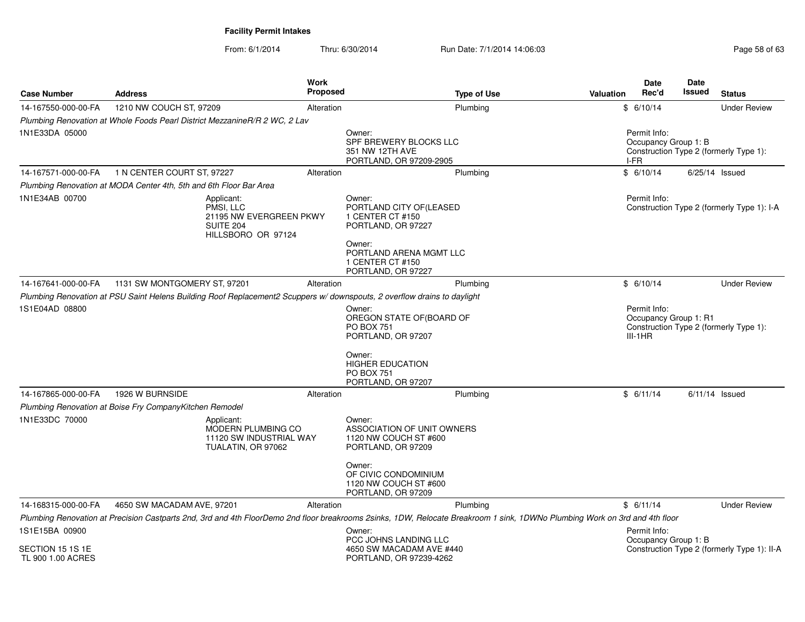From: 6/1/2014

| <b>Case Number</b>                    | <b>Address</b>                                                                                                          | <b>Work</b><br>Proposed                     | <b>Type of Use</b>                                                                                                                                                                                   | <b>Date</b><br>Rec'd<br><b>Valuation</b> | <b>Date</b><br>Issued<br><b>Status</b>                          |
|---------------------------------------|-------------------------------------------------------------------------------------------------------------------------|---------------------------------------------|------------------------------------------------------------------------------------------------------------------------------------------------------------------------------------------------------|------------------------------------------|-----------------------------------------------------------------|
| 14-167550-000-00-FA                   | 1210 NW COUCH ST, 97209                                                                                                 | Alteration                                  | Plumbing                                                                                                                                                                                             | \$6/10/14                                | <b>Under Review</b>                                             |
|                                       | Plumbing Renovation at Whole Foods Pearl District MezzanineR/R 2 WC, 2 Lav                                              |                                             |                                                                                                                                                                                                      |                                          |                                                                 |
| 1N1E33DA 05000                        |                                                                                                                         | Owner:                                      | SPF BREWERY BLOCKS LLC<br>351 NW 12TH AVE<br>PORTLAND, OR 97209-2905                                                                                                                                 | Permit Info:<br>I-FR                     | Occupancy Group 1: B<br>Construction Type 2 (formerly Type 1):  |
| 14-167571-000-00-FA                   | 1 N CENTER COURT ST, 97227                                                                                              | Alteration                                  | Plumbing                                                                                                                                                                                             | \$6/10/14                                | $6/25/14$ Issued                                                |
|                                       | Plumbing Renovation at MODA Center 4th, 5th and 6th Floor Bar Area                                                      |                                             |                                                                                                                                                                                                      |                                          |                                                                 |
| 1N1E34AB 00700                        | Applicant:<br>PMSI, LLC<br>SUITE 204<br>HILLSBORO OR 97124                                                              | Owner:<br>21195 NW EVERGREEN PKWY<br>Owner: | PORTLAND CITY OF(LEASED<br>1 CENTER CT #150<br>PORTLAND, OR 97227<br>PORTLAND ARENA MGMT LLC<br>1 CENTER CT #150<br>PORTLAND, OR 97227                                                               | Permit Info:                             | Construction Type 2 (formerly Type 1): I-A                      |
| 14-167641-000-00-FA                   | 1131 SW MONTGOMERY ST, 97201                                                                                            | Alteration                                  | Plumbing                                                                                                                                                                                             | \$6/10/14                                | <b>Under Review</b>                                             |
|                                       | Plumbing Renovation at PSU Saint Helens Building Roof Replacement2 Scuppers w/downspouts, 2 overflow drains to daylight |                                             |                                                                                                                                                                                                      |                                          |                                                                 |
| 1S1E04AD 08800                        |                                                                                                                         | Owner:<br><b>PO BOX 751</b><br>Owner:       | OREGON STATE OF(BOARD OF<br>PORTLAND, OR 97207                                                                                                                                                       | Permit Info:<br>$III-1HR$                | Occupancy Group 1: R1<br>Construction Type 2 (formerly Type 1): |
|                                       |                                                                                                                         | <b>PO BOX 751</b>                           | <b>HIGHER EDUCATION</b><br>PORTLAND, OR 97207                                                                                                                                                        |                                          |                                                                 |
| 14-167865-000-00-FA                   | 1926 W BURNSIDE                                                                                                         | Alteration                                  | Plumbing                                                                                                                                                                                             | \$6/11/14                                | $6/11/14$ Issued                                                |
|                                       | Plumbing Renovation at Boise Fry CompanyKitchen Remodel                                                                 |                                             |                                                                                                                                                                                                      |                                          |                                                                 |
| 1N1E33DC 70000                        | Applicant:<br>MODERN PLUMBING CO<br>TUALATIN, OR 97062                                                                  | Owner:<br>11120 SW INDUSTRIAL WAY           | ASSOCIATION OF UNIT OWNERS<br>1120 NW COUCH ST #600<br>PORTLAND, OR 97209                                                                                                                            |                                          |                                                                 |
|                                       |                                                                                                                         | Owner:                                      | OF CIVIC CONDOMINIUM<br>1120 NW COUCH ST #600<br>PORTLAND, OR 97209                                                                                                                                  |                                          |                                                                 |
| 14-168315-000-00-FA                   | 4650 SW MACADAM AVE, 97201                                                                                              | Alteration                                  | Plumbing                                                                                                                                                                                             | \$6/11/14                                | <b>Under Review</b>                                             |
| 1S1E15BA 00900                        |                                                                                                                         | Owner:                                      | Plumbing Renovation at Precision Castparts 2nd, 3rd and 4th FloorDemo 2nd floor breakrooms 2sinks, 1DW, Relocate Breakroom 1 sink, 1DWNo Plumbing Work on 3rd and 4th floor<br>PCC JOHNS LANDING LLC | Permit Info:                             | Occupancy Group 1: B                                            |
| SECTION 15 1S 1E<br>TL 900 1.00 ACRES |                                                                                                                         |                                             | 4650 SW MACADAM AVE #440<br>PORTLAND, OR 97239-4262                                                                                                                                                  |                                          | Construction Type 2 (formerly Type 1): II-A                     |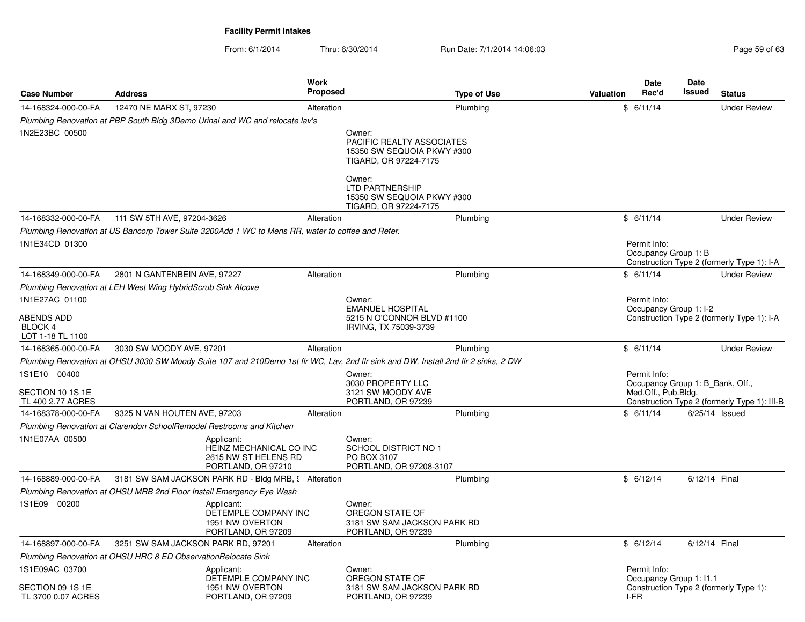| <b>Case Number</b>                        | <b>Address</b>                                                       |                                                                                                   | Work<br><b>Proposed</b> |                                                                                                                                     | <b>Type of Use</b> | <b>Valuation</b> | <b>Date</b><br>Rec'd                                    | <b>Date</b><br><b>Issued</b> | <b>Status</b>                                |
|-------------------------------------------|----------------------------------------------------------------------|---------------------------------------------------------------------------------------------------|-------------------------|-------------------------------------------------------------------------------------------------------------------------------------|--------------------|------------------|---------------------------------------------------------|------------------------------|----------------------------------------------|
| 14-168324-000-00-FA                       | 12470 NE MARX ST, 97230                                              |                                                                                                   | Alteration              |                                                                                                                                     | Plumbing           |                  | \$6/11/14                                               |                              | <b>Under Review</b>                          |
|                                           |                                                                      | Plumbing Renovation at PBP South Bldg 3Demo Urinal and WC and relocate lav's                      |                         |                                                                                                                                     |                    |                  |                                                         |                              |                                              |
| 1N2E23BC 00500                            |                                                                      |                                                                                                   |                         | Owner:<br>PACIFIC REALTY ASSOCIATES<br>15350 SW SEQUOIA PKWY #300<br>TIGARD, OR 97224-7175                                          |                    |                  |                                                         |                              |                                              |
|                                           |                                                                      |                                                                                                   |                         | Owner:<br><b>LTD PARTNERSHIP</b><br>15350 SW SEQUOIA PKWY #300<br>TIGARD, OR 97224-7175                                             |                    |                  |                                                         |                              |                                              |
| 14-168332-000-00-FA                       | 111 SW 5TH AVE, 97204-3626                                           |                                                                                                   | Alteration              |                                                                                                                                     | Plumbing           |                  | \$6/11/14                                               |                              | <b>Under Review</b>                          |
|                                           |                                                                      | Plumbing Renovation at US Bancorp Tower Suite 3200Add 1 WC to Mens RR, water to coffee and Refer. |                         |                                                                                                                                     |                    |                  |                                                         |                              |                                              |
| 1N1E34CD 01300                            |                                                                      |                                                                                                   |                         |                                                                                                                                     |                    |                  | Permit Info:<br>Occupancy Group 1: B                    |                              | Construction Type 2 (formerly Type 1): I-A   |
| 14-168349-000-00-FA                       | 2801 N GANTENBEIN AVE, 97227                                         |                                                                                                   | Alteration              |                                                                                                                                     | Plumbing           |                  | \$6/11/14                                               |                              | <b>Under Review</b>                          |
|                                           | Plumbing Renovation at LEH West Wing HybridScrub Sink Alcove         |                                                                                                   |                         |                                                                                                                                     |                    |                  |                                                         |                              |                                              |
| 1N1E27AC 01100                            |                                                                      |                                                                                                   |                         | Owner:                                                                                                                              |                    |                  | Permit Info:                                            |                              |                                              |
| ABENDS ADD<br>BLOCK 4<br>LOT 1-18 TL 1100 |                                                                      |                                                                                                   |                         | <b>EMANUEL HOSPITAL</b><br>5215 N O'CONNOR BLVD #1100<br>IRVING, TX 75039-3739                                                      |                    |                  | Occupancy Group 1: I-2                                  |                              | Construction Type 2 (formerly Type 1): I-A   |
| 14-168365-000-00-FA                       | 3030 SW MOODY AVE, 97201                                             |                                                                                                   | Alteration              |                                                                                                                                     | Plumbing           |                  | \$6/11/14                                               |                              | <b>Under Review</b>                          |
|                                           |                                                                      |                                                                                                   |                         | Plumbing Renovation at OHSU 3030 SW Moody Suite 107 and 210Demo 1st flr WC, Lav, 2nd flr sink and DW. Install 2nd flr 2 sinks, 2 DW |                    |                  |                                                         |                              |                                              |
| 1S1E10 00400                              |                                                                      |                                                                                                   |                         | Owner:                                                                                                                              |                    |                  | Permit Info:                                            |                              |                                              |
| SECTION 10 1S 1E                          |                                                                      |                                                                                                   |                         | 3030 PROPERTY LLC<br>3121 SW MOODY AVE                                                                                              |                    |                  | Occupancy Group 1: B Bank, Off.,<br>Med.Off., Pub.Bldg. |                              |                                              |
| TL 400 2.77 ACRES                         |                                                                      |                                                                                                   |                         | PORTLAND, OR 97239                                                                                                                  |                    |                  |                                                         |                              | Construction Type 2 (formerly Type 1): III-B |
| 14-168378-000-00-FA                       | 9325 N VAN HOUTEN AVE, 97203                                         |                                                                                                   | Alteration              |                                                                                                                                     | Plumbing           |                  | \$6/11/14                                               |                              | $6/25/14$ Issued                             |
|                                           | Plumbing Renovation at Clarendon SchoolRemodel Restrooms and Kitchen |                                                                                                   |                         |                                                                                                                                     |                    |                  |                                                         |                              |                                              |
| 1N1E07AA 00500                            |                                                                      | Applicant:<br>HEINZ MECHANICAL CO INC<br>2615 NW ST HELENS RD<br>PORTLAND, OR 97210               |                         | Owner:<br>SCHOOL DISTRICT NO 1<br>PO BOX 3107<br>PORTLAND, OR 97208-3107                                                            |                    |                  |                                                         |                              |                                              |
| 14-168889-000-00-FA                       |                                                                      | 3181 SW SAM JACKSON PARK RD - Bldg MRB, 9 Alteration                                              |                         |                                                                                                                                     | Plumbing           |                  | \$6/12/14                                               | 6/12/14 Final                |                                              |
|                                           |                                                                      | Plumbing Renovation at OHSU MRB 2nd Floor Install Emergency Eye Wash                              |                         |                                                                                                                                     |                    |                  |                                                         |                              |                                              |
| 1S1E09 00200                              |                                                                      | Applicant:<br>DETEMPLE COMPANY INC<br>1951 NW OVERTON<br>PORTLAND, OR 97209                       |                         | Owner:<br>OREGON STATE OF<br>3181 SW SAM JACKSON PARK RD<br>PORTLAND, OR 97239                                                      |                    |                  |                                                         |                              |                                              |
| 14-168897-000-00-FA                       | 3251 SW SAM JACKSON PARK RD, 97201                                   |                                                                                                   | Alteration              |                                                                                                                                     | Plumbing           |                  | \$6/12/14                                               | 6/12/14 Final                |                                              |
|                                           | Plumbing Renovation at OHSU HRC 8 ED Observation Relocate Sink       |                                                                                                   |                         |                                                                                                                                     |                    |                  |                                                         |                              |                                              |
| 1S1E09AC 03700<br>SECTION 09 1S 1E        |                                                                      | Applicant:<br>DETEMPLE COMPANY INC<br>1951 NW OVERTON                                             |                         | Owner:<br>OREGON STATE OF<br>3181 SW SAM JACKSON PARK RD                                                                            |                    |                  | Permit Info:<br>Occupancy Group 1: 11.1                 |                              | Construction Type 2 (formerly Type 1):       |
| TL 3700 0.07 ACRES                        |                                                                      | PORTLAND, OR 97209                                                                                |                         | PORTLAND, OR 97239                                                                                                                  |                    |                  | I-FR                                                    |                              |                                              |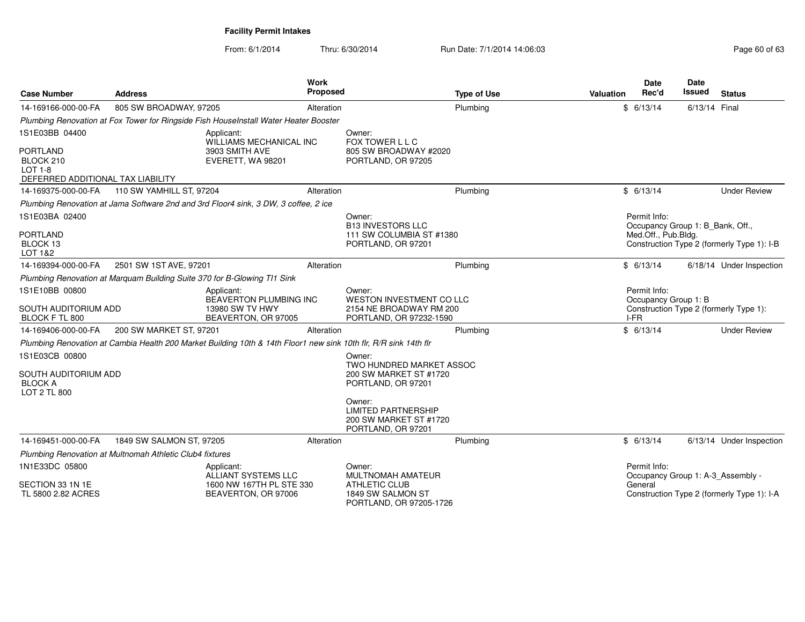| <b>Case Number</b>                                                                                    | <b>Address</b>                                                           | Work                                                                                                             | <b>Proposed</b> | <b>Type of Use</b>                                                                       | Valuation | <b>Date</b><br>Rec'd                                                    | <b>Date</b><br>Issued | <b>Status</b>                              |
|-------------------------------------------------------------------------------------------------------|--------------------------------------------------------------------------|------------------------------------------------------------------------------------------------------------------|-----------------|------------------------------------------------------------------------------------------|-----------|-------------------------------------------------------------------------|-----------------------|--------------------------------------------|
| 14-169166-000-00-FA                                                                                   | 805 SW BROADWAY, 97205                                                   |                                                                                                                  | Alteration      | Plumbing                                                                                 |           | \$6/13/14                                                               | 6/13/14 Final         |                                            |
|                                                                                                       |                                                                          | Plumbing Renovation at Fox Tower for Ringside Fish HouseInstall Water Heater Booster                             |                 |                                                                                          |           |                                                                         |                       |                                            |
| 1S1E03BB 04400<br><b>PORTLAND</b><br>BLOCK 210<br><b>LOT 1-8</b><br>DEFERRED ADDITIONAL TAX LIABILITY |                                                                          | Applicant:<br>WILLIAMS MECHANICAL INC<br>3903 SMITH AVE<br>EVERETT, WA 98201                                     |                 | Owner:<br>FOX TOWER L L C<br>805 SW BROADWAY #2020<br>PORTLAND, OR 97205                 |           |                                                                         |                       |                                            |
| 14-169375-000-00-FA                                                                                   | 110 SW YAMHILL ST, 97204                                                 |                                                                                                                  | Alteration      | Plumbing                                                                                 |           | \$6/13/14                                                               |                       | <b>Under Review</b>                        |
|                                                                                                       |                                                                          | Plumbing Renovation at Jama Software 2nd and 3rd Floor4 sink, 3 DW, 3 coffee, 2 ice                              |                 |                                                                                          |           |                                                                         |                       |                                            |
| 1S1E03BA 02400<br><b>PORTLAND</b><br>BLOCK 13<br>LOT 1&2                                              |                                                                          |                                                                                                                  |                 | Owner:<br><b>B13 INVESTORS LLC</b><br>111 SW COLUMBIA ST #1380<br>PORTLAND, OR 97201     |           | Permit Info:<br>Occupancy Group 1: B_Bank, Off.,<br>Med.Off., Pub.Bldg. |                       | Construction Type 2 (formerly Type 1): I-B |
| 14-169394-000-00-FA                                                                                   | 2501 SW 1ST AVE, 97201                                                   |                                                                                                                  | Alteration      | Plumbing                                                                                 |           | \$6/13/14                                                               |                       | 6/18/14 Under Inspection                   |
|                                                                                                       | Plumbing Renovation at Marguam Building Suite 370 for B-Glowing TI1 Sink |                                                                                                                  |                 |                                                                                          |           |                                                                         |                       |                                            |
| 1S1E10BB 00800<br>SOUTH AUDITORIUM ADD<br>BLOCK F TL 800                                              |                                                                          | Applicant:<br>BEAVERTON PLUMBING INC<br>13980 SW TV HWY<br>BEAVERTON, OR 97005                                   |                 | Owner:<br>WESTON INVESTMENT CO LLC<br>2154 NE BROADWAY RM 200<br>PORTLAND, OR 97232-1590 |           | Permit Info:<br>Occupancy Group 1: B<br>I-FR                            |                       | Construction Type 2 (formerly Type 1):     |
| 14-169406-000-00-FA                                                                                   | 200 SW MARKET ST, 97201                                                  |                                                                                                                  | Alteration      | Plumbing                                                                                 |           | \$6/13/14                                                               |                       | <b>Under Review</b>                        |
|                                                                                                       |                                                                          | Plumbing Renovation at Cambia Health 200 Market Building 10th & 14th Floor1 new sink 10th flr, R/R sink 14th flr |                 |                                                                                          |           |                                                                         |                       |                                            |
| 1S1E03CB 00800                                                                                        |                                                                          |                                                                                                                  |                 | Owner:                                                                                   |           |                                                                         |                       |                                            |
| <b>SOUTH AUDITORIUM ADD</b><br><b>BLOCK A</b><br><b>LOT 2 TL 800</b>                                  |                                                                          |                                                                                                                  |                 | TWO HUNDRED MARKET ASSOC<br>200 SW MARKET ST #1720<br>PORTLAND, OR 97201                 |           |                                                                         |                       |                                            |
|                                                                                                       |                                                                          |                                                                                                                  |                 | Owner:<br><b>LIMITED PARTNERSHIP</b><br>200 SW MARKET ST #1720<br>PORTLAND, OR 97201     |           |                                                                         |                       |                                            |
| 14-169451-000-00-FA                                                                                   | 1849 SW SALMON ST, 97205                                                 |                                                                                                                  | Alteration      | Plumbing                                                                                 |           | \$6/13/14                                                               |                       | 6/13/14 Under Inspection                   |
|                                                                                                       | Plumbing Renovation at Multnomah Athletic Club4 fixtures                 |                                                                                                                  |                 |                                                                                          |           |                                                                         |                       |                                            |
| 1N1E33DC 05800                                                                                        |                                                                          | Applicant:<br>ALLIANT SYSTEMS LLC                                                                                |                 | Owner:<br>MULTNOMAH AMATEUR                                                              |           | Permit Info:<br>Occupancy Group 1: A-3_Assembly -                       |                       |                                            |
| SECTION 33 1N 1E<br>TL 5800 2.82 ACRES                                                                |                                                                          | 1600 NW 167TH PL STE 330<br>BEAVERTON, OR 97006                                                                  |                 | <b>ATHLETIC CLUB</b><br>1849 SW SALMON ST<br>PORTLAND, OR 97205-1726                     |           | General                                                                 |                       | Construction Type 2 (formerly Type 1): I-A |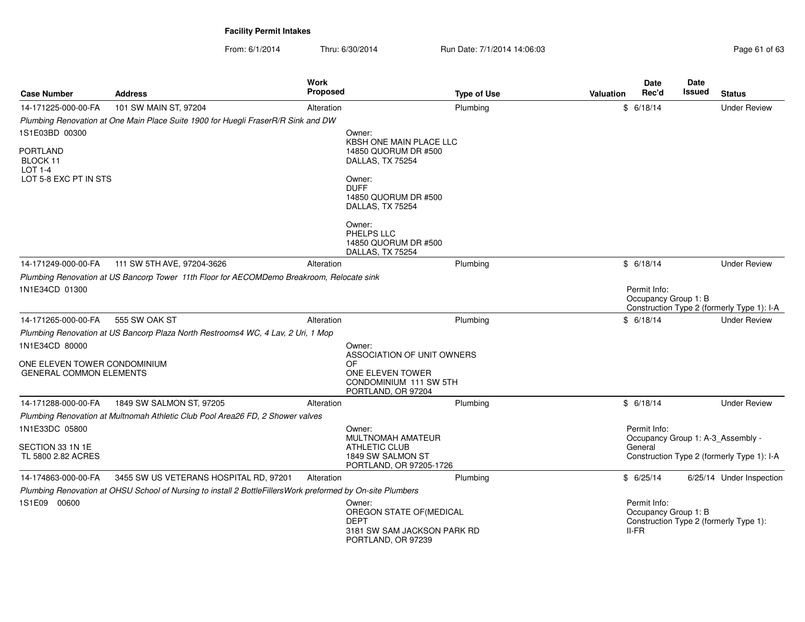From: 6/1/2014Thru: 6/30/2014 **Run Date: 7/1/2014 14:06:03** Page 6/30/2014 **Page 61** 

| Page 61 of 63 |  |  |
|---------------|--|--|
|               |  |  |

| <b>Case Number</b>                            | <b>Address</b>                                                                                             | Work<br><b>Proposed</b> |                                                                                                        | <b>Type of Use</b> | Valuation | Date<br>Rec'd                                   | Date<br><b>Issued</b> | <b>Status</b>                              |
|-----------------------------------------------|------------------------------------------------------------------------------------------------------------|-------------------------|--------------------------------------------------------------------------------------------------------|--------------------|-----------|-------------------------------------------------|-----------------------|--------------------------------------------|
| 14-171225-000-00-FA                           | 101 SW MAIN ST, 97204                                                                                      | Alteration              |                                                                                                        | Plumbing           |           | \$6/18/14                                       |                       | <b>Under Review</b>                        |
|                                               | Plumbing Renovation at One Main Place Suite 1900 for Huegli FraserR/R Sink and DW                          |                         |                                                                                                        |                    |           |                                                 |                       |                                            |
| 1S1E03BD 00300                                |                                                                                                            |                         | Owner:                                                                                                 |                    |           |                                                 |                       |                                            |
| <b>PORTLAND</b><br>BLOCK 11<br><b>LOT 1-4</b> |                                                                                                            |                         | KBSH ONE MAIN PLACE LLC<br>14850 QUORUM DR #500<br>DALLAS, TX 75254                                    |                    |           |                                                 |                       |                                            |
| LOT 5-8 EXC PT IN STS                         |                                                                                                            |                         | Owner:<br><b>DUFF</b><br>14850 QUORUM DR #500<br>DALLAS, TX 75254                                      |                    |           |                                                 |                       |                                            |
|                                               |                                                                                                            |                         | Owner:<br>PHELPS LLC<br>14850 QUORUM DR #500<br>DALLAS, TX 75254                                       |                    |           |                                                 |                       |                                            |
| 14-171249-000-00-FA                           | 111 SW 5TH AVE, 97204-3626                                                                                 | Alteration              |                                                                                                        | Plumbing           |           | \$6/18/14                                       |                       | <b>Under Review</b>                        |
|                                               | Plumbing Renovation at US Bancorp Tower 11th Floor for AECOMDemo Breakroom, Relocate sink                  |                         |                                                                                                        |                    |           |                                                 |                       |                                            |
| 1N1E34CD 01300                                |                                                                                                            |                         |                                                                                                        |                    |           | Permit Info:<br>Occupancy Group 1: B            |                       | Construction Type 2 (formerly Type 1): I-A |
| 14-171265-000-00-FA                           | 555 SW OAK ST                                                                                              | Alteration              |                                                                                                        | Plumbing           |           | \$6/18/14                                       |                       | <b>Under Review</b>                        |
|                                               | Plumbing Renovation at US Bancorp Plaza North Restrooms4 WC, 4 Lav, 2 Uri, 1 Mop                           |                         |                                                                                                        |                    |           |                                                 |                       |                                            |
| 1N1E34CD 80000                                |                                                                                                            |                         | Owner:                                                                                                 |                    |           |                                                 |                       |                                            |
| ONE ELEVEN TOWER CONDOMINIUM                  |                                                                                                            |                         | ASSOCIATION OF UNIT OWNERS<br>OF                                                                       |                    |           |                                                 |                       |                                            |
| <b>GENERAL COMMON ELEMENTS</b>                |                                                                                                            |                         | ONE ELEVEN TOWER<br>CONDOMINIUM 111 SW 5TH<br>PORTLAND, OR 97204                                       |                    |           |                                                 |                       |                                            |
| 14-171288-000-00-FA                           | 1849 SW SALMON ST, 97205                                                                                   | Alteration              |                                                                                                        | Plumbing           |           | \$6/18/14                                       |                       | <b>Under Review</b>                        |
|                                               | Plumbing Renovation at Multnomah Athletic Club Pool Area26 FD, 2 Shower valves                             |                         |                                                                                                        |                    |           |                                                 |                       |                                            |
| 1N1E33DC 05800                                |                                                                                                            |                         | Owner:<br><b>MULTNOMAH AMATEUR</b>                                                                     |                    |           | Permit Info:                                    |                       | Occupancy Group 1: A-3_Assembly -          |
| SECTION 33 1N 1E<br>TL 5800 2.82 ACRES        |                                                                                                            |                         | <b>ATHLETIC CLUB</b><br>1849 SW SALMON ST<br>PORTLAND, OR 97205-1726                                   |                    |           | General                                         |                       | Construction Type 2 (formerly Type 1): I-A |
| 14-174863-000-00-FA                           | 3455 SW US VETERANS HOSPITAL RD, 97201                                                                     | Alteration              |                                                                                                        | Plumbing           |           | \$6/25/14                                       |                       | 6/25/14 Under Inspection                   |
|                                               | Plumbing Renovation at OHSU School of Nursing to install 2 BottleFillersWork preformed by On-site Plumbers |                         |                                                                                                        |                    |           |                                                 |                       |                                            |
| 1S1E09 00600                                  |                                                                                                            |                         | Owner:<br>OREGON STATE OF (MEDICAL<br><b>DEPT</b><br>3181 SW SAM JACKSON PARK RD<br>PORTLAND, OR 97239 |                    |           | Permit Info:<br>Occupancy Group 1: B<br>$II-FR$ |                       | Construction Type 2 (formerly Type 1):     |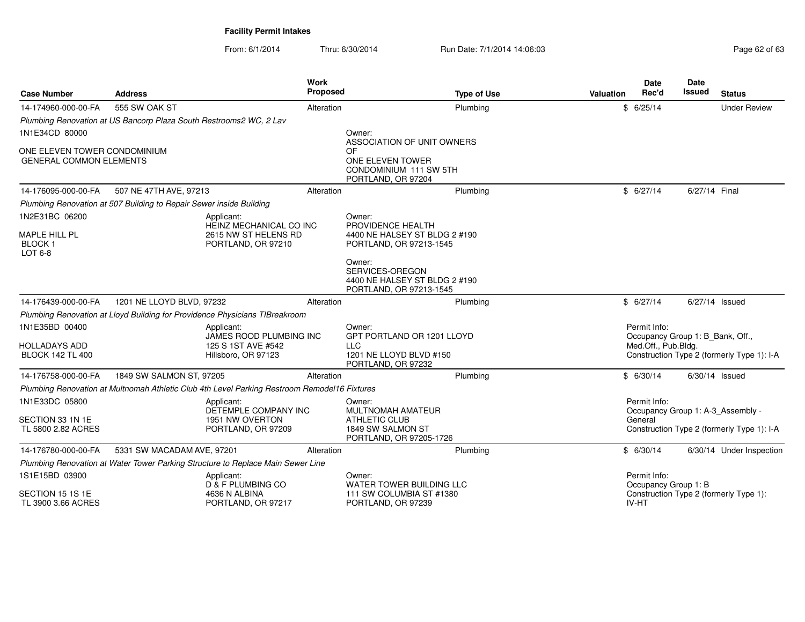| <b>Case Number</b>                                             | <b>Address</b>                                                      |                                                                                              | <b>Work</b><br><b>Proposed</b> | <b>Type of Use</b>                                                                    | <b>Valuation</b> | Date<br>Rec'd                                    | Date<br>Issued | <b>Status</b>                              |
|----------------------------------------------------------------|---------------------------------------------------------------------|----------------------------------------------------------------------------------------------|--------------------------------|---------------------------------------------------------------------------------------|------------------|--------------------------------------------------|----------------|--------------------------------------------|
| 14-174960-000-00-FA                                            | 555 SW OAK ST                                                       |                                                                                              | Alteration                     | Plumbing                                                                              |                  | \$6/25/14                                        |                | <b>Under Review</b>                        |
|                                                                | Plumbing Renovation at US Bancorp Plaza South Restrooms2 WC, 2 Lav  |                                                                                              |                                |                                                                                       |                  |                                                  |                |                                            |
| 1N1E34CD 80000                                                 |                                                                     |                                                                                              |                                | Owner:<br>ASSOCIATION OF UNIT OWNERS                                                  |                  |                                                  |                |                                            |
| ONE ELEVEN TOWER CONDOMINIUM<br><b>GENERAL COMMON ELEMENTS</b> |                                                                     |                                                                                              |                                | OF<br>ONE ELEVEN TOWER<br>CONDOMINIUM 111 SW 5TH<br>PORTLAND, OR 97204                |                  |                                                  |                |                                            |
| 14-176095-000-00-FA                                            | 507 NE 47TH AVE, 97213                                              |                                                                                              | Alteration                     | Plumbing                                                                              |                  | \$6/27/14                                        | 6/27/14 Final  |                                            |
|                                                                | Plumbing Renovation at 507 Building to Repair Sewer inside Building |                                                                                              |                                |                                                                                       |                  |                                                  |                |                                            |
| 1N2E31BC 06200                                                 |                                                                     | Applicant:                                                                                   |                                | Owner:                                                                                |                  |                                                  |                |                                            |
| MAPLE HILL PL<br><b>BLOCK1</b><br>LOT 6-8                      |                                                                     | HEINZ MECHANICAL CO INC<br>2615 NW ST HELENS RD<br>PORTLAND, OR 97210                        |                                | PROVIDENCE HEALTH<br>4400 NE HALSEY ST BLDG 2 #190<br>PORTLAND, OR 97213-1545         |                  |                                                  |                |                                            |
|                                                                |                                                                     |                                                                                              |                                | Owner:<br>SERVICES-OREGON<br>4400 NE HALSEY ST BLDG 2 #190<br>PORTLAND, OR 97213-1545 |                  |                                                  |                |                                            |
| 14-176439-000-00-FA                                            | 1201 NE LLOYD BLVD, 97232                                           |                                                                                              | Alteration                     | Plumbing                                                                              |                  | \$6/27/14                                        | 6/27/14 Issued |                                            |
|                                                                |                                                                     | Plumbing Renovation at Lloyd Building for Providence Physicians TIBreakroom                  |                                |                                                                                       |                  |                                                  |                |                                            |
| 1N1E35BD 00400                                                 |                                                                     | Applicant:<br>JAMES ROOD PLUMBING INC                                                        |                                | Owner:<br>GPT PORTLAND OR 1201 LLOYD                                                  |                  | Permit Info:<br>Occupancy Group 1: B_Bank, Off., |                |                                            |
| <b>HOLLADAYS ADD</b><br><b>BLOCK 142 TL 400</b>                |                                                                     | 125 S 1ST AVE #542<br>Hillsboro, OR 97123                                                    |                                | <b>LLC</b><br>1201 NE LLOYD BLVD #150<br>PORTLAND, OR 97232                           |                  | Med.Off., Pub.Bldg.                              |                | Construction Type 2 (formerly Type 1): I-A |
| 14-176758-000-00-FA                                            | 1849 SW SALMON ST, 97205                                            |                                                                                              | Alteration                     | Plumbing                                                                              |                  | \$6/30/14                                        | 6/30/14 Issued |                                            |
|                                                                |                                                                     | Plumbing Renovation at Multnomah Athletic Club 4th Level Parking Restroom Remodel16 Fixtures |                                |                                                                                       |                  |                                                  |                |                                            |
| 1N1E33DC 05800                                                 |                                                                     | Applicant:<br>DETEMPLE COMPANY INC                                                           |                                | Owner:<br>MULTNOMAH AMATEUR                                                           |                  | Permit Info:                                     |                | Occupancy Group 1: A-3 Assembly -          |
| SECTION 33 1N 1E<br>TL 5800 2.82 ACRES                         |                                                                     | 1951 NW OVERTON<br>PORTLAND, OR 97209                                                        |                                | <b>ATHLETIC CLUB</b><br>1849 SW SALMON ST<br>PORTLAND, OR 97205-1726                  |                  | General                                          |                | Construction Type 2 (formerly Type 1): I-A |
| 14-176780-000-00-FA                                            | 5331 SW MACADAM AVE, 97201                                          |                                                                                              | Alteration                     | Plumbing                                                                              |                  | \$6/30/14                                        |                | 6/30/14 Under Inspection                   |
|                                                                |                                                                     | Plumbing Renovation at Water Tower Parking Structure to Replace Main Sewer Line              |                                |                                                                                       |                  |                                                  |                |                                            |
| 1S1E15BD 03900                                                 |                                                                     | Applicant:<br>D & F PLUMBING CO                                                              |                                | Owner:<br>WATER TOWER BUILDING LLC                                                    |                  | Permit Info:<br>Occupancy Group 1: B             |                |                                            |
| SECTION 15 1S 1E<br>TL 3900 3.66 ACRES                         |                                                                     | 4636 N ALBINA<br>PORTLAND, OR 97217                                                          |                                | 111 SW COLUMBIA ST #1380<br>PORTLAND, OR 97239                                        |                  | IV-HT                                            |                | Construction Type 2 (formerly Type 1):     |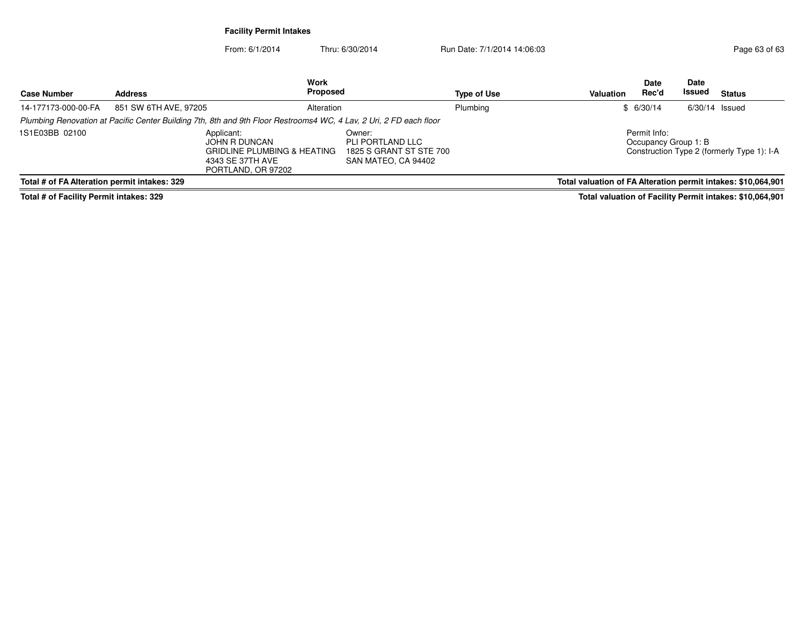From: 6/1/2014Thru: 6/30/2014 Run Date: 7/1/2014 14:06:03

| <b>Case Number</b>                           | <b>Address</b>        | Work<br>Proposed                                                                                                   |                                                                              | Type of Use | Valuation                                                     | <b>Date</b><br>Rec'd                 | <b>Date</b><br>Issued | <b>Status</b>                              |
|----------------------------------------------|-----------------------|--------------------------------------------------------------------------------------------------------------------|------------------------------------------------------------------------------|-------------|---------------------------------------------------------------|--------------------------------------|-----------------------|--------------------------------------------|
| 14-177173-000-00-FA                          | 851 SW 6TH AVE, 97205 | Alteration                                                                                                         |                                                                              | Plumbing    |                                                               | \$6/30/14                            | $6/30/14$ Issued      |                                            |
|                                              |                       | Plumbing Renovation at Pacific Center Building 7th, 8th and 9th Floor Restrooms4 WC, 4 Lav, 2 Uri, 2 FD each floor |                                                                              |             |                                                               |                                      |                       |                                            |
| 1S1E03BB 02100                               |                       | Applicant:<br>JOHN R DUNCAN<br><b>GRIDLINE PLUMBING &amp; HEATING</b><br>4343 SE 37TH AVE<br>PORTLAND, OR 97202    | Owner:<br>PLI PORTLAND LLC<br>1825 S GRANT ST STE 700<br>SAN MATEO, CA 94402 |             |                                                               | Permit Info:<br>Occupancy Group 1: B |                       | Construction Type 2 (formerly Type 1): I-A |
| Total # of FA Alteration permit intakes: 329 |                       |                                                                                                                    |                                                                              |             | Total valuation of FA Alteration permit intakes: \$10,064,901 |                                      |                       |                                            |

**Total # of Facility Permit intakes: 329**

**Total valuation of Facility Permit intakes: \$10,064,901**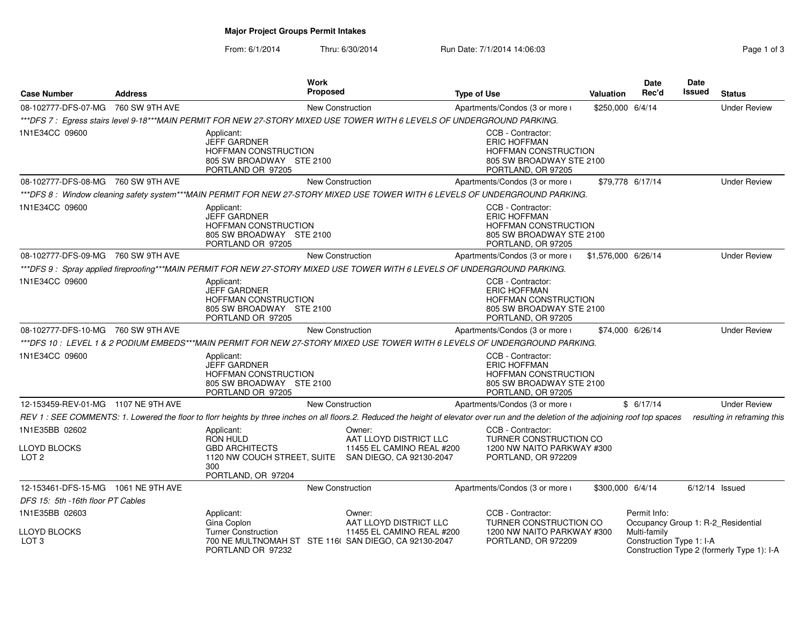# **Major Project Groups Permit Intakes**

#### From: 6/1/2014Thru: 6/30/2014 **Run Date: 7/1/2014 14:06:03** Rage 1 of 300/2014 14:06:03

| Page 1 of 3 |  |  |
|-------------|--|--|
|             |  |  |

| <b>Case Number</b>                    | <b>Address</b> | Work<br>Proposed                                                                                                                                                                      |                                                               | <b>Type of Use</b>                                                                                                        | <b>Valuation</b>    | <b>Date</b><br>Rec'd         | <b>Date</b><br>Issued | <b>Status</b>                              |
|---------------------------------------|----------------|---------------------------------------------------------------------------------------------------------------------------------------------------------------------------------------|---------------------------------------------------------------|---------------------------------------------------------------------------------------------------------------------------|---------------------|------------------------------|-----------------------|--------------------------------------------|
| 08-102777-DFS-07-MG 760 SW 9TH AVE    |                | New Construction                                                                                                                                                                      |                                                               | Apartments/Condos (3 or more i                                                                                            | \$250,000 6/4/14    |                              |                       | <b>Under Review</b>                        |
|                                       |                | ***DFS 7 : Egress stairs level 9-18***MAIN PERMIT FOR NEW 27-STORY MIXED USE TOWER WITH 6 LEVELS OF UNDERGROUND PARKING.                                                              |                                                               |                                                                                                                           |                     |                              |                       |                                            |
| 1N1E34CC 09600                        |                | Applicant:<br><b>JEFF GARDNER</b><br><b>HOFFMAN CONSTRUCTION</b><br>805 SW BROADWAY STE 2100<br>PORTLAND OR 97205                                                                     |                                                               | CCB - Contractor:<br><b>ERIC HOFFMAN</b><br><b>HOFFMAN CONSTRUCTION</b><br>805 SW BROADWAY STE 2100<br>PORTLAND, OR 97205 |                     |                              |                       |                                            |
| 08-102777-DFS-08-MG 760 SW 9TH AVE    |                |                                                                                                                                                                                       | <b>New Construction</b>                                       | Apartments/Condos (3 or more i                                                                                            |                     | \$79.778 6/17/14             |                       | <b>Under Review</b>                        |
|                                       |                | ***DFS 8: Window cleaning safety system***MAIN PERMIT FOR NEW 27-STORY MIXED USE TOWER WITH 6 LEVELS OF UNDERGROUND PARKING.                                                          |                                                               |                                                                                                                           |                     |                              |                       |                                            |
| 1N1E34CC 09600                        |                | Applicant:<br><b>JEFF GARDNER</b><br><b>HOFFMAN CONSTRUCTION</b><br>805 SW BROADWAY STE 2100<br>PORTLAND OR 97205                                                                     |                                                               | CCB - Contractor:<br><b>ERIC HOFFMAN</b><br>HOFFMAN CONSTRUCTION<br>805 SW BROADWAY STE 2100<br>PORTLAND, OR 97205        |                     |                              |                       |                                            |
| 08-102777-DFS-09-MG 760 SW 9TH AVE    |                | <b>New Construction</b>                                                                                                                                                               |                                                               | Apartments/Condos (3 or more i                                                                                            | \$1,576,000 6/26/14 |                              |                       | <b>Under Review</b>                        |
|                                       |                | ***DFS 9 : Spray applied fireproofing***MAIN PERMIT FOR NEW 27-STORY MIXED USE TOWER WITH 6 LEVELS OF UNDERGROUND PARKING.                                                            |                                                               |                                                                                                                           |                     |                              |                       |                                            |
| 1N1E34CC 09600                        |                | Applicant:<br><b>JEFF GARDNER</b><br>HOFFMAN CONSTRUCTION<br>805 SW BROADWAY STE 2100<br>PORTLAND OR 97205                                                                            |                                                               | CCB - Contractor:<br><b>ERIC HOFFMAN</b><br>HOFFMAN CONSTRUCTION<br>805 SW BROADWAY STE 2100<br>PORTLAND, OR 97205        |                     |                              |                       |                                            |
| 08-102777-DFS-10-MG 760 SW 9TH AVE    |                | <b>New Construction</b>                                                                                                                                                               |                                                               | Apartments/Condos (3 or more i                                                                                            |                     | \$74,000 6/26/14             |                       | <b>Under Review</b>                        |
|                                       |                | ***DFS 10: LEVEL 1 & 2 PODIUM EMBEDS***MAIN PERMIT FOR NEW 27-STORY MIXED USE TOWER WITH 6 LEVELS OF UNDERGROUND PARKING.                                                             |                                                               |                                                                                                                           |                     |                              |                       |                                            |
| 1N1E34CC 09600                        |                | Applicant:<br><b>JEFF GARDNER</b><br>HOFFMAN CONSTRUCTION<br>805 SW BROADWAY STE 2100<br>PORTLAND OR 97205                                                                            |                                                               | CCB - Contractor:<br><b>ERIC HOFFMAN</b><br>HOFFMAN CONSTRUCTION<br>805 SW BROADWAY STE 2100<br>PORTLAND, OR 97205        |                     |                              |                       |                                            |
| 12-153459-REV-01-MG 1107 NE 9TH AVE   |                | <b>New Construction</b>                                                                                                                                                               |                                                               | Apartments/Condos (3 or more i                                                                                            |                     | \$6/17/14                    |                       | <b>Under Review</b>                        |
|                                       |                | REV 1: SEE COMMENTS: 1. Lowered the floor to florr heights by three inches on all floors.2. Reduced the height of elevator over run and the deletion of the adjoining roof top spaces |                                                               |                                                                                                                           |                     |                              |                       | resulting in reframing this                |
| 1N1E35BB 02602                        |                | Applicant:<br><b>RON HULD</b>                                                                                                                                                         | Owner:<br>AAT LLOYD DISTRICT LLC                              | CCB - Contractor:<br>TURNER CONSTRUCTION CO                                                                               |                     |                              |                       |                                            |
| LLOYD BLOCKS<br>LOT <sub>2</sub>      |                | <b>GBD ARCHITECTS</b><br>1120 NW COUCH STREET, SUITE SAN DIEGO, CA 92130-2047<br>300<br>PORTLAND, OR 97204                                                                            | 11455 EL CAMINO REAL #200                                     | 1200 NW NAITO PARKWAY #300<br>PORTLAND, OR 972209                                                                         |                     |                              |                       |                                            |
| 12-153461-DFS-15-MG 1061 NE 9TH AVE   |                | <b>New Construction</b>                                                                                                                                                               |                                                               | Apartments/Condos (3 or more i                                                                                            | \$300,000 6/4/14    |                              |                       | $6/12/14$ Issued                           |
| DFS 15: 5th -16th floor PT Cables     |                |                                                                                                                                                                                       |                                                               |                                                                                                                           |                     |                              |                       |                                            |
| 1N1E35BB 02603<br><b>LLOYD BLOCKS</b> |                | Applicant:<br>Gina Coplon<br><b>Turner Construction</b>                                                                                                                               | Owner:<br>AAT LLOYD DISTRICT LLC<br>11455 EL CAMINO REAL #200 | CCB - Contractor:<br>TURNER CONSTRUCTION CO<br>1200 NW NAITO PARKWAY #300                                                 |                     | Permit Info:<br>Multi-family |                       | Occupancy Group 1: R-2_Residential         |
| LOT <sub>3</sub>                      |                | 700 NE MULTNOMAH ST STE 116( SAN DIEGO, CA 92130-2047<br>PORTLAND OR 97232                                                                                                            |                                                               | PORTLAND, OR 972209                                                                                                       |                     | Construction Type 1: I-A     |                       | Construction Type 2 (formerly Type 1): I-A |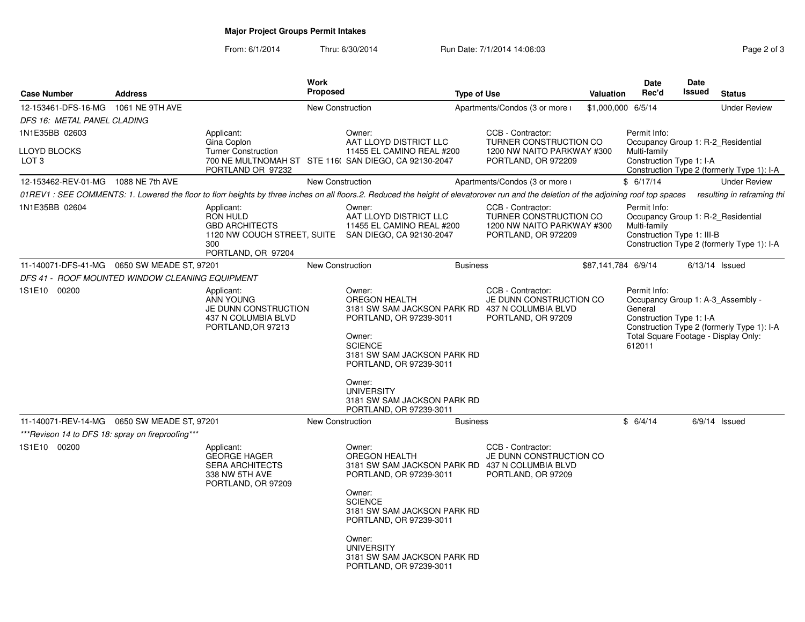# **Major Project Groups Permit Intakes**

| <b>Case Number</b>                                | <b>Address</b> |                                                                                                     | Work<br><b>Proposed</b> |                                                                                                                                                                                                                                                                                      | <b>Type of Use</b> |                                                                                                  | <b>Valuation</b>    | Date<br>Rec'd                                                                                                                              | <b>Date</b><br>Issued | <b>Status</b>                              |
|---------------------------------------------------|----------------|-----------------------------------------------------------------------------------------------------|-------------------------|--------------------------------------------------------------------------------------------------------------------------------------------------------------------------------------------------------------------------------------------------------------------------------------|--------------------|--------------------------------------------------------------------------------------------------|---------------------|--------------------------------------------------------------------------------------------------------------------------------------------|-----------------------|--------------------------------------------|
| 12-153461-DFS-16-MG  1061 NE 9TH AVE              |                |                                                                                                     | <b>New Construction</b> |                                                                                                                                                                                                                                                                                      |                    | Apartments/Condos (3 or more i                                                                   | \$1,000,000 6/5/14  |                                                                                                                                            |                       | <b>Under Review</b>                        |
| DFS 16: METAL PANEL CLADING                       |                |                                                                                                     |                         |                                                                                                                                                                                                                                                                                      |                    |                                                                                                  |                     |                                                                                                                                            |                       |                                            |
| 1N1E35BB 02603                                    |                | Applicant:                                                                                          |                         | Owner:                                                                                                                                                                                                                                                                               |                    | CCB - Contractor:                                                                                |                     | Permit Info:                                                                                                                               |                       |                                            |
| LLOYD BLOCKS<br>LOT 3                             |                | Gina Coplon<br><b>Turner Construction</b><br>PORTLAND OR 97232                                      |                         | AAT LLOYD DISTRICT LLC<br>11455 EL CAMINO REAL #200<br>700 NE MULTNOMAH ST STE 116( SAN DIEGO, CA 92130-2047                                                                                                                                                                         |                    | TURNER CONSTRUCTION CO<br>1200 NW NAITO PARKWAY #300<br>PORTLAND, OR 972209                      |                     | Occupancy Group 1: R-2 Residential<br>Multi-family<br>Construction Type 1: I-A                                                             |                       | Construction Type 2 (formerly Type 1): I-A |
| 12-153462-REV-01-MG 1088 NE 7th AVE               |                |                                                                                                     | <b>New Construction</b> |                                                                                                                                                                                                                                                                                      |                    | Apartments/Condos (3 or more i                                                                   |                     | \$6/17/14                                                                                                                                  |                       | <b>Under Review</b>                        |
|                                                   |                |                                                                                                     |                         | 01REV1: SEE COMMENTS: 1. Lowered the floor to florr heights by three inches on all floors.2. Reduced the height of elevatorover run and the deletion of the adjoining roof top spaces                                                                                                |                    |                                                                                                  |                     |                                                                                                                                            |                       | resulting in reframing thi                 |
| 1N1E35BB 02604                                    |                | Applicant:<br><b>RON HULD</b><br><b>GBD ARCHITECTS</b><br>300<br>PORTLAND, OR 97204                 |                         | Owner:<br>AAT LLOYD DISTRICT LLC<br>11455 EL CAMINO REAL #200<br>1120 NW COUCH STREET, SUITE SAN DIEGO, CA 92130-2047                                                                                                                                                                |                    | CCB - Contractor:<br>TURNER CONSTRUCTION CO<br>1200 NW NAITO PARKWAY #300<br>PORTLAND, OR 972209 |                     | Permit Info:<br>Occupancy Group 1: R-2_Residential<br>Multi-family<br>Construction Type 1: III-B                                           |                       | Construction Type 2 (formerly Type 1): I-A |
| 11-140071-DFS-41-MG   0650 SW MEADE ST, 97201     |                |                                                                                                     | <b>New Construction</b> |                                                                                                                                                                                                                                                                                      | <b>Business</b>    |                                                                                                  | \$87,141,784 6/9/14 |                                                                                                                                            |                       | $6/13/14$ Issued                           |
| DFS 41 - ROOF MOUNTED WINDOW CLEANING EQUIPMENT   |                |                                                                                                     |                         |                                                                                                                                                                                                                                                                                      |                    |                                                                                                  |                     |                                                                                                                                            |                       |                                            |
| 1S1E10 00200                                      |                | Applicant:<br><b>ANN YOUNG</b><br>JE DUNN CONSTRUCTION<br>437 N COLUMBIA BLVD<br>PORTLAND, OR 97213 |                         | Owner:<br>OREGON HEALTH<br>3181 SW SAM JACKSON PARK RD 437 N COLUMBIA BLVD<br>PORTLAND, OR 97239-3011<br>Owner:<br><b>SCIENCE</b><br>3181 SW SAM JACKSON PARK RD<br>PORTLAND, OR 97239-3011<br>Owner:<br><b>UNIVERSITY</b><br>3181 SW SAM JACKSON PARK RD<br>PORTLAND, OR 97239-3011 |                    | CCB - Contractor:<br>JE DUNN CONSTRUCTION CO<br>PORTLAND, OR 97209                               |                     | Permit Info:<br>Occupancy Group 1: A-3_Assembly -<br>General<br>Construction Type 1: I-A<br>Total Square Footage - Display Only:<br>612011 |                       | Construction Type 2 (formerly Type 1): I-A |
| 11-140071-REV-14-MG  0650 SW MEADE ST, 97201      |                |                                                                                                     | <b>New Construction</b> |                                                                                                                                                                                                                                                                                      | <b>Business</b>    |                                                                                                  |                     | \$6/4/14                                                                                                                                   |                       | $6/9/14$ Issued                            |
| ***Revison 14 to DFS 18: spray on fireproofing*** |                |                                                                                                     |                         |                                                                                                                                                                                                                                                                                      |                    |                                                                                                  |                     |                                                                                                                                            |                       |                                            |
| 1S1E10 00200                                      |                | Applicant:<br><b>GEORGE HAGER</b><br><b>SERA ARCHITECTS</b><br>338 NW 5TH AVE<br>PORTLAND, OR 97209 |                         | Owner:<br>OREGON HEALTH<br>3181 SW SAM JACKSON PARK RD<br>PORTLAND, OR 97239-3011<br>Owner:<br><b>SCIENCE</b><br>3181 SW SAM JACKSON PARK RD<br>PORTLAND, OR 97239-3011<br>Owner:<br><b>UNIVERSITY</b><br>3181 SW SAM JACKSON PARK RD<br>PORTLAND, OR 97239-3011                     |                    | CCB - Contractor:<br>JE DUNN CONSTRUCTION CO<br>437 N COLUMBIA BLVD<br>PORTLAND, OR 97209        |                     |                                                                                                                                            |                       |                                            |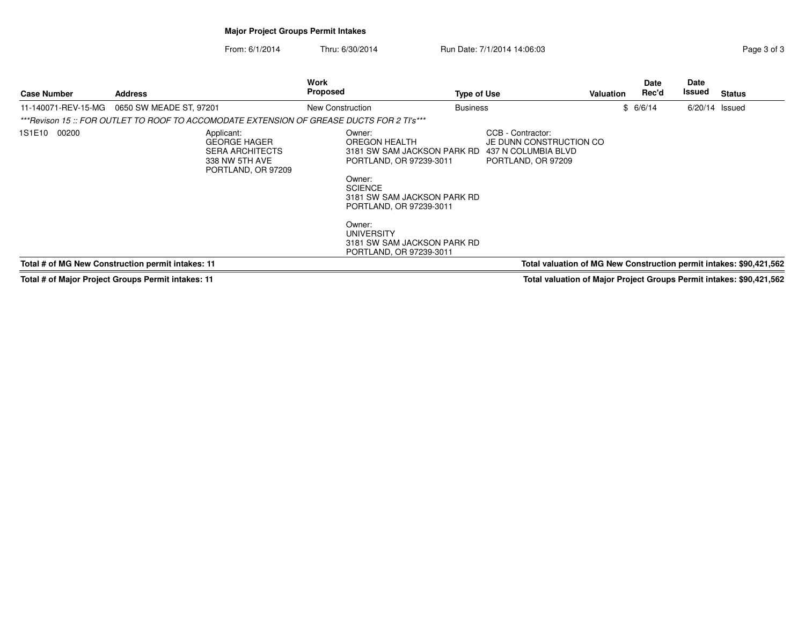# **Major Project Groups Permit Intakes**

From: 6/1/2014Thru: 6/30/2014 **Run Date: 7/1/2014 14:06:03** Rage 3 of 3

| <b>Case Number</b>  | <b>Address</b>                                                                                      | Work<br>Proposed                                                                                                                                                                                                                                                 | <b>Type of Use</b>                                                                        | Valuation | Date<br>Rec'd | Date<br>Issued   | <b>Status</b>                                                       |
|---------------------|-----------------------------------------------------------------------------------------------------|------------------------------------------------------------------------------------------------------------------------------------------------------------------------------------------------------------------------------------------------------------------|-------------------------------------------------------------------------------------------|-----------|---------------|------------------|---------------------------------------------------------------------|
| 11-140071-REV-15-MG | 0650 SW MEADE ST, 97201                                                                             | New Construction                                                                                                                                                                                                                                                 | <b>Business</b>                                                                           |           | \$6/6/14      | $6/20/14$ Issued |                                                                     |
|                     | ***Revison 15 :: FOR OUTLET TO ROOF TO ACCOMODATE EXTENSION OF GREASE DUCTS FOR 2 TI's***           |                                                                                                                                                                                                                                                                  |                                                                                           |           |               |                  |                                                                     |
| 1S1E10 00200        | Applicant:<br><b>GEORGE HAGER</b><br><b>SERA ARCHITECTS</b><br>338 NW 5TH AVE<br>PORTLAND, OR 97209 | Owner:<br>OREGON HEALTH<br>3181 SW SAM JACKSON PARK RD<br>PORTLAND, OR 97239-3011<br>Owner:<br><b>SCIENCE</b><br>3181 SW SAM JACKSON PARK RD<br>PORTLAND, OR 97239-3011<br>Owner:<br><b>UNIVERSITY</b><br>3181 SW SAM JACKSON PARK RD<br>PORTLAND, OR 97239-3011 | CCB - Contractor:<br>JE DUNN CONSTRUCTION CO<br>437 N COLUMBIA BLVD<br>PORTLAND, OR 97209 |           |               |                  |                                                                     |
|                     | Total # of MG New Construction permit intakes: 11                                                   |                                                                                                                                                                                                                                                                  |                                                                                           |           |               |                  | Total valuation of MG New Construction permit intakes: \$90,421,562 |

**Total # of Major Project Groups Permit intakes: 11**

**Total valuation of Major Project Groups Permit intakes: \$90,421,562**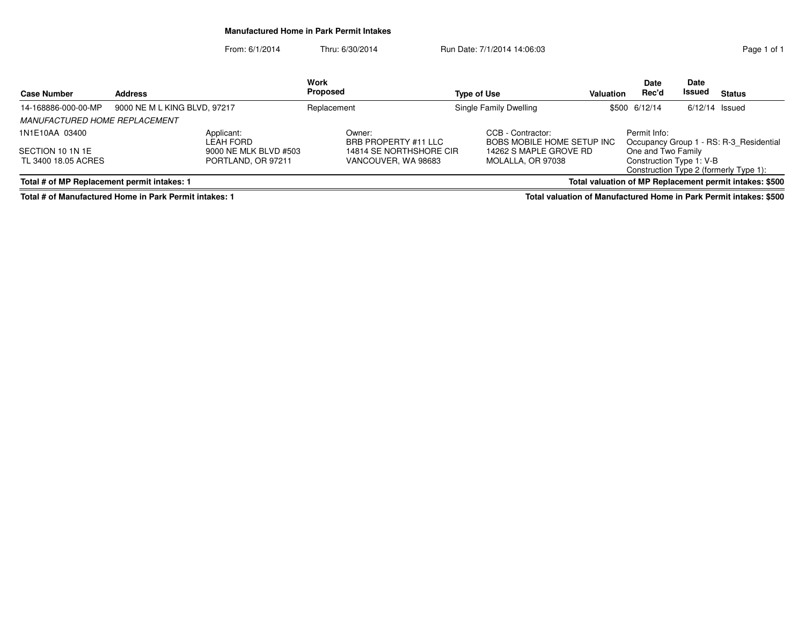#### **Manufactured Home in Park Permit Intakes**

From: 6/1/2014Thru: 6/30/2014 Run Date: 7/1/2014 14:06:03

|                                             |                              |                         | <b>Work</b> |                                |                        |                                                        |       | <b>Date</b>              | Date             |                                                         |
|---------------------------------------------|------------------------------|-------------------------|-------------|--------------------------------|------------------------|--------------------------------------------------------|-------|--------------------------|------------------|---------------------------------------------------------|
| <b>Case Number</b><br><b>Address</b>        |                              |                         | Proposed    |                                | Type of Use            | <b>Valuation</b>                                       | Rec'd | Issued                   | <b>Status</b>    |                                                         |
| 14-168886-000-00-MP                         | 9000 NE M L KING BLVD, 97217 |                         | Replacement |                                | Single Family Dwelling |                                                        |       | \$500 6/12/14            | $6/12/14$ Issued |                                                         |
| <b>MANUFACTURED HOME REPLACEMENT</b>        |                              |                         |             |                                |                        |                                                        |       |                          |                  |                                                         |
| 1N1E10AA 03400                              |                              | Applicant:<br>LEAH FORD |             | Owner:<br>BRB PROPERTY #11 LLC |                        | CCB - Contractor:<br><b>BOBS MOBILE HOME SETUP INC</b> |       | Permit Info:             |                  | Occupancy Group 1 - RS: R-3 Residential                 |
| SECTION 10 1N 1E                            |                              | 9000 NE MLK BLVD #503   |             | 14814 SE NORTHSHORE CIR        |                        | 14262 S MAPLE GROVE RD                                 |       | One and Two Family       |                  |                                                         |
| TL 3400 18.05 ACRES                         |                              | PORTLAND, OR 97211      |             | VANCOUVER, WA 98683            |                        | MOLALLA, OR 97038                                      |       | Construction Type 1: V-B |                  | Construction Type 2 (formerly Type 1):                  |
| Total # of MP Replacement permit intakes: 1 |                              |                         |             |                                |                        |                                                        |       |                          |                  | Total valuation of MP Replacement permit intakes: \$500 |

**Total # of Manufactured Home in Park Permit intakes: 1**

**Total valuation of Manufactured Home in Park Permit intakes: \$500**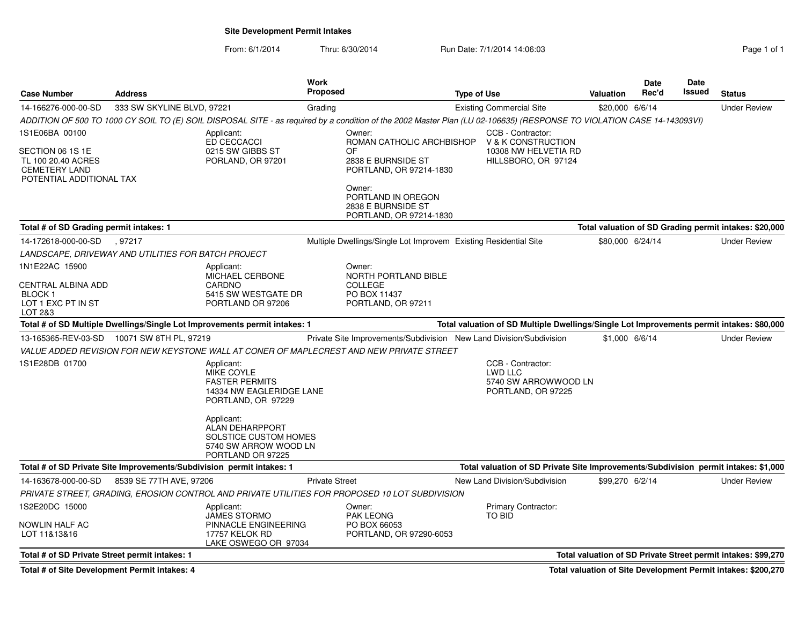**Site Development Permit Intakes**

| <b>Case Number</b>                                                                                           | <b>Address</b>                                                        |                                                                                                                                                               | <b>Work</b><br><b>Proposed</b> |                                                                                                                                                                        | <b>Type of Use</b>                                                                        | <b>Valuation</b> | Date<br>Rec'd | Date<br>Issued | <b>Status</b>                                                 |
|--------------------------------------------------------------------------------------------------------------|-----------------------------------------------------------------------|---------------------------------------------------------------------------------------------------------------------------------------------------------------|--------------------------------|------------------------------------------------------------------------------------------------------------------------------------------------------------------------|-------------------------------------------------------------------------------------------|------------------|---------------|----------------|---------------------------------------------------------------|
| 14-166276-000-00-SD                                                                                          | 333 SW SKYLINE BLVD, 97221                                            |                                                                                                                                                               | Grading                        |                                                                                                                                                                        | <b>Existing Commercial Site</b>                                                           | \$20,000 6/6/14  |               |                | <b>Under Review</b>                                           |
|                                                                                                              |                                                                       |                                                                                                                                                               |                                | ADDITION OF 500 TO 1000 CY SOIL TO (E) SOIL DISPOSAL SITE - as required by a condition of the 2002 Master Plan (LU 02-106635) (RESPONSE TO VIOLATION CASE 14-143093VI) |                                                                                           |                  |               |                |                                                               |
| 1S1E06BA 00100<br>SECTION 06 1S 1E<br>TL 100 20.40 ACRES<br><b>CEMETERY LAND</b><br>POTENTIAL ADDITIONAL TAX |                                                                       | Applicant:<br>ED CECCACCI<br>0215 SW GIBBS ST<br>PORLAND, OR 97201                                                                                            |                                | Owner:<br>ROMAN CATHOLIC ARCHBISHOP<br>OF<br>2838 E BURNSIDE ST<br>PORTLAND, OR 97214-1830<br>Owner:                                                                   | CCB - Contractor:<br>V & K CONSTRUCTION<br>10308 NW HELVETIA RD<br>HILLSBORO, OR 97124    |                  |               |                |                                                               |
|                                                                                                              |                                                                       |                                                                                                                                                               |                                | PORTLAND IN OREGON<br>2838 E BURNSIDE ST<br>PORTLAND, OR 97214-1830                                                                                                    |                                                                                           |                  |               |                |                                                               |
| Total # of SD Grading permit intakes: 1                                                                      |                                                                       |                                                                                                                                                               |                                |                                                                                                                                                                        |                                                                                           |                  |               |                | Total valuation of SD Grading permit intakes: \$20,000        |
| 14-172618-000-00-SD                                                                                          | , 97217                                                               |                                                                                                                                                               |                                | Multiple Dwellings/Single Lot Improvem Existing Residential Site                                                                                                       |                                                                                           | \$80,000 6/24/14 |               |                | <b>Under Review</b>                                           |
|                                                                                                              | LANDSCAPE, DRIVEWAY AND UTILITIES FOR BATCH PROJECT                   |                                                                                                                                                               |                                |                                                                                                                                                                        |                                                                                           |                  |               |                |                                                               |
| 1N1E22AC 15900<br>CENTRAL ALBINA ADD<br><b>BLOCK 1</b><br>LOT 1 EXC PT IN ST<br>LOT 2&3                      |                                                                       | Applicant:<br><b>MICHAEL CERBONE</b><br>CARDNO<br>5415 SW WESTGATE DR<br>PORTLAND OR 97206                                                                    |                                | Owner:<br>NORTH PORTLAND BIBLE<br><b>COLLEGE</b><br>PO BOX 11437<br>PORTLAND, OR 97211                                                                                 |                                                                                           |                  |               |                |                                                               |
|                                                                                                              |                                                                       | Total # of SD Multiple Dwellings/Single Lot Improvements permit intakes: 1                                                                                    |                                |                                                                                                                                                                        | Total valuation of SD Multiple Dwellings/Single Lot Improvements permit intakes: \$80,000 |                  |               |                |                                                               |
|                                                                                                              | 13-165365-REV-03-SD  10071 SW 8TH PL, 97219                           |                                                                                                                                                               |                                | Private Site Improvements/Subdivision New Land Division/Subdivision                                                                                                    |                                                                                           | \$1,000 6/6/14   |               |                | <b>Under Review</b>                                           |
|                                                                                                              |                                                                       |                                                                                                                                                               |                                | VALUE ADDED REVISION FOR NEW KEYSTONE WALL AT CONER OF MAPLECREST AND NEW PRIVATE STREET                                                                               |                                                                                           |                  |               |                |                                                               |
| 1S1E28DB 01700                                                                                               |                                                                       | Applicant:<br>MIKE COYLE<br><b>FASTER PERMITS</b><br>14334 NW EAGLERIDGE LANE<br>PORTLAND, OR 97229<br>Applicant:<br>ALAN DEHARPPORT<br>SOLSTICE CUSTOM HOMES |                                |                                                                                                                                                                        | CCB - Contractor:<br><b>LWD LLC</b><br>5740 SW ARROWWOOD LN<br>PORTLAND, OR 97225         |                  |               |                |                                                               |
|                                                                                                              |                                                                       | 5740 SW ARROW WOOD LN<br>PORTLAND OR 97225                                                                                                                    |                                |                                                                                                                                                                        |                                                                                           |                  |               |                |                                                               |
|                                                                                                              | Total # of SD Private Site Improvements/Subdivision permit intakes: 1 |                                                                                                                                                               |                                |                                                                                                                                                                        | Total valuation of SD Private Site Improvements/Subdivision permit intakes: \$1,000       |                  |               |                |                                                               |
| 14-163678-000-00-SD                                                                                          | 8539 SE 77TH AVE, 97206                                               |                                                                                                                                                               | <b>Private Street</b>          |                                                                                                                                                                        | New Land Division/Subdivision                                                             | \$99,270 6/2/14  |               |                | <b>Under Review</b>                                           |
|                                                                                                              |                                                                       |                                                                                                                                                               |                                | PRIVATE STREET, GRADING, EROSION CONTROL AND PRIVATE UTILITIES FOR PROPOSED 10 LOT SUBDIVISION                                                                         |                                                                                           |                  |               |                |                                                               |
| 1S2E20DC 15000<br>NOWLIN HALF AC<br>LOT 11&13&16                                                             |                                                                       | Applicant:<br><b>JAMES STORMO</b><br>PINNACLE ENGINEERING<br>17757 KELOK RD<br>LAKE OSWEGO OR 97034                                                           |                                | Owner:<br><b>PAK LEONG</b><br>PO BOX 66053<br>PORTLAND, OR 97290-6053                                                                                                  | <b>Primary Contractor:</b><br>TO BID                                                      |                  |               |                |                                                               |
| Total # of SD Private Street permit intakes: 1                                                               |                                                                       |                                                                                                                                                               |                                |                                                                                                                                                                        |                                                                                           |                  |               |                | Total valuation of SD Private Street permit intakes: \$99,270 |
| Total # of Site Development Permit intakes: 4                                                                |                                                                       |                                                                                                                                                               |                                |                                                                                                                                                                        |                                                                                           |                  |               |                | Total valuation of Site Development Permit intakes: \$200,270 |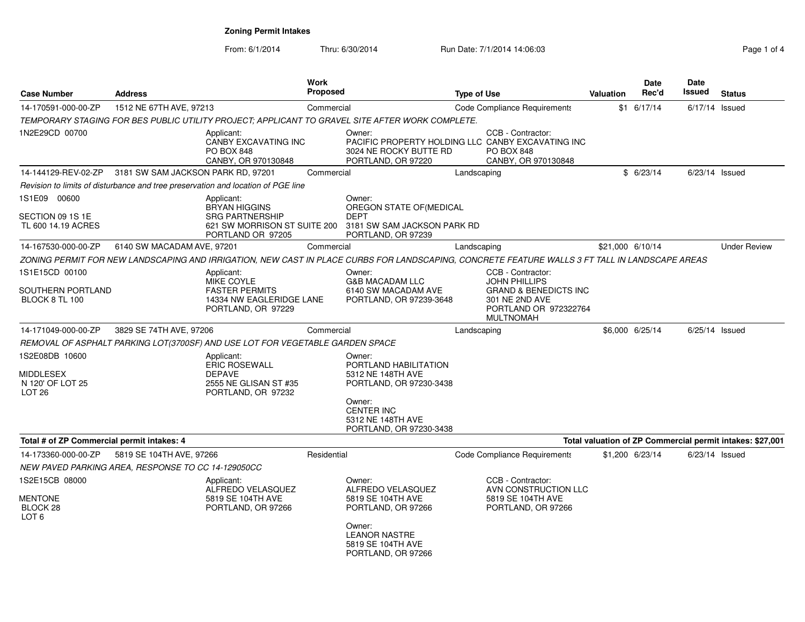| <b>Case Number</b>                                                          | <b>Address</b>                                     |                                                                                                     | <b>Work</b><br>Proposed |                                                                                                                                                | <b>Type of Use</b> |                                                                                                                          | Valuation | <b>Date</b><br>Rec'd | Date<br>Issued | <b>Status</b>                                             |
|-----------------------------------------------------------------------------|----------------------------------------------------|-----------------------------------------------------------------------------------------------------|-------------------------|------------------------------------------------------------------------------------------------------------------------------------------------|--------------------|--------------------------------------------------------------------------------------------------------------------------|-----------|----------------------|----------------|-----------------------------------------------------------|
| 14-170591-000-00-ZP                                                         | 1512 NE 67TH AVE, 97213                            |                                                                                                     |                         | Commercial                                                                                                                                     |                    | Code Compliance Requirements                                                                                             |           | $$1$ 6/17/14         |                | $6/17/14$ Issued                                          |
|                                                                             |                                                    |                                                                                                     |                         | TEMPORARY STAGING FOR BES PUBLIC UTILITY PROJECT; APPLICANT TO GRAVEL SITE AFTER WORK COMPLETE.                                                |                    |                                                                                                                          |           |                      |                |                                                           |
| 1N2E29CD 00700                                                              |                                                    | Applicant:<br>CANBY EXCAVATING INC<br><b>PO BOX 848</b><br>CANBY, OR 970130848                      |                         | Owner:<br>PACIFIC PROPERTY HOLDING LLC CANBY EXCAVATING INC<br>3024 NE ROCKY BUTTE RD<br>PORTLAND, OR 97220                                    |                    | CCB - Contractor:<br><b>PO BOX 848</b><br>CANBY, OR 970130848                                                            |           |                      |                |                                                           |
| 14-144129-REV-02-ZP                                                         | 3181 SW SAM JACKSON PARK RD, 97201                 |                                                                                                     | Commercial              |                                                                                                                                                | Landscaping        |                                                                                                                          |           | \$6/23/14            |                | $6/23/14$ Issued                                          |
|                                                                             |                                                    | Revision to limits of disturbance and tree preservation and location of PGE line                    |                         |                                                                                                                                                |                    |                                                                                                                          |           |                      |                |                                                           |
| 1S1E09 00600<br>SECTION 09 1S 1E                                            |                                                    | Applicant:<br><b>BRYAN HIGGINS</b><br><b>SRG PARTNERSHIP</b>                                        |                         | Owner:<br>OREGON STATE OF(MEDICAL<br><b>DEPT</b>                                                                                               |                    |                                                                                                                          |           |                      |                |                                                           |
| TL 600 14.19 ACRES                                                          |                                                    | PORTLAND OR 97205                                                                                   |                         | 621 SW MORRISON ST SUITE 200 3181 SW SAM JACKSON PARK RD<br>PORTLAND, OR 97239                                                                 |                    |                                                                                                                          |           |                      |                |                                                           |
| 14-167530-000-00-ZP                                                         | 6140 SW MACADAM AVE, 97201                         |                                                                                                     | Commercial              |                                                                                                                                                | Landscaping        |                                                                                                                          |           | \$21,000 6/10/14     |                | <b>Under Review</b>                                       |
|                                                                             |                                                    |                                                                                                     |                         | ZONING PERMIT FOR NEW LANDSCAPING AND IRRIGATION, NEW CAST IN PLACE CURBS FOR LANDSCAPING, CONCRETE FEATURE WALLS 3 FT TALL IN LANDSCAPE AREAS |                    |                                                                                                                          |           |                      |                |                                                           |
| 1S1E15CD 00100<br>SOUTHERN PORTLAND<br>BLOCK 8 TL 100                       |                                                    | Applicant:<br>MIKE COYLE<br><b>FASTER PERMITS</b><br>14334 NW EAGLERIDGE LANE<br>PORTLAND, OR 97229 |                         | Owner:<br><b>G&amp;B MACADAM LLC</b><br>6140 SW MACADAM AVE<br>PORTLAND, OR 97239-3648                                                         |                    | CCB - Contractor:<br><b>JOHN PHILLIPS</b><br><b>GRAND &amp; BENEDICTS INC</b><br>301 NE 2ND AVE<br>PORTLAND OR 972322764 |           |                      |                |                                                           |
|                                                                             |                                                    |                                                                                                     |                         |                                                                                                                                                |                    | <b>MULTNOMAH</b>                                                                                                         |           |                      |                |                                                           |
| 14-171049-000-00-ZP                                                         | 3829 SE 74TH AVE, 97206                            |                                                                                                     | Commercial              |                                                                                                                                                | Landscaping        |                                                                                                                          |           | \$6,000 6/25/14      |                | $6/25/14$ Issued                                          |
|                                                                             |                                                    | REMOVAL OF ASPHALT PARKING LOT(3700SF) AND USE LOT FOR VEGETABLE GARDEN SPACE                       |                         |                                                                                                                                                |                    |                                                                                                                          |           |                      |                |                                                           |
| 1S2E08DB 10600<br><b>MIDDLESEX</b><br>N 120' OF LOT 25<br>LOT <sub>26</sub> |                                                    | Applicant:<br><b>ERIC ROSEWALL</b><br><b>DEPAVE</b><br>2555 NE GLISAN ST #35<br>PORTLAND, OR 97232  |                         | Owner:<br>PORTLAND HABILITATION<br>5312 NE 148TH AVE<br>PORTLAND, OR 97230-3438                                                                |                    |                                                                                                                          |           |                      |                |                                                           |
|                                                                             |                                                    |                                                                                                     |                         | Owner:<br><b>CENTER INC</b><br>5312 NE 148TH AVE<br>PORTLAND, OR 97230-3438                                                                    |                    |                                                                                                                          |           |                      |                |                                                           |
| Total # of ZP Commercial permit intakes: 4                                  |                                                    |                                                                                                     |                         |                                                                                                                                                |                    |                                                                                                                          |           |                      |                | Total valuation of ZP Commercial permit intakes: \$27,001 |
| 14-173360-000-00-ZP                                                         | 5819 SE 104TH AVE, 97266                           |                                                                                                     | Residential             |                                                                                                                                                |                    | Code Compliance Requirements                                                                                             |           | \$1,200 6/23/14      |                | $6/23/14$ Issued                                          |
|                                                                             | NEW PAVED PARKING AREA, RESPONSE TO CC 14-129050CC |                                                                                                     |                         |                                                                                                                                                |                    |                                                                                                                          |           |                      |                |                                                           |
| 1S2E15CB 08000<br><b>MENTONE</b><br>BLOCK 28<br>LOT 6                       |                                                    | Applicant:<br>ALFREDO VELASQUEZ<br>5819 SE 104TH AVE<br>PORTLAND, OR 97266                          |                         | Owner:<br>ALFREDO VELASQUEZ<br>5819 SE 104TH AVE<br>PORTLAND, OR 97266                                                                         |                    | CCB - Contractor:<br>AVN CONSTRUCTION LLC<br>5819 SE 104TH AVE<br>PORTLAND, OR 97266                                     |           |                      |                |                                                           |
|                                                                             |                                                    |                                                                                                     |                         | Owner:<br><b>LEANOR NASTRE</b><br>5819 SE 104TH AVE<br>PORTLAND, OR 97266                                                                      |                    |                                                                                                                          |           |                      |                |                                                           |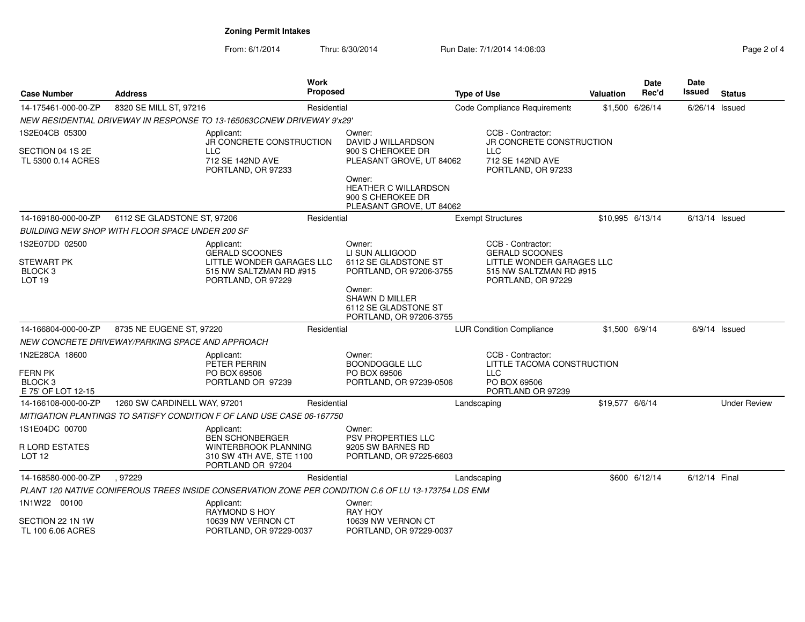| Page 2 of 4 |  |  |
|-------------|--|--|
|-------------|--|--|

| <b>Case Number</b><br>Address                            |                                                  |                                                                                                      | <b>Work</b><br>Proposed |                                                                              | <b>Type of Use</b>           |                                                                            | <b>Valuation</b> | <b>Date</b><br>Rec'd | Date<br>Issued   | <b>Status</b>       |
|----------------------------------------------------------|--------------------------------------------------|------------------------------------------------------------------------------------------------------|-------------------------|------------------------------------------------------------------------------|------------------------------|----------------------------------------------------------------------------|------------------|----------------------|------------------|---------------------|
| 14-175461-000-00-ZP                                      | 8320 SE MILL ST, 97216                           |                                                                                                      | Residential             |                                                                              | Code Compliance Requirements |                                                                            |                  | \$1,500 6/26/14      | $6/26/14$ Issued |                     |
|                                                          |                                                  | NEW RESIDENTIAL DRIVEWAY IN RESPONSE TO 13-165063CCNEW DRIVEWAY 9'x29'                               |                         |                                                                              |                              |                                                                            |                  |                      |                  |                     |
| 1S2E04CB 05300                                           |                                                  | Applicant:<br>JR CONCRETE CONSTRUCTION                                                               | Owner:                  | DAVID J WILLARDSON                                                           |                              | CCB - Contractor:<br>JR CONCRETE CONSTRUCTION                              |                  |                      |                  |                     |
| SECTION 04 1S 2E<br>TL 5300 0.14 ACRES                   |                                                  | <b>LLC</b><br>712 SE 142ND AVE<br>PORTLAND, OR 97233                                                 |                         | 900 S CHEROKEE DR<br>PLEASANT GROVE, UT 84062                                |                              | <b>LLC</b><br>712 SE 142ND AVE<br>PORTLAND, OR 97233                       |                  |                      |                  |                     |
|                                                          |                                                  |                                                                                                      | Owner:                  | <b>HEATHER C WILLARDSON</b><br>900 S CHEROKEE DR<br>PLEASANT GROVE, UT 84062 |                              |                                                                            |                  |                      |                  |                     |
| 14-169180-000-00-ZP                                      | 6112 SE GLADSTONE ST, 97206                      |                                                                                                      | Residential             |                                                                              |                              | <b>Exempt Structures</b>                                                   | \$10,995 6/13/14 |                      | $6/13/14$ Issued |                     |
|                                                          | BUILDING NEW SHOP WITH FLOOR SPACE UNDER 200 SF  |                                                                                                      |                         |                                                                              |                              |                                                                            |                  |                      |                  |                     |
| 1S2E07DD 02500                                           |                                                  | Applicant:<br><b>GERALD SCOONES</b>                                                                  | Owner:                  | LI SUN ALLIGOOD                                                              |                              | CCB - Contractor:<br><b>GERALD SCOONES</b>                                 |                  |                      |                  |                     |
| <b>STEWART PK</b><br>BLOCK <sub>3</sub><br><b>LOT 19</b> |                                                  | LITTLE WONDER GARAGES LLC<br>515 NW SALTZMAN RD #915<br>PORTLAND, OR 97229                           |                         | 6112 SE GLADSTONE ST<br>PORTLAND, OR 97206-3755                              |                              | LITTLE WONDER GARAGES LLC<br>515 NW SALTZMAN RD #915<br>PORTLAND, OR 97229 |                  |                      |                  |                     |
|                                                          |                                                  |                                                                                                      | Owner:                  | SHAWN D MILLER<br>6112 SE GLADSTONE ST<br>PORTLAND, OR 97206-3755            |                              |                                                                            |                  |                      |                  |                     |
| 14-166804-000-00-ZP                                      | 8735 NE EUGENE ST, 97220                         |                                                                                                      | Residential             |                                                                              |                              | <b>LUR Condition Compliance</b>                                            | \$1,500 6/9/14   |                      |                  | $6/9/14$ Issued     |
|                                                          | NEW CONCRETE DRIVEWAY/PARKING SPACE AND APPROACH |                                                                                                      |                         |                                                                              |                              |                                                                            |                  |                      |                  |                     |
| 1N2E28CA 18600                                           |                                                  | Applicant:<br>PETER PERRIN                                                                           | Owner:                  | <b>BOONDOGGLE LLC</b>                                                        |                              | CCB - Contractor:<br>LITTLE TACOMA CONSTRUCTION                            |                  |                      |                  |                     |
| FERN PK<br>BLOCK <sub>3</sub><br>E 75' OF LOT 12-15      |                                                  | PO BOX 69506<br>PORTLAND OR 97239                                                                    |                         | PO BOX 69506<br>PORTLAND, OR 97239-0506                                      |                              | <b>LLC</b><br>PO BOX 69506<br>PORTLAND OR 97239                            |                  |                      |                  |                     |
| 14-166108-000-00-ZP                                      | 1260 SW CARDINELL WAY, 97201                     |                                                                                                      | Residential             |                                                                              | Landscaping                  |                                                                            | \$19,577 6/6/14  |                      |                  | <b>Under Review</b> |
|                                                          |                                                  | MITIGATION PLANTINGS TO SATISFY CONDITION F OF LAND USE CASE 06-167750                               |                         |                                                                              |                              |                                                                            |                  |                      |                  |                     |
| 1S1E04DC 00700                                           |                                                  | Applicant:<br><b>BEN SCHONBERGER</b>                                                                 | Owner:                  | <b>PSV PROPERTIES LLC</b>                                                    |                              |                                                                            |                  |                      |                  |                     |
| R LORD ESTATES<br>LOT <sub>12</sub>                      |                                                  | WINTERBROOK PLANNING<br>310 SW 4TH AVE, STE 1100<br>PORTLAND OR 97204                                |                         | 9205 SW BARNES RD<br>PORTLAND, OR 97225-6603                                 |                              |                                                                            |                  |                      |                  |                     |
| 14-168580-000-00-ZP                                      | .97229                                           |                                                                                                      | Residential             |                                                                              | Landscaping                  |                                                                            |                  | \$600 6/12/14        | 6/12/14 Final    |                     |
|                                                          |                                                  | PLANT 120 NATIVE CONIFEROUS TREES INSIDE CONSERVATION ZONE PER CONDITION C.6 OF LU 13-173754 LDS ENM |                         |                                                                              |                              |                                                                            |                  |                      |                  |                     |
| 1N1W22 00100                                             |                                                  | Applicant:<br><b>RAYMOND S HOY</b>                                                                   | Owner:                  | <b>RAY HOY</b>                                                               |                              |                                                                            |                  |                      |                  |                     |
| SECTION 22 1N 1W<br>TL 100 6.06 ACRES                    |                                                  | 10639 NW VERNON CT<br>PORTLAND, OR 97229-0037                                                        |                         | 10639 NW VERNON CT<br>PORTLAND, OR 97229-0037                                |                              |                                                                            |                  |                      |                  |                     |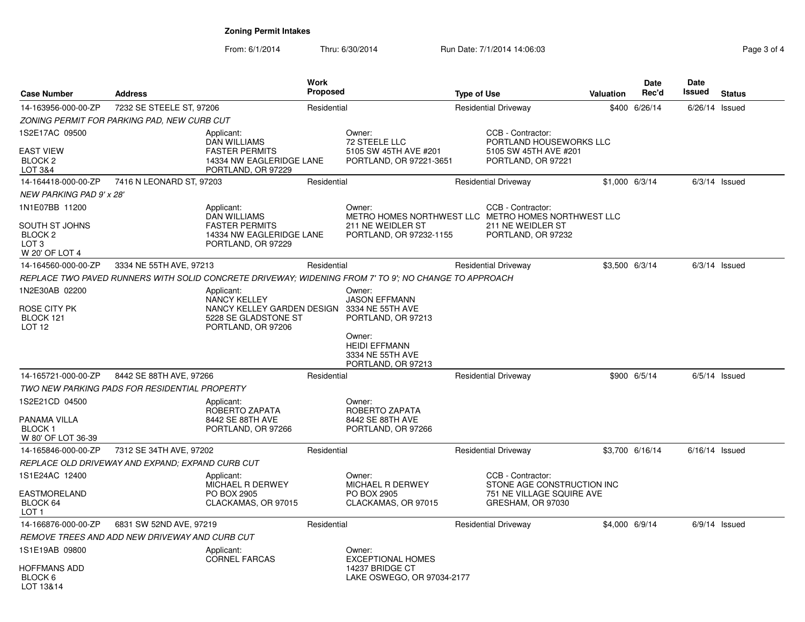| <b>Case Number</b>                                                                           | <b>Address</b>                                       |                                                                                                              | <b>Work</b><br><b>Proposed</b> |                                                                                                               | <b>Type of Use</b>                                                  |                                                                                             | <b>Valuation</b> | Date<br>Rec'd   | <b>Date</b><br><b>Issued</b> | <b>Status</b>   |
|----------------------------------------------------------------------------------------------|------------------------------------------------------|--------------------------------------------------------------------------------------------------------------|--------------------------------|---------------------------------------------------------------------------------------------------------------|---------------------------------------------------------------------|---------------------------------------------------------------------------------------------|------------------|-----------------|------------------------------|-----------------|
| 14-163956-000-00-ZP                                                                          | 7232 SE STEELE ST, 97206                             |                                                                                                              | Residential                    |                                                                                                               | <b>Residential Driveway</b>                                         |                                                                                             | \$400            | 6/26/14         | $6/26/14$ Issued             |                 |
|                                                                                              | ZONING PERMIT FOR PARKING PAD, NEW CURB CUT          |                                                                                                              |                                |                                                                                                               |                                                                     |                                                                                             |                  |                 |                              |                 |
| 1S2E17AC 09500<br><b>EAST VIEW</b><br><b>BLOCK 2</b><br><b>LOT 3&amp;4</b>                   |                                                      | Applicant:<br><b>DAN WILLIAMS</b><br><b>FASTER PERMITS</b><br>14334 NW EAGLERIDGE LANE<br>PORTLAND, OR 97229 |                                | Owner:<br>72 STEELE LLC<br>5105 SW 45TH AVE #201<br>PORTLAND, OR 97221-3651                                   |                                                                     | CCB - Contractor:<br>PORTLAND HOUSEWORKS LLC<br>5105 SW 45TH AVE #201<br>PORTLAND, OR 97221 |                  |                 |                              |                 |
| 14-164418-000-00-ZP                                                                          | 7416 N LEONARD ST, 97203                             |                                                                                                              | Residential                    |                                                                                                               |                                                                     | <b>Residential Driveway</b>                                                                 | \$1,000 6/3/14   |                 |                              | $6/3/14$ Issued |
| <b>NEW PARKING PAD 9' x 28'</b>                                                              |                                                      |                                                                                                              |                                |                                                                                                               |                                                                     |                                                                                             |                  |                 |                              |                 |
| 1N1E07BB 11200<br>SOUTH ST JOHNS<br>BLOCK <sub>2</sub><br>LOT <sub>3</sub><br>W 20' OF LOT 4 |                                                      | Applicant:<br>DAN WILLIAMS<br><b>FASTER PERMITS</b><br>14334 NW EAGLERIDGE LANE<br>PORTLAND, OR 97229        |                                | Owner:<br>METRO HOMES NORTHWEST LLC METRO HOMES NORTHWEST LLC<br>211 NE WEIDLER ST<br>PORTLAND, OR 97232-1155 |                                                                     | CCB - Contractor:<br>211 NE WEIDLER ST<br>PORTLAND, OR 97232                                |                  |                 |                              |                 |
| 14-164560-000-00-ZP                                                                          | 3334 NE 55TH AVE, 97213                              |                                                                                                              | Residential                    |                                                                                                               |                                                                     | <b>Residential Driveway</b>                                                                 | \$3,500 6/3/14   |                 |                              | $6/3/14$ Issued |
|                                                                                              |                                                      |                                                                                                              |                                | REPLACE TWO PAVED RUNNERS WITH SOLID CONCRETE DRIVEWAY; WIDENING FROM 7' TO 9'; NO CHANGE TO APPROACH         |                                                                     |                                                                                             |                  |                 |                              |                 |
| 1N2E30AB 02200<br>ROSE CITY PK<br>BLOCK 121<br>LOT <sub>12</sub>                             |                                                      | Applicant:<br>NANCY KELLEY<br>NANCY KELLEY GARDEN DESIGN<br>5228 SE GLADSTONE ST<br>PORTLAND, OR 97206       |                                | Owner:<br><b>JASON EFFMANN</b><br>3334 NE 55TH AVE<br>PORTLAND, OR 97213                                      |                                                                     |                                                                                             |                  |                 |                              |                 |
|                                                                                              |                                                      |                                                                                                              |                                | Owner:<br><b>HEIDI EFFMANN</b><br>3334 NE 55TH AVE<br>PORTLAND, OR 97213                                      |                                                                     |                                                                                             |                  |                 |                              |                 |
| 14-165721-000-00-ZP                                                                          | 8442 SE 88TH AVE, 97266                              |                                                                                                              | Residential                    |                                                                                                               |                                                                     | <b>Residential Driveway</b>                                                                 |                  | \$900 6/5/14    |                              | $6/5/14$ Issued |
|                                                                                              | <b>TWO NEW PARKING PADS FOR RESIDENTIAL PROPERTY</b> |                                                                                                              |                                |                                                                                                               |                                                                     |                                                                                             |                  |                 |                              |                 |
| 1S2E21CD 04500<br>PANAMA VILLA<br><b>BLOCK1</b><br>W 80' OF LOT 36-39                        |                                                      | Applicant:<br>ROBERTO ZAPATA<br>8442 SE 88TH AVE<br>PORTLAND, OR 97266                                       |                                | Owner:<br>ROBERTO ZAPATA<br>8442 SE 88TH AVE<br>PORTLAND, OR 97266                                            |                                                                     |                                                                                             |                  |                 |                              |                 |
| 14-165846-000-00-ZP                                                                          | 7312 SE 34TH AVE, 97202                              |                                                                                                              | Residential                    |                                                                                                               |                                                                     | <b>Residential Driveway</b>                                                                 |                  | \$3,700 6/16/14 | $6/16/14$ Issued             |                 |
|                                                                                              | REPLACE OLD DRIVEWAY AND EXPAND; EXPAND CURB CUT     |                                                                                                              |                                |                                                                                                               |                                                                     |                                                                                             |                  |                 |                              |                 |
| 1S1E24AC 12400                                                                               |                                                      | Applicant:<br>MICHAEL R DERWEY                                                                               |                                | Owner:<br>MICHAEL R DERWEY<br>PO BOX 2905<br>CLACKAMAS, OR 97015                                              | CCB - Contractor:<br>751 NE VILLAGE SQUIRE AVE<br>GRESHAM, OR 97030 | STONE AGE CONSTRUCTION INC                                                                  |                  |                 |                              |                 |
| <b>EASTMORELAND</b><br>BLOCK 64<br>LOT <sub>1</sub>                                          |                                                      | PO BOX 2905<br>CLACKAMAS, OR 97015                                                                           |                                |                                                                                                               |                                                                     |                                                                                             |                  |                 |                              |                 |
| 14-166876-000-00-ZP                                                                          | 6831 SW 52ND AVE, 97219                              |                                                                                                              | Residential                    |                                                                                                               |                                                                     | <b>Residential Driveway</b>                                                                 | \$4,000 6/9/14   |                 |                              | 6/9/14 Issued   |
|                                                                                              | REMOVE TREES AND ADD NEW DRIVEWAY AND CURB CUT       |                                                                                                              |                                |                                                                                                               |                                                                     |                                                                                             |                  |                 |                              |                 |
| 1S1E19AB 09800                                                                               | Applicant:<br><b>CORNEL FARCAS</b>                   |                                                                                                              |                                | Owner:<br><b>EXCEPTIONAL HOMES</b>                                                                            |                                                                     |                                                                                             |                  |                 |                              |                 |
| <b>HOFFMANS ADD</b><br>BLOCK 6<br>LOT 13&14                                                  |                                                      |                                                                                                              |                                | 14237 BRIDGE CT<br>LAKE OSWEGO, OR 97034-2177                                                                 |                                                                     |                                                                                             |                  |                 |                              |                 |